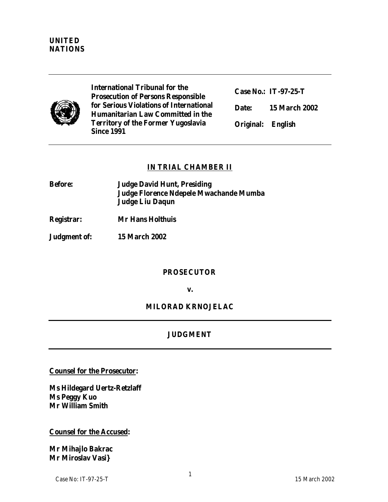

**International Tribunal for the Prosecution of Persons Responsible for Serious Violations of International Humanitarian Law Committed in the Territory of the Former Yugoslavia Since 1991**

**Case No.: IT-97-25-T Date: 15 March 2002**

**Original: English** 

# **IN TRIAL CHAMBER II**

**Before: Judge David Hunt, Presiding Judge Florence Ndepele Mwachande Mumba Judge Liu Daqun**

**Registrar: Mr Hans Holthuis**

**Judgment of: 15 March 2002**

#### **PROSECUTOR**

**v.**

**MILORAD KRNOJELAC**

# **JUDGMENT**

**Counsel for the Prosecutor:** 

**Ms Hildegard Uertz-Retzlaff Ms Peggy Kuo Mr William Smith**

**Counsel for the Accused:**

**Mr Mihajlo Bakrac Mr Miroslav Vasi}**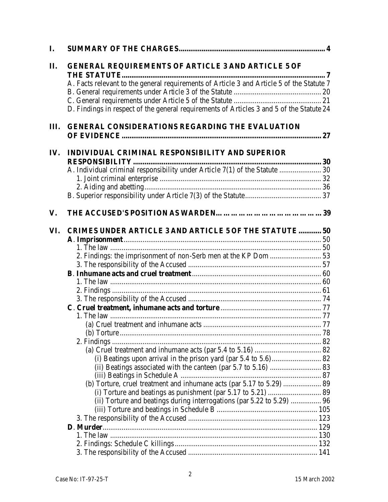| $\mathbf{I}$ . |                                                                                                                                                                                                                                                                                      |  |
|----------------|--------------------------------------------------------------------------------------------------------------------------------------------------------------------------------------------------------------------------------------------------------------------------------------|--|
| $\Pi$ .        | <b>GENERAL REQUIREMENTS OF ARTICLE 3 AND ARTICLE 5 OF</b><br>A. Facts relevant to the general requirements of Article 3 and Article 5 of the Statute 7<br>D. Findings in respect of the general requirements of Articles 3 and 5 of the Statute 24                                   |  |
| III.           | <b>GENERAL CONSIDERATIONS REGARDING THE EVALUATION</b>                                                                                                                                                                                                                               |  |
| IV.            | INDIVIDUAL CRIMINAL RESPONSIBILITY AND SUPERIOR<br>A. Individual criminal responsibility under Article 7(1) of the Statute  30                                                                                                                                                       |  |
| $V_{\cdot}$    |                                                                                                                                                                                                                                                                                      |  |
| VI.            | <b>CRIMES UNDER ARTICLE 3 AND ARTICLE 5 OF THE STATUTE  50</b><br>(ii) Beatings associated with the canteen (par 5.7 to 5.16)  83<br>(b) Torture, cruel treatment and inhumane acts (par 5.17 to 5.29)  89<br>(ii) Torture and beatings during interrogations (par 5.22 to 5.29)  96 |  |
|                |                                                                                                                                                                                                                                                                                      |  |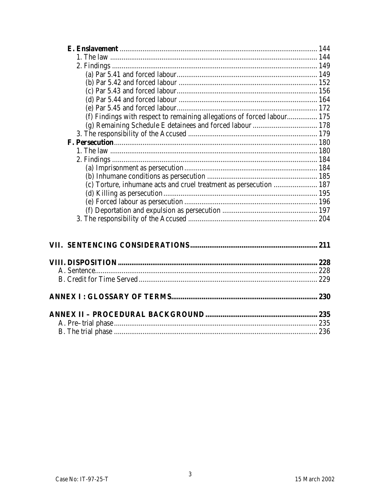| (f) Findings with respect to remaining allegations of forced labour 175 |  |
|-------------------------------------------------------------------------|--|
|                                                                         |  |
|                                                                         |  |
|                                                                         |  |
|                                                                         |  |
|                                                                         |  |
|                                                                         |  |
|                                                                         |  |
| (c) Torture, inhumane acts and cruel treatment as persecution  187      |  |
|                                                                         |  |
|                                                                         |  |
|                                                                         |  |
|                                                                         |  |
|                                                                         |  |
|                                                                         |  |
|                                                                         |  |
|                                                                         |  |
|                                                                         |  |
|                                                                         |  |
|                                                                         |  |
|                                                                         |  |
|                                                                         |  |
|                                                                         |  |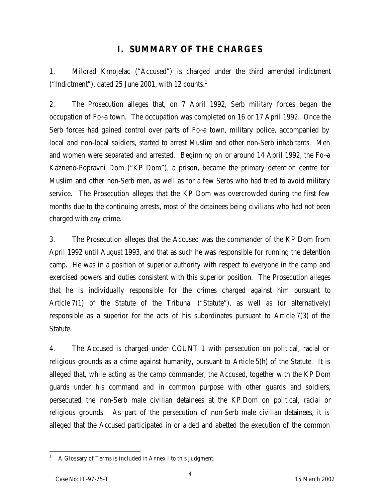# **I. SUMMARY OF THE CHARGES**

1. Milorad Krnojelac ("Accused") is charged under the third amended indictment ("Indictment"), dated 25 June 2001, with 12 counts. $1$ 

2. The Prosecution alleges that, on 7 April 1992, Serb military forces began the occupation of Fo~a town. The occupation was completed on 16 or 17 April 1992. Once the Serb forces had gained control over parts of Fo~a town, military police, accompanied by local and non-local soldiers, started to arrest Muslim and other non-Serb inhabitants. Men and women were separated and arrested. Beginning on or around 14 April 1992, the Fo~a Kazneno-Popravni Dom ("KP Dom"), a prison, became the primary detention centre for Muslim and other non-Serb men, as well as for a few Serbs who had tried to avoid military service. The Prosecution alleges that the KP Dom was overcrowded during the first few months due to the continuing arrests, most of the detainees being civilians who had not been charged with any crime.

3. The Prosecution alleges that the Accused was the commander of the KP Dom from April 1992 until August 1993, and that as such he was responsible for running the detention camp. He was in a position of superior authority with respect to everyone in the camp and exercised powers and duties consistent with this superior position. The Prosecution alleges that he is individually responsible for the crimes charged against him pursuant to Article 7(1) of the Statute of the Tribunal ("Statute"), as well as (or alternatively) responsible as a superior for the acts of his subordinates pursuant to Article 7(3) of the Statute.

4. The Accused is charged under COUNT 1 with persecution on political, racial or religious grounds as a crime against humanity, pursuant to Article 5(h) of the Statute. It is alleged that, while acting as the camp commander, the Accused, together with the KP Dom guards under his command and in common purpose with other guards and soldiers, persecuted the non-Serb male civilian detainees at the KP Dom on political, racial or religious grounds. As part of the persecution of non-Serb male civilian detainees, it is alleged that the Accused participated in or aided and abetted the execution of the common

 $\overline{a}$ <sup>1</sup> A Glossary of Terms is included in Annex I to this Judgment.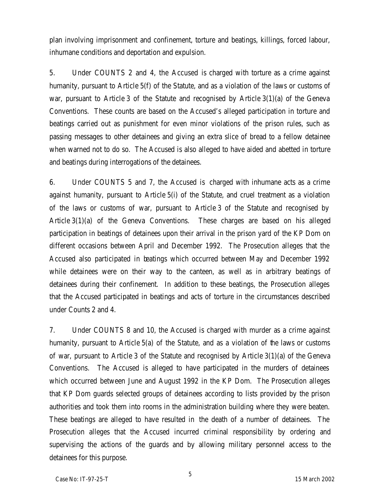plan involving imprisonment and confinement, torture and beatings, killings, forced labour, inhumane conditions and deportation and expulsion.

5. Under COUNTS 2 and 4, the Accused is charged with torture as a crime against humanity, pursuant to Article 5(f) of the Statute, and as a violation of the laws or customs of war, pursuant to Article 3 of the Statute and recognised by Article 3(1)(a) of the Geneva Conventions. These counts are based on the Accused's alleged participation in torture and beatings carried out as punishment for even minor violations of the prison rules, such as passing messages to other detainees and giving an extra slice of bread to a fellow detainee when warned not to do so. The Accused is also alleged to have aided and abetted in torture and beatings during interrogations of the detainees.

6. Under COUNTS 5 and 7, the Accused is charged with inhumane acts as a crime against humanity, pursuant to Article 5(i) of the Statute, and cruel treatment as a violation of the laws or customs of war, pursuant to Article 3 of the Statute and recognised by Article 3(1)(a) of the Geneva Conventions. These charges are based on his alleged participation in beatings of detainees upon their arrival in the prison yard of the KP Dom on different occasions between April and December 1992. The Prosecution alleges that the Accused also participated in beatings which occurred between May and December 1992 while detainees were on their way to the canteen, as well as in arbitrary beatings of detainees during their confinement. In addition to these beatings, the Prosecution alleges that the Accused participated in beatings and acts of torture in the circumstances described under Counts 2 and 4.

7. Under COUNTS 8 and 10, the Accused is charged with murder as a crime against humanity, pursuant to Article 5(a) of the Statute, and as a violation of the laws or customs of war, pursuant to Article 3 of the Statute and recognised by Article 3(1)(a) of the Geneva Conventions. The Accused is alleged to have participated in the murders of detainees which occurred between June and August 1992 in the KP Dom. The Prosecution alleges that KP Dom guards selected groups of detainees according to lists provided by the prison authorities and took them into rooms in the administration building where they were beaten. These beatings are alleged to have resulted in the death of a number of detainees. The Prosecution alleges that the Accused incurred criminal responsibility by ordering and supervising the actions of the guards and by allowing military personnel access to the detainees for this purpose.

5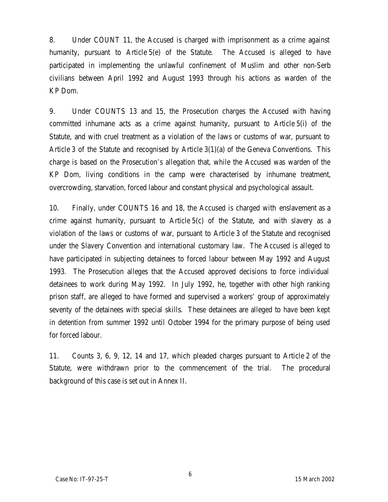8. Under COUNT 11, the Accused is charged with imprisonment as a crime against humanity, pursuant to Article 5(e) of the Statute. The Accused is alleged to have participated in implementing the unlawful confinement of Muslim and other non-Serb civilians between April 1992 and August 1993 through his actions as warden of the KP Dom.

9. Under COUNTS 13 and 15, the Prosecution charges the Accused with having committed inhumane acts as a crime against humanity, pursuant to Article 5(i) of the Statute, and with cruel treatment as a violation of the laws or customs of war, pursuant to Article 3 of the Statute and recognised by Article 3(1)(a) of the Geneva Conventions. This charge is based on the Prosecution's allegation that, while the Accused was warden of the KP Dom, living conditions in the camp were characterised by inhumane treatment, overcrowding, starvation, forced labour and constant physical and psychological assault.

10. Finally, under COUNTS 16 and 18, the Accused is charged with enslavement as a crime against humanity, pursuant to Article 5(c) of the Statute, and with slavery as a violation of the laws or customs of war, pursuant to Article 3 of the Statute and recognised under the Slavery Convention and international customary law. The Accused is alleged to have participated in subjecting detainees to forced labour between May 1992 and August 1993. The Prosecution alleges that the Accused approved decisions to force individual detainees to work during May 1992. In July 1992, he, together with other high ranking prison staff, are alleged to have formed and supervised a workers' group of approximately seventy of the detainees with special skills. These detainees are alleged to have been kept in detention from summer 1992 until October 1994 for the primary purpose of being used for forced labour.

11. Counts 3, 6, 9, 12, 14 and 17, which pleaded charges pursuant to Article 2 of the Statute, were withdrawn prior to the commencement of the trial. The procedural background of this case is set out in Annex II.

6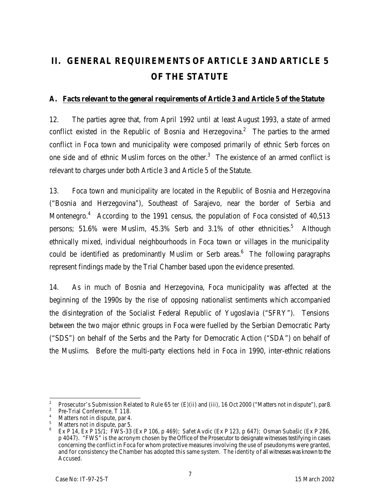# **II. GENERAL REQUIREMENTS OF ARTICLE 3 AND ARTICLE 5 OF THE STATUTE**

# **A. Facts relevant to the general requirements of Article 3 and Article 5 of the Statute**

12. The parties agree that, from April 1992 until at least August 1993, a state of armed conflict existed in the Republic of Bosnia and Herzegovina.<sup>2</sup> The parties to the armed conflict in Foca town and municipality were composed primarily of ethnic Serb forces on one side and of ethnic Muslim forces on the other. $3$  The existence of an armed conflict is relevant to charges under both Article 3 and Article 5 of the Statute.

13. Foca town and municipality are located in the Republic of Bosnia and Herzegovina ("Bosnia and Herzegovina"), Southeast of Sarajevo, near the border of Serbia and Montenegro.<sup>4</sup> According to the 1991 census, the population of Foca consisted of 40,513 persons; 51.6% were Muslim, 45.3% Serb and 3.1% of other ethnicities.<sup>5</sup> Although ethnically mixed, individual neighbourhoods in Foca town or villages in the municipality could be identified as predominantly Muslim or Serb areas.<sup>6</sup> The following paragraphs represent findings made by the Trial Chamber based upon the evidence presented.

14. As in much of Bosnia and Herzegovina, Foca municipality was affected at the beginning of the 1990s by the rise of opposing nationalist sentiments which accompanied the disintegration of the Socialist Federal Republic of Yugoslavia ("SFRY"). Tensions between the two major ethnic groups in Foca were fuelled by the Serbian Democratic Party ("SDS") on behalf of the Serbs and the Party for Democratic Action ("SDA") on behalf of the Muslims. Before the multi-party elections held in Foca in 1990, inter-ethnic relations

 $\frac{1}{2}$ Prosecutor's Submission Related to Rule 65 *ter* (E)(ii) and (iii), 16 Oct 2000 ("Matters not in dispute"), par8.

 $3$  Pre-Trial Conference, T 118.

 $^{4}$  Matters not in dispute, par 4.

Matters not in dispute, par 5.

<sup>6</sup> Ex P 14, Ex P 15/1; FWS-33 (Ex P 106, p 469); Safet Avdic (Ex P 123, p 647); Osman Subašic (Ex P 286, p 4047). "FWS" is the acronym chosen by the Office of the Prosecutor to designate witnesses testifying in cases concerning the conflict in Foca for whom protective measures involving the use of pseudonyms were granted, and for consistency the Chamber has adopted this same system. The identity of all witnesses was known to the Accused.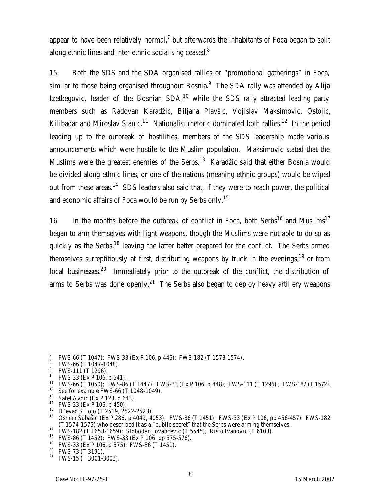appear to have been relatively normal,<sup>7</sup> but afterwards the inhabitants of Foca began to split along ethnic lines and inter-ethnic socialising ceased. $8$ 

15. Both the SDS and the SDA organised rallies or "promotional gatherings" in Foca, similar to those being organised throughout Bosnia.<sup>9</sup> The SDA rally was attended by Alija Izetbegovic, leader of the Bosnian  $SDA<sub>10</sub>$  while the SDS rally attracted leading party members such as Radovan Karadžic, Biljana Plavšic, Vojislav Maksimovic, Ostojic, Kilibadar and Miroslav Stanic.<sup>11</sup> Nationalist rhetoric dominated both rallies.<sup>12</sup> In the period leading up to the outbreak of hostilities, members of the SDS leadership made various announcements which were hostile to the Muslim population. Maksimovic stated that the Muslims were the greatest enemies of the Serbs.<sup>13</sup> Karadžic said that either Bosnia would be divided along ethnic lines, or one of the nations (meaning ethnic groups) would be wiped out from these areas.<sup>14</sup> SDS leaders also said that, if they were to reach power, the political and economic affairs of Foca would be run by Serbs only.<sup>15</sup>

16. In the months before the outbreak of conflict in Foca, both Serbs<sup>16</sup> and Muslims<sup>17</sup> began to arm themselves with light weapons, though the Muslims were not able to do so as quickly as the Serbs,<sup>18</sup> leaving the latter better prepared for the conflict. The Serbs armed themselves surreptitiously at first, distributing weapons by truck in the evenings,  $19$  or from local businesses.<sup>20</sup> Immediately prior to the outbreak of the conflict, the distribution of arms to Serbs was done openly.<sup>21</sup> The Serbs also began to deploy heavy artillery weapons

<sup>7</sup> FWS-66 (T 1047); FWS-33 (Ex P 106, p 446); FWS-182 (T 1573-1574).

 $\frac{8}{1}$  FWS-66 (T 1047-1048).

 $^9$  FWS-111 (T 1296).

 $10$  FWS-33 (Ex P 106, p 541).

<sup>11</sup> FWS-66 (T 1050); FWS-86 (T 1447); FWS-33 (Ex P 106, p 448); FWS-111 (T 1296) ; FWS-182 (T 1572).

<sup>12</sup> *See* for example FWS-66 (T 1048-1049).

<sup>13</sup> Safet Avdic (Ex P 123, p 643).

<sup>14</sup> FWS-33 (Ex P 106, p 450).

 $15$  D`evad S Lojo (T 2519, 2522-2523).

<sup>16</sup> Osman Subašic (Ex P 286, p 4049, 4053); FWS-86 (T 1451); FWS-33 (Ex P 106, pp 456-457); FWS-182 (T 1574-1575) who described it as a "public secret" that the Serbs were arming themselves.

<sup>17</sup> FWS-182 (T 1658-1659); Slobodan Jovancevic (T 5545); Risto Ivanovic (T 6103).

<sup>&</sup>lt;sup>18</sup> FWS-86 (T 1452); FWS-33 (Ex P 106, pp 575-576).

<sup>19</sup> FWS-33 (Ex P 106, p 575*)*; FWS-86 (T 1451).

<sup>&</sup>lt;sup>20</sup> FWS-73 (T 3191).

<sup>21</sup> FWS-15 (T 3001-3003).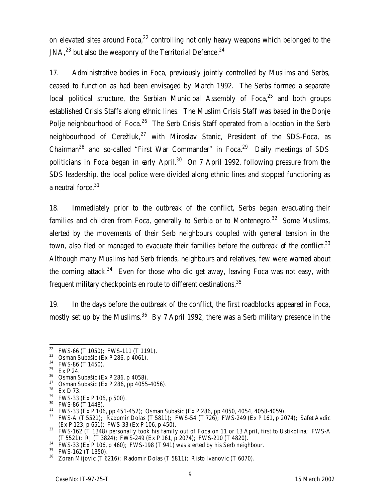on elevated sites around  $F_{\text{OCA}}^{22}$  controlling not only heavy weapons which belonged to the JNA, $^{23}$  but also the weaponry of the Territorial Defence. $^{24}$ 

17. Administrative bodies in Foca, previously jointly controlled by Muslims and Serbs, ceased to function as had been envisaged by March 1992. The Serbs formed a separate local political structure, the Serbian Municipal Assembly of Foca, $25$  and both groups established Crisis Staffs along ethnic lines. The Muslim Crisis Staff was based in the Donje Polje neighbourhood of Foca.<sup>26</sup> The Serb Crisis Staff operated from a location in the Serb neighbourhood of Cerežluk, $^{27}$  with Miroslav Stanic, President of the SDS-Foca, as Chairman<sup>28</sup> and so-called "First War Commander" in Foca.<sup>29</sup> Daily meetings of SDS politicians in Foca began in early April.<sup>30</sup> On 7 April 1992, following pressure from the SDS leadership, the local police were divided along ethnic lines and stopped functioning as a neutral force.<sup>31</sup>

18. Immediately prior to the outbreak of the conflict, Serbs began evacuating their families and children from Foca, generally to Serbia or to Montenegro.<sup>32</sup> Some Muslims, alerted by the movements of their Serb neighbours coupled with general tension in the town, also fled or managed to evacuate their families before the outbreak of the conflict.<sup>33</sup> Although many Muslims had Serb friends, neighbours and relatives, few were warned about the coming attack. $34$  Even for those who did get away, leaving Foca was not easy, with frequent military checkpoints en route to different destinations. $^{\rm 35}$ 

19. In the days before the outbreak of the conflict, the first roadblocks appeared in Foca, mostly set up by the Muslims.<sup>36</sup> By 7 April 1992, there was a Serb military presence in the

- $26$  Osman Subašic (Ex P 286, p 4058).
- <sup>27</sup> Osman Subašic (Ex P 286, pp 4055-4056).<br><sup>28</sup> Ex D 73

<sup>30</sup> FWS-86 (T 1448).

 $34$  FWS-33 (Ex P 106, p 460); FWS-198 (T 941) was alerted by his Serb neighbour.

 $22$ <sup>22</sup> FWS-66 (T 1050); FWS-111 (T 1191).

<sup>&</sup>lt;sup>23</sup> Osman Subašic (Ex P 286, p 4061).

<sup>&</sup>lt;sup>24</sup> FWS-86 (T 1450).

<sup>25</sup> Ex P 24.

Ex D 73.

<sup>29</sup> FWS-33 (Ex P 106, p 500).

 $31$  FWS-33 (Ex P 106, pp 451-452); Osman Subašic (Ex P 286, pp 4050, 4054, 4058-4059).

<sup>&</sup>lt;sup>32</sup> FWS-A (T 5521); Radomir Dolas (T 5811); FWS-54 (T 726); FWS-249 (Ex P 161, p 2074); Safet Avdic (Ex P 123, p 651); FWS-33 (Ex P 106, p 450).

<sup>33</sup> FWS-162 (T 1348) personally took his family out of Foca on 11 or 13 April, first to Ustikolina; FWS-A (T 5521); RJ (T 3824); FWS-249 (Ex P 161, p 2074); FWS-210 (T 4820).

 $35$  FWS-162 (T 1350).

Zoran Mijovic (T 6216); Radomir Dolas (T 5811); Risto Ivanovic (T 6070).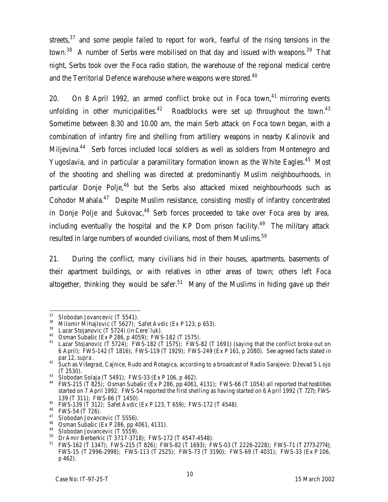streets, $37$  and some people failed to report for work, fearful of the rising tensions in the town.<sup>38</sup> A number of Serbs were mobilised on that day and issued with weapons.<sup>39</sup> That night, Serbs took over the Foca radio station, the warehouse of the regional medical centre and the Territorial Defence warehouse where weapons were stored.<sup>40</sup>

20. On 8 April 1992, an armed conflict broke out in Foca town.<sup>41</sup> mirroring events unfolding in other municipalities. $42$  Roadblocks were set up throughout the town. $43$ Sometime between 8.30 and 10.00 am, the main Serb attack on Foca town began, with a combination of infantry fire and shelling from artillery weapons in nearby Kalinovik and Miljevina.<sup>44</sup> Serb forces included local soldiers as well as soldiers from Montenegro and Yugoslavia, and in particular a paramilitary formation known as the White Eagles.<sup>45</sup> Most of the shooting and shelling was directed at predominantly Muslim neighbourhoods, in particular Donje Polje, $46$  but the Serbs also attacked mixed neighbourhoods such as Cohodor Mahala.<sup>47</sup> Despite Muslim resistance, consisting mostly of infantry concentrated in Donje Polje and Šukovac, $48$  Serb forces proceeded to take over Foca area by area, including eventually the hospital and the KP Dom prison facility.<sup>49</sup> The military attack resulted in large numbers of wounded civilians, most of them Muslims. $^{50}$ 

21. During the conflict, many civilians hid in their houses, apartments, basements of their apartment buildings, or with relatives in other areas of town; others left Foca altogether, thinking they would be safer.<sup>51</sup> Many of the Muslims in hiding gave up their

<sup>37</sup> Slobodan Jovancevic (T 5541).

<sup>&</sup>lt;sup>38</sup> Milomir Mihajlovic (T 5627); Safet Avdic (Ex P 123, p 653).

 $39$  Lazar Stojanovic (T S724) (in Cere`luk).

<sup>40</sup> Osman Subašic (Ex P 286, p 4059); FWS-182 (T 1575).

<sup>&</sup>lt;sup>41</sup> Lazar Stojanovic (T 5724); FWS-182 (T 1575); FWS-82 (T 1691) (saying that the conflict broke out on 6 April); FWS-142 (T 1816); FWS-119 (T 1929); FWS-249 (Ex P 161, p 2080). See agreed facts stated in par 12, *supra*.

 $^{42}$  Such as Višegrad, Cajnice, Rudo and Rotagica, according to a broadcast of Radio Sarajevo: Dževad S Lojo (T 2530).

<sup>&</sup>lt;sup>43</sup> Slobodan Solaja (T 5491); FWS-33 (Ex P 106, p 462).

<sup>44</sup> FWS-215 (T 825); Osman Subašic (Ex P 286, pp 4061, 4131); FWS-66 (T 1054) all reported that hostilities started on 7 April 1992. FWS-54 reported the first shelling as having started on 6 April 1992 (T 727); FWS-139 (T 311); FWS-86 (T 1450).

<sup>45</sup> FWS-139 (T 312); Safet Avdic (Ex P 123, T 659); FWS-172 (T 4548).

 $^{46}$  FWS-54 (T 726).

Slobodan Jovancevic (T 5556).

<sup>48</sup> Osman Subašic (Ex P 286, pp 4061, 4131).

<sup>&</sup>lt;sup>49</sup> Slobodan Jovancevic (T 5559).

<sup>50</sup> Dr Amir Berberkic (T 3717-3718); FWS-172 (T 4547-4548).

<sup>51</sup> FWS-162 (T 1347); FWS-215 (T 826); FWS-82 (T 1693); FWS-03 (T 2226-2228); FWS-71 (T 2773-2774); FWS-15 (T 2996-2998); FWS-113 (T 2525); FWS-73 (T 3190); FWS-69 (T 4031); FWS-33 (Ex P 106, p 462).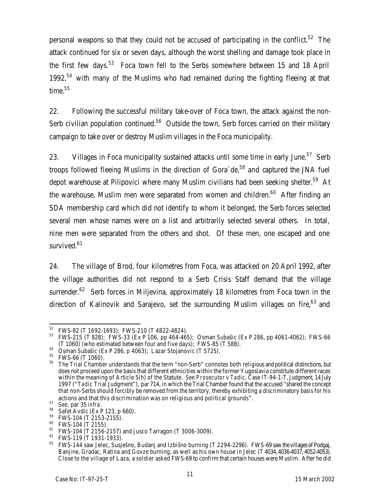personal weapons so that they could not be accused of participating in the conflict.<sup>52</sup> The attack continued for six or seven days, although the worst shelling and damage took place in the first few days.<sup>53</sup> Foca town fell to the Serbs somewhere between 15 and 18 April 1992,<sup>54</sup> with many of the Muslims who had remained during the fighting fleeing at that time.<sup>55</sup>

22. Following the successful military take-over of Foca town, the attack against the non-Serb civilian population continued.<sup>56</sup> Outside the town, Serb forces carried on their military campaign to take over or destroy Muslim villages in the Foca municipality.

23. Villages in Foca municipality sustained attacks until some time in early June.<sup>57</sup> Serb troops followed fleeing Muslims in the direction of Gora  $de<sub>58</sub>$  and captured the JNA fuel depot warehouse at Pilipovici where many Muslim civilians had been seeking shelter.<sup>59</sup> At the warehouse, Muslim men were separated from women and children.<sup>60</sup> After finding an SDA membership card which did not identify to whom it belonged, the Serb forces selected several men whose names were on a list and arbitrarily selected several others. In total, nine men were separated from the others and shot. Of these men, one escaped and one survived.<sup>61</sup>

24. The village of Brod, four kilometres from Foca, was attacked on 20 April 1992, after the village authorities did not respond to a Serb Crisis Staff demand that the village surrender.<sup>62</sup> Serb forces in Miljevina, approximately 18 kilometres from Foca town in the direction of Kalinovik and Sarajevo, set the surrounding Muslim villages on fire,  $63$  and

<sup>52</sup>  $^{52}$  FWS-82 (T 1692-1693); FWS-210 (T 4822-4824).

<sup>53</sup> FWS-215 (T 828); FWS-33 (Ex P 106, pp 464-465); Osman Subašic (Ex P 286, pp 4061-4062); FWS-66 (T 1060) (who estimated between four and five days); FWS-85 (T 588).

<sup>54</sup> Osman Subašic (Ex P 286, p 4063); Lazar Stojanovic (T 5725).

<sup>&</sup>lt;sup>55</sup> FWS-66 (T 1060).

<sup>&</sup>lt;sup>56</sup> The Trial Chamber understands that the term "non-Serb" connotes both religious and political distinctions, but does not proceed upon the basis that different ethnicities within the former Yugoslavia constitute different races within the meaning of Article 5(h) of the Statute. *See Prosecutor v Tadic*, Case IT-94-1-T, Judgment, 14 July 1997 ("*Tadic* Trial Judgment"), par 714, in which the Trial Chamber found that the accused "shared the concept that non-Serbs should forcibly be removed from the territory, thereby exhibiting a discriminatory basis for his actions and that this discrimination was on religious and political grounds".

<sup>57</sup> *See*, par 35 *infra*.

 $^{58}$  Safet Avdic (Ex P 123, p 660).<br> $^{59}$  EWS 104 (T 2153 2155)

FWS-104 (T 2153-2155).

<sup>60</sup> FWS-104 (T 2155).

<sup>61</sup> FWS-104 (T 2156-2157) and Jusco Tarragon (T 3006-3009).

 $^{62}$  FWS-119 (T 1931-1933).

FWS-144 saw Jelec, Susješno, Budanj and Izbišno burning (T 2294-2296). FWS-69 saw the villages of Podgaj, Banjine, Gradac, Ratina and Govze burning, as well as his own house in Jelec (T 4034, 4036-4037, 4052-4053). Close to the village of Laza, a soldier asked FWS-69 to confirm that certain houses were Muslim. After he did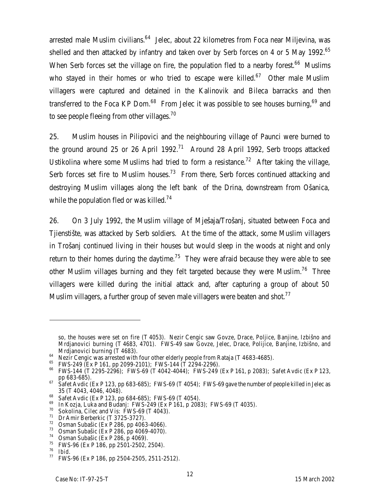arrested male Muslim civilians.<sup>64</sup> Jelec, about 22 kilometres from Foca near Miljevina, was shelled and then attacked by infantry and taken over by Serb forces on 4 or 5 May 1992.<sup>65</sup> When Serb forces set the village on fire, the population fled to a nearby forest.<sup>66</sup> Muslims who stayed in their homes or who tried to escape were killed.<sup>67</sup> Other male Muslim villagers were captured and detained in the Kalinovik and Bileca barracks and then transferred to the Foca KP Dom.<sup>68</sup> From Jelec it was possible to see houses burning,<sup>69</sup> and to see people fleeing from other villages.<sup>70</sup>

25. Muslim houses in Pilipovici and the neighbouring village of Paunci were burned to the ground around 25 or 26 April 1992.<sup>71</sup> Around 28 April 1992, Serb troops attacked Ustikolina where some Muslims had tried to form a resistance.<sup>72</sup> After taking the village, Serb forces set fire to Muslim houses.<sup>73</sup> From there, Serb forces continued attacking and destroying Muslim villages along the left bank of the Drina, downstream from Ošanica, while the population fled or was killed.<sup>74</sup>

26. On 3 July 1992, the Muslim village of Mješaja/Trošanj, situated between Foca and Tjienstište, was attacked by Serb soldiers. At the time of the attack, some Muslim villagers in Trošanj continued living in their houses but would sleep in the woods at night and only return to their homes during the daytime.<sup>75</sup> They were afraid because they were able to see other Muslim villages burning and they felt targeted because they were Muslim.<sup>76</sup> Three villagers were killed during the initial attack and, after capturing a group of about 50 Muslim villagers, a further group of seven male villagers were beaten and shot.<sup>77</sup>

so, the houses were set on fire (T 4053). Nezir Cengic saw Govze, Drace, Poljice, Banjine, Izbišno and Mrdjanovici burning (T 4683, 4701). FWS-49 saw Govze, Jelec, Drace, Polijice, Banjine, Izbišno, and Mrdjanovici burning (T 4683).

<sup>64</sup> Nezir Cengic was arrested with four other elderly people from Rataja (T 4683-4685).

<sup>65</sup> FWS-249 (Ex P 161, pp 2099-2101); FWS-144 (T 2294-2296).

<sup>66</sup> FWS-144 (T 2295-2296); FWS-69 (T 4042-4044); FWS-249 (Ex P 161, p 2083); Safet Avdic (Ex P 123, pp 683-685).

 $67$  Safet Avdic (Ex P 123, pp 683-685); FWS-69 (T 4054); FWS-69 gave the number of people killed in Jelec as 35 (T 4043, 4046, 4048).

<sup>&</sup>lt;sup>68</sup> Safet Avdic (Ex P 123, pp 684-685); FWS-69 (T 4054).

<sup>&</sup>lt;sup>69</sup> In Kozja, Luka and Budanj: FWS-249 (Ex P 161, p 2083); FWS-69 (T 4035).<br><sup>70</sup> Sokolina, Cilos and Vis: EWS 69 (T 4043).

<sup>&</sup>lt;sup>70</sup> Sokolina, Cilec and Vis: FWS-69 (T 4043).<br><sup>71</sup> Dr Amir Borborkic (T 3725-3727)

Dr Amir Berberkic (T 3725-3727).

 $72$  Osman Subašic (Ex P 286, pp 4063-4066).

<sup>73</sup> Osman Subašic (Ex P 286, pp 4069-4070).

<sup>74</sup> Osman Subašic (Ex P 286, p 4069).

<sup>75</sup> FWS-96 (Ex P 186, pp 2501-2502, 2504).

<sup>76</sup> *Ibid*.

<sup>77</sup> FWS-96 (Ex P 186, pp 2504-2505, 2511-2512).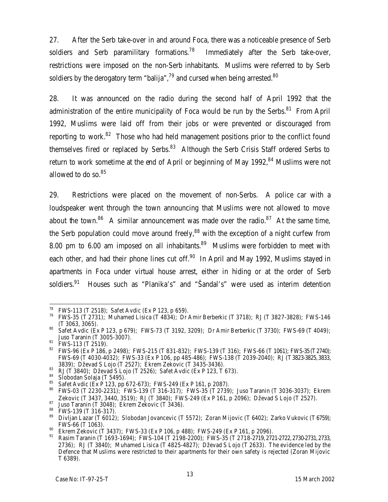27. After the Serb take-over in and around Foca, there was a noticeable presence of Serb soldiers and Serb paramilitary formations.<sup>78</sup> Immediately after the Serb take-over, restrictions were imposed on the non-Serb inhabitants. Muslims were referred to by Serb soldiers by the derogatory term "balija",<sup>79</sup> and cursed when being arrested.<sup>80</sup>

28. It was announced on the radio during the second half of April 1992 that the administration of the entire municipality of Foca would be run by the Serbs. $81$  From April 1992, Muslims were laid off from their jobs or were prevented or discouraged from reporting to work.<sup>82</sup> Those who had held management positions prior to the conflict found themselves fired or replaced by Serbs. $83$  Although the Serb Crisis Staff ordered Serbs to return to work sometime at the end of April or beginning of May 1992, $84$  Muslims were not allowed to do so.<sup>85</sup>

29. Restrictions were placed on the movement of non-Serbs. A police car with a loudspeaker went through the town announcing that Muslims were not allowed to move about the town.<sup>86</sup> A similar announcement was made over the radio.<sup>87</sup> At the same time, the Serb population could move around freely,  $88$  with the exception of a night curfew from 8.00 pm to 6.00 am imposed on all inhabitants. $89$  Muslims were forbidden to meet with each other, and had their phone lines cut off. $90$  In April and May 1992, Muslims stayed in apartments in Foca under virtual house arrest, either in hiding or at the order of Serb soldiers.<sup>91</sup> Houses such as "Planika's" and "Šandal's" were used as interim detention

<sup>78</sup> <sup>78</sup> FWS-113 (T 2518); Safet Avdic (Ex P 123, p 659).

<sup>79</sup> FWS-35 (T 2731); Muhamed Lisica (T 4834); Dr Amir Berberkic (T 3718); RJ (T 3827-3828); FWS-146 (T 3063, 3065).

<sup>80</sup> Safet Avdic (Ex P 123, p 679); FWS-73 (T 3192, 3209); Dr Amir Berberkic (T 3730); FWS-69 (T 4049); Juso Taranin (T 3005-3007).

<sup>&</sup>lt;sup>81</sup> FWS-113 (T 2519).

<sup>82</sup> FWS-96 (Ex P 186, p 2498); FWS-215 (T 831-832); FWS-139 (T 316); FWS-66 (T 1061); FWS-35 (T2740); FWS-69 (T 4030-4032); FWS-33 (Ex P 106, pp 485-486); FWS-138 (T 2039-2040); RJ (T3823-3825, 3833, 3839); Dževad S Lojo (T 2527); Ekrem Zekovic (T 3435-3436).

 $^{83}$  RJ (T 3840); Dževad S Lojo (T 2526); Safet Avdic (Ex P 123, T 673).

 $^{84}$  Slobodan Solaja (T 5495).

<sup>&</sup>lt;sup>85</sup> Safet Avdic (Ex P 123, pp 672-673); FWS-249 (Ex P 161, p 2087).<br><sup>86</sup> EMS 03 (T 2220 2221): FWS 120 (T 214 217): FWS 25 (T 2720

<sup>86</sup> FWS-03 (T 2230-2231); FWS-139 (T 316-317); FWS-35 (T 2739); Juso Taranin (T 3036-3037); Ekrem Zekovic (T 3437, 3440, 3519); RJ (T 3840); FWS-249 (Ex P 161, p 2096); Dževad S Lojo (T 2527).

 $87$  Juso Taranin (T 3048); Ekrem Zekovic (T 3436).

 $^{88}$  FWS-139 (T 316-317).

<sup>89</sup> Divljan Lazar (T 6012); Slobodan Jovancevic (T 5572); Zoran Mijovic (T 6402); Zarko Vukovic (T 6759); FWS-66 (T 1063).

<sup>90</sup> Ekrem Zekovic (T 3437); FWS-33 (Ex P 106, p 488); FWS-249 (Ex P 161, p 2096).

<sup>91</sup> Rasim Taranin (T 1693-1694); FWS-104 (T 2198-2200); FWS-35 (T 2718-2719, 2721-2722, 2730-2731, 2733, 2736); RJ (T 3840); Muhamed Lisica (T 4825-4827); Dževad S Lojo (T 2633). The evidence led by the Defence that Muslims were restricted to their apartments for their own safety is rejected (Zoran Mijovic T 6389).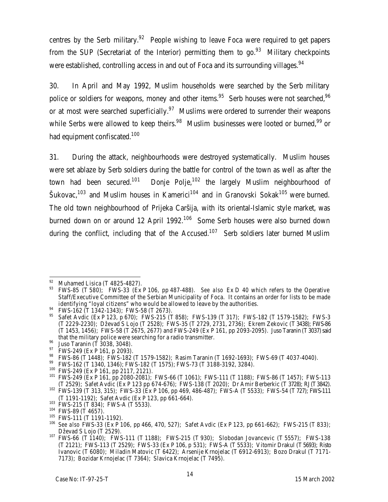centres by the Serb military.<sup>92</sup> People wishing to leave Foca were required to get papers from the SUP (Secretariat of the Interior) permitting them to go.<sup>93</sup> Military checkpoints were established, controlling access in and out of Foca and its surrounding villages. $^{94}$ 

30. In April and May 1992, Muslim households were searched by the Serb military police or soldiers for weapons, money and other items.<sup>95</sup> Serb houses were not searched,<sup>96</sup> or at most were searched superficially.<sup>97</sup> Muslims were ordered to surrender their weapons while Serbs were allowed to keep theirs.<sup>98</sup> Muslim businesses were looted or burned,<sup>99</sup> or had equipment confiscated.<sup>100</sup>

31. During the attack, neighbourhoods were destroyed systematically. Muslim houses were set ablaze by Serb soldiers during the battle for control of the town as well as after the town had been secured.<sup>101</sup> Donje Polje,<sup>102</sup> the largely Muslim neighbourhood of  $\text{Sukovac},^{103}$  and Muslim houses in Kamerici<sup>104</sup> and in Granovski Sokak<sup>105</sup> were burned. The old town neighbourhood of Prijeka Caršija, with its oriental-Islamic style market, was burned down on or around 12 April 1992.<sup>106</sup> Some Serb houses were also burned down during the conflict, including that of the Accused.<sup>107</sup> Serb soldiers later burned Muslim

 $\overline{a}$ <sup>92</sup> Muhamed Lisica (T 4825-4827).

<sup>93</sup> FWS-85 (T 580); FWS-33 (Ex P 106, pp 487-488). *See also* Ex D 40 which refers to the Operative Staff/Executive Committee of the Serbian Municipality of Foca. It contains an order for lists to be made identifying "loyal citizens" who would be allowed to leave by the authorities.

<sup>94</sup> FWS-162 (T 1342-1343); FWS-58 (T 2673).<br><sup>95</sup> FMS-162 (T 1342-1343); FWS-58 (T 2673).

Safet Avdic (Ex P 123, p 670); FWS-215 (T 858); FWS-139 (T 317); FWS-182 (T 1579-1582); FWS-3 (T 2229-2230); Dževad S Lojo (T 2528); FWS-35 (T 2729, 2731, 2736); Ekrem Zekovic (T 3438); FWS-86 (T 1453, 1456); FWS-58 (T 2675, 2677) and FWS-249 (Ex P 161, pp 2093-2095). Juso Taranin (T3037) said that the military police were searching for a radio transmitter.

<sup>96</sup> Juso Taranin (T 3038, 3048).

<sup>&</sup>lt;sup>97</sup> FWS-249 (Ex P 161, p 2093).

<sup>&</sup>lt;sup>98</sup> FWS-86 (T 1448); FWS-182 (T 1579-1582); Rasim Taranin (T 1692-1693); FWS-69 (T 4037-4040).

<sup>99</sup> FWS-162 (T 1340, 1346); FWS-182 (T 1575); FWS-73 (T 3188-3192, 3284).

<sup>100</sup> FWS-249 (Ex P 161, pp 2117, 2121).

<sup>101</sup> FWS-249 (Ex P 161, pp 2080-2081); FWS-66 (T 1061); FWS-111 (T 1188); FWS-86 (T 1457); FWS-113 (T 2529); Safet Avdic (Ex P 123 pp 674-676); FWS-138 (T 2020); Dr Amir Berberkic (T 3728); RJ (T3842).

<sup>102</sup> FWS-139 (T 313, 315); FWS-33 (Ex P 106, pp 469, 486-487); FWS-A (T 5533); FWS-54 (T 727); FWS-111 (T 1191-1192); Safet Avdic (Ex P 123, pp 661-664).

<sup>103</sup> FWS-215 (T 834); FWS-A (T 5533).

<sup>104</sup> FWS-89 (T 4657).

<sup>&</sup>lt;sup>105</sup> FWS-111 (T 1191-1192).

<sup>106</sup> *See also* FWS-33 (Ex P 106, pp 466, 470, 527); Safet Avdic (Ex P 123, pp 661-662); FWS-215 (T 833); Dževad S Lojo (T 2529).

<sup>107</sup> FWS-66 (T 1140); FWS-111 (T 1188); FWS-215 (T 930); Slobodan Jovancevic (T 5557); FWS-138 (T 2121); FWS-113 (T 2529); FWS-33 (Ex P 106, p 531); FWS-A (T 5533); Vitomir Drakul (T 5693); Risto Ivanovic (T 6080); Miladin Matovic (T 6422); Arsenije Krnojelac (T 6912-6913); Bozo Drakul (T 7171- 7173); Bozidar Krnojelac (T 7364); Slavica Krnojelac (T 7495).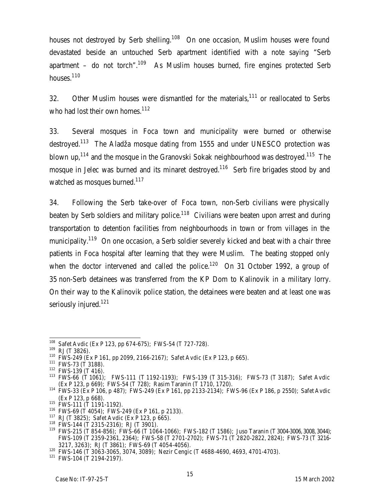houses not destroyed by Serb shelling.<sup>108</sup> On one occasion, Muslim houses were found devastated beside an untouched Serb apartment identified with a note saying "Serb apartment – do not torch".<sup>109</sup> As Muslim houses burned, fire engines protected Serb houses.<sup>110</sup>

32. Other Muslim houses were dismantled for the materials, $111$  or reallocated to Serbs who had lost their own homes.<sup>112</sup>

33. Several mosques in Foca town and municipality were burned or otherwise destroyed.<sup>113</sup> The Aladža mosque dating from 1555 and under UNESCO protection was blown up,<sup>114</sup> and the mosque in the Granovski Sokak neighbourhood was destroyed.<sup>115</sup> The mosque in Jelec was burned and its minaret destroyed.<sup>116</sup> Serb fire brigades stood by and watched as mosques burned.<sup>117</sup>

34. Following the Serb take-over of Foca town, non-Serb civilians were physically beaten by Serb soldiers and military police.<sup>118</sup> Civilians were beaten upon arrest and during transportation to detention facilities from neighbourhoods in town or from villages in the municipality.<sup>119</sup> On one occasion, a Serb soldier severely kicked and beat with a chair three patients in Foca hospital after learning that they were Muslim. The beating stopped only when the doctor intervened and called the police.<sup>120</sup> On 31 October 1992, a group of 35 non-Serb detainees was transferred from the KP Dom to Kalinovik in a military lorry. On their way to the Kalinovik police station, the detainees were beaten and at least one was seriously injured.<sup>121</sup>

 $\overline{1}$ <sup>108</sup> Safet Avdic (Ex P 123, pp 674-675); FWS-54 (T 727-728).

<sup>109</sup> RJ (T 3826).

<sup>110</sup> FWS-249 (Ex P 161, pp 2099, 2166-2167); Safet Avdic (Ex P 123, p 665).

<sup>111</sup> FWS-73 (T 3188).

 $112$  FWS-139 (T 416).

<sup>113</sup> FWS-66 (T 1061); FWS-111 (T 1192-1193); FWS-139 (T 315-316); FWS-73 (T 3187); Safet Avdic (Ex P 123, p 669); FWS-54 (T 728); Rasim Taranin (T 1710, 1720).

<sup>114</sup> FWS-33 (Ex P 106, p 487); FWS-249 (Ex P 161, pp 2133-2134); FWS-96 (Ex P 186, p 2550); Safet Avdic (Ex P 123, p 668).

 $115$  FWS-111 (T 1191-1192).

<sup>116</sup> FWS-69 (T 4054); FWS-249 (Ex P 161, p 2133).

<sup>117</sup> RJ (T 3825); Safet Avdic (Ex P 123, p 665).

<sup>118</sup> FWS-144 (T 2315-2316); RJ (T 3901).

<sup>119</sup> FWS-215 (T 854-856); FWS-66 (T 1064-1066); FWS-182 (T 1586); Juso Taranin (T 3004-3006, 3008, 3044); FWS-109 (T 2359-2361, 2364); FWS-58 (T 2701-2702); FWS-71 (T 2820-2822, 2824); FWS-73 (T 3216- 3217, 3263); RJ (T 3861); FWS-69 (T 4054-4056).

<sup>120</sup> FWS-146 (T 3063-3065, 3074, 3089); Nezir Cengic (T 4688-4690, 4693, 4701-4703).

<sup>121</sup> FWS-104 (T 2194-2197).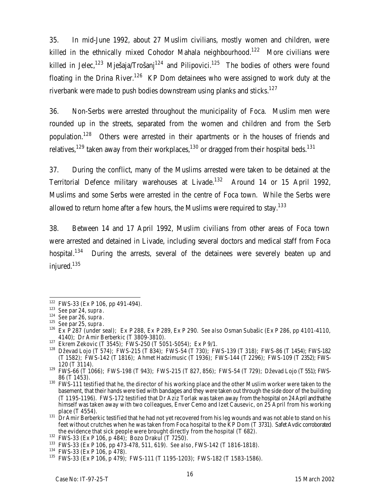35. In mid-June 1992, about 27 Muslim civilians, mostly women and children, were killed in the ethnically mixed Cohodor Mahala neighbourhood.<sup>122</sup> More civilians were killed in Jelec,<sup>123</sup> Mješaja/Trošanj<sup>124</sup> and Pilipovici.<sup>125</sup> The bodies of others were found floating in the Drina River.<sup>126</sup> KP Dom detainees who were assigned to work duty at the riverbank were made to push bodies downstream using planks and sticks.<sup>127</sup>

36. Non-Serbs were arrested throughout the municipality of Foca. Muslim men were rounded up in the streets, separated from the women and children and from the Serb population.<sup>128</sup> Others were arrested in their apartments or in the houses of friends and relatives,<sup>129</sup> taken away from their workplaces,<sup>130</sup> or dragged from their hospital beds.<sup>131</sup>

37. During the conflict, many of the Muslims arrested were taken to be detained at the Territorial Defence military warehouses at Livade.<sup>132</sup> Around 14 or 15 April 1992, Muslims and some Serbs were arrested in the centre of Foca town. While the Serbs were allowed to return home after a few hours, the Muslims were required to stay. $^{133}$ 

38. Between 14 and 17 April 1992, Muslim civilians from other areas of Foca town were arrested and detained in Livade, including several doctors and medical staff from Foca hospital.<sup>134</sup> During the arrests, several of the detainees were severely beaten up and injured.<sup>135</sup>

 $122$  FWS-33 (Ex P 106, pp 491-494).

<sup>123</sup> *See* par 24, *supra*.

<sup>124</sup> *See* par 26, *supra*.

<sup>125</sup> *See* par 25, *supra*.

<sup>126</sup> Ex P 287 (under seal); Ex P 288, Ex P 289, Ex P 290. *See also* Osman Subašic (Ex P 286, pp 4101-4110, 4140); Dr Amir Berberkic (T 3809-3810).

<sup>127</sup> Ekrem Zekovic (T 3545); FWS-250 (T 5051-5054); Ex P 9/1.

<sup>128</sup> Dževad Lojo (T 574); FWS-215 (T 834); FWS-54 (T 730); FWS-139 (T 318); FWS-86 (T 1454); FWS-182 (T 1582); FWS-142 (T 1816); Ahmet Hadzimusic (T 1936); FWS-144 (T 2296); FWS-109 (T 2352); FWS-120 (T 3114).

<sup>129</sup> FWS-66 (T 1066); FWS-198 (T 943); FWS-215 (T 827, 856); FWS-54 (T 729); Dževad Lojo (T 551); FWS-86 (T 1453).

<sup>130</sup> FWS-111 testified that he, the director of his working place and the other Muslim worker were taken to the basement, that their hands were tied with bandages and they were taken out through the side door of the building (T 1195-1196). FWS-172 testified that Dr Aziz Torlak was taken away from the hospital on 24April and that he himself was taken away with two colleagues, Enver Cemo and Izet Causevic, on 25 April from his working place (T 4554).

 $131$  Dr Amir Berberkic testified that he had not yet recovered from his leg wounds and was not able to stand on his feet without crutches when he was taken from Foca hospital to the KP Dom (T 3731). Safet Avdic corroborated the evidence that sick people were brought directly from the hospital (T 682).

<sup>132</sup> FWS-33 (Ex P 106, p 484); Bozo Drakul (T 7250).

<sup>133</sup> FWS-33 (Ex P 106, pp 473-478, 511, 619). *See also*, FWS-142 (T 1816-1818).

<sup>134</sup> FWS-33 (Ex P 106, p 478).

<sup>135</sup> FWS-33 (Ex P 106, p 479); FWS-111 (T 1195-1203); FWS-182 (T 1583-1586).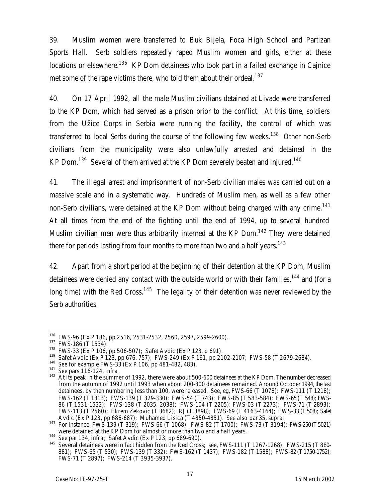39. Muslim women were transferred to Buk Bijela, Foca High School and Partizan Sports Hall. Serb soldiers repeatedly raped Muslim women and girls, either at these locations or elsewhere.<sup>136</sup> KP Dom detainees who took part in a failed exchange in Cajnice met some of the rape victims there, who told them about their ordeal.<sup>137</sup>

40. On 17 April 1992, all the male Muslim civilians detained at Livade were transferred to the KP Dom, which had served as a prison prior to the conflict. At this time, soldiers from the Užice Corps in Serbia were running the facility, the control of which was transferred to local Serbs during the course of the following few weeks.<sup>138</sup> Other non-Serb civilians from the municipality were also unlawfully arrested and detained in the KP Dom.<sup>139</sup> Several of them arrived at the KP Dom severely beaten and injured.<sup>140</sup>

41. The illegal arrest and imprisonment of non-Serb civilian males was carried out on a massive scale and in a systematic way. Hundreds of Muslim men, as well as a few other non-Serb civilians, were detained at the KP Dom without being charged with any crime.<sup>141</sup> At all times from the end of the fighting until the end of 1994, up to several hundred Muslim civilian men were thus arbitrarily interned at the KP Dom.<sup>142</sup> They were detained there for periods lasting from four months to more than two and a half years.<sup>143</sup>

42. Apart from a short period at the beginning of their detention at the KP Dom, Muslim detainees were denied any contact with the outside world or with their families,<sup>144</sup> and (for a long time) with the Red Cross.<sup>145</sup> The legality of their detention was never reviewed by the Serb authorities.

 $\overline{1}$ <sup>136</sup> FWS-96 (Ex P 186, pp 2516, 2531-2532, 2560, 2597, 2599-2600).

<sup>137</sup> FWS-186 (T 1534).

<sup>138</sup> FWS-33 (Ex P 106, pp 506-507); Safet Avdic (Ex P 123, p 691).

<sup>139</sup> Safet Avdic (Ex P 123, pp 676, 757); FWS-249 (Ex P 161, pp 2102-2107; FWS-58 (T 2679-2684).

<sup>140</sup> *See* for example FWS-33 (Ex P 106, pp 481-482, 483).

<sup>141</sup> *See* pars 116-124, *infra*.

<sup>&</sup>lt;sup>142</sup> At its peak in the summer of 1992, there were about 500-600 detainees at the KP Dom. The number decreased from the autumn of 1992 until 1993 when about 200-300 detainees remained. Around October 1994, the last detainees, by then numbering less than 100, were released. *See*, eg, FWS-66 (T 1078); FWS-111 (T 1218); FWS-162 (T 1313); FWS-139 (T 329-330); FWS-54 (T 743); FWS-85 (T 583-584); FWS-65 (T 548); FWS-86 (T 1531-1532); FWS-138 (T 2035, 2038); FWS-104 (T 2205): FWS-03 (T 2273); FWS-71 (T 2893); FWS-113 (T 2560); Ekrem Zekovic (T 3682); RJ (T 3898); FWS-69 (T 4163-4164); FWS-33 (T508); Safet Avdic (Ex P 123, pp 686-687); Muhamed Lisica (T 4850-4851). *See also* par 35, *supra*.

<sup>143</sup> For instance, FWS-139 (T 319); FWS-66 (T 1068); FWS-82 (T 1700); FWS-73 (T 3194); FWS-250 (T5021) were detained at the KP Dom for almost or more than two and a half years.

<sup>144</sup> *See* par 134, *infra*; Safet Avdic (Ex P 123, pp 689-690).

<sup>145</sup> Several detainees were in fact hidden from the Red Cross; *see*, FWS-111 (T 1267-1268); FWS-215 (T 880- 881); FWS-65 (T 530); FWS-139 (T 332); FWS-162 (T 1437); FWS-182 (T 1588); FWS-82 (T1750-1752); FWS-71 (T 2897); FWS-214 (T 3935-3937).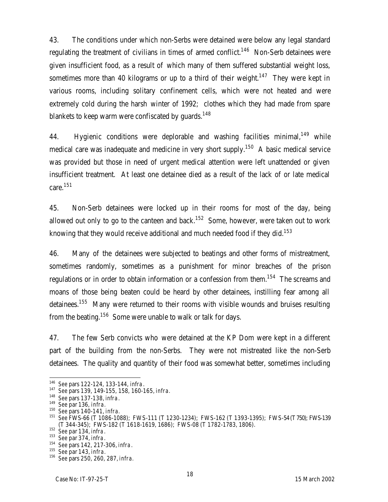43. The conditions under which non-Serbs were detained were below any legal standard regulating the treatment of civilians in times of armed conflict.<sup>146</sup> Non-Serb detainees were given insufficient food, as a result of which many of them suffered substantial weight loss, sometimes more than 40 kilograms or up to a third of their weight.<sup>147</sup> They were kept in various rooms, including solitary confinement cells, which were not heated and were extremely cold during the harsh winter of 1992; clothes which they had made from spare blankets to keep warm were confiscated by quards.<sup>148</sup>

44. Hygienic conditions were deplorable and washing facilities minimal,  $149$  while medical care was inadequate and medicine in very short supply.<sup>150</sup> A basic medical service was provided but those in need of urgent medical attention were left unattended or given insufficient treatment. At least one detainee died as a result of the lack of or late medical care.<sup>151</sup>

45. Non-Serb detainees were locked up in their rooms for most of the day, being allowed out only to go to the canteen and back. $152$  Some, however, were taken out to work knowing that they would receive additional and much needed food if they did.<sup>153</sup>

46. Many of the detainees were subjected to beatings and other forms of mistreatment, sometimes randomly, sometimes as a punishment for minor breaches of the prison regulations or in order to obtain information or a confession from them.<sup>154</sup> The screams and moans of those being beaten could be heard by other detainees, instilling fear among all detainees.<sup>155</sup> Many were returned to their rooms with visible wounds and bruises resulting from the beating.<sup>156</sup> Some were unable to walk or talk for days.

47. The few Serb convicts who were detained at the KP Dom were kept in a different part of the building from the non-Serbs. They were not mistreated like the non-Serb detainees. The quality and quantity of their food was somewhat better, sometimes including

<sup>146</sup> *See* pars 122-124, 133-144, *infra*.

<sup>147</sup> *See* pars 139, 149-155, 158, 160-165, *infra.*

<sup>148</sup> *See* pars 137-138, *infra*.

<sup>149</sup> *See* par 136, *infra.*

<sup>150</sup> *See* pars 140-141, *infra.*

<sup>151</sup> *See* FWS-66 (T 1086-1088); FWS-111 (T 1230-1234); FWS-162 (T 1393-1395); FWS-54 (T750); FWS-139 (T 344-345); FWS-182 (T 1618-1619, 1686); FWS-08 (T 1782-1783, 1806).

<sup>152</sup> *See* par 134, *infra*.

<sup>153</sup> *See* par 374, *infra*.

<sup>154</sup> *See* pars 142, 217-306, *infra*.

<sup>155</sup> *See* par 143, *infra.*

<sup>156</sup> *See* pars 250, 260, 287, *infra.*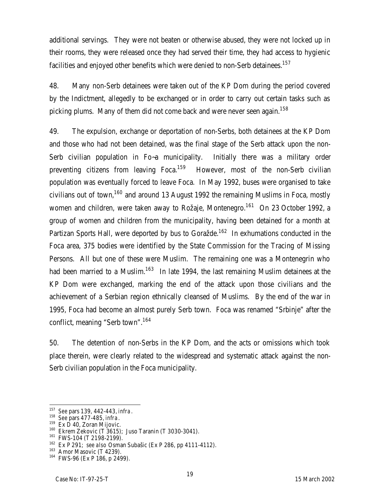additional servings. They were not beaten or otherwise abused, they were not locked up in their rooms, they were released once they had served their time, they had access to hygienic facilities and enjoyed other benefits which were denied to non-Serb detainees.<sup>157</sup>

48. Many non-Serb detainees were taken out of the KP Dom during the period covered by the Indictment, allegedly to be exchanged or in order to carry out certain tasks such as picking plums. Many of them did not come back and were never seen again.<sup>158</sup>

49. The expulsion, exchange or deportation of non-Serbs, both detainees at the KP Dom and those who had not been detained, was the final stage of the Serb attack upon the non-Serb civilian population in Fo~a municipality. Initially there was a military order preventing citizens from leaving  $F_{\text{OCA}}^{159}$  However, most of the non-Serb civilian population was eventually forced to leave Foca. In May 1992, buses were organised to take civilians out of town,<sup>160</sup> and around 13 August 1992 the remaining Muslims in Foca, mostly women and children, were taken away to Rožaje, Montenegro.<sup>161</sup> On 23 October 1992, a group of women and children from the municipality, having been detained for a month at Partizan Sports Hall, were deported by bus to Goražde.<sup>162</sup> In exhumations conducted in the Foca area, 375 bodies were identified by the State Commission for the Tracing of Missing Persons. All but one of these were Muslim. The remaining one was a Montenegrin who had been married to a Muslim.<sup>163</sup> In late 1994, the last remaining Muslim detainees at the KP Dom were exchanged, marking the end of the attack upon those civilians and the achievement of a Serbian region ethnically cleansed of Muslims. By the end of the war in 1995, Foca had become an almost purely Serb town. Foca was renamed "Srbinje" after the conflict, meaning "Serb town".<sup>164</sup>

50. The detention of non-Serbs in the KP Dom, and the acts or omissions which took place therein, were clearly related to the widespread and systematic attack against the non-Serb civilian population in the Foca municipality.

 $\overline{a}$ 

19

<sup>157</sup> *See* pars 139, 442-443, *infra*.

<sup>158</sup> *See* pars 477-485, *infra*.

<sup>&</sup>lt;sup>159</sup> Ex D 40, Zoran Mijovic.

<sup>160</sup> Ekrem Zekovic (T 3615); Juso Taranin (T 3030-3041).

<sup>161</sup> FWS-104 (T 2198-2199).

<sup>162</sup> Ex P 291; *see also* Osman Subašic (Ex P 286, pp 4111-4112).

<sup>&</sup>lt;sup>163</sup> Amor Masovic (T 4239).

<sup>164</sup> FWS-96 (Ex P 186, p 2499).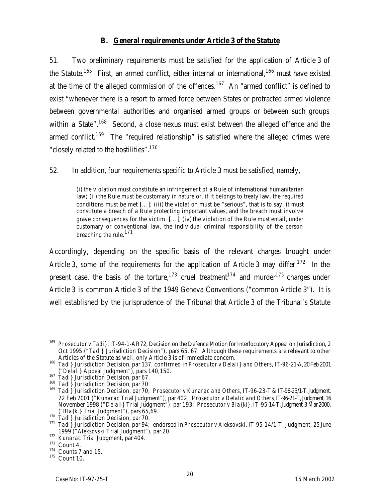### **B. General requirements under Article 3 of the Statute**

51. Two preliminary requirements must be satisfied for the application of Article 3 of the Statute.<sup>165</sup> First, an armed conflict, either internal or international,<sup>166</sup> must have existed at the time of the alleged commission of the offences.<sup>167</sup> An "armed conflict" is defined to exist "whenever there is a resort to armed force between States or protracted armed violence between governmental authorities and organised armed groups or between such groups within a State".<sup>168</sup> Second, a close nexus must exist between the alleged offence and the armed conflict.<sup>169</sup> The "required relationship" is satisfied where the alleged crimes were "closely related to the hostilities".<sup>170</sup>

52. In addition, four requirements specific to Article 3 must be satisfied, namely,

(i) the violation must constitute an infringement of a Rule of international humanitarian law; (ii) the Rule must be customary in nature or, if it belongs to treaty law, the required conditions must be met […]; (iii) the violation must be "serious", that is to say, it must constitute a breach of a Rule protecting important values, and the breach must involve grave consequences for the victim. […]; (iv) the violation of the Rule must entail, under customary or conventional law, the individual criminal responsibility of the person breaching the rule.<sup>171</sup>

Accordingly, depending on the specific basis of the relevant charges brought under Article 3, some of the requirements for the application of Article 3 may differ.<sup>172</sup> In the present case, the basis of the torture,<sup>173</sup> cruel treatment<sup>174</sup> and murder<sup>175</sup> charges under Article 3 is common Article 3 of the 1949 Geneva Conventions ("common Article 3"). It is well established by the jurisprudence of the Tribunal that Article 3 of the Tribunal's Statute

 $\overline{1}$ <sup>165</sup> *Prosecutor v Tadi}*, IT-94-1-AR72, Decision on the Defence Motion for Interlocutory Appeal on Jurisdiction, 2 Oct 1995 ("*Tadi}* Jurisdiction Decision"), pars 65, 67. Although these requirements are relevant to other Articles of the Statute as well, only Article 3 is of immediate concern.

<sup>166</sup> *Tadi}* Jurisdiction Decision*,* par 137, confirmed in *Prosecutor v Delali} and Others*, IT-96-21-A, 20Feb 2001 ("*Delali}* Appeal Judgment"), pars 140,150.

<sup>167</sup> *Tadi}* Jurisdiction Decision*,* par 67.

<sup>168</sup> *Tadi}* Jurisdiction Decision*,* par 70.

<sup>169</sup> *Tadi}* Jurisdiction Decision, par 70; *Prosecutor v Kunarac and Others*, IT-96-23-T & IT-96-23/1-T, Judgment, 22 Feb 2001 ("*Kunarac* Trial Judgment"), par 402; *Prosecutor v Delalic and Others*, IT-96-21-T, Judgment, 16 November 1998 ("*Delali}* Trial Judgment"), par 193; *Prosecutor v Bla{ki}*, IT-95-14-T, Judgment, 3 Mar 2000, ("*Bla{ki}* Trial Judgment"), pars 65,69.

<sup>170</sup> *Tadi}* Jurisdiction Decision, par 70.

<sup>171</sup> *Tadi}* Jurisdiction Decision*,* par 94; endorsed in *Prosecutor v Aleksovski*, IT-95-14/1-T, Judgment, 25 June 1999 ("*Aleksovski* Trial Judgment"), par 20.

<sup>172</sup> *Kunarac* Trial Judgment, par 404.

 $173$  Count 4.

<sup>174</sup> Counts 7 and 15.

<sup>175</sup> Count 10.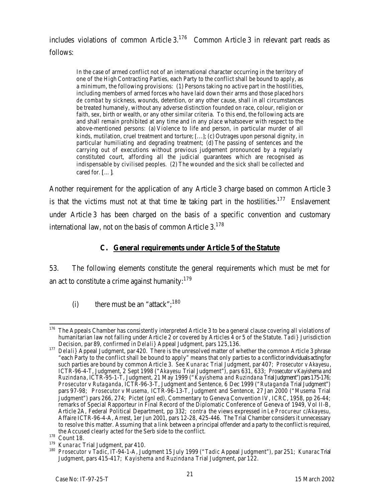includes violations of common Article  $3.176$  Common Article 3 in relevant part reads as follows:

In the case of armed conflict not of an international character occurring in the territory of one of the High Contracting Parties, each Party to the conflict shall be bound to apply, as a minimum, the following provisions: (1) Persons taking no active part in the hostilities, including members of armed forces who have laid down their arms and those placed *hors de combat* by sickness, wounds, detention, or any other cause, shall in all circumstances be treated humanely, without any adverse distinction founded on race, colour, religion or faith, sex, birth or wealth, or any other similar criteria. To this end, the following acts are and shall remain prohibited at any time and in any place whatsoever with respect to the above-mentioned persons: (a) Violence to life and person, in particular murder of all kinds, mutilation, cruel treatment and torture; […]; (c) Outrages upon personal dignity, in particular humiliating and degrading treatment; (d) The passing of sentences and the carrying out of executions without previous judgement pronounced by a regularly constituted court, affording all the judicial guarantees which are recognised as indispensable by civilised peoples. (2) The wounded and the sick shall be collected and cared for. […].

Another requirement for the application of any Article 3 charge based on common Article 3 is that the victims must not at that time be taking part in the hostilities.<sup>177</sup> Enslavement under Article 3 has been charged on the basis of a specific convention and customary international law, not on the basis of common Article  $3.178$ 

# **C. General requirements under Article 5 of the Statute**

53. The following elements constitute the general requirements which must be met for an act to constitute a crime against humanity:<sup>179</sup>

(i) there must be an "attack";  $180$ 

 $\overline{a}$  $176$  The Appeals Chamber has consistently interpreted Article 3 to be a general clause covering all violations of humanitarian law not falling under Article 2 or covered by Articles 4 or 5 of the Statute. *Tadi}* Jurisdiction Decision, par 89, confirmed in *Delali}* Appeal Judgment, pars 125,136.

<sup>177</sup> *Delali}* Appeal Judgment, par 420. There is the unresolved matter of whether the common Article 3 phrase "each Party to the conflict shall be bound to apply" means that only parties to a conflict or individuals acting for such parties are bound by common Article 3. *See Kunarac* Trial Judgment, par 407; *Prosecutor v Akayesu*, ICTR-96-4-T, Judgment, 2 Sept 1998 ("*Akayesu* Trial Judgment"), pars 631, 633; *Prosecutor v Kayishema and Ruzindana*, ICTR-95-1-T, Judgment, 21 May 1999 ("*Kayishema and Ruzindana* Trial Judgment") pars175-176; *Prosecutor v Rutaganda*, ICTR-96-3-T, Judgment and Sentence, 6 Dec 1999 ("*Rutaganda* Trial Judgment") pars 97-98; *Prosecutor v Musema,* ICTR-96-13-T, Judgment and Sentence, 27 Jan 2000 ("*Musema* Trial Judgment") pars 266, 274; Pictet (gnl ed), Commentary to Geneva Convention IV, ICRC, 1958, pp 26-44; remarks of Special Rapporteur in Final Record of the Diplomatic Conference of Geneva of 1949, Vol II-B, Article 2A, Federal Political Department, pp 332; *contra* the views expressed in *Le Procureur c/Akayesu,*  Affaire ICTR-96-4-A, Arrest, 1er Jun 2001, pars 12-28, 425-446. The Trial Chamber considers it unnecessary to resolve this matter. Assuming that a link between a principal offender and a party to the conflict is required, the Accused clearly acted for the Serb side to the conflict.

<sup>178</sup> Count 18.

<sup>179</sup> *Kunarac* Trial Judgment, par 410.

<sup>180</sup> *Prosecutor v Tadic*, IT-94-1-A, Judgment 15 July 1999 ("*Tadic* Appeal Judgment"), par 251; *Kunarac* Trial Judgment, pars 415-417; *Kayishema and Ruzindana* Trial Judgment, par 122.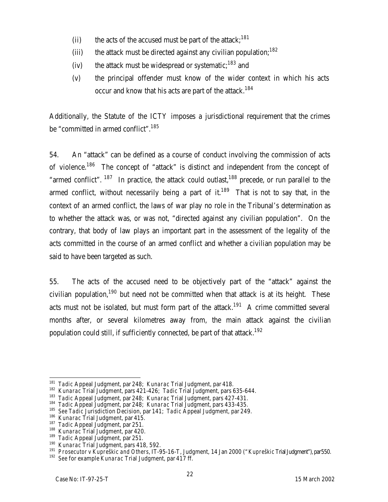- (ii) the acts of the accused must be part of the attack;<sup>181</sup>
- (iii) the attack must be directed against any civilian population; $182$
- (iv) the attack must be widespread or systematic;<sup>183</sup> and
- (v) the principal offender must know of the wider context in which his acts occur and know that his acts are part of the attack.<sup>184</sup>

Additionally, the Statute of the ICTY imposes a jurisdictional requirement that the crimes be "committed in armed conflict".<sup>185</sup>

54. An "attack" can be defined as a course of conduct involving the commission of acts of violence.<sup>186</sup> The concept of "attack" is distinct and independent from the concept of "armed conflict".  $187$  In practice, the attack could outlast,  $188$  precede, or run parallel to the armed conflict, without necessarily being a part of it.<sup>189</sup> That is not to say that, in the context of an armed conflict, the laws of war play no role in the Tribunal's determination as to whether the attack was, or was not, "directed against any civilian population". On the contrary, that body of law plays an important part in the assessment of the legality of the acts committed in the course of an armed conflict and whether a civilian population may be said to have been targeted as such.

55. The acts of the accused need to be objectively part of the "attack" against the civilian population,<sup>190</sup> but need not be committed when that attack is at its height. These acts must not be isolated, but must form part of the attack.<sup>191</sup> A crime committed several months after, or several kilometres away from, the main attack against the civilian population could still, if sufficiently connected, be part of that attack.<sup>192</sup>

 $\overline{a}$ <sup>181</sup> *Tadic* Appeal Judgment, par 248; *Kunarac* Trial Judgment, par 418.

<sup>182</sup> *Kunarac* Trial Judgment, pars 421-426; *Tadic* Trial Judgment, pars 635-644.

<sup>183</sup> *Tadic* Appeal Judgment, par 248; *Kunarac* Trial Judgment, pars 427-431.

<sup>184</sup> *Tadic* Appeal Judgment, par 248; *Kunarac* Trial Judgment, pars 433-435.

<sup>185</sup> *See Tadic* Jurisdiction Decision, par 141; *Tadic* Appeal Judgment, par 249.

<sup>186</sup> *Kunarac* Trial Judgment, par 415.

<sup>&</sup>lt;sup>187</sup> *Tadic* Appeal Judgment, par 251.

<sup>188</sup> *Kunarac* Trial Judgment, par 420.

<sup>189</sup> *Tadic* Appeal Judgment, par 251.

<sup>190</sup> *Kunarac* Trial Judgment, pars 418, 592.

<sup>191</sup> *Prosecutor v Kupreškic and Others*, IT-95-16-T, Judgment, 14 Jan 2000 ("*Kupreškic* Trial Judgment"), par550. <sup>192</sup> *See* for example *Kunarac* Trial Judgment, par 417 ff.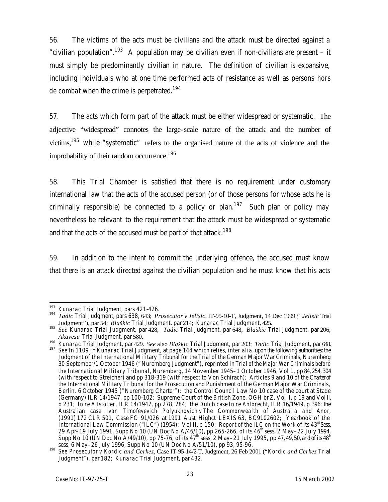56. The victims of the acts must be civilians and the attack must be directed against a "civilian population".<sup>193</sup> A population may be civilian even if non-civilians are present – it must simply be predominantly civilian in nature. The definition of civilian is expansive, including individuals who at one time performed acts of resistance as well as persons *hors de combat* when the crime is perpetrated.<sup>194</sup>

57. The acts which form part of the attack must be either widespread or systematic. The adjective "widespread" connotes the large-scale nature of the attack and the number of victims, $195$  while "systematic" refers to the organised nature of the acts of violence and the improbability of their random occurrence.<sup>196</sup>

58. This Trial Chamber is satisfied that there is no requirement under customary international law that the acts of the accused person (or of those persons for whose acts he is criminally responsible) be connected to a policy or plan.<sup>197</sup> Such plan or policy may nevertheless be relevant to the requirement that the attack must be widespread or systematic and that the acts of the accused must be part of that attack.<sup>198</sup>

59. In addition to the intent to commit the underlying offence, the accused must know that there is an attack directed against the civilian population and he must know that his acts

 $\overline{a}$ <sup>193</sup> *Kunarac* Trial Judgment, pars 421-426.

<sup>194</sup> *Tadic* Trial Judgment, pars 638, 643; *Prosecutor v Jelisic*, IT-95-10-T, Judgment, 14 Dec 1999 *("Jelisic* Trial Judgment"), par 54; *Blaškic* Trial Judgment, par 214; *Kunarac* Trial Judgment, 425.

<sup>195</sup> *See Kunarac* Trial Judgment, par 428; *Tadic* Trial Judgment, par 648; *Blaškic* Trial Judgment, par 206; *Akayesu* Trial Judgment, par 580.

<sup>196</sup> *Kunarac* Trial Judgment, par 429. *See* also *Blaškic* Trial Judgment, par 203; *Tadic* Trial Judgment, par 648. <sup>197</sup> *See* fn 1109 in *Kunarac* Trial Judgment, at page 144 which relies, *inter alia*, upon the following authorities: the Judgment of the International Military Tribunal for the Trial of the German Major War Criminals, Nuremberg 30 September/1 October 1946 ("Nuremberg Judgment"), reprinted in *Trial of the Major War Criminals before the International Military Tribunal*, Nuremberg, 14 November 1945–1 October 1946, Vol 1, pp 84, 254, 304 (with respect to Streicher) and pp 318-319 (with respect to Von Schirach); Articles 9 and 10 of the Charter of the International Military Tribunal for the Prosecution and Punishment of the German Major War Criminals, Berlin, 6 October 1945 ("Nuremberg Charter"); the Control Council Law No 10 case of the court at Stade (Germany) ILR 14/1947, pp 100-102; Supreme Court of the British Zone, OGH br Z, Vol I, p 19 and VolII, p 231; *In re Altstötter*, ILR 14/1947, pp 278, 284; the Dutch case *In re Ahlbrecht*, ILR 16/1949, p 396; the Australian case *Ivan Timofeyevich Polyukhovich v The Commonwealth of Australia and Anor*, (1991) 172 CLR 501, Case FC 91/026 at 1991 Aust Highct LEXIS 63, BC9102602; Yearbook of the International Law Commission ("ILC") (1954); Vol II, p 150; *Report of the ILC on the Work of its 43rd Sess*, 29 Apr–19 July 1991, Supp No 10 (UN Doc No A/46/10), pp 265-266, of its 46<sup>th</sup> sess, 2 May–22 July 1994, Supp No 10 (UN Doc No A/49/10), pp 75-76, of its 47<sup>th</sup> sess, 2 May–21 July 1995, pp 47, 49, 50, and of its 48<sup>th</sup> sess, 6 May–26 July 1996, Supp No 10 (UN Doc No A/51/10), pp 93, 95-96.

<sup>198</sup> *See Prosecutor v Kordic and Cerkez*, Case IT-95-14/2-T, Judgment, 26 Feb 2001 ("*Kordic and Cerkez* Trial Judgment"), par 182; *Kunarac* Trial Judgment, par 432.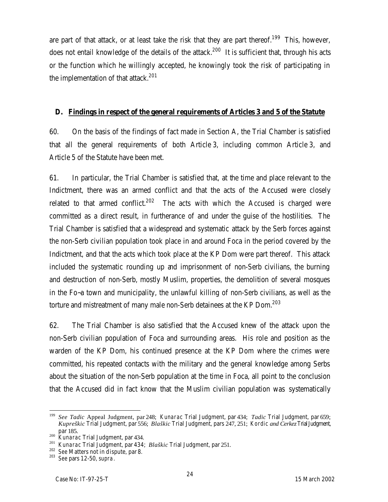are part of that attack, or at least take the risk that they are part thereof.<sup>199</sup> This, however, does not entail knowledge of the details of the attack.<sup>200</sup> It is sufficient that, through his acts or the function which he willingly accepted, he knowingly took the risk of participating in the implementation of that attack.<sup>201</sup>

#### **D. Findings in respect of the general requirements of Articles 3 and 5 of the Statute**

60. On the basis of the findings of fact made in Section A, the Trial Chamber is satisfied that all the general requirements of both Article 3, including common Article 3, and Article 5 of the Statute have been met.

61. In particular, the Trial Chamber is satisfied that, at the time and place relevant to the Indictment, there was an armed conflict and that the acts of the Accused were closely related to that armed conflict.<sup>202</sup> The acts with which the Accused is charged were committed as a direct result, in furtherance of and under the guise of the hostilities. The Trial Chamber is satisfied that a widespread and systematic attack by the Serb forces against the non-Serb civilian population took place in and around Foca in the period covered by the Indictment, and that the acts which took place at the KP Dom were part thereof. This attack included the systematic rounding up and imprisonment of non-Serb civilians, the burning and destruction of non-Serb, mostly Muslim, properties, the demolition of several mosques in the Fo~a town and municipality, the unlawful killing of non-Serb civilians, as well as the torture and mistreatment of many male non-Serb detainees at the KP Dom.<sup>203</sup>

62. The Trial Chamber is also satisfied that the Accused knew of the attack upon the non-Serb civilian population of Foca and surrounding areas. His role and position as the warden of the KP Dom, his continued presence at the KP Dom where the crimes were committed, his repeated contacts with the military and the general knowledge among Serbs about the situation of the non-Serb population at the time in Foca, all point to the conclusion that the Accused did in fact know that the Muslim civilian population was systematically

 $\overline{a}$ <sup>199</sup> *See Tadic* Appeal Judgment, par 248; *Kunarac* Trial Judgment, par 434; *Tadic* Trial Judgment, par 659; *Kupreškic* Trial Judgment, par 556; *Blaškic* Trial Judgment, pars 247, 251; *Kordic and Cerkez* TrialJudgment, par 185.

<sup>&</sup>lt;sup>200</sup> *Kunarac* Trial Judgment, par 434.

<sup>201</sup> *Kunarac* Trial Judgment, par 434; *Blaškic* Trial Judgment, par 251.

<sup>202</sup> *See* Matters not in dispute, par 8.

<sup>203</sup> *See* pars 12-50, *supra*.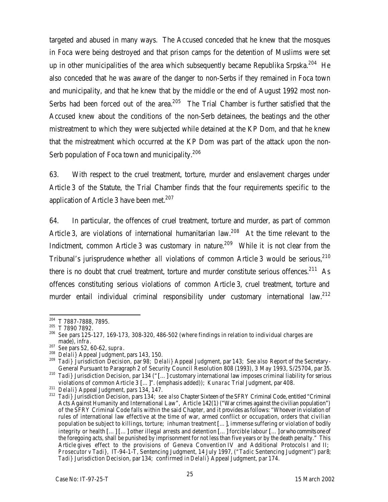targeted and abused in many ways. The Accused conceded that he knew that the mosques in Foca were being destroyed and that prison camps for the detention of Muslims were set up in other municipalities of the area which subsequently became Republika Srpska.<sup>204</sup> He also conceded that he was aware of the danger to non-Serbs if they remained in Foca town and municipality, and that he knew that by the middle or the end of August 1992 most non-Serbs had been forced out of the area.<sup>205</sup> The Trial Chamber is further satisfied that the Accused knew about the conditions of the non-Serb detainees, the beatings and the other mistreatment to which they were subjected while detained at the KP Dom, and that he knew that the mistreatment which occurred at the KP Dom was part of the attack upon the non-Serb population of Foca town and municipality.<sup>206</sup>

63. With respect to the cruel treatment, torture, murder and enslavement charges under Article 3 of the Statute, the Trial Chamber finds that the four requirements specific to the application of Article 3 have been met.<sup>207</sup>

64. In particular, the offences of cruel treatment, torture and murder, as part of common Article 3, are violations of international humanitarian law.<sup>208</sup> At the time relevant to the Indictment, common Article 3 was customary in nature.<sup>209</sup> While it is not clear from the Tribunal's jurisprudence whether *all* violations of common Article 3 would be serious,<sup>210</sup> there is no doubt that cruel treatment, torture and murder constitute serious offences.<sup>211</sup> As offences constituting serious violations of common Article 3, cruel treatment, torture and murder entail individual criminal responsibility under customary international law.<sup>212</sup>

 $\overline{a}$ <sup>204</sup> T 7887-7888, 7895.

<sup>205</sup> T 7890 7892.

<sup>206</sup> *See* pars 125-127, 169-173, 308-320, 486-502 (where findings in relation to individual charges are made), *infra*.

<sup>207</sup> *See* pars 52, 60-62, *supra*.

<sup>208</sup> *Delali}* Appeal Judgment, pars 143, 150.

<sup>209</sup> *Tadi}* Jurisdiction Decision, par 98; *Delali}* Appeal Judgment, par 143; S*ee also* Report of the Secretary-General Pursuant to Paragraph 2 of Security Council Resolution 808 (1993), 3 May 1993, S/25704, par 35. <sup>210</sup> *Tadi}* Jurisdiction Decision, par 134 ("[…] customary international law imposes criminal liability for *serious*

violations of common Article 3 […]". (emphasis added)); *Kunarac* Trial Judgment, par 408.

<sup>211</sup> *Delali}* Appeal Judgment, pars 134, 147.

<sup>212</sup> *Tadi}* Jurisdiction Decision, pars 134; *see also* Chapter Sixteen of the SFRY Criminal Code, entitled "Criminal Acts Against Humanity and International Law", Article 142(1) ("War crimes against the civilian population") of the SFRY Criminal Code falls within the said Chapter, and it provides as follows: "Whoever in violation of rules of international law effective at the time of war, armed conflict or occupation, orders that civilian population be subject to killings, torture; inhuman treatment […], immense suffering or violation of bodily integrity or health […] […] other illegal arrests and detention […] forcible labour […] or who commits one of the foregoing acts, shall be punished by imprisonment for not less than five years or by the death penalty." This Article gives effect to the provisions of Geneva Convention IV and Additional Protocols I and II; *Prosecutor v Tadi},* IT-94-1-T, Sentencing Judgment, 14 July 1997, ("*Tadic* Sentencing Judgment") par8; *Tadi}* Jurisdiction Decision, par 134; confirmed in *Delali}* Appeal Judgment, par 174.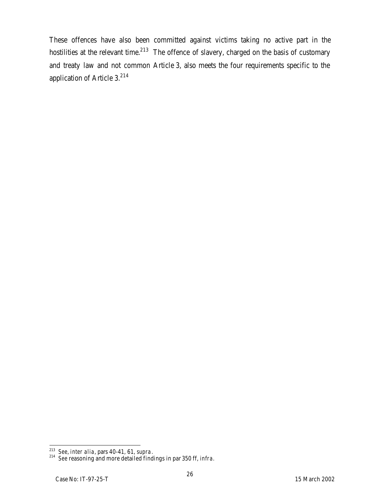These offences have also been committed against victims taking no active part in the hostilities at the relevant time.<sup>213</sup> The offence of slavery, charged on the basis of customary and treaty law and not common Article 3, also meets the four requirements specific to the application of Article 3.<sup>214</sup>

 $\overline{a}$ <sup>213</sup> *See*, *inter alia*, pars 40-41, 61, *supra*.

<sup>214</sup> *See* reasoning and more detailed findings in par 350 ff, *infra.*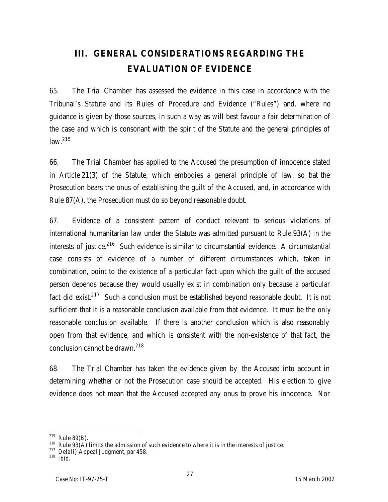# **III. GENERAL CONSIDERATIONS REGARDING THE EVALUATION OF EVIDENCE**

65. The Trial Chamber has assessed the evidence in this case in accordance with the Tribunal's Statute and its Rules of Procedure and Evidence ("Rules") and, where no guidance is given by those sources, in such a way as will best favour a fair determination of the case and which is consonant with the spirit of the Statute and the general principles of law.<sup>215</sup>

66. The Trial Chamber has applied to the Accused the presumption of innocence stated in Article 21(3) of the Statute, which embodies a general principle of law, so that the Prosecution bears the onus of establishing the guilt of the Accused, and, in accordance with Rule 87(A), the Prosecution must do so beyond reasonable doubt.

67. Evidence of a consistent pattern of conduct relevant to serious violations of international humanitarian law under the Statute was admitted pursuant to Rule 93(A) in the interests of justice.<sup>216</sup> Such evidence is similar to circumstantial evidence. A circumstantial case consists of evidence of a number of different circumstances which, taken in combination, point to the existence of a particular fact upon which the guilt of the accused person depends because they would usually exist in combination only because a particular fact did exist.<sup>217</sup> Such a conclusion must be established beyond reasonable doubt. It is not sufficient that it is a reasonable conclusion available from that evidence. It must be the *only* reasonable conclusion available. If there is another conclusion which is also reasonably open from that evidence, and which is consistent with the non-existence of that fact, the conclusion cannot be drawn.<sup>218</sup>

68. The Trial Chamber has taken the evidence given by the Accused into account in determining whether or not the Prosecution case should be accepted. His election to give evidence does not mean that the Accused accepted any onus to prove his innocence. Nor

 $\overline{a}$  $^{215}$  Rule 89(B).

 $216$  Rule 93(A) limits the admission of such evidence to where it is in the interests of justice.

<sup>217</sup> *Delali}* Appeal Judgment, par 458.

<sup>218</sup> *Ibid*.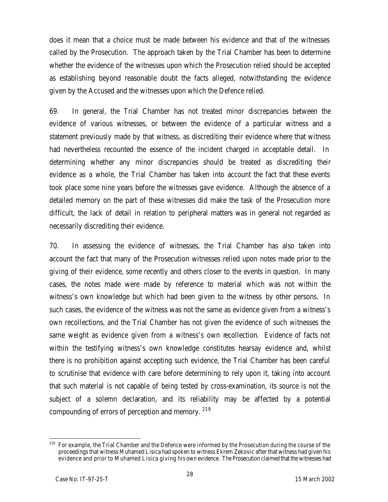does it mean that a choice must be made between his evidence and that of the witnesses called by the Prosecution. The approach taken by the Trial Chamber has been to determine whether the evidence of the witnesses upon which the Prosecution relied should be accepted as establishing beyond reasonable doubt the facts alleged, notwithstanding the evidence given by the Accused and the witnesses upon which the Defence relied.

69. In general, the Trial Chamber has not treated minor discrepancies between the evidence of various witnesses, or between the evidence of a particular witness and a statement previously made by that witness, as discrediting their evidence where that witness had nevertheless recounted the essence of the incident charged in acceptable detail. In determining whether any minor discrepancies should be treated as discrediting their evidence as a whole, the Trial Chamber has taken into account the fact that these events took place some nine years before the witnesses gave evidence. Although the absence of a detailed memory on the part of these witnesses did make the task of the Prosecution more difficult, the lack of detail in relation to peripheral matters was in general not regarded as necessarily discrediting their evidence.

70. In assessing the evidence of witnesses, the Trial Chamber has also taken into account the fact that many of the Prosecution witnesses relied upon notes made prior to the giving of their evidence, some recently and others closer to the events in question. In many cases, the notes made were made by reference to material which was not within the witness's own knowledge but which had been given to the witness by other persons. In such cases, the evidence of the witness was not the same as evidence given from a witness's own recollections, and the Trial Chamber has not given the evidence of such witnesses the same weight as evidence given from a witness's own recollection. Evidence of facts not within the testifying witness's own knowledge constitutes hearsay evidence and, whilst there is no prohibition against accepting such evidence, the Trial Chamber has been careful to scrutinise that evidence with care before determining to rely upon it, taking into account that such material is not capable of being tested by cross-examination, its source is not the subject of a solemn declaration, and its reliability may be affected by a potential compounding of errors of perception and memory. <sup>219</sup>

 $\overline{a}$ <sup>219</sup> For example, the Trial Chamber and the Defence were informed by the Prosecution during the course of the proceedings that witness Muhamed Lisica had spoken to witness Ekrem Zekovic after that witness had given his evidence and prior to Muhamed Lisica giving his own evidence. The Prosecution claimed that the witnesses had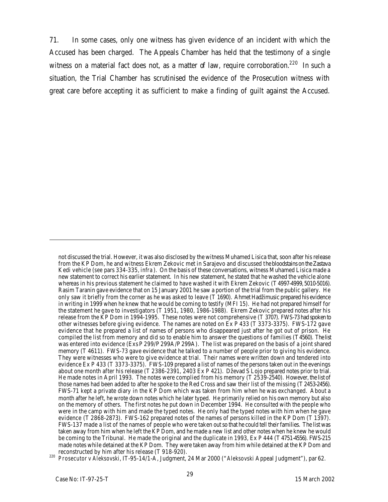71. In some cases, only one witness has given evidence of an incident with which the Accused has been charged. The Appeals Chamber has held that the testimony of a single witness on a material fact does not, as a matter of law, require corroboration.<sup>220</sup> In such a situation, the Trial Chamber has scrutinised the evidence of the Prosecution witness with great care before accepting it as sufficient to make a finding of guilt against the Accused.

not discussed the trial. However, it was also disclosed by the witness Muhamed Lisica that, soon after his release from the KP Dom, he and witness Ekrem Zekovic met in Sarajevo and discussed the bloodstains on the Zastava Kedi vehicle (*see* pars 334-335, *infra*). On the basis of these conversations, witness Muhamed Lisica made a new statement to correct his earlier statement. In his new statement, he stated that he washed the vehicle alone whereas in his previous statement he claimed to have washed it with Ekrem Zekovic (T 4997-4999, 5010-5016). Rasim Taranin gave evidence that on 15 January 2001 he saw a portion of the trial from the public gallery. He only saw it briefly from the corner as he was asked to leave (T 1690). Ahmet Hadžimusic prepared his evidence in writing in 1999 when he knew that he would be coming to testify (MFI 15). He had not prepared himself for the statement he gave to investigators (T 1951, 1980, 1986-1988). Ekrem Zekovic prepared notes after his release from the KP Dom in 1994-1995. These notes were not comprehensive (T 3707). FWS-73 had spoken to other witnesses before giving evidence. The names are noted on Ex P 433 (T 3373-3375). FWS-172 gave evidence that he prepared a list of names of persons who disappeared just after he got out of prison. He compiled the list from memory and did so to enable him to answer the questions of families (T4560). The list was entered into evidence (Exs P 299/P 299A/P 299A). The list was prepared on the basis of a joint shared memory (T 4611). FWS-73 gave evidence that he talked to a number of people prior to giving his evidence. They were witnesses who were to give evidence at trial. Their names were written down and tendered into evidence Ex P 433 (T 3373-3375). FWS-109 prepared a list of names of the persons taken out in the evenings about one month after his release (T 2386-2391, 2403 Ex P 421). Dževad S Lojo prepared notes prior to trial. He made notes in April 1993. The notes were complied from his memory (T 2539-2540). However, the list of those names had been added to after he spoke to the Red Cross and saw their list of the missing (T 2453-2456). FWS-71 kept a private diary in the KP Dom which was taken from him when he was exchanged. About a month after he left, he wrote down notes which he later typed. He primarily relied on his own memory but also on the memory of others. The first notes he put down in December 1994. He consulted with the people who were in the camp with him and made the typed notes. He only had the typed notes with him when he gave evidence (T 2868-2873). FWS-162 prepared notes of the names of persons killed in the KP Dom (T 1397). FWS-137 made a list of the names of people who were taken out so that he could tell their families. The list was taken away from him when he left the KP Dom, and he made a new list and other notes when he knew he would be coming to the Tribunal. He made the original and the duplicate in 1993, Ex P 444 (T 4751-4556). FWS-215 made notes while detained at the KP Dom. They were taken away from him while detained at the KP Dom and reconstructed by him after his release (T 918-920).

<sup>220</sup> *Prosecutor v Aleksovski*, IT-95-14/1-A, Judgment, 24 Mar 2000 ("*Aleksovski* Appeal Judgment"), par 62.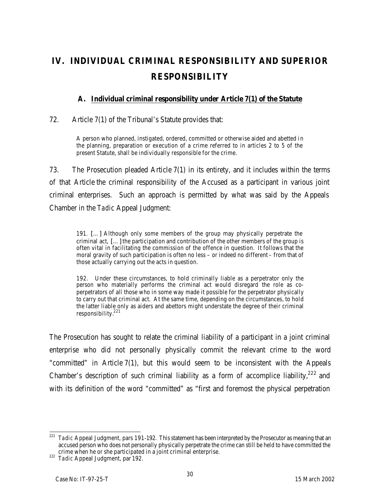# **IV. INDIVIDUAL CRIMINAL RESPONSIBILITY AND SUPERIOR RESPONSIBILITY**

### **A. Individual criminal responsibility under Article 7(1) of the Statute**

#### 72. Article 7(1) of the Tribunal's Statute provides that:

A person who planned, instigated, ordered, committed or otherwise aided and abetted in the planning, preparation or execution of a crime referred to in articles 2 to 5 of the present Statute, shall be individually responsible for the crime.

73. The Prosecution pleaded Article 7(1) in its entirety, and it includes within the terms of that Article the criminal responsibility of the Accused as a participant in various joint criminal enterprises. Such an approach is permitted by what was said by the Appeals Chamber in the *Tadic* Appeal Judgment:

191. […] Although only some members of the group may physically perpetrate the criminal act, […] the participation and contribution of the other members of the group is often vital in facilitating the commission of the offence in question. It follows that the moral gravity of such participation is often no less – or indeed no different – from that of those actually carrying out the acts in question.

192. Under these circumstances, to hold criminally liable as a perpetrator only the person who materially performs the criminal act would disregard the role as coperpetrators of all those who in some way made it possible for the perpetrator physically to carry out that criminal act. At the same time, depending on the circumstances, to hold the latter liable only as aiders and abettors might understate the degree of their criminal responsibility.<sup>221</sup>

The Prosecution has sought to relate the criminal liability of a participant in a joint criminal enterprise who did not personally physically commit the relevant crime to the word "committed" in Article 7(1), but this would seem to be inconsistent with the Appeals Chamber's description of such criminal liability as a form of accomplice liability,  $222$  and with its definition of the word "committed" as "first and foremost the physical perpetration

 $\overline{a}$ <sup>221</sup> *Tadic* Appeal Judgment, pars 191-192. This statement has been interpreted by the Prosecutor as meaning that an accused person who does not personally physically perpetrate the crime can still be held to have committed the crime when he or she participated in a joint criminal enterprise.

<sup>222</sup> *Tadic* Appeal Judgment, par 192.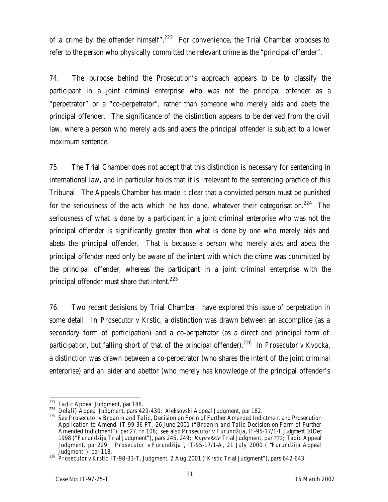of a crime by the offender himself".<sup>223</sup> For convenience, the Trial Chamber proposes to refer to the person who physically committed the relevant crime as the "principal offender".

74. The purpose behind the Prosecution's approach appears to be to classify the participant in a joint criminal enterprise who was not the principal offender as a "perpetrator" or a "co-perpetrator", rather than someone who merely aids and abets the principal offender. The significance of the distinction appears to be derived from the civil law, where a person who merely aids and abets the principal offender is subject to a lower maximum sentence.

75. The Trial Chamber does not accept that this distinction is necessary for sentencing in international law, and in particular holds that it is irrelevant to the sentencing practice of this Tribunal. The Appeals Chamber has made it clear that a convicted person must be punished for the seriousness of the acts which he has done, whatever their categorisation.<sup>224</sup> The seriousness of what is done by a participant in a joint criminal enterprise who was not the principal offender is significantly greater than what is done by one who merely aids and abets the principal offender. That is because a person who merely aids and abets the principal offender need only be aware of the intent with which the crime was committed by the principal offender, whereas the participant in a joint criminal enterprise with the principal offender must share that intent.<sup>225</sup>

76. Two recent decisions by Trial Chamber I have explored this issue of perpetration in some detail. In *Prosecutor v Krstic*, a distinction was drawn between an accomplice (as a secondary form of participation) and a co-perpetrator (as a direct and principal form of participation, but falling short of that of the principal offender).<sup>226</sup> In *Prosecutor v Kvocka,* a distinction was drawn between a co-perpetrator (who shares the intent of the joint criminal enterprise) and an aider and abettor (who merely has knowledge of the principal offender's

 $\overline{a}$ <sup>223</sup> *Tadic* Appeal Judgment, par 188.

<sup>224</sup> *Delali}* Appeal Judgment, pars 429-430; *Aleksovski* Appeal Judgment, par 182.

<sup>225</sup> *See Prosecutor v Brdanin and Talic*, Decision on Form of Further Amended Indictment and Prosecution Application to Amend, IT-99-36 PT, 26 June 2001 ("*Brdanin and Talic* Decision on Form of Further Amended Indictment"), par 27, fn 108; *see* also *Prosecutor* v *Furundžija*, IT-95-17/1-T, Judgment, 10 Dec 1998 ("*Furundžija* Trial Judgment"), pars 245, 249; *Kupreškic* Trial Judgment, par 772; *Tadic* Appeal Judgment, par 229; *Prosecutor v Furundžija* , IT-95-17/1-A, 21 July 2000 ( "*Furundžija* Appeal Judgment"), par 118.

<sup>226</sup> *Prosecutor v Krstic*, IT-98-33-T, Judgment, 2 Aug 2001 ("*Krstic* Trial Judgment"), pars 642-643.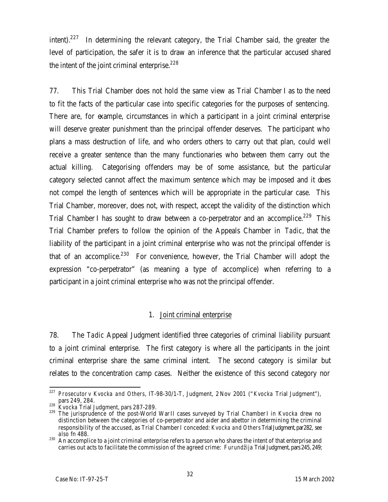intent).<sup>227</sup> In determining the relevant category, the Trial Chamber said, the greater the level of participation, the safer it is to draw an inference that the particular accused shared the intent of the joint criminal enterprise. $228$ 

77. This Trial Chamber does not hold the same view as Trial Chamber I as to the need to fit the facts of the particular case into specific categories for the purposes of sentencing. There are, for example, circumstances in which a participant in a joint criminal enterprise will deserve greater punishment than the principal offender deserves. The participant who plans a mass destruction of life, and who orders others to carry out that plan, could well receive a greater sentence than the many functionaries who between them carry out the actual killing. Categorising offenders may be of some assistance, but the particular category selected cannot affect the maximum sentence which may be imposed and it does not compel the length of sentences which will be appropriate in the particular case. This Trial Chamber, moreover, does not, with respect, accept the validity of the distinction which Trial Chamber I has sought to draw between a co-perpetrator and an accomplice.<sup>229</sup> This Trial Chamber prefers to follow the opinion of the Appeals Chamber in *Tadic*, that the liability of the participant in a joint criminal enterprise who was not the principal offender is that of an accomplice.<sup>230</sup> For convenience, however, the Trial Chamber will adopt the expression "co-perpetrator" (as meaning a type of accomplice) when referring to a participant in a joint criminal enterprise who was not the principal offender.

#### 1. Joint criminal enterprise

78. The *Tadic* Appeal Judgment identified three categories of criminal liability pursuant to a joint criminal enterprise. The first category is where all the participants in the joint criminal enterprise share the same criminal intent. The second category is similar but relates to the concentration camp cases. Neither the existence of this second category nor

<sup>227</sup> *Prosecutor v Kvocka and Others*, IT-98-30/1-T, Judgment, 2 Nov 2001 ("*Kvocka* Trial Judgment"),  $\frac{1}{228}$  pars 249, 284.

<sup>228</sup> *Kvocka* Trial Judgment, pars 287-289.

<sup>229</sup> The jurisprudence of the post-World War II cases surveyed by Trial Chamber I in *Kvocka* drew no distinction between the categories of co-perpetrator and aider and abettor in determining the criminal responsibility of the accused, as Trial Chamber I conceded: *Kvocka and Others* Trial Judgment, par282, s*ee also* fn 488.

<sup>230</sup> An accomplice to a joint criminal enterprise refers to a person who shares the intent of that enterprise and<br>230 An accomplice to a joint criminal enterprise refers to a person who shares the intent of that enterprise carries out acts to facilitate the commission of the agreed crime: *Furundžija* Trial Judgment, pars245, 249;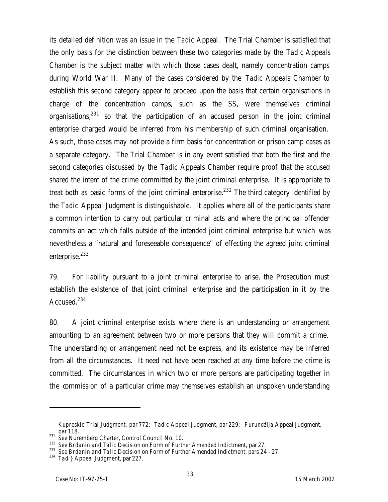its detailed definition was an issue in the *Tadic* Appeal. The Trial Chamber is satisfied that the only basis for the distinction between these two categories made by the *Tadic* Appeals Chamber is the subject matter with which those cases dealt, namely concentration camps during World War II. Many of the cases considered by the *Tadic* Appeals Chamber to establish this second category appear to proceed upon the basis that certain organisations in charge of the concentration camps, such as the SS, were themselves criminal organisations, $231$  so that the participation of an accused person in the joint criminal enterprise charged would be inferred from his membership of such criminal organisation. As such, those cases may not provide a firm basis for concentration or prison camp cases as a separate category. The Trial Chamber is in any event satisfied that both the first and the second categories discussed by the *Tadic* Appeals Chamber require proof that the accused shared the intent of the crime committed by the joint criminal enterprise. It is appropriate to treat both as basic forms of the joint criminal enterprise.<sup>232</sup> The third category identified by the *Tadic* Appeal Judgment is distinguishable. It applies where all of the participants share a common intention to carry out particular criminal acts and where the principal offender commits an act which falls outside of the intended joint criminal enterprise but which was nevertheless a "natural and foreseeable consequence" of effecting the agreed joint criminal enterprise.<sup>233</sup>

79. For liability pursuant to a joint criminal enterprise to arise, the Prosecution must establish the existence of that joint criminal enterprise and the participation in it by the Accused.<sup>234</sup>

80. A joint criminal enterprise exists where there is an understanding or arrangement amounting to an agreement between two or more persons that they will commit a crime. The understanding or arrangement need not be express, and its existence may be inferred from all the circumstances. It need not have been reached at any time before the crime is committed. The circumstances in which two or more persons are participating together in the commission of a particular crime may themselves establish an unspoken understanding

*Kupreskic* Trial Judgment, par 772; *Tadic* Appeal Judgment, par 229; *Furundžija* Appeal Judgment, par 118.

par Fio.<br><sup>231</sup> *See* Nuremberg Charter, Control Council No. 10.

<sup>232</sup> *See Brdanin and Talic* Decision on Form of Further Amended Indictment, par 27.

<sup>233</sup> *See Brdanin and Talic* Decision on Form of Further Amended Indictment, pars 24 - 27.

<sup>234</sup> *Tadi}* Appeal Judgment, par 227.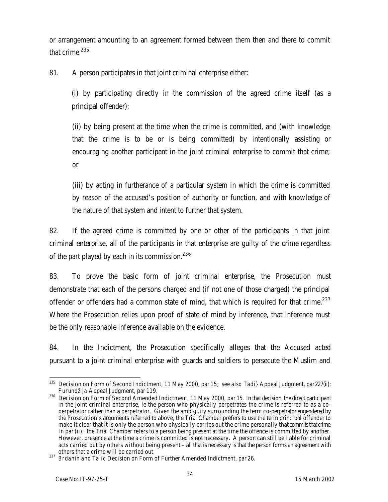or arrangement amounting to an agreement formed between them then and there to commit that crime. $^{235}$ 

81. A person participates in that joint criminal enterprise either:

(i) by participating directly in the commission of the agreed crime itself (as a principal offender);

(ii) by being present at the time when the crime is committed, and (with knowledge that the crime is to be or is being committed) by intentionally assisting or encouraging another participant in the joint criminal enterprise to commit that crime; or

(iii) by acting in furtherance of a particular system in which the crime is committed by reason of the accused's position of authority or function, and with knowledge of the nature of that system and intent to further that system.

82. If the agreed crime is committed by one or other of the participants in that joint criminal enterprise, all of the participants in that enterprise are guilty of the crime regardless of the part played by each in its commission. $^{236}$ 

83. To prove the basic form of joint criminal enterprise, the Prosecution must demonstrate that each of the persons charged and (if not one of those charged) the principal offender or offenders had a common state of mind, that which is required for that crime.<sup>237</sup> Where the Prosecution relies upon proof of state of mind by inference, that inference must be the only reasonable inference available on the evidence.

84. In the Indictment, the Prosecution specifically alleges that the Accused acted pursuant to a joint criminal enterprise with guards and soldiers to persecute the Muslim and

 $\overline{a}$ <sup>235</sup> Decision on Form of Second Indictment, 11 May 2000, par 15; *see also Tadi}* Appeal Judgment, par227(ii); *Furundžija* Appeal Judgment, par 119.

<sup>&</sup>lt;sup>236</sup> Decision on Form of Second Amended Indictment, 11 May 2000, par 15. In that decision, the direct participant in the joint criminal enterprise, ie the person who physically perpetrates the crime is referred to as a coperpetrator rather than a perpetrator. Given the ambiguity surrounding the term co-perpetrator engendered by the Prosecution's arguments referred to above, the Trial Chamber prefers to use the term principal offender to make it clear that it is only the person who physically carries out the crime personally that commits that crime. In par (ii); the Trial Chamber refers to a person being present at the time the offence is committed by another. However, presence at the time a crime is committed is not necessary. A person can still be liable for criminal acts carried out by others without being present – all that is necessary is that the person forms an agreement with others that a crime will be carried out.

<sup>237</sup> *Brdanin and Talic* Decision on Form of Further Amended Indictment, par 26.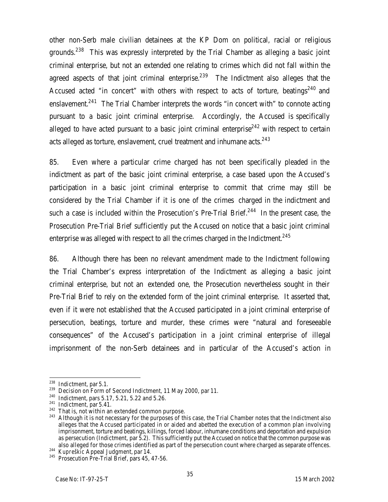other non-Serb male civilian detainees at the KP Dom on political, racial or religious grounds.<sup>238</sup> This was expressly interpreted by the Trial Chamber as alleging a basic joint criminal enterprise, but not an extended one relating to crimes which did not fall within the agreed aspects of that joint criminal enterprise. $^{239}$  The Indictment also alleges that the Accused acted "in concert" with others with respect to acts of torture, beatings<sup>240</sup> and enslavement.<sup>241</sup> The Trial Chamber interprets the words "in concert with" to connote acting pursuant to a basic joint criminal enterprise. Accordingly, the Accused is specifically alleged to have acted pursuant to a basic joint criminal enterprise<sup>242</sup> with respect to certain acts alleged as torture, enslavement, cruel treatment and inhumane acts. $^{243}$ 

85. Even where a particular crime charged has not been specifically pleaded in the indictment as part of the basic joint criminal enterprise, a case based upon the Accused's participation in a basic joint criminal enterprise to commit that crime may still be considered by the Trial Chamber if it is one of the crimes charged in the indictment and such a case is included within the Prosecution's Pre-Trial Brief.<sup>244</sup> In the present case, the Prosecution Pre-Trial Brief sufficiently put the Accused on notice that a basic joint criminal enterprise was alleged with respect to all the crimes charged in the Indictment.<sup>245</sup>

86. Although there has been no relevant amendment made to the Indictment following the Trial Chamber's express interpretation of the Indictment as alleging a basic joint criminal enterprise, but not an extended one, the Prosecution nevertheless sought in their Pre-Trial Brief to rely on the extended form of the joint criminal enterprise. It asserted that, even if it were not established that the Accused participated in a joint criminal enterprise of persecution, beatings, torture and murder, these crimes were "natural and foreseeable consequences" of the Accused's participation in a joint criminal enterprise of illegal imprisonment of the non-Serb detainees and in particular of the Accused's action in

 $\overline{a}$  $^{238}$  Indictment, par 5.1.

<sup>&</sup>lt;sup>239</sup> Decision on Form of Second Indictment, 11 May 2000, par 11.

<sup>240</sup> Indictment, pars 5.17, 5.21, 5.22 and 5.26.

<sup>&</sup>lt;sup>241</sup> Indictment, par 5.41.

<sup>&</sup>lt;sup>242</sup> That is, not within an extended common purpose.

<sup>&</sup>lt;sup>243</sup> Although it is not necessary for the purposes of this case, the Trial Chamber notes that the Indictment also alleges that the Accused participated in or aided and abetted the execution of a common plan involving imprisonment, torture and beatings, killings, forced labour, inhumane conditions and deportation and expulsion as persecution (Indictment, par 5.2). This sufficiently put the Accused on notice that the common purpose was also alleged for those crimes identified as part of the persecution count where charged as separate offences.

<sup>244</sup> *Kupreškic* Appeal Judgment, par 14.

<sup>&</sup>lt;sup>245</sup> Prosecution Pre-Trial Brief, pars 45, 47-56.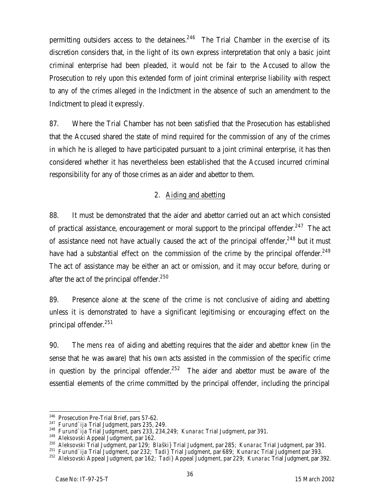permitting outsiders access to the detainees. $246$  The Trial Chamber in the exercise of its discretion considers that, in the light of its own express interpretation that only a basic joint criminal enterprise had been pleaded, it would not be fair to the Accused to allow the Prosecution to rely upon this extended form of joint criminal enterprise liability with respect to any of the crimes alleged in the Indictment in the absence of such an amendment to the Indictment to plead it expressly.

87. Where the Trial Chamber has not been satisfied that the Prosecution has established that the Accused shared the state of mind required for the commission of any of the crimes in which he is alleged to have participated pursuant to a joint criminal enterprise, it has then considered whether it has nevertheless been established that the Accused incurred criminal responsibility for any of those crimes as an aider and abettor to them.

### 2. Aiding and abetting

88. It must be demonstrated that the aider and abettor carried out an act which consisted of practical assistance, encouragement or moral support to the principal offender.<sup>247</sup> The act of assistance need not have actually caused the act of the principal offender,  $248$  but it must have had a substantial effect on the commission of the crime by the principal offender.<sup>249</sup> The act of assistance may be either an act or omission, and it may occur before, during or after the act of the principal offender.<sup>250</sup>

89. Presence alone at the scene of the crime is not conclusive of aiding and abetting unless it is demonstrated to have a significant legitimising or encouraging effect on the principal offender.<sup>251</sup>

90. The *mens rea* of aiding and abetting requires that the aider and abettor knew (in the sense that he was aware) that his own acts assisted in the commission of the specific crime in question by the principal offender. $252$  The aider and abettor must be aware of the essential elements of the crime committed by the principal offender, including the principal

 $246$  Prosecution Pre-Trial Brief, pars 57-62.

<sup>247</sup> *Furund`ija* Trial Judgment, pars 235, 249.

<sup>248</sup> *Furund`ija* Trial Judgment, pars 233, 234,249; *Kunarac* Trial Judgment, par 391.

<sup>249</sup> *Aleksovski* Appeal Judgment, par 162.

<sup>250</sup> *Aleksovski* Trial Judgment, par 129; *Blaški}* Trial Judgment, par 285; *Kunarac* Trial Judgment, par 391.

<sup>251</sup> *Furund`ija* Trial Judgment, par 232; *Tadi}* Trial Judgment, par 689; *Kunarac* Trial Judgment par 393.

<sup>252</sup> *Aleksovski* Appeal Judgment, par 162; *Tadi}* Appeal Judgment, par 229; *Kunarac* Trial Judgment, par 392.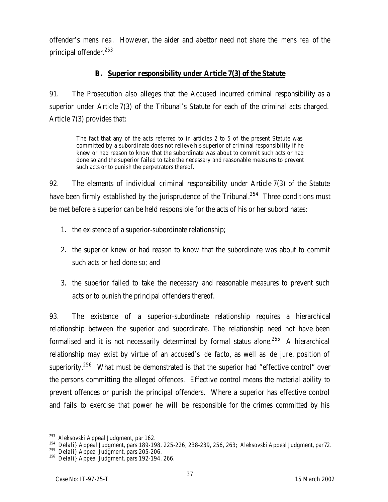offender's *mens rea*. However, the aider and abettor need not share the *mens rea* of the principal offender.<sup>253</sup>

#### **B. Superior responsibility under Article 7(3) of the Statute**

91. The Prosecution also alleges that the Accused incurred criminal responsibility as a superior under Article 7(3) of the Tribunal's Statute for each of the criminal acts charged. Article 7(3) provides that:

The fact that any of the acts referred to in articles 2 to 5 of the present Statute was committed by a subordinate does not relieve his superior of criminal responsibility if he knew or had reason to know that the subordinate was about to commit such acts or had done so and the superior failed to take the necessary and reasonable measures to prevent such acts or to punish the perpetrators thereof.

92. The elements of individual criminal responsibility under Article 7(3) of the Statute have been firmly established by the jurisprudence of the Tribunal.<sup>254</sup> Three conditions must be met before a superior can be held responsible for the acts of his or her subordinates:

- 1. the existence of a superior-subordinate relationship;
- 2. the superior knew or had reason to know that the subordinate was about to commit such acts or had done so; and
- 3. the superior failed to take the necessary and reasonable measures to prevent such acts or to punish the principal offenders thereof.

93. The existence of a superior-subordinate relationship requires a hierarchical relationship between the superior and subordinate. The relationship need not have been formalised and it is not necessarily determined by formal status alone.<sup>255</sup> A hierarchical relationship may exist by virtue of an accused's *de facto,* as well as *de jure*, position of superiority.<sup>256</sup> What must be demonstrated is that the superior had "effective control" over the persons committing the alleged offences. Effective control means the material ability to prevent offences or punish the principal offenders. Where a superior has effective control and fails to exercise that power he will be responsible for the crimes committed by his

 $\overline{a}$ <sup>253</sup> *Aleksovski* Appeal Judgment, par 162.

<sup>254</sup> *Delali}* Appeal Judgment, pars 189-198, 225-226, 238-239, 256, 263; *Aleksovski* Appeal Judgment, par72.

<sup>255</sup> *Delali}* Appeal Judgment, pars 205-206.

<sup>256</sup> *Delali}* Appeal Judgment, pars 192-194, 266.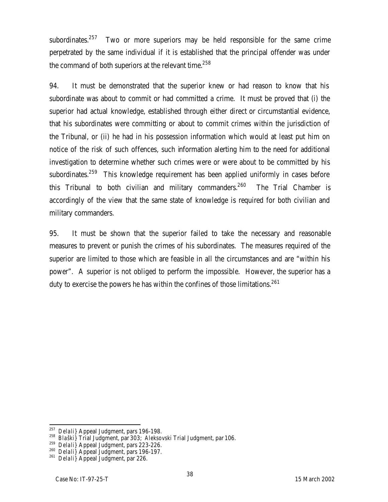subordinates.<sup>257</sup> Two or more superiors may be held responsible for the same crime perpetrated by the same individual if it is established that the principal offender was under the command of both superiors at the relevant time. $^{258}$ 

94. It must be demonstrated that the superior knew or had reason to know that his subordinate was about to commit or had committed a crime. It must be proved that (i) the superior had actual knowledge, established through either direct or circumstantial evidence, that his subordinates were committing or about to commit crimes within the jurisdiction of the Tribunal, or (ii) he had in his possession information which would at least put him on notice of the risk of such offences, such information alerting him to the need for additional investigation to determine whether such crimes were or were about to be committed by his subordinates.<sup>259</sup> This knowledge requirement has been applied uniformly in cases before this Tribunal to both civilian and military commanders. $260$  The Trial Chamber is accordingly of the view that the same state of knowledge is required for both civilian and military commanders.

95. It must be shown that the superior failed to take the necessary and reasonable measures to prevent or punish the crimes of his subordinates. The measures required of the superior are limited to those which are feasible in all the circumstances and are "within his power". A superior is not obliged to perform the impossible. However, the superior has a duty to exercise the powers he has within the confines of those limitations.<sup>261</sup>

 $\overline{a}$ <sup>257</sup> *Delali}* Appeal Judgment, pars 196-198.

<sup>258</sup> *Blaški}* Trial Judgment, par 303; *Aleksovski* Trial Judgment, par 106.

<sup>259</sup> *Delali}* Appeal Judgment, pars 223-226.

<sup>260</sup> *Delali}* Appeal Judgment, pars 196-197.

<sup>261</sup> *Delali}* Appeal Judgment, par 226.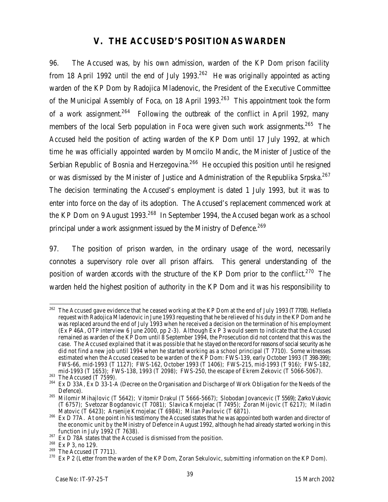## **V. THE ACCUSED'S POSITION AS WARDEN**

96. The Accused was, by his own admission, warden of the KP Dom prison facility from 18 April 1992 until the end of July 1993.<sup>262</sup> He was originally appointed as acting warden of the KP Dom by Radojica Mladenovic, the President of the Executive Committee of the Municipal Assembly of Foca, on 18 April 1993.<sup>263</sup> This appointment took the form of a work assignment.<sup>264</sup> Following the outbreak of the conflict in April 1992, many members of the local Serb population in Foca were given such work assignments.<sup>265</sup> The Accused held the position of acting warden of the KP Dom until 17 July 1992, at which time he was officially appointed warden by Momcilo Mandic, the Minister of Justice of the Serbian Republic of Bosnia and Herzegovina.<sup>266</sup> He occupied this position until he resigned or was dismissed by the Minister of Justice and Administration of the Republika Srpska.<sup>267</sup> The decision terminating the Accused's employment is dated 1 July 1993, but it was to enter into force on the day of its adoption. The Accused's replacement commenced work at the KP Dom on 9 August 1993.<sup>268</sup> In September 1994, the Accused began work as a school principal under a work assignment issued by the Ministry of Defence.<sup>269</sup>

97. The position of prison warden, in the ordinary usage of the word, necessarily connotes a supervisory role over all prison affairs. This general understanding of the position of warden accords with the structure of the KP Dom prior to the conflict.<sup>270</sup> The warden held the highest position of authority in the KP Dom and it was his responsibility to

 $\overline{a}$  $^{262}$  The Accused gave evidence that he ceased working at the KP Dom at the end of July 1993 (T7708). Hefileda request with Radojica Mladenovic in June 1993 requesting that he be relieved of his duty in the KP Dom and he was replaced around the end of July 1993 when he received a decision on the termination of his employment (Ex P 46A, OTP interview 6 June 2000, pp 2-3). Although Ex P 3 would seem to indicate that the Accused remained as warden of the KP Dom until 8 September 1994, the Prosecution did not contend that this was the case. The Accused explained that it was possible that he stayed on the record for reasons of social security as he did not find a new job until 1994 when he started working as a school principal (T 7710). Some witnesses estimated when the Accused ceased to be warden of the KP Dom: FWS-139, early October 1993 (T 398-399); FWS-66, mid-1993 (T 1127); FWS-162, October 1993 (T 1406); FWS-215, mid-1993 (T 916); FWS-182, mid-1993 (T 1653); FWS-138, 1993 (T 2098); FWS-250, the escape of Ekrem Zekovic (T 5066-5067).

 $^{263}$  The Accused (T 7599).

Ex D 33A, Ex D 33-1-A (Decree on the Organisation and Discharge of Work Obligation for the Needs of the Defence).

<sup>265</sup> Milomir Mihajlovic (T 5642); Vitomir Drakul (T 5666-5667); Slobodan Jovancevic (T 5569); Zarko Vukovic (T 6757); Svetozar Bogdanovic (T 7081); Slavica Krnojelac (T 7495); Zoran Mijovic (T 6217); Miladin Matovic (T 6423); Arsenije Krnojelac (T 6984); Milan Pavlovic (T 6871).

<sup>&</sup>lt;sup>266</sup> Ex D 77A. At one point in his testimony the Accused states that he was appointed both warden and director of the economic unit by the Ministry of Defence in August 1992, although he had already started working in this function in July 1992 (T 7638).

 $267$  Ex D 78A states that the Accused is dismissed from the position.

<sup>268</sup> Ex P 3, no 129.

 $269$  The Accused (T 7711).

<sup>&</sup>lt;sup>270</sup> Ex P 2 (Letter from the warden of the KP Dom, Zoran Sekulovic, submitting information on the KP Dom).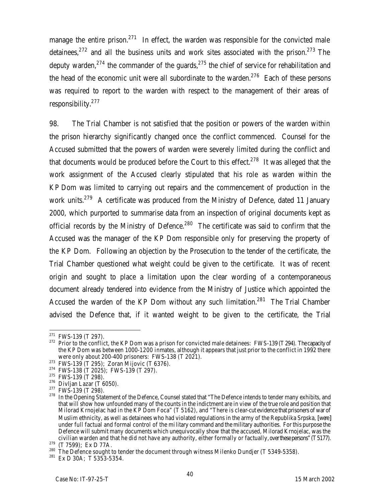manage the entire prison. $271$  In effect, the warden was responsible for the convicted male detainees,  $272$  and all the business units and work sites associated with the prison.  $273$  The deputy warden,<sup>274</sup> the commander of the quards,<sup>275</sup> the chief of service for rehabilitation and the head of the economic unit were all subordinate to the warden.<sup>276</sup> Each of these persons was required to report to the warden with respect to the management of their areas of responsibility.<sup>277</sup>

98. The Trial Chamber is not satisfied that the position or powers of the warden within the prison hierarchy significantly changed once the conflict commenced. Counsel for the Accused submitted that the powers of warden were severely limited during the conflict and that documents would be produced before the Court to this effect.<sup>278</sup> It was alleged that the work assignment of the Accused clearly stipulated that his role as warden within the KP Dom was limited to carrying out repairs and the commencement of production in the work units.<sup>279</sup> A certificate was produced from the Ministry of Defence, dated 11 January 2000, which purported to summarise data from an inspection of original documents kept as official records by the Ministry of Defence.<sup>280</sup> The certificate was said to confirm that the Accused was the manager of the KP Dom responsible only for preserving the property of the KP Dom. Following an objection by the Prosecution to the tender of the certificate, the Trial Chamber questioned what weight could be given to the certificate. It was of recent origin and sought to place a limitation upon the clear wording of a contemporaneous document already tendered into evidence from the Ministry of Justice which appointed the Accused the warden of the KP Dom without any such limitation.<sup>281</sup> The Trial Chamber advised the Defence that, if it wanted weight to be given to the certificate, the Trial

 $271$  FWS-139 (T 297).

<sup>&</sup>lt;sup>272</sup> Prior to the conflict, the KP Dom was a prison for convicted male detainees: FWS-139 (T 294). The capacity of the KP Dom was between 1000-1200 inmates, although it appears that just prior to the conflict in 1992 there were only about 200-400 prisoners: FWS-138 (T 2021).

<sup>273</sup> FWS-139 (T 295); Zoran Mijovic (T 6376).

<sup>274</sup> FWS-138 (T 2025); FWS-139 (T 297).

 $275$  FWS-139 (T 298).

 $276$  Divljan Lazar (T 6050).

<sup>&</sup>lt;sup>277</sup> FWS-139 (T 298).

<sup>&</sup>lt;sup>278</sup> In the Opening Statement of the Defence, Counsel stated that "The Defence intends to tender many exhibits, and that will show how unfounded many of the counts in the indictment are in view of the true role and position that Milorad Krnojelac had in the KP Dom Foca" (T 5162), and "There is clear-cut evidence that prisoners of war of Muslim ethnicity, as well as detainees who had violated regulations in the army of the Republika Srpska, [were] under full factual and formal control of the military command and the military authorities. For this purpose the Defence will submit many documents which unequivocally show that the accused, Milorad Krnojelac, was the civilian warden and that he did not have any authority, either formally or factually, over these persons" (T 5177).

 $279$  (T 7599); Ex D 77A.

 $^{280}$  The Defence sought to tender the document through witness Milenko Dundjer (T 5349-5358).

 $281$  Ex D 30A; T 5353-5354.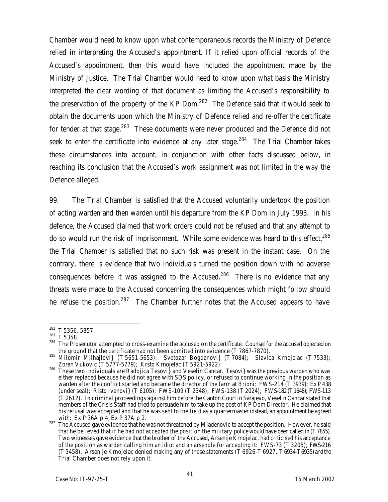Chamber would need to know upon what contemporaneous records the Ministry of Defence relied in interpreting the Accused's appointment. If it relied upon official records of the Accused's appointment, then this would have included the appointment made by the Ministry of Justice. The Trial Chamber would need to know upon what basis the Ministry interpreted the clear wording of that document as limiting the Accused's responsibility to the preservation of the property of the KP Dom. $^{282}$  The Defence said that it would seek to obtain the documents upon which the Ministry of Defence relied and re-offer the certificate for tender at that stage.<sup>283</sup> These documents were never produced and the Defence did not seek to enter the certificate into evidence at any later stage.<sup>284</sup> The Trial Chamber takes these circumstances into account, in conjunction with other facts discussed below, in reaching its conclusion that the Accused's work assignment was not limited in the way the Defence alleged.

99. The Trial Chamber is satisfied that the Accused voluntarily undertook the position of acting warden and then warden until his departure from the KP Dom in July 1993. In his defence, the Accused claimed that work orders could not be refused and that any attempt to do so would run the risk of imprisonment. While some evidence was heard to this effect,<sup>285</sup> the Trial Chamber is satisfied that no such risk was present in the instant case. On the contrary, there is evidence that two individuals turned the position down with no adverse consequences before it was assigned to the Accused.<sup>286</sup> There is no evidence that any threats were made to the Accused concerning the consequences which might follow should he refuse the position.<sup>287</sup> The Chamber further notes that the Accused appears to have

 $\overline{a}$  $282$  T 5356, 5357.

<sup>283</sup> T 5358.

<sup>&</sup>lt;sup>284</sup> The Prosecutor attempted to cross-examine the accused on the certificate. Counsel for the accused objected on the ground that the certificate had not been admitted into evidence (T 7867-7870).

 $^{285}$  Milomir Milhajlovi} (T 5651-5653); Svetozar Bogdanovi} (T 7084); Slavica Krnojelac (T 7533); Zoran Vukovic (T 5777-5779); Krsto Krnojelac (T 5921-5922).

<sup>&</sup>lt;sup>286</sup> These two individuals are Radojica Tesovi} and Veselin Cancar. Tesovi} was the previous warden who was either replaced because he did not agree with SDS policy, or refused to continue working in the position as warden after the conflict started and became the director of the farm at Brioni: FWS-214 (T 3939); Ex P 438 (under seal); Risto Ivanovi} (T 6105); FWS-109 (T 2348); FWS-138 (T 2024); FWS-182 (T1648); FWS-113 (T 2612). In criminal proceedings against him before the Canton Court in Sarajevo, Veselin Cancar stated that members of the Crisis Staff had tried to persuade him to take up the post of KP Dom Director. He claimed that his refusal was accepted and that he was sent to the field as a quartermaster instead, an appointment he agreed with: Ex P 36A p 4, Ex P 37A p 2.

<sup>&</sup>lt;sup>287</sup> The Accused gave evidence that he was not threatened by Mladenovic to accept the position. However, he said that he believed that if he had not accepted the position the military police would have been called in (T7855). Two witnesses gave evidence that the brother of the Accused, Arsenije Krnojelac, had criticised his acceptance of the position as warden calling him an idiot and an arsehole for accepting it: FWS-73 (T 3205); FWS-216 (T 3458). Arsenije Krnojelac denied making any of these statements (T 6926-T 6927, T 6934-T 6935) and the Trial Chamber does not rely upon it.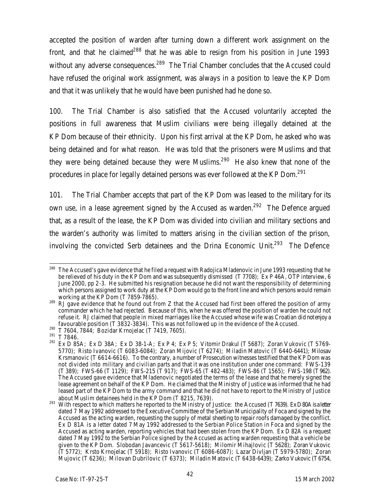accepted the position of warden after turning down a different work assignment on the front, and that he claimed<sup>288</sup> that he was able to resign from his position in June 1993 without any adverse consequences.<sup>289</sup> The Trial Chamber concludes that the Accused could have refused the original work assignment, was always in a position to leave the KP Dom and that it was unlikely that he would have been punished had he done so.

100. The Trial Chamber is also satisfied that the Accused voluntarily accepted the positions in full awareness that Muslim civilians were being illegally detained at the KP Dom because of their ethnicity. Upon his first arrival at the KP Dom, he asked who was being detained and for what reason. He was told that the prisoners were Muslims and that they were being detained because they were Muslims.<sup>290</sup> He also knew that none of the procedures in place for legally detained persons was ever followed at the KP Dom.<sup>291</sup>

101. The Trial Chamber accepts that part of the KP Dom was leased to the military for its own use, in a lease agreement signed by the Accused as warden.<sup>292</sup> The Defence argued that, as a result of the lease, the KP Dom was divided into civilian and military sections and the warden's authority was limited to matters arising in the civilian section of the prison, involving the convicted Serb detainees and the Drina Economic Unit.<sup>293</sup> The Defence

 $\overline{a}$ The Accused's gave evidence that he filed a request with Radojica Mladenovic in June 1993 requesting that he be relieved of his duty in the KP Dom and was subsequently dismissed (T 7708); Ex P 46A, OTP interview, 6 June 2000, pp 2-3. He submitted his resignation because he did not want the responsibility of determining which persons assigned to work duty at the KP Dom would go to the front line and which persons would remain working at the KP Dom (T 7859-7865).

<sup>&</sup>lt;sup>289</sup> RJ gave evidence that he found out from Z that the Accused had first been offered the position of army commander which he had rejected. Because of this, when he was offered the position of warden he could not refuse it. RJ claimed that people in mixed marriages like the Accused whose wife was Croatian did not enjoy a favourable position (T 3832-3834). This was not followed up in the evidence of the Accused.

<sup>290</sup> T 7604, 7844; Bozidar Krnojelac (T 7419, 7605).

<sup>291</sup> T 7846.

<sup>292</sup> Ex D 85A; Ex D 38A; Ex D 38-1-A; Ex P 4; Ex P 5;Vitomir Drakul (T 5687); Zoran Vukovic (T 5769- 5770); Risto Ivanovic (T 6083-6084); Zoran Mijovic (T 6274); Miladin Matovic (T 6440-6441); Milosav Krsmanovic (T 6614-6616). To the contrary, a number of Prosecution witnesses testified that the KP Dom was not divided into military and civilian parts and that it was one institution under one command: FWS-139 (T 389); FWS-66 (T 1129); FWS-215 (T 917); FWS-65 (T 482-483); FWS-86 (T 1565); FWS-198 (T962). The Accused gave evidence that Mladenovic negotiated the terms of the lease and that he merely signed the lease agreement on behalf of the KP Dom. He claimed that the Ministry of Justice was informed that he had leased part of the KP Dom to the army command and that he did not have to report to the Ministry of Justice about Muslim detainees held in the KP Dom (T 8215, 7639).

<sup>&</sup>lt;sup>293</sup> With respect to which matters he reported to the Ministry of Justice: the Accused (T 7639). Ex D80A is a letter dated 7 May 1992 addressed to the Executive Committee of the Serbian Municipality of Foca and signed by the Accused as the acting warden, requesting the supply of metal sheeting to repair roofs damaged by the conflict. Ex D 81A is a letter dated 7 May 1992 addressed to the Serbian Police Station in Foca and signed by the Accused as acting warden, reporting vehicles that had been stolen from the KP Dom. Ex D 82A is a request dated 7 May 1992 to the Serbian Police signed by the Accused as acting warden requesting that a vehicle be given to the KP Dom. Slobodan Javancevic (T 5617-5618); Milomir Mihajlovic (T 5628); Zoran Vukovic (T 5772); Krsto Krnojelac (T 5918); Risto Ivanovic (T 6086-6087); Lazar Divljan (T 5979-5780); Zoran Mujovic (T 6236); Milovan Dubrilovic (T 6373); Miladin Matovic (T 6438-6439); Zarko Vukovic (T6754,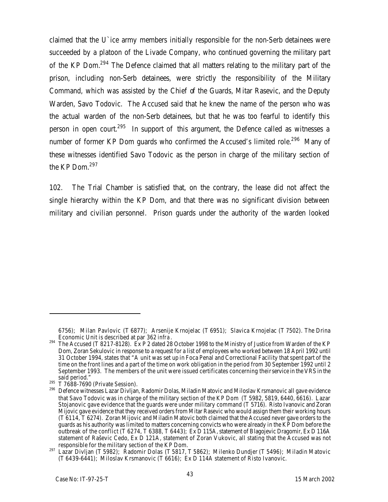claimed that the U`ice army members initially responsible for the non-Serb detainees were succeeded by a platoon of the Livade Company, who continued governing the military part of the KP Dom.<sup>294</sup> The Defence claimed that all matters relating to the military part of the prison, including non-Serb detainees, were strictly the responsibility of the Military Command, which was assisted by the Chief of the Guards, Mitar Rasevic, and the Deputy Warden, Savo Todovic. The Accused said that he knew the name of the person who was the actual warden of the non-Serb detainees, but that he was too fearful to identify this person in open court.<sup>295</sup> In support of this argument, the Defence called as witnesses a number of former KP Dom guards who confirmed the Accused's limited role.<sup>296</sup> Many of these witnesses identified Savo Todovic as the person in charge of the military section of the KP Dom.<sup>297</sup>

102. The Trial Chamber is satisfied that, on the contrary, the lease did not affect the single hierarchy within the KP Dom, and that there was no significant division between military and civilian personnel. Prison guards under the authority of the warden looked

<sup>6756);</sup> Milan Pavlovic (T 6877); Arsenije Krnojelac (T 6951); Slavica Krnojelac (T 7502). The Drina Economic Unit is described at par 362 *infra*.

<sup>&</sup>lt;sup>294</sup> The Accused (T 8217-8128). Ex P 2 dated 28 October 1998 to the Ministry of Justice from Warden of the KP Dom, Zoran Sekulovic in response to a request for a list of employees who worked between 18 April 1992 until 31 October 1994, states that "A unit was set up in Foca Penal and Correctional Facility that spent part of the time on the front lines and a part of the time on work obligation in the period from 30 September 1992 until 2 September 1993. The members of the unit were issued certificates concerning their service in the VRS in the said period."

 $295$  T 7688-7690 (Private Session).

<sup>&</sup>lt;sup>296</sup> Defence witnesses Lazar Divljan, Radomir Dolas, Miladin Matovic and Miloslav Krsmanovic all gave evidence that Savo Todovic was in charge of the military section of the KP Dom (T 5982, 5819, 6440, 6616). Lazar Stojanovic gave evidence that the guards were under military command (T 5716). Risto Ivanovic and Zoran Mijovic gave evidence that they received orders from Mitar Rasevic who would assign them their working hours (T 6114, T 6274). Zoran Mijovic and Miladin Matovic both claimed that the Accused never gave orders to the guards as his authority was limited to matters concerning convicts who were already in the KP Dom before the outbreak of the conflict (T 6274, T 6388, T 6443); Ex D 115A, statement of Blagojevic Dragomir, Ex D 116A statement of Raševic Cedo, Ex D 121A, statement of Zoran Vukovic, all stating that the Accused was not responsible for the military section of the KP Dom.

<sup>297</sup> Lazar Divljan (T 5982); Radomir Dolas (T 5817, T 5862); Milenko Dundjer (T 5496); Miladin Matovic (T 6439-6441); Miloslav Krsmanovic (T 6616); Ex D 114A statement of Risto Ivanovic.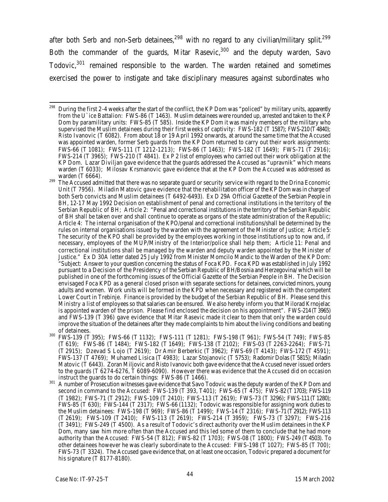after both Serb and non-Serb detainees,<sup>298</sup> with no regard to any civilian/military split.<sup>299</sup> Both the commander of the guards, Mitar Rasevic,<sup>300</sup> and the deputy warden, Savo Todovic,<sup>301</sup> remained responsible to the warden. The warden retained and sometimes exercised the power to instigate and take disciplinary measures against subordinates who

- <sup>300</sup> FWS-139 (T 395); FWS-66 (T 1132); FWS-111 (T 1281); FWS-198 (T 961); FWS-54 (T 749); FWS-85 (T 619); FWS-86 (T 1484); FWS-182 (T 1649); FWS-138 (T 2102); FWS-03 (T 2263-2264); FWS-71 (T 2915); Dzevad S Lojo (T 2619); Dr Amir Berberkic (T 3962); FWS-69 (T 4143); FWS-172 (T 4591); FWS-137 (T 4769); Muhamed Lisica (T 4983); Lazar Stojanovic (T 5753); Radomir Dolas (T5815); Miladin Matovic (T 6443). Zoran Miljovic and Risto Ivanovic both gave evidence that the Accused never issued orders to the guards (T 6274-6276, T 6089-6090). However there was evidence that the Accused did on occasion instruct the guards to do certain things: FWS-86 (T 1466).
- <sup>301</sup> A number of Prosecution witnesses gave evidence that Savo Todovic was the deputy warden of the KP Dom and second in command to the Accused: FWS-139 (T 393, T401); FWS-65 (T 475); FWS-82 (T1703); FWS-119 (T 1982); FWS-71 (T 2912); FWS-109 (T 2410); FWS-113 (T 2619); FWS-73 (T 3296); FWS-111 (T1280); FWS-85 (T 630); FWS-144 (T 2317); FWS-66 (1132); Todovic was responsible for assigning work duties to the Muslim detainees: FWS-198 (T 969); FWS-86 (T 1499); FWS-14 (T 2316); FWS-71 (T 2912); FWS-113 (T 2619); FWS-109 (T 2410); FWS-113 (T 2619); FWS-214 (T 3959); FWS-73 (T 3297); FWS-216  $(T 3491)$ ; FWS-249 (T 4500). As a result of Todovic's direct authority over the Muslim detainees in the KP Dom, many saw him more often than the Accused and this led some of them to conclude that he had more authority than the Accused: FWS-54 (T 812); FWS-82 (T 1703); FWS-08 (T 1800); FWS-249 (T4503). To other detainees however he was clearly subordinate to the Accused: FWS-198 (T 1027); FWS-85 (T 700); FWS-73 (T 3324). The Accused gave evidence that, on at least one occasion, Todovic prepared a document for his signature (T 8177-8180).

<sup>298</sup> <sup>298</sup> During the first 2-4 weeks after the start of the conflict, the KP Dom was "policed" by military units, apparently from the U`ice Battalion: FWS-86 (T 1463). Muslim detainees were rounded up, arrested and taken to the KP Dom by paramilitary units: FWS-85 (T 585). Inside the KP Dom it was mainly members of the military who supervised the Muslim detainees during their first weeks of captivity: FWS-182 (T 1587); FWS-210 (T 4840); Risto Ivanovic (T 6082). From about 18 or 19 April 1992 onwards, at around the same time that the Accused was appointed warden, former Serb guards from the KP Dom returned to carry out their work assignments: FWS-66 (T 1081); FWS-111 (T 1212-1213); FWS-86 (T 1463); FWS-182 (T 1649); FWS-71 (T 2916); FWS-214 (T 3965); FWS-210 (T 4841). Ex P 2 list of employees who carried out their work obligation at the KP Dom. Lazar Diviljan gave evidence that the guards addressed the Accused as "upravnik" which means warden (T 6033); Milosav Krsmanovic gave evidence that at the KP Dom the Accused was addressed as warden (T 6664).

<sup>&</sup>lt;sup>299</sup> The Accused admitted that there was no separate guard or security service with regard to the Drina Economic Unit (T 7956). Miladin Matovic gave evidence that the rehabilitation officer of the KP Dom was in charge of both Serb convicts and Muslim detainees (T 6492-6493). Ex D 29A Official Gazette of the Serbian People in BH, 12-17 May 1992 Decision on establishment of penal and correctional institutions in the territory of the Serbian Republic of BH; Article 2: "Penal and correctional institutions in the territory of the Serbian Republic of BH shall be taken over and shall continue to operate as organs of the state administration of the Republic; Article 4: The internal organisation of the KPO/penal and correctional institutions/shall be determined by the rules on internal organisations issued by the warden with the agreement of the Minister of Justice; Article 5: The security of the KPO shall be provided by the employees working in those institutions up to now and, if necessary, employees of the MUP/Ministry of the Interior/police shall help them; Article 11: Penal and correctional institutions shall be managed by the warden and deputy warden appointed by the Minister of Justice." Ex D 30A letter dated 25 July 1992 from Minister Momcilo Mandic to the Warden of the KP Dom: "Subject: Answer to your question concerning the status of Foca KPD. Foca KPD was established in July 1992 pursuant to a Decision of the Presidency of the Serbian Republic of BH/Bosnia and Herzegovina/ which will be published in one of the forthcoming issues of the Official Gazette of the Serbian People in BH. The Decision envisaged Foca KPD as a general closed prison with separate sections for detainees, convicted minors, young adults and women. Work units will be formed in the KPD when necessary and registered with the competent Lower Court in Trebinje. Finance is provided by the budget of the Serbian Republic of BH. Please send this Ministry a list of employees so that salaries can be ensured. We also hereby inform you that Milorad Krnojelac is appointed warden of the prison. Please find enclosed the decision on his appointment". FWS-214 (T3965) and FWS-139 (T 396) gave evidence that Mitar Rasevic made it clear to them that only the warden could improve the situation of the detainees after they made complaints to him about the living conditions and beating of detainees.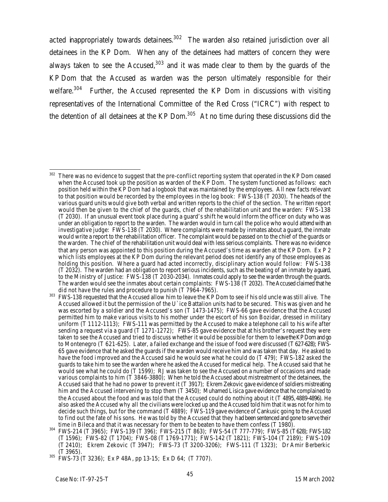acted inappropriately towards detainees. $302$  The warden also retained jurisdiction over all detainees in the KP Dom. When any of the detainees had matters of concern they were always taken to see the Accused, $303$  and it was made clear to them by the quards of the KP Dom that the Accused as warden was the person ultimately responsible for their welfare.<sup>304</sup> Further, the Accused represented the KP Dom in discussions with visiting representatives of the International Committee of the Red Cross ("ICRC") with respect to the detention of all detainees at the KP Dom. $305$  At no time during these discussions did the

<sup>302</sup> There was no evidence to suggest that the pre-conflict reporting system that operated in the KP Dom ceased when the Accused took up the position as warden of the KP Dom. The system functioned as follows: each position held within the KP Dom had a logbook that was maintained by the employees. All new facts relevant to that position would be recorded by the employees in the log book: FWS-138 (T 2030). The heads of the various guard units would give both verbal and written reports to the chief of the section. The written report would then be given to the chief of the guards, chief of the rehabilitation unit and the warden: FWS-138 (T 2030). If an unusual event took place during a guard's shift he would inform the officer on duty who was under an obligation to report to the warden. The warden would in turn call the police who would attend with an investigative judge: FWS-138 (T 2030). Where complaints were made by inmates about a guard, the inmate would write a report to the rehabilitation officer. The complaint would be passed on to the chief of the guards or the warden. The chief of the rehabilitation unit would deal with less serious complaints. There was no evidence that any person was appointed to this position during the Accused's time as warden at the KP Dom. Ex P 2 which lists employees at the KP Dom during the relevant period does not identify any of those employees as holding this position. Where a quard had acted incorrectly, disciplinary action would follow: FWS-138 (T 2032). The warden had an obligation to report serious incidents, such as the beating of an inmate by a guard, to the Ministry of Justice: FWS-138 (T 2030-2034). Inmates could apply to see the warden through the guards. The warden would see the inmates about certain complaints: FWS-138 (T 2032). The Accused claimed that he did not have the rules and procedure to punish (T 7964-7965).

<sup>&</sup>lt;sup>303</sup> FWS-138 requested that the Accused allow him to leave the KP Dom to see if his old uncle was still alive. The Accused allowed it but the permission of the U`ice Battalion units had to be secured. This was given and he was escorted by a soldier and the Accused's son (T 1473-1475); FWS-66 gave evidence that the Accused permitted him to make various visits to his mother under the escort of his son Bozidar, dressed in military uniform (T 1112-1113); FWS-111 was permitted by the Accused to make a telephone call to his wife after sending a request via a guard (T 1271-1272); FWS-85 gave evidence that at his brother's request they were taken to see the Accused and tried to discuss whether it would be possible for them to leave the KP Dom and go to Montenegro (T 621-625). Later, a failed exchange and the issue of food were discussed (T 627-628); FWS-65 gave evidence that he asked the guards if the warden would receive him and was taken that day. He asked to have the food improved and the Accused said he would see what he could do (T 479); FWS-182 asked the guards to take him to see the warden where he asked the Accused for medical help. The Accused said that he would see what he could do (T 1599); RJ was taken to see the Accused on a number of occasions and made various complaints to him (T 3846-3880); When he told the Accused about mistreatment of the detainees, the Accused said that he had no power to prevent it (T 3917); Ekrem Zekovic gave evidence of soldiers mistreating him and the Accused intervening to stop them  $(T 3450)$ ; Muhamed Lisica gave evidence that he complained to the Accused about the food and was told that the Accused could do nothing about it (T 4895, 4889-4896). He also asked the Accused why all the civilians were locked up and the Accused told him that it was not for him to decide such things, but for the command (T 4889); FWS-119 gave evidence of Cankusic going to the Accused to find out the fate of his sons. He was told by the Accused that they had been sentenced and gone to serve their time in Bileca and that it was necessary for them to be beaten to have them confess (T 1980).

<sup>304</sup> FWS-214 (T 3965); FWS-139 (T 396); FWS-215 (T 863); FWS-54 (T 777-779); FWS-85 (T628); FWS-182 (T 1596); FWS-82 (T 1704); FWS-08 (T 1769-1771); FWS-142 (T 1821); FWS-104 (T 2189); FWS-109 (T 2410); Ekrem Zekovic (T 3947); FWS-73 (T 3200-3206); FWS-111 (T 1323); Dr Amir Berberkic (T 3965).

<sup>305</sup> FWS-73 (T 3236); Ex P 48A, pp 13-15; Ex D 64; (T 7707).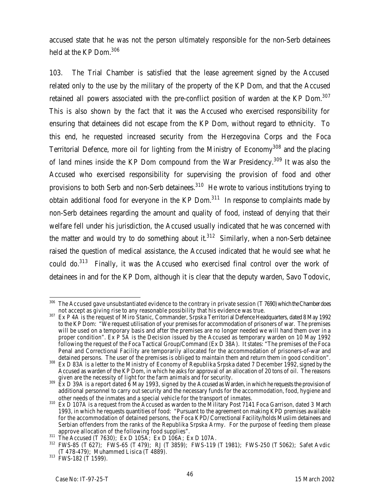accused state that he was not the person ultimately responsible for the non-Serb detainees held at the KP Dom.<sup>306</sup>

103. The Trial Chamber is satisfied that the lease agreement signed by the Accused related only to the use by the military of the property of the KP Dom, and that the Accused retained all powers associated with the pre-conflict position of warden at the KP Dom.<sup>307</sup> This is also shown by the fact that it was the Accused who exercised responsibility for ensuring that detainees did not escape from the KP Dom, without regard to ethnicity. To this end, he requested increased security from the Herzegovina Corps and the Foca Territorial Defence, more oil for lighting from the Ministry of Economy<sup>308</sup> and the placing of land mines inside the KP Dom compound from the War Presidency.<sup>309</sup> It was also the Accused who exercised responsibility for supervising the provision of food and other provisions to both Serb and non-Serb detainees. $310$  He wrote to various institutions trying to obtain additional food for everyone in the  $KP$  Dom.<sup>311</sup> In response to complaints made by non-Serb detainees regarding the amount and quality of food, instead of denying that their welfare fell under his jurisdiction, the Accused usually indicated that he was concerned with the matter and would try to do something about it. $312$  Similarly, when a non-Serb detainee raised the question of medical assistance, the Accused indicated that he would see what he could do. $313$  Finally, it was the Accused who exercised final control over the work of detainees in and for the KP Dom, although it is clear that the deputy warden, Savo Todovic,

 $\overline{a}$  $^{306}$  The Accused gave unsubstantiated evidence to the contrary in private session (T 7690) which the Chamber does not accept as giving rise to any reasonable possibility that his evidence was true.

<sup>307</sup> Ex P 4A is the request of Miro Stanic, Commander, Srpska Territorial Defence Headquarters, dated 8 May 1992 to the KP Dom: "We request utilisation of your premises for accommodation of prisoners of war. The premises will be used on a temporary basis and after the premises are no longer needed we will hand them over in a proper condition". Ex P 5A is the Decision issued by the Accused as temporary warden on 10 May 1992 following the request of the Foca Tactical Group/Command (Ex D 38A). It states: "The premises of the Foca Penal and Correctional Facility are temporarily allocated for the accommodation of prisoners-of-war and detained persons. The user of the premises is obliged to maintain them and return them in good condition".

<sup>308</sup> Ex D 83A is a letter to the Ministry of Economy of Republika Srpska dated 7 December 1992, signed by the Accused as warden of the KP Dom, in which he asks for approval of an allocation of 20 tons of oil. The reasons given are the necessity of light for the farm animals and for security.

 $^{309}$  Ex D 39A is a report dated 6 May 1993, signed by the Accused as Warden, in which he requests the provision of additional personnel to carry out security and the necessary funds for the accommodation, food, hygiene and other needs of the inmates and a special vehicle for the transport of inmates.

<sup>310</sup> Ex D 107A is a request from the Accused as warden to the Military Post 7141 Foca Garrison, dated 3 March 1993, in which he requests quantities of food: "Pursuant to the agreement on making KPD premises available for the accommodation of detained persons, the Foca KPD/ Correctional Facility/holds Muslim detainees and Serbian offenders from the ranks of the Republika Srpska Army. For the purpose of feeding them please approve allocation of the following food supplies".

 $\frac{311}{100}$  The Accused (T 7630); Ex D 105A; Ex D 106A; Ex D 107A.

<sup>312</sup> FWS-85 (T 627); FWS-65 (T 479); RJ (T 3859); FWS-119 (T 1981); FWS-250 (T 5062); Safet Avdic (T 478-479); Muhammed Lisica (T 4889).

<sup>313</sup> FWS-182 (T 1599).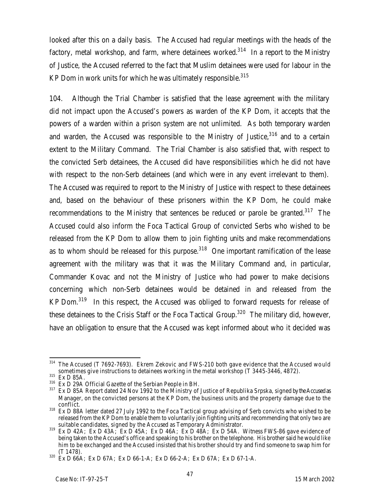looked after this on a daily basis. The Accused had regular meetings with the heads of the factory, metal workshop, and farm, where detainees worked.<sup>314</sup> In a report to the Ministry of Justice, the Accused referred to the fact that Muslim detainees were used for labour in the KP Dom in work units for which he was ultimately responsible. $315$ 

104. Although the Trial Chamber is satisfied that the lease agreement with the military did not impact upon the Accused's powers as warden of the KP Dom, it accepts that the powers of a warden within a prison system are not unlimited. As both temporary warden and warden, the Accused was responsible to the Ministry of Justice,  $316$  and to a certain extent to the Military Command. The Trial Chamber is also satisfied that, with respect to the convicted Serb detainees, the Accused did have responsibilities which he did not have with respect to the non-Serb detainees (and which were in any event irrelevant to them). The Accused was required to report to the Ministry of Justice with respect to these detainees and, based on the behaviour of these prisoners within the KP Dom, he could make recommendations to the Ministry that sentences be reduced or parole be granted.<sup>317</sup> The Accused could also inform the Foca Tactical Group of convicted Serbs who wished to be released from the KP Dom to allow them to join fighting units and make recommendations as to whom should be released for this purpose.<sup>318</sup> One important ramification of the lease agreement with the military was that it was the Military Command and, in particular, Commander Kovac and not the Ministry of Justice who had power to make decisions concerning which non-Serb detainees would be detained in and released from the KP Dom.<sup>319</sup> In this respect, the Accused was obliged to forward requests for release of these detainees to the Crisis Staff or the Foca Tactical Group.<sup>320</sup> The military did, however, have an obligation to ensure that the Accused was kept informed about who it decided was

 $\overline{a}$  $314$  The Accused (T 7692-7693). Ekrem Zekovic and FWS-210 both gave evidence that the Accused would sometimes give instructions to detainees working in the metal workshop (T 3445-3446, 4872).

 $315$  Ex D 85A.

 $316$  Ex D 29A Official Gazette of the Serbian People in BH.<br> $317$  Ex D 85A Report dated 24 Nov 1992 to the Ministry of

Ex D 85A Report dated 24 Nov 1992 to the Ministry of Justice of Republika Srpska, signed by the Accused as Manager, on the convicted persons at the KP Dom, the business units and the property damage due to the conflict.

<sup>&</sup>lt;sup>318</sup> Ex D 88A letter dated 27 July 1992 to the Foca Tactical group advising of Serb convicts who wished to be released from the KP Dom to enable them to voluntarily join fighting units and recommending that only two are suitable candidates, signed by the Accused as Temporary Administrator.

 $319$  Ex D 42A; Ex D 43A; Ex D 45A; Ex D 46A; Ex D 48A; Ex D 54A. Witness FWS-86 gave evidence of being taken to the Accused's office and speaking to his brother on the telephone. His brother said he would like him to be exchanged and the Accused insisted that his brother should try and find someone to swap him for (T 1478).

<sup>320</sup> Ex D 66A; Ex D 67A; Ex D 66-1-A; Ex D 66-2-A; Ex D 67A; Ex D 67-1-A.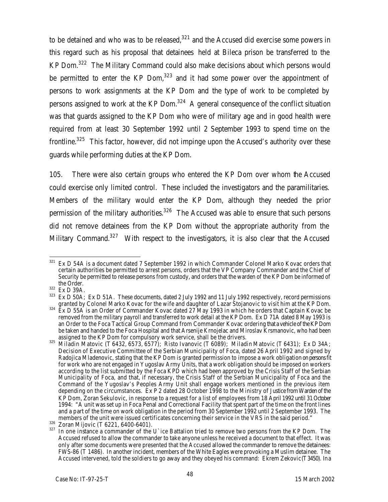to be detained and who was to be released, $321$  and the Accused did exercise some powers in this regard such as his proposal that detainees held at Bileca prison be transferred to the KP Dom.<sup>322</sup> The Military Command could also make decisions about which persons would be permitted to enter the KP Dom, $323$  and it had some power over the appointment of persons to work assignments at the KP Dom and the type of work to be completed by persons assigned to work at the KP Dom. $324$  A general consequence of the conflict situation was that guards assigned to the KP Dom who were of military age and in good health were required from at least 30 September 1992 until 2 September 1993 to spend time on the frontline.<sup>325</sup> This factor, however, did not impinge upon the Accused's authority over these guards while performing duties at the KP Dom.

105. There were also certain groups who entered the KP Dom over whom the Accused could exercise only limited control. These included the investigators and the paramilitaries. Members of the military would enter the KP Dom, although they needed the prior permission of the military authorities.<sup>326</sup> The Accused was able to ensure that such persons did not remove detainees from the KP Dom without the appropriate authority from the Military Command.<sup>327</sup> With respect to the investigators, it is also clear that the Accused

<sup>321</sup> Ex D 54A is a document dated 7 September 1992 in which Commander Colonel Marko Kovac orders that certain authorities be permitted to arrest persons, orders that the VP Company Commander and the Chief of Security be permitted to release persons from custody, and orders that the warden of the KP Dom be informed of the Order.

 $rac{322}{323}$  Ex D 39A.

Ex D 50A; Ex D 51A. These documents, dated 2 July 1992 and 11 July 1992 respectively, record permissions granted by Colonel Marko Kovac for the wife and daughter of Lazar Stojanovic to visit him at the KP Dom.

 $324$  Ex D 55A is an Order of Commander Kovac dated 27 May 1993 in which he orders that Captain Kovac be removed from the military payroll and transferred to work detail at the KP Dom. Ex D 71A dated 8 May 1993 is an Order to the Foca Tactical Group Command from Commander Kovac ordering that a vehicle of the KP Dom be taken and handed to the Foca Hospital and that Arsenije Krnojelac and Miroslav Krsmanovic, who had been assigned to the KP Dom for compulsory work service, shall be the drivers.

<sup>&</sup>lt;sup>325</sup> Miladin Matovic (T 6432, 6573, 6577); Risto Ivanovic (T 6089); Miladin Matovic (T 6431); Ex D 34A; Decision of Executive Committee of the Serbian Municipality of Foca, dated 26 April 1992 and signed by Radojica Mladenovic, stating that the KP Dom is granted permission to impose a work obligation on persons fit for work who are not engaged in Yugoslav Army Units, that a work obligation should be imposed on workers according to the list submitted by the Foca KPD which had been approved by the Crisis Staff of the Serbian Municipality of Foca, and that, if necessary, the Crisis Staff of the Serbian Municipality of Foca and the Command of the Yugoslav's Peoples Army Unit shall engage workers mentioned in the previous item depending on the circumstances. Ex P 2 dated 28 October 1998 to the Ministry of Justice from Warden of the KP Dom, Zoran Sekulovic, in response to a request for a list of employees from 18 April 1992 until 31October 1994: "A unit was set up in Foca Penal and Correctional Facility that spent part of the time on the front lines and a part of the time on work obligation in the period from 30 September 1992 until 2 September 1993. The members of the unit were issued certificates concerning their service in the VRS in the said period."

<sup>326</sup> Zoran Mijovic (T 6221, 6400-6401).

<sup>&</sup>lt;sup>327</sup> In one instance a commander of the U`ice Battalion tried to remove two persons from the KP Dom. The Accused refused to allow the commander to take anyone unless he received a document to that effect. It was only after some documents were presented that the Accused allowed the commander to remove the detainees: FWS-86 (T 1486). In another incident, members of the White Eagles were provoking a Muslim detainee. The Accused intervened, told the soldiers to go away and they obeyed his command: Ekrem Zekovic (T3450). In a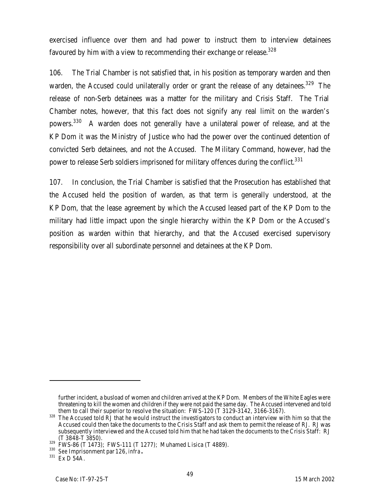exercised influence over them and had power to instruct them to interview detainees favoured by him with a view to recommending their exchange or release.<sup>328</sup>

106. The Trial Chamber is not satisfied that, in his position as temporary warden and then warden, the Accused could unilaterally order or grant the release of any detainees.<sup>329</sup> The release of non-Serb detainees was a matter for the military and Crisis Staff. The Trial Chamber notes, however, that this fact does not signify any real limit on the warden's powers.<sup>330</sup> A warden does not generally have a unilateral power of release, and at the KP Dom it was the Ministry of Justice who had the power over the continued detention of convicted Serb detainees, and not the Accused. The Military Command, however, had the power to release Serb soldiers imprisoned for military offences during the conflict.<sup>331</sup>

107. In conclusion, the Trial Chamber is satisfied that the Prosecution has established that the Accused held the position of warden, as that term is generally understood, at the KP Dom, that the lease agreement by which the Accused leased part of the KP Dom to the military had little impact upon the single hierarchy within the KP Dom or the Accused's position as warden within that hierarchy, and that the Accused exercised supervisory responsibility over all subordinate personnel and detainees at the KP Dom.

further incident, a busload of women and children arrived at the KP Dom. Members of the White Eagles were threatening to kill the women and children if they were not paid the same day. The Accused intervened and told them to call their superior to resolve the situation: FWS-120 (T 3129-3142, 3166-3167).

<sup>&</sup>lt;sup>328</sup> The Accused told RJ that he would instruct the investigators to conduct an interview with him so that the Accused could then take the documents to the Crisis Staff and ask them to permit the release of RJ. RJ was subsequently interviewed and the Accused told him that he had taken the documents to the Crisis Staff: RJ (T 3848-T 3850).

 $\frac{329}{10}$  FWS-86 (T 1473); FWS-111 (T 1277); Muhamed Lisica (T 4889).

<sup>330</sup> *See* Imprisonment par 126, *infra***.**

<sup>331</sup> Ex D 54A.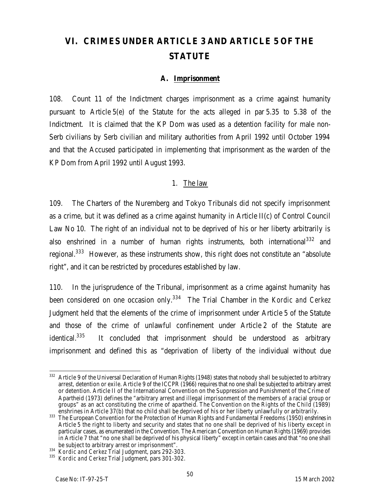# **VI. CRIMES UNDER ARTICLE 3 AND ARTICLE 5 OF THE STATUTE**

#### **A. Imprisonment**

108. Count 11 of the Indictment charges imprisonment as a crime against humanity pursuant to Article 5(e) of the Statute for the acts alleged in par 5.35 to 5.38 of the Indictment. It is claimed that the KP Dom was used as a detention facility for male non-Serb civilians by Serb civilian and military authorities from April 1992 until October 1994 and that the Accused participated in implementing that imprisonment as the warden of the KP Dom from April 1992 until August 1993.

#### 1. The law

109. The Charters of the Nuremberg and Tokyo Tribunals did not specify imprisonment as a crime, but it was defined as a crime against humanity in Article II(c) of Control Council Law No 10. The right of an individual not to be deprived of his or her liberty arbitrarily is also enshrined in a number of human rights instruments, both international<sup>332</sup> and regional.<sup>333</sup> However, as these instruments show, this right does not constitute an "absolute right", and it can be restricted by procedures established by law.

110. In the jurisprudence of the Tribunal, imprisonment as a crime against humanity has been considered on one occasion only.<sup>334</sup> The Trial Chamber in the *Kordic and Cerkez* Judgment held that the elements of the crime of imprisonment under Article 5 of the Statute and those of the crime of unlawful confinement under Article 2 of the Statute are identical. $335$  It concluded that imprisonment should be understood as arbitrary imprisonment and defined this as "deprivation of liberty of the individual without due

 $\overline{a}$  $332$  Article 9 of the Universal Declaration of Human Rights (1948) states that nobody shall be subjected to arbitrary arrest, detention or exile. Article 9 of the ICCPR (1966) requires that no one shall be subjected to arbitrary arrest or detention. Article II of the International Convention on the Suppression and Punishment of the Crime of Apartheid (1973) defines the "arbitrary arrest and illegal imprisonment of the members of a racial group or groups" as an act constituting the crime of apartheid. The Convention on the Rights of the Child (1989) enshrines in Article 37(b) that no child shall be deprived of his or her liberty unlawfully or arbitrarily.

<sup>333</sup> The European Convention for the Protection of Human Rights and Fundamental Freedoms (1950) enshrines in Article 5 the right to liberty and security and states that no one shall be deprived of his liberty except in particular cases, as enumerated in the Convention. The American Convention on Human Rights (1969) provides in Article 7 that "no one shall be deprived of his physical liberty" except in certain cases and that "no one shall be subject to arbitrary arrest or imprisonment".

<sup>334</sup> *Kordic and Cerkez* Trial Judgment, pars 292-303.

<sup>335</sup> *Kordic and Cerkez* Trial Judgment, pars 301-302.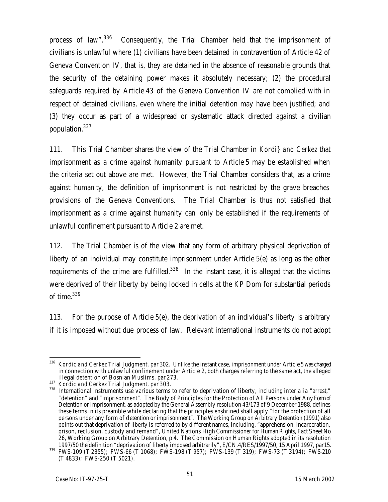process of law".<sup>336</sup> Consequently, the Trial Chamber held that the imprisonment of civilians is unlawful where (1) civilians have been detained in contravention of Article 42 of Geneva Convention IV, that is, they are detained in the absence of reasonable grounds that the security of the detaining power makes it absolutely necessary; (2) the procedural safeguards required by Article 43 of the Geneva Convention IV are not complied with in respect of detained civilians, even where the initial detention may have been justified; and (3) they occur as part of a widespread or systematic attack directed against a civilian population.<sup>337</sup>

111. This Trial Chamber shares the view of the Trial Chamber in *Kordi} and Cerkez* that imprisonment as a crime against humanity pursuant to Article 5 may be established when the criteria set out above are met. However, the Trial Chamber considers that, as a crime against humanity, the definition of imprisonment is not restricted by the grave breaches provisions of the Geneva Conventions. The Trial Chamber is thus not satisfied that imprisonment as a crime against humanity can *only* be established if the requirements of unlawful confinement pursuant to Article 2 are met.

112. The Trial Chamber is of the view that any form of arbitrary physical deprivation of liberty of an individual may constitute imprisonment under Article 5(e) as long as the other requirements of the crime are fulfilled.<sup>338</sup> In the instant case, it is alleged that the victims were deprived of their liberty by being locked in cells at the KP Dom for substantial periods of time.<sup>339</sup>

113. For the purpose of Article 5(e), the deprivation of an individual's liberty is arbitrary if it is imposed without due process of law. Relevant international instruments do not adopt

 $\overline{a}$ <sup>336</sup> *Kordic and Cerkez* Trial Judgment, par 302. Unlike the instant case, imprisonment under Article 5 was charged in connection with unlawful confinement under Article 2, both charges referring to the same act, the alleged illegal detention of Bosnian Muslims, par 273.

<sup>337</sup> *Kordic and Cerkez* Trial Judgment, par 303.

<sup>338</sup> International instruments use various terms to refer to deprivation of liberty, including *inter alia* "arrest," "detention" and "imprisonment". The Body of Principles for the Protection of All Persons under Any Form of Detention or Imprisonment, as adopted by the General Assembly resolution 43/173 of 9 December 1988, defines these terms in its preamble while declaring that the principles enshrined shall apply "for the protection of all persons under any form of detention or imprisonment". The Working Group on Arbitrary Detention (1991) also points out that deprivation of liberty is referred to by different names, including, "apprehension, incarceration, prison, reclusion, custody and remand", United Nations High Commissioner for Human Rights, Fact Sheet No 26, Working Group on Arbitrary Detention, p 4. The Commission on Human Rights adopted in its resolution 1997/50 the definition "deprivation of liberty imposed arbitrarily", E/CN.4/RES/1997/50, 15 April 1997, par15.

<sup>339</sup> FWS-109 (T 2355); FWS-66 (T 1068); FWS-198 (T 957); FWS-139 (T 319); FWS-73 (T 3194); FWS-210 (T 4833); FWS-250 (T 5021).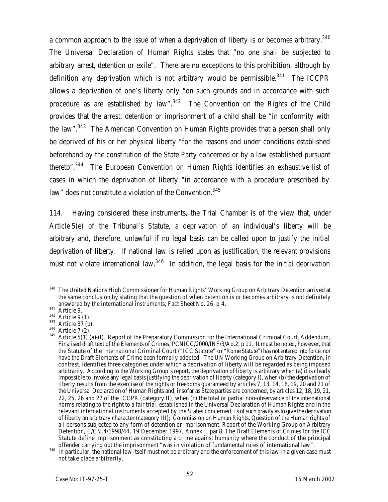a common approach to the issue of when a deprivation of liberty is or becomes arbitrary. $^{340}$ The Universal Declaration of Human Rights states that "no one shall be subjected to arbitrary arrest, detention or exile". There are no exceptions to this prohibition, although by definition any deprivation which is not arbitrary would be permissible.<sup>341</sup> The ICCPR allows a deprivation of one's liberty only "on such grounds and in accordance with such procedure as are established by law". $342$  The Convention on the Rights of the Child provides that the arrest, detention or imprisonment of a child shall be "in conformity with the law".<sup>343</sup> The American Convention on Human Rights provides that a person shall only be deprived of his or her physical liberty "for the reasons and under conditions established beforehand by the constitution of the State Party concerned or by a law established pursuant thereto".<sup>344</sup> The European Convention on Human Rights identifies an exhaustive list of cases in which the deprivation of liberty "in accordance with a procedure prescribed by law" does not constitute a violation of the Convention.<sup>345</sup>

114. Having considered these instruments, the Trial Chamber is of the view that, under Article 5(e) of the Tribunal's Statute, a deprivation of an individual's liberty will be arbitrary and, therefore, unlawful if no legal basis can be called upon to justify the initial deprivation of liberty. If national law is relied upon as justification, the relevant provisions must not violate international law. $346$  In addition, the legal basis for the initial deprivation

 $\overline{a}$  $340\,$  The United Nations High Commissioner for Human Rights' Working Group on Arbitrary Detention arrived at the same conclusion by stating that the question of when detention is or becomes arbitrary is not definitely answered by the international instruments, Fact Sheet No. 26, p 4.

 $341$  Article 9.

 $342$  Article 9 (1).

<sup>&</sup>lt;sup>343</sup> Article 37 (b).

 $344$  Article 7 (2).

<sup>345</sup> Article 5(1) (a)-(f). Report of the Preparatory Commission for the International Criminal Court, Addendum, Finalised draft text of the Elements of Crimes, PCNICC/2000/INF/3/Ad.2, p 11. It must be noted, however, that the Statute of the International Criminal Court ("ICC Statute" or "Rome Statute") has not entered into force, nor have the Draft Elements of Crime been formally adopted. The UN Working Group on Arbitrary Detention, in contrast, identifies three categories under which a deprivation of liberty will be regarded as being imposed arbitrarily. According to the Working Group's report, the deprivation of liberty is arbitrary when (a) it is clearly impossible to invoke any legal basis justifying the deprivation of liberty (category I), when (b) the deprivation of liberty results from the exercise of the rights or freedoms guaranteed by articles 7, 13, 14, 18, 19, 20 and 21 of the Universal Declaration of Human Rights and, insofar as State parties are concerned, by articles 12, 18, 19, 21, 22, 25, 26 and 27 of the ICCPR (category II), when (c) the total or partial non-observance of the international norms relating to the right to a fair trial, established in the Universal Declaration of Human Rights and in the relevant international instruments accepted by the States concerned, is of such gravity as to give the deprivation of liberty an arbitrary character (category III); Commission on Human Rights, Question of the Human rights of all persons subjected to any form of detention or imprisonment, Report of the Working Group on Arbitrary Detention, E/CN.4/1998/44, 19 December 1997, Annex I, par 8. The Draft Elements of Crimes for the ICC Statute define imprisonment as constituting a crime against humanity where the conduct of the principal offender carrying out the imprisonment "was in violation of fundamental rules of international law".

<sup>346</sup> In particular, the national law itself must not be arbitrary and the enforcement of this law in a given case must not take place arbitrarily.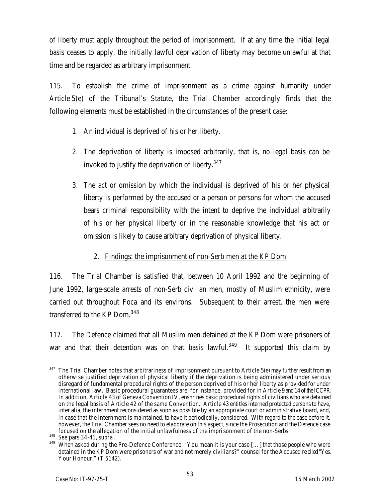of liberty must apply throughout the period of imprisonment. If at any time the initial legal basis ceases to apply, the initially lawful deprivation of liberty may become unlawful at that time and be regarded as arbitrary imprisonment.

115. To establish the crime of imprisonment as a crime against humanity under Article 5(e) of the Tribunal's Statute, the Trial Chamber accordingly finds that the following elements must be established in the circumstances of the present case:

- 1. An individual is deprived of his or her liberty.
- 2. The deprivation of liberty is imposed arbitrarily, that is, no legal basis can be invoked to justify the deprivation of liberty.<sup>347</sup>
- 3. The act or omission by which the individual is deprived of his or her physical liberty is performed by the accused or a person or persons for whom the accused bears criminal responsibility with the intent to deprive the individual arbitrarily of his or her physical liberty or in the reasonable knowledge that his act or omission is likely to cause arbitrary deprivation of physical liberty.

### 2. Findings: the imprisonment of non-Serb men at the KP Dom

116. The Trial Chamber is satisfied that, between 10 April 1992 and the beginning of June 1992, large-scale arrests of non-Serb civilian men, mostly of Muslim ethnicity, were carried out throughout Foca and its environs. Subsequent to their arrest, the men were transferred to the KP Dom.<sup>348</sup>

117. The Defence claimed that all Muslim men detained at the KP Dom were prisoners of war and that their detention was on that basis lawful.<sup>349</sup> It supported this claim by

 $\overline{a}$  $347$  The Trial Chamber notes that arbitrariness of imprisonment pursuant to Article 5(e) may further result from an otherwise justified deprivation of physical liberty if the deprivation is being administered under serious disregard of fundamental procedural rights of the person deprived of his or her liberty as provided for under international law. Basic procedural guarantees are, for instance, provided for in Article 9 and 14 of the ICCPR. In addition, Article 43 of Geneva Convention IV, enshrines basic procedural rights of civilians who are detained on the legal basis of Article 42 of the same Convention. Article 43 entitles interned protected persons to have, inter alia, the internment reconsidered as soon as possible by an appropriate court or administrative board, and, in case that the internment is maintained, to have it periodically, considered. With regard to the case before it, however, the Trial Chamber sees no need to elaborate on this aspect, since the Prosecution and the Defence case focused on the allegation of the initial unlawfulness of the imprisonment of the non-Serbs.

<sup>348</sup> *See* pars 34-41, *supra*.

<sup>&</sup>lt;sup>349</sup> When asked during the Pre-Defence Conference, "You mean it is your case [...] that those people who were detained in the KP Dom were prisoners of war and not merely civilians?" counsel for the Accused replied "Yes, Your Honour." (T 5142).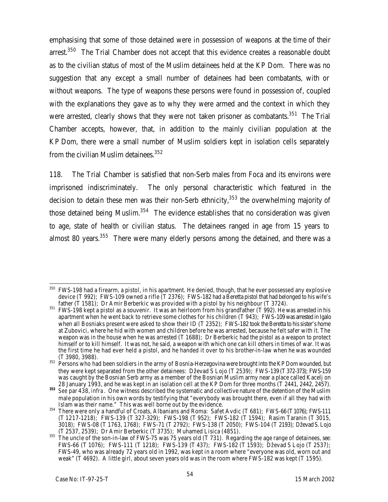emphasising that some of those detained were in possession of weapons at the time of their arrest.<sup>350</sup> The Trial Chamber does not accept that this evidence creates a reasonable doubt as to the civilian status of most of the Muslim detainees held at the KP Dom. There was no suggestion that any except a small number of detainees had been combatants, with or without weapons. The type of weapons these persons were found in possession of, coupled with the explanations they gave as to why they were armed and the context in which they were arrested, clearly shows that they were not taken prisoner as combatants.<sup>351</sup> The Trial Chamber accepts, however, that, in addition to the mainly civilian population at the KP Dom, there were a small number of Muslim soldiers kept in isolation cells separately from the civilian Muslim detainees.  $352$ 

118. The Trial Chamber is satisfied that non-Serb males from Foca and its environs were imprisoned indiscriminately. The only personal characteristic which featured in the decision to detain these men was their non-Serb ethnicity,  $353$  the overwhelming majority of those detained being Muslim. $354$  The evidence establishes that no consideration was given to age, state of health or civilian status. The detainees ranged in age from 15 years to almost 80 years.  $355$  There were many elderly persons among the detained, and there was a

 $\overline{a}$  $^{350}$  FWS-198 had a firearm, a pistol, in his apartment. He denied, though, that he ever possessed any explosive device (T 992); FWS-109 owned a rifle (T 2376); FWS-182 had a Beretta pistol that had belonged to his wife's father  $(T 1581)$ ; Dr Amir Berberkic was provided with a pistol by his neighbour (T 3724).

<sup>&</sup>lt;sup>351</sup> FWS-198 kept a pistol as a souvenir. It was an heirloom from his grandfather (T 992). He was arrested in his apartment when he went back to retrieve some clothes for his children (T 943); FWS-109 was arrested in Igalo when all Bosniaks present were asked to show their ID (T 2352); FWS-182 took the Beretta to his sister's home at Zubovici, where he hid with women and children before he was arrested, because he felt safer with it. The weapon was in the house when he was arrested (T 1688); Dr Berberkic had the pistol as a weapon to protect himself or to kill himself. It was not, he said, a weapon with which one can kill others in times of war. It was the first time he had ever held a pistol, and he handed it over to his brother-in-law when he was wounded (T 3980, 3988).

 $^{352}$  Persons who had been soldiers in the army of Bosnia-Herzegovina were brought into the KP Dom wounded, but they were kept separated from the other detainees: Dževad S Lojo (T 2539); FWS-139 (T372-373); FWS-159 was caught by the Bosnian Serb army as a member of the Bosnian Muslim army near a place called Kacelj on 28 January 1993, and he was kept in an isolation cell at the KP Dom for three months (T 2441, 2442, 2457).

**<sup>353</sup>** *See* par 438, *infra*. One witness described the systematic and collective nature of the detention of the Muslim male population in his own words by testifying that "everybody was brought there, even if all they had with Islam was their name." This was well borne out by the evidence.

 $354$  There were only a handful of Croats, Albanians and Roma: Safet Avdic (T 681); FWS-66 (T 1076); FWS-111 (T 1217-1218); FWS-139 (T 327-329); FWS-198 (T 952); FWS-182 (T 1594); Rasim Taranin (T 3015, 3018); FWS-08 (T 1763, 1768); FWS-71 (T 2792); FWS-138 (T 2050); FWS-104 (T 2193); Dževad S. Lojo (T 2537, 2539); Dr Amir Berberkic (T 3735); Muhamed Lisica (4851).

<sup>355</sup> The uncle of the son-in-law of FWS-75 was 75 years old (T 731). Regarding the age range of detainees, *see*: FWS-66 (T 1076); FWS-111 (T 1218); FWS-139 (T 437); FWS-182 (T 1593); Dževad S Lojo (T 2537); FWS-49, who was already 72 years old in 1992, was kept in a room where "everyone was old, worn out and weak" (T 4692). A little girl, about seven years old was in the room where FWS-182 was kept (T 1595).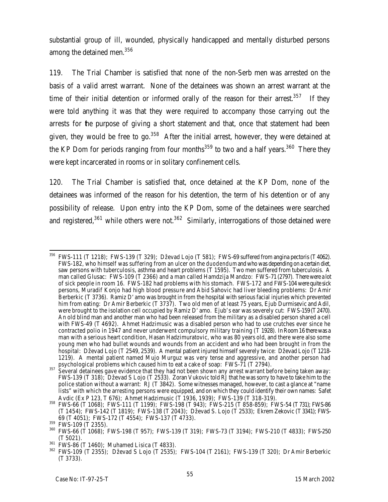substantial group of ill, wounded, physically handicapped and mentally disturbed persons among the detained men.<sup>356</sup>

119. The Trial Chamber is satisfied that none of the non-Serb men was arrested on the basis of a valid arrest warrant. None of the detainees was shown an arrest warrant at the time of their initial detention or informed orally of the reason for their arrest.<sup>357</sup> If they were told anything it was that they were required to accompany those carrying out the arrests for the purpose of giving a short statement and that, once that statement had been given, they would be free to go.  $358$  After the initial arrest, however, they were detained at the KP Dom for periods ranging from four months<sup>359</sup> to two and a half years.<sup>360</sup> There they were kept incarcerated in rooms or in solitary confinement cells.

120. The Trial Chamber is satisfied that, once detained at the KP Dom, none of the detainees was informed of the reason for his detention, the term of his detention or of any possibility of release. Upon entry into the KP Dom, some of the detainees were searched and registered,<sup>361</sup> while others were not.<sup>362</sup> Similarly, interrogations of those detained were

 $\overline{a}$  $356$  FWS-111 (T 1218); FWS-139 (T 329); Dževad Lojo (T 581); FWS-69 suffered from angina pectoris (T 4062). FWS-182, who himself was suffering from an ulcer on the *duodendum* and who was depending on a certain diet, saw persons with tuberculosis, asthma and heart problems (T 1595). Two men suffered from tuberculosis. A man called Glusac: FWS-109 (T 2366) and a man called Hamdzija Mandzo: FWS-71 (2797). There were a lot of sick people in room 16. FWS-182 had problems with his stomach. FWS-172 and FWS-104 were quite sick persons, Muradif Konjo had high blood pressure and Abid Sahovic had liver bleeding problems: Dr Amir Berberkic (T 3736). Ramiz D'amo was brought in from the hospital with serious facial injuries which prevented him from eating: Dr Amir Berberkic (T 3737). Two old men of at least 75 years, Ejub Durmisevic and Adil, were brought to the isolation cell occupied by Ramiz D'amo. Ejub's ear was severely cut: FWS-159 (T 2470). An old blind man and another man who had been released from the military as a disabled person shared a cell with FWS-49 (T 4692). Ahmet Hadzimusic was a disabled person who had to use crutches ever since he contracted polio in 1947 and never underwent compulsory military training (T 1928). In Room 16 there was a man with a serious heart condition, Hasan Hadzimuratovic, who was 80 years old, and there were also some young men who had bullet wounds and wounds from an accident and who had been brought in from the hospital: Dževad Lojo (T 2549, 2539). A mental patient injured himself severely twice: Dževad Lojo (T 1218-1219). A mental patient named Mujo Murguz was very tense and aggressive, and another person had psychological problems which caused him to eat a cake of soap: FWS-71 (T 2794).

 $357$  Several detainees gave evidence that they had not been shown any arrest warrant before being taken away: FWS-139 (T 318); Dževad S Lojo (T 2533). Zoran Vukovic told RJ that he was sorry to have to take him to the police station without a warrant: RJ (T 3842). Some witnesses managed, however, to cast a glance at "name lists" with which the arresting persons were equipped, and on which they could identify their own names: Safet Avdic (Ex P 123, T 676); Ahmet Hadzimusic (T 1936, 1939); FWS-139 (T 318-319).

<sup>358</sup> FWS-66 (T 1068); FWS-111 (T 1199); FWS-198 (T 943); FWS-215 (T 858-859); FWS-54 (T731); FWS-86 (T 1454); FWS-142 (T 1819); FWS-138 (T 2043); Dževad S. Lojo (T 2533); Ekrem Zekovic (T3341); FWS-69 (T 4051); FWS-172 (T 4554); FWS-137 (T 4733).

 $359$  FWS-109 (T 2355).

<sup>360</sup> FWS-66 (T 1068); FWS-198 (T 957); FWS-139 (T 319); FWS-73 (T 3194); FWS-210 (T 4833); FWS-250 (T 5021).

 $361$  FWS-86 (T 1460); Muhamed Lisica (T 4833).

<sup>362</sup> FWS-109 (T 2355); Dževad S Lojo (T 2535); FWS-104 (T 2161); FWS-139 (T 320); Dr Amir Berberkic (T 3733).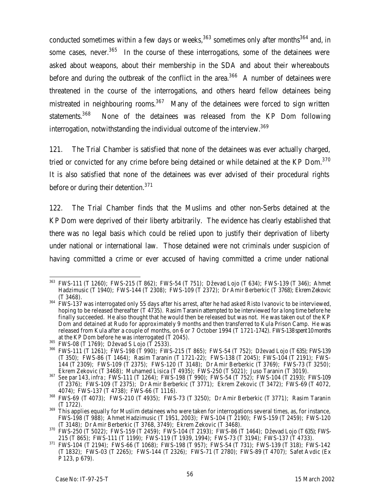conducted sometimes within a few days or weeks,  $363$  sometimes only after months  $364$  and, in some cases, never. $365$  In the course of these interrogations, some of the detainees were asked about weapons, about their membership in the SDA and about their whereabouts before and during the outbreak of the conflict in the area.<sup>366</sup> A number of detainees were threatened in the course of the interrogations, and others heard fellow detainees being mistreated in neighbouring rooms.<sup>367</sup> Many of the detainees were forced to sign written statements.<sup>368</sup> None of the detainees was released from the KP Dom following interrogation, notwithstanding the individual outcome of the interview.<sup>369</sup>

121. The Trial Chamber is satisfied that none of the detainees was ever actually charged, tried or convicted for any crime before being detained or while detained at the KP Dom. $370$ It is also satisfied that none of the detainees was ever advised of their procedural rights before or during their detention.<sup>371</sup>

122. The Trial Chamber finds that the Muslims and other non-Serbs detained at the KP Dom were deprived of their liberty arbitrarily. The evidence has clearly established that there was no legal basis which could be relied upon to justify their deprivation of liberty under national or international law. Those detained were not criminals under suspicion of having committed a crime or ever accused of having committed a crime under national

 $\overline{a}$ <sup>363</sup> FWS-111 (T 1260); FWS-215 (T 862); FWS-54 (T 751); Dževad Lojo (T 634); FWS-139 (T 346); Ahmet Hadzimusic (T 1940); FWS-144 (T 2308); FWS-109 (T 2372); Dr Amir Berberkic (T 3768); Ekrem Zekovic (T 3468).

 $^{364}$  FWS-137 was interrogated only 55 days after his arrest, after he had asked Risto Ivanovic to be interviewed, hoping to be released thereafter (T 4735). Rasim Taranin attempted to be interviewed for a long time before he finally succeeded. He also thought that he would then be released but was not. He was taken out of the KP Dom and detained at Rudo for approximately 9 months and then transferred to Kula Prison Camp. He was released from Kula after a couple of months, on 6 or 7 October 1994 (T 1721-1742). FWS-138 spent 10 months at the KP Dom before he was interrogated (T 2045).

<sup>365</sup> FWS-08 (T 1769); Dževad S Lojo (T 2533).

<sup>366</sup> FWS-111 (T 1261); FWS-198 (T 990); FWS-215 (T 865); FWS-54 (T 752); Dževad Lojo (T 635); FWS-139 (T 350); FWS-86 (T 1464); Rasim Taranin (T 1721-22); FWS-138 (T 2045); FWS-104 (T 2191); FWS-144 (T 2309); FWS-109 (T 2375); FWS-120 (T 3148); Dr Amir Berberkic (T 3769); FWS-73 (T 3250); Ekrem Zekovic (T 3468); Muhamed Lisica (T 4935); FWS-250 (T 5021); Juso Taranin (T 3019).

<sup>367</sup> *See* par 143, *infra*; FWS-111 (T 1264); FWS-198 (T 990); FWS-54 (T 752); FWS-104 (T 2193); FWS-109 (T 2376); FWS-109 (T 2375); Dr Amir Berberkic (T 3771); Ekrem Zekovic (T 3472); FWS-69 (T 4072, 4074); FWS-137 (T 4738); FWS-66 (T 1116).

<sup>368</sup> FWS-69 (T 4073); FWS-210 (T 4935); FWS-73 (T 3250); Dr Amir Berberkic (T 3771); Rasim Taranin (T 1722).

 $369$  This applies equally for Muslim detainees who were taken for interrogations several times, as, for instance, FWS-198 (T 988); Ahmet Hadzimusic (T 1951, 2003); FWS-104 (T 2190); FWS-159 (T 2459); FWS-120 (T 3148); Dr Amir Berberkic (T 3768, 3749); Ekrem Zekovic (T 3468).

<sup>370</sup> FWS-250 (T 5022); FWS-159 (T 2459); FWS-104 (T 2193); FWS-86 (T 1464); Dževad Lojo (T 635); FWS-215 (T 865); FWS-111 (T 1199); FWS-119 (T 1939, 1994); FWS-73 (T 3194); FWS-137 (T 4733).

<sup>371</sup> FWS-104 (T 2194); FWS-66 (T 1068); FWS-198 (T 957); FWS-54 (T 731); FWS-139 (T 318); FWS-142 (T 1832); FWS-03 (T 2265); FWS-144 (T 2326); FWS-71 (T 2780); FWS-89 (T 4707); Safet Avdic (Ex P 123, p 679).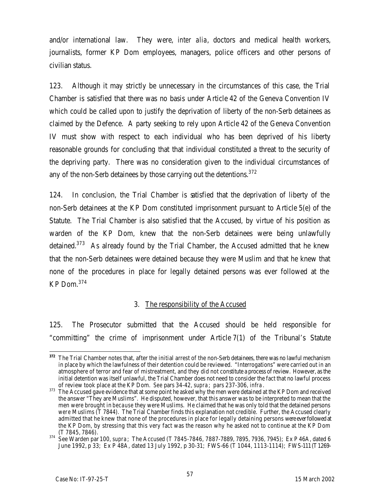and/or international law. They were, *inter alia*, doctors and medical health workers, journalists, former KP Dom employees, managers, police officers and other persons of civilian status.

123. Although it may strictly be unnecessary in the circumstances of this case, the Trial Chamber is satisfied that there was no basis under Article 42 of the Geneva Convention IV which could be called upon to justify the deprivation of liberty of the non-Serb detainees as claimed by the Defence. A party seeking to rely upon Article 42 of the Geneva Convention IV must show with respect to each individual who has been deprived of his liberty reasonable grounds for concluding that that individual constituted a threat to the security of the depriving party. There was no consideration given to the individual circumstances of any of the non-Serb detainees by those carrying out the detentions. $372$ 

124. In conclusion, the Trial Chamber is satisfied that the deprivation of liberty of the non-Serb detainees at the KP Dom constituted imprisonment pursuant to Article 5(e) of the Statute. The Trial Chamber is also satisfied that the Accused, by virtue of his position as warden of the KP Dom, knew that the non-Serb detainees were being unlawfully detained.<sup>373</sup> As already found by the Trial Chamber, the Accused admitted that he knew that the non-Serb detainees were detained because they were Muslim and that he knew that none of the procedures in place for legally detained persons was ever followed at the KP Dom.<sup>374</sup>

#### 3. The responsibility of the Accused

125. The Prosecutor submitted that the Accused should be held responsible for "committing" the crime of imprisonment under Article 7(1) of the Tribunal's Statute

 $\overline{a}$ **<sup>372</sup>** The Trial Chamber notes that, after the initial arrest of the non-Serb detainees, there was no lawful mechanism in place by which the lawfulness of their detention could be reviewed. "Interrogations" were carried out in an atmosphere of terror and fear of mistreatment, and they did not constitute a process of review. However, as the initial detention was itself unlawful, the Trial Chamber does not need to consider the fact that no lawful process of review took place at the KP Dom. *See* pars 34-42, *supra*; pars 237-306, *infra*.

<sup>&</sup>lt;sup>373</sup> The Accused gave evidence that at some point he asked why the men were detained at the KP Dom and received the answer "They are Muslims". He disputed, however, that this answer was to be interpreted to mean that the men were brought in *because* they were Muslims. He claimed that he was only told that the detained persons *were* Muslims (T 7844). The Trial Chamber finds this explanation not credible. Further, the Accused clearly admitted that he knew that none of the procedures in place for legally detaining persons were ever followed at the KP Dom, by stressing that this very fact was the reason why he asked not to continue at the KP Dom (T 7845, 7846).

<sup>374</sup> See Warden par 100, *supra*; The Accused (T 7845-7846, 7887-7889, 7895, 7936, 7945); Ex P 46A, dated 6 June 1992, p 33; Ex P 48A, dated 13 July 1992, p 30-31; FWS-66 (T 1044, 1113-1114); FWS-111 (T1269-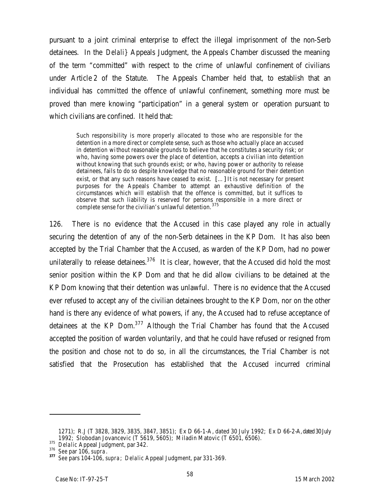pursuant to a joint criminal enterprise to effect the illegal imprisonment of the non-Serb detainees. In the *Delali}* Appeals Judgment, the Appeals Chamber discussed the meaning of the term "committed" with respect to the crime of unlawful confinement of civilians under Article 2 of the Statute. The Appeals Chamber held that, to establish that an individual has *committed* the offence of unlawful confinement, something more must be proved than mere knowing "participation" in a general system or operation pursuant to which civilians are confined. It held that:

Such responsibility is more properly allocated to those who are responsible for the detention in a more direct or complete sense, such as those who actually place an accused in detention without reasonable grounds to believe that he constitutes a security risk; or who, having some powers over the place of detention, accepts a civilian into detention without knowing that such grounds exist; or who, having power or authority to release detainees, fails to do so despite knowledge that no reasonable ground for their detention exist, or that any such reasons have ceased to exist. [...] It is not necessary for present purposes for the Appeals Chamber to attempt an exhaustive definition of the circumstances which will establish that the offence is committed, but it suffices to observe that such liability is reserved for persons responsible in a more direct or complete sense for the civilian's unlawful detention. <sup>375</sup>

126. There is no evidence that the Accused in this case played any role in actually securing the detention of any of the non-Serb detainees in the KP Dom. It has also been accepted by the Trial Chamber that the Accused, as warden of the KP Dom, had no power unilaterally to release detainees. $376$  It is clear, however, that the Accused did hold the most senior position within the KP Dom and that he did allow civilians to be detained at the KP Dom knowing that their detention was unlawful. There is no evidence that the Accused ever refused to accept any of the civilian detainees brought to the KP Dom, nor on the other hand is there any evidence of what powers, if any, the Accused had to refuse acceptance of detainees at the KP Dom. $377$  Although the Trial Chamber has found that the Accused accepted the position of warden voluntarily, and that he could have refused or resigned from the position and chose not to do so, in all the circumstances, the Trial Chamber is not satisfied that the Prosecution has established that the Accused incurred criminal

<sup>1271);</sup> R.J (T 3828, 3829, 3835, 3847, 3851); Ex D 66-1-A, dated 30 July 1992; Ex D 66-2-A, dated 30 July 1992; Slobodan Jovancevic (T 5619, 5605); Miladin Matovic (T 6501, 6506).

<sup>375</sup> *Delalic* Appeal Judgment, par 342.

<sup>376</sup> *See* par 106, *supra*.

**<sup>377</sup>** *See* pars 104-106, *supra*; *Delalic* Appeal Judgment, par 331-369.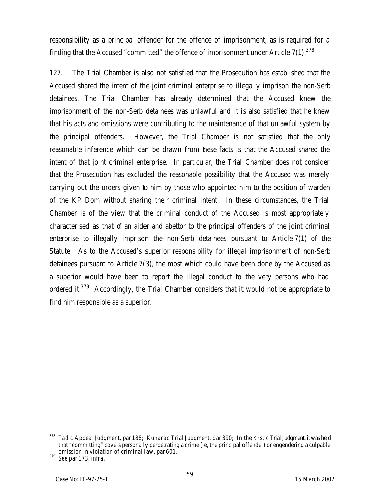responsibility as a principal offender for the offence of imprisonment, as is required for a finding that the Accused "committed" the offence of imprisonment under Article 7(1). $^{378}$ 

127. The Trial Chamber is also not satisfied that the Prosecution has established that the Accused shared the intent of the joint criminal enterprise to illegally imprison the non-Serb detainees. The Trial Chamber has already determined that the Accused knew the imprisonment of the non-Serb detainees was unlawful and it is also satisfied that he knew that his acts and omissions were contributing to the maintenance of that unlawful system by the principal offenders. However, the Trial Chamber is not satisfied that the only reasonable inference which can be drawn from these facts is that the Accused shared the intent of that joint criminal enterprise. In particular, the Trial Chamber does not consider that the Prosecution has excluded the reasonable possibility that the Accused was merely carrying out the orders given to him by those who appointed him to the position of warden of the KP Dom without sharing their criminal intent. In these circumstances, the Trial Chamber is of the view that the criminal conduct of the Accused is most appropriately characterised as that of an aider and abettor to the principal offenders of the joint criminal enterprise to illegally imprison the non-Serb detainees pursuant to Article 7(1) of the Statute. As to the Accused's superior responsibility for illegal imprisonment of non-Serb detainees pursuant to Article 7(3), the most which could have been done by the Accused as a superior would have been to report the illegal conduct to the very persons who had ordered it.<sup>379</sup> Accordingly, the Trial Chamber considers that it would not be appropriate to find him responsible as a superior.

 $\overline{a}$ <sup>378</sup> *Tadic* Appeal Judgment, par 188; *Kunarac* Trial Judgment, par 390; In the *Krstic* Trial Judgment, it was held that "committing" covers personally perpetrating a crime (ie, the principal offender) or engendering a culpable omission in violation of criminal law, par 601.

<sup>379</sup> *See* par 173, *infra*.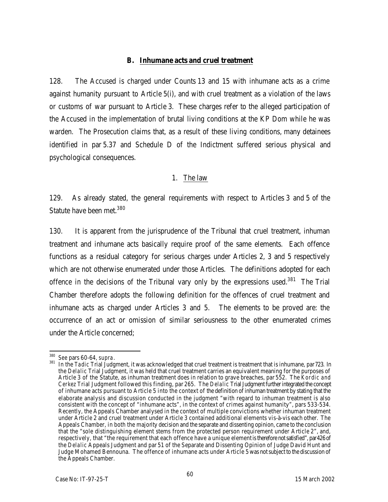#### **B. Inhumane acts and cruel treatment**

128. The Accused is charged under Counts 13 and 15 with inhumane acts as a crime against humanity pursuant to Article 5(i), and with cruel treatment as a violation of the laws or customs of war pursuant to Article 3. These charges refer to the alleged participation of the Accused in the implementation of brutal living conditions at the KP Dom while he was warden*.* The Prosecution claims that, as a result of these living conditions, many detainees identified in par 5.37 and Schedule D of the Indictment suffered serious physical and psychological consequences.

#### 1. The law

129. As already stated, the general requirements with respect to Articles 3 and 5 of the Statute have been met.<sup>380</sup>

130. It is apparent from the jurisprudence of the Tribunal that cruel treatment, inhuman treatment and inhumane acts basically require proof of the same elements. Each offence functions as a residual category for serious charges under Articles 2, 3 and 5 respectively which are not otherwise enumerated under those Articles. The definitions adopted for each offence in the decisions of the Tribunal vary only by the expressions used.<sup>381</sup> The Trial Chamber therefore adopts the following definition for the offences of cruel treatment and inhumane acts as charged under Articles 3 and 5. The elements to be proved are: the occurrence of an act or omission of similar seriousness to the other enumerated crimes under the Article concerned;

<sup>380</sup> *See* pars 60-64, *supra*.

<sup>381</sup> In the *Tadic* Trial Judgment, it was acknowledged that cruel treatment is treatment that is inhumane, par723. In the *Delalic* Trial Judgment, it was held that cruel treatment carries an equivalent meaning for the purposes of Article 3 of the Statute, as inhuman treatment does in relation to grave breaches, par 552. The *Kordic and Cerkez* Trial Judgment followed this finding, par 265. The *Delalic* Trial Judgment further integrated the concept of inhumane acts pursuant to Article 5 into the context of the definition of inhuman treatment by stating that the elaborate analysis and discussion conducted in the judgment "with regard to inhuman treatment is also consistent with the concept of "inhumane acts", in the context of crimes against humanity", pars 533-534. Recently, the Appeals Chamber analysed in the context of multiple convictions whether inhuman treatment under Article 2 and cruel treatment under Article 3 contained additional elements vis-à-vis each other. The Appeals Chamber, in both the majority decision and the separate and dissenting opinion, came to the conclusion that the "sole distinguishing element stems from the protected person requirement under Article 2", and, respectively, that "the requirement that each offence have a unique element is therefore not satisfied", par426 of the *Delalic* Appeals Judgment and par 51 of the Separate and Dissenting Opinion of Judge David Hunt and Judge Mohamed Bennouna. The offence of inhumane acts under Article 5 was not subject to the discussion of the Appeals Chamber.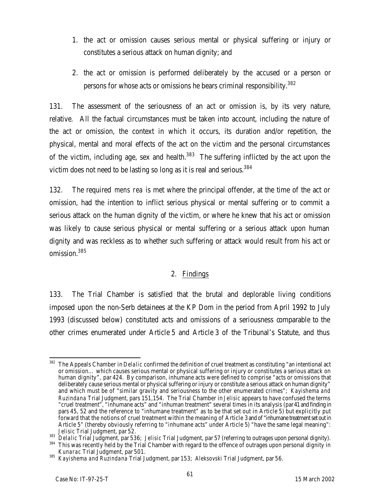- 1. the act or omission causes serious mental or physical suffering or injury or constitutes a serious attack on human dignity; and
- 2. the act or omission is performed deliberately by the accused or a person or persons for whose acts or omissions he bears criminal responsibility.<sup>382</sup>

131. The assessment of the seriousness of an act or omission is, by its very nature, relative*.* All the factual circumstances must be taken into account, including the nature of the act or omission, the context in which it occurs, its duration and/or repetition, the physical, mental and moral effects of the act on the victim and the personal circumstances of the victim, including age, sex and health. $383$  The suffering inflicted by the act upon the victim does not need to be lasting so long as it is real and serious.<sup>384</sup>

132. The required *mens rea* is met where the principal offender, at the time of the act or omission, had the intention to inflict serious physical or mental suffering or to commit a serious attack on the human dignity of the victim, or where he knew that his act or omission was likely to cause serious physical or mental suffering or a serious attack upon human dignity and was reckless as to whether such suffering or attack would result from his act or omission.<sup>385</sup>

### 2. Findings

133. The Trial Chamber is satisfied that the brutal and deplorable living conditions imposed upon the non-Serb detainees at the KP Dom in the period from April 1992 to July 1993 (discussed below) constituted acts and omissions of a seriousness comparable to the other crimes enumerated under Article 5 and Article 3 of the Tribunal's Statute, and thus

 $\overline{a}$ <sup>382</sup> The Appeals Chamber in *Delalic* confirmed the definition of cruel treatment as constituting "an intentional act or omission… which causes serious mental or physical suffering or injury or constitutes a serious attack on human dignity", par 424. By comparison, inhumane acts were defined to comprise "acts or omissions that deliberately cause serious mental or physical suffering or injury or constitute a serious attack on human dignity" and which must be of "similar gravity and seriousness to the other enumerated crimes"; *Kayishema and Ruzindana* Trial Judgment, pars 151,154. The Trial Chamber in *Jelisic* appears to have confused the terms "cruel treatment", "inhumane acts" and "inhuman treatment" several times in its analysis (par41 and finding in pars 45, 52 and the reference to "inhumane treatment" as to be that set out in Article 5) but explicitly put forward that the notions of cruel treatment within the meaning of Article 3 and of "inhumane treatment set out in Article 5" (thereby obviously referring to "inhumane acts" under Article 5) "have the same legal meaning": *Jelisic* Trial Judgment, par 52.

<sup>383</sup> *Delalic* Trial Judgment, par 536; *Jelisic* Trial Judgment, par 57 (referring to outrages upon personal dignity).

This was recently held by the Trial Chamber with regard to the offence of outrages upon personal dignity in *Kunarac* Trial Judgment, par 501.

<sup>385</sup> *Kayishema and Ruzindana* Trial Judgment, par 153; *Aleksovski* Trial Judgment, par 56.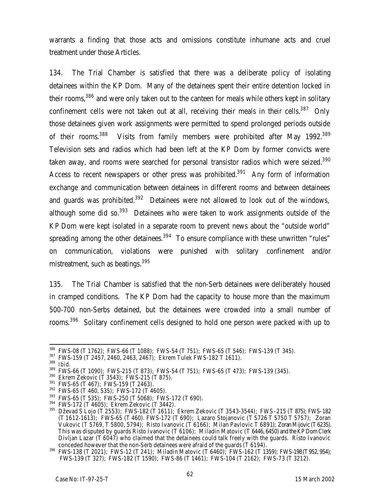warrants a finding that those acts and omissions constitute inhumane acts and cruel treatment under those Articles.

134. The Trial Chamber is satisfied that there was a deliberate policy of isolating detainees within the KP Dom. Many of the detainees spent their entire detention locked in their rooms.<sup>386</sup> and were only taken out to the canteen for meals while others kept in solitary confinement cells were not taken out at all, receiving their meals in their cells.<sup>387</sup> Only those detainees given work assignments were permitted to spend prolonged periods outside of their rooms.<sup>388</sup> Visits from family members were prohibited after May 1992.<sup>389</sup> Television sets and radios which had been left at the KP Dom by former convicts were taken away, and rooms were searched for personal transistor radios which were seized.<sup>390</sup> Access to recent newspapers or other press was prohibited.<sup>391</sup> Any form of information exchange and communication between detainees in different rooms and between detainees and guards was prohibited.<sup>392</sup> Detainees were not allowed to look out of the windows, although some did so.<sup>393</sup> Detainees who were taken to work assignments outside of the KP Dom were kept isolated in a separate room to prevent news about the "outside world" spreading among the other detainees.<sup>394</sup> To ensure compliance with these unwritten "rules" on communication, violations were punished with solitary confinement and/or mistreatment, such as beatings.<sup>395</sup>

135. The Trial Chamber is satisfied that the non-Serb detainees were deliberately housed in cramped conditions. The KP Dom had the capacity to house more than the maximum 500-700 non-Serbs detained, but the detainees were crowded into a small number of rooms.<sup>396</sup> Solitary confinement cells designed to hold one person were packed with up to

 $\overline{a}$ <sup>386</sup> FWS-08 (T 1762); FWS-66 (T 1088); FWS-54 (T 751); FWS-65 (T 546); FWS-139 (T 345).

<sup>387</sup> FWS-159 (T 2457, 2460, 2463, 2467); Ekrem Tulek FWS-182 T 1611).

<sup>388</sup> *Ibid.*

<sup>389</sup> FWS-66 (T 1090); FWS-215 (T 873); FWS-54 (T 751); FWS-65 (T 473); FWS-139 (345).

<sup>390</sup> Ekrem Zekovic (T 3543); FWS-215 (T 875).

<sup>391</sup> FWS-65 (T 467); FWS-159 (T 2463).

 $392$  FWS-65 (T 460, 535); FWS-172 (T 4605).

<sup>393</sup> FWS-65 (T 535); FWS-250 (T 5068); FWS-172 (T 690).

 $394$  FWS-172 (T 4605); Ekrem Zekovic (T 3442).

 $^{395}$  Dževad S Lojo (T 2553); FWS-182 (T 1611); Ekrem Zekovic (T 3543-3544); FWS–215 (T 875); FWS-182 (T 1612-1613); FWS-65 (T 460). FWS-172 (T 690); Lazaro Stojanovic (T 5726 T 5750 T 5757); Zoran Vukovic (T 5769, T 5800, 5794); Risto Ivanovic (T 6166); Milan Pavlovic T 6891); Zoran Mijovic (T 6235). This was disputed by guards Risto Ivanovic (T 6106); Miladin Matovic (T 6446, 6450) and the KP Dom Clerk Divljan Lazar (T 6047) who claimed that the detainees could talk freely with the quards. Risto Ivanovic conceded however that the non-Serb detainees were afraid of the guards (T 6194).

<sup>396</sup> FWS-138 (T 2021); FWS-12 (T 241); Miladin Matovic (T 6460); FWS-162 (T 1359); FWS-198 (T952, 954); FWS-139 (T 327); FWS-182 (T 1590); FWS-86 (T 1461); FWS-104 (T 2162); FWS-73 (T 3212).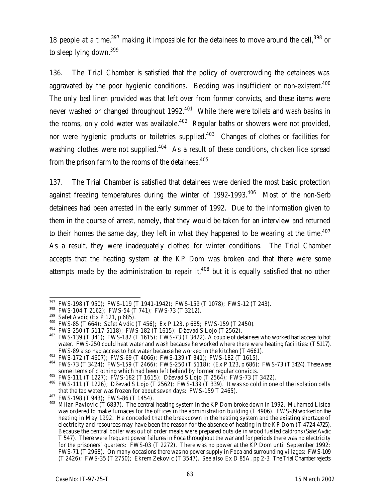18 people at a time,  $397$  making it impossible for the detainees to move around the cell,  $398$  or to sleep lying down.<sup>399</sup>

136. The Trial Chamber is satisfied that the policy of overcrowding the detainees was aggravated by the poor hygienic conditions. Bedding was insufficient or non-existent.<sup>400</sup> The only bed linen provided was that left over from former convicts, and these items were never washed or changed throughout 1992.<sup>401</sup> While there were toilets and wash basins in the rooms, only cold water was available.<sup>402</sup> Regular baths or showers were not provided, nor were hygienic products or toiletries supplied.<sup>403</sup> Changes of clothes or facilities for washing clothes were not supplied. $404$  As a result of these conditions, chicken lice spread from the prison farm to the rooms of the detainees.<sup>405</sup>

137. The Trial Chamber is satisfied that detainees were denied the most basic protection against freezing temperatures during the winter of  $1992-1993$ .<sup>406</sup> Most of the non-Serb detainees had been arrested in the early summer of 1992. Due to the information given to them in the course of arrest, namely, that they would be taken for an interview and returned to their homes the same day, they left in what they happened to be wearing at the time.<sup>407</sup> As a result, they were inadequately clothed for winter conditions. The Trial Chamber accepts that the heating system at the KP Dom was broken and that there were some attempts made by the administration to repair it,<sup>408</sup> but it is equally satisfied that no other

 $\overline{a}$  $\frac{397}{10}$  FWS-198 (T 950); FWS-119 (T 1941-1942); FWS-159 (T 1078); FWS-12 (T 243).

<sup>398</sup> FWS-104 T 2162); FWS-54 (T 741); FWS-73 (T 3212).

<sup>399</sup> Safet Avdic (Ex P 121, p 685).

<sup>400</sup> FWS-85 (T 664); Safet Avdic (T 456); Ex P 123, p 685; FWS-159 (T 2450).

<sup>401</sup> FWS-250 (T 5117-5118); FWS-182 (T 1615); Dževad S Lojo (T 2562).

<sup>&</sup>lt;sup>402</sup> FWS-139 (T 341); FWS-182 (T 1615); FWS-73 (T 3422). A couple of detainees who worked had access to hot water. FWS-250 could heat water and wash because he worked where there were heating facilities: (T 5117). FWS-89 also had access to hot water because he worked in the kitchen (T 4661).

<sup>403</sup> FWS-172 (T 4607); FWS-69 (T 4066); FWS-139 (T 341); FWS-182 (T 1615).

 $404$  FWS-73 (T 3424); FWS-159 (T 2466); FWS-250 (T 5118); (Ex P 123, p 686); FWS-73 (T 3424). There were some items of clothing which had been left behind by former regular convicts.

<sup>405</sup> FWS-111 (T 1227); FWS-182 (T 1615); Dževad S Lojo (T 2564); FWS-73 (T 3422).

<sup>406</sup> FWS-111 (T 1226); Dževad S Lojo (T 2562); FWS-139 (T 339). It was so cold in one of the isolation cells that the tap water was frozen for about seven days: FWS-159 T 2465).

<sup>407</sup> FWS-198 (T 943); FWS-86 (T 1454).

<sup>&</sup>lt;sup>408</sup> Milan Pavlovic (T 6837). The central heating system in the KP Dom broke down in 1992. Muhamed Lisica was ordered to make furnaces for the offices in the administration building (T 4906). FWS-89 worked on the heating in May 1992. He conceded that the breakdown in the heating system and the existing shortage of electricity and resources may have been the reason for the absence of heating in the KP Dom (T 4724-4725). Because the central boiler was out of order meals were prepared outside in wood fuelled caldrons (Safet Avdic T 547). There were frequent power failures in Foca throughout the war and for periods there was no electricity for the prisoners' quarters: FWS-03 (T 2272). There was no power at the KP Dom until September 1992: FWS-71 (T 2968). On many occasions there was no power supply in Foca and surrounding villages: FWS-109 (T 2426); FWS-35 (T 2750); Ekrem Zekovic (T 3547). *See also* Ex D 85A, pp 2-3. The Trial Chamber rejects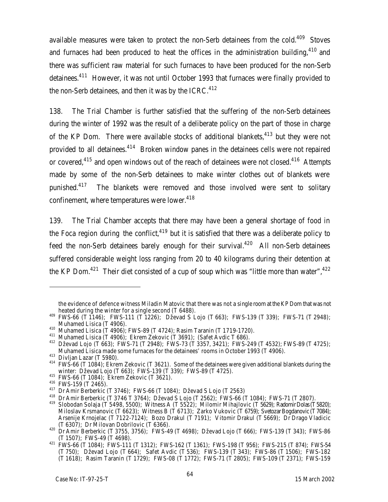available measures were taken to protect the non-Serb detainees from the cold.<sup>409</sup> Stoves and furnaces had been produced to heat the offices in the administration building,<sup>410</sup> and there was sufficient raw material for such furnaces to have been produced for the non-Serb detainees.<sup>411</sup> However, it was not until October 1993 that furnaces were finally provided to the non-Serb detainees, and then it was by the ICRC. $412$ 

138. The Trial Chamber is further satisfied that the suffering of the non-Serb detainees during the winter of 1992 was the result of a deliberate policy on the part of those in charge of the KP Dom. There were available stocks of additional blankets,<sup>413</sup> but they were not provided to all detainees.<sup>414</sup> Broken window panes in the detainees cells were not repaired or covered,<sup>415</sup> and open windows out of the reach of detainees were not closed.<sup>416</sup> Attempts made by some of the non-Serb detainees to make winter clothes out of blankets were punished.<sup>417</sup> The blankets were removed and those involved were sent to solitary confinement, where temperatures were lower.<sup>418</sup>

139. The Trial Chamber accepts that there may have been a general shortage of food in the Foca region during the conflict,  $419$  but it is satisfied that there was a deliberate policy to feed the non-Serb detainees barely enough for their survival.<sup>420</sup> All non-Serb detainees suffered considerable weight loss ranging from 20 to 40 kilograms during their detention at the KP Dom.<sup>421</sup> Their diet consisted of a cup of soup which was "little more than water",  $422$ 

the evidence of defence witness Miladin Matovic that there was not a single room at the KP Dom that was not heated during the winter for a single second (T 6488).

<sup>409</sup> FWS-66 (T 1146); FWS-111 (T 1226); Dževad S Lojo (T 663); FWS-139 (T 339); FWS-71 (T 2948); Muhamed Lisica (T 4906).

<sup>410</sup> Muhamed Lisica (T 4906); FWS-89 (T 4724); Rasim Taranin (T 1719-1720).

 $^{411}$  Muhamed Lisica (T 4906); Ekrem Zekovic (T 3691); (Safet Avdic T 686).

<sup>412</sup> Dževad Lojo (T 663); FWS-71 (T 2948); FWS-73 (T 3357, 3421); FWS-249 (T 4532); FWS-89 (T 4725); Muhamed Lisica made some furnaces for the detainees' rooms in October 1993 (T 4906).

 $413$  Divijan Lazar (T 5980).

<sup>&</sup>lt;sup>414</sup> FWS-66 (T 1084); Ekrem Zekovic (T 3621). Some of the detainees were given additional blankets during the winter: Dževad Lojo (T 663); FWS-139 (T 339); FWS-89 (T 4725).

<sup>415</sup> FWS-66 (T 1084); Ekrem Zekovic (T 3621).

<sup>416</sup> FWS-159 (T 2465).

<sup>417</sup> Dr Amir Berberkic (T 3746); FWS-66 (T 1084); Dževad S Lojo (T 2563)

<sup>418</sup> Dr Amir Berberkic (T 3746 T 3764); Dževad S Lojo (T 2562); FWS-66 (T 1084); FWS-71 (T 2807). <sup>419</sup> Slobodan Solaja (T 5498, 5500); Witness A (T 5522); Milomir Mihajlovic (T 5629); Radomir Dolas (T5820); Miloslav Krsmanovic (T 6623); Witness B (T 6713); Zarko Vukovic (T 6759); Svetozar Bogdanovic (T7084); Arsenije Krnojelac (T 7122-7124); Bozo Drakul (T 7191); Vitomir Drakul (T 5669); Dr Drago Vladicic (T 6307); Dr Milovan Dobrilovic (T 6366).

 $^{420}$  Dr Amir Berberkic (T 3755, 3756); FWS-49 (T 4698); Dževad Lojo (T 666); FWS-139 (T 343); FWS-86 (T 1507); FWS-49 (T 4698).

<sup>421</sup> FWS-66 (T 1084); FWS-111 (T 1312); FWS-162 (T 1361); FWS-198 (T 956); FWS-215 (T 874); FWS-54 (T 750); Dževad Lojo (T 664); Safet Avdic (T 536); FWS-139 (T 343); FWS-86 (T 1506); FWS-182 (T 1618); Rasim Taranin (T 1729); FWS-08 (T 1772); FWS-71 (T 2805); FWS-109 (T 2371); FWS-159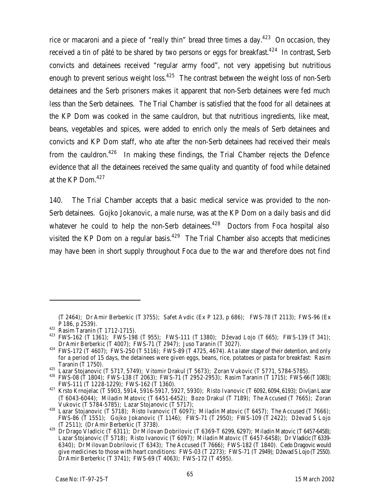rice or macaroni and a piece of "really thin" bread three times a day.<sup>423</sup> On occasion, they received a tin of pâté to be shared by two persons or eggs for breakfast.<sup>424</sup> In contrast, Serb convicts and detainees received "regular army food", not very appetising but nutritious enough to prevent serious weight loss. $425$  The contrast between the weight loss of non-Serb detainees and the Serb prisoners makes it apparent that non-Serb detainees were fed much less than the Serb detainees. The Trial Chamber is satisfied that the food for all detainees at the KP Dom was cooked in the same cauldron, but that nutritious ingredients, like meat, beans, vegetables and spices, were added to enrich only the meals of Serb detainees and convicts and KP Dom staff, who ate after the non-Serb detainees had received their meals from the cauldron.<sup>426</sup> In making these findings, the Trial Chamber rejects the Defence evidence that all the detainees received the same quality and quantity of food while detained at the KP Dom.<sup>427</sup>

140. The Trial Chamber accepts that a basic medical service was provided to the non-Serb detainees. Gojko Jokanovic, a male nurse, was at the KP Dom on a daily basis and did whatever he could to help the non-Serb detainees.<sup>428</sup> Doctors from Foca hospital also visited the KP Dom on a regular basis.<sup>429</sup> The Trial Chamber also accepts that medicines may have been in short supply throughout Foca due to the war and therefore does not find

<sup>(</sup>T 2464); Dr Amir Berberkic (T 3755); Safet Avdic (Ex P 123, p 686); FWS-78 (T 2113); FWS-96 (Ex P 186, p 2539).

<sup>422</sup> Rasim Taranin (T 1712-1715).

<sup>423</sup> FWS-162 (T 1361); FWS-198 (T 955); FWS-111 (T 1380); Dževad Lojo (T 665); FWS-139 (T 341); Dr Amir Berberkic (T 4007); FWS-71 (T 2947); Juso Taranin (T 3027).

 $424$  FWS-172 (T 4607); FWS-250 (T 5116); FWS-89 (T 4725, 4674). At a later stage of their detention, and only for a period of 15 days, the detainees were given eggs, beans, rice, potatoes or pasta for breakfast: Rasim Taranin (T 1750).

 $^{425}$  Lazar Stojanovic (T 5717, 5749); Vitomir Drakul (T 5673); Zoran Vukovic (T 5771, 5784-5785).

<sup>426</sup> FWS-08 (T 1804); FWS-138 (T 2063); FWS-71 (T 2952-2953); Rasim Taranin (T 1715); FWS-66 (T1083); FWS-111 (T 1228-1229); FWS-162 (T 1360).

<sup>427</sup> Krsto Krnojelac (T 5903, 5914, 5916-5917, 5927, 5930); Risto Ivanovic (T 6092, 6094, 6193); Divljan Lazar (T 6043-6044); Miladin Matovic (T 6451-6452); Bozo Drakul (T 7189); The Accused (T 7665); Zoran Vukovic (T 5784-5785); Lazar Stojanovic (T 5717);

<sup>428</sup> Lazar Stojanovic (T 5718); Risto Ivanovic (T 6097); Miladin Matovic (T 6457); The Accused (T 7666); FWS-86 (T 1551); Gojko Jokanovic (T 1146); FWS-71 (T 2950); FWS-109 (T 2422); Dževad S Lojo (T 2511); (Dr Amir Berberkic (T 3738).

 $^{429}$  Dr Drago Vladicic (T 6311); Dr Milovan Dobrilovic (T 6369-T 6299, 6297); Miladin Matovic (T 6457-6458); Lazar Stojanovic (T 5718); Risto Ivanovic (T 6097); Miladin Matovic (T 6457-6458); Dr Vladicic (T6339- 6340); Dr Milovan Dobrilovic (T 6343); The Accused (T 7666); FWS-182 (T 1840). Cedo Dragovic would give medicines to those with heart conditions: FWS-03 (T 2273); FWS-71 (T 2949); Dževad S Lojo (T2550). Dr Amir Berberkic (T 3741); FWS-69 (T 4063); FWS-172 (T 4595).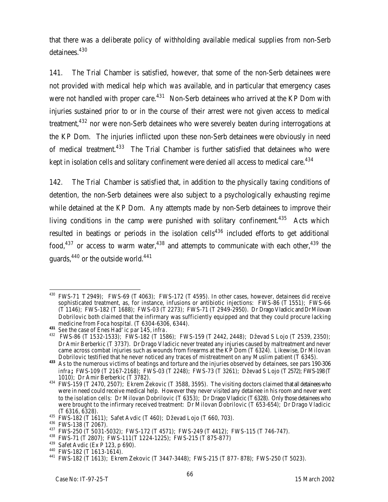that there was a deliberate policy of withholding available medical supplies from non-Serb detainees.<sup>430</sup>

141. The Trial Chamber is satisfied, however, that some of the non-Serb detainees were not provided with medical help which *was* available, and in particular that emergency cases were not handled with proper care.<sup>431</sup> Non-Serb detainees who arrived at the KP Dom with injuries sustained prior to or in the course of their arrest were not given access to medical treatment,<sup>432</sup> nor were non-Serb detainees who were severely beaten during interrogations at the KP Dom. The injuries inflicted upon these non-Serb detainees were obviously in need of medical treatment.<sup>433</sup> The Trial Chamber is further satisfied that detainees who were kept in isolation cells and solitary confinement were denied all access to medical care.<sup>434</sup>

142. The Trial Chamber is satisfied that, in addition to the physically taxing conditions of detention, the non-Serb detainees were also subject to a psychologically exhausting regime while detained at the KP Dom. Any attempts made by non-Serb detainees to improve their living conditions in the camp were punished with solitary confinement.<sup>435</sup> Acts which resulted in beatings or periods in the isolation cells<sup>436</sup> included efforts to get additional food,<sup>437</sup> or access to warm water,<sup>438</sup> and attempts to communicate with each other,<sup>439</sup> the quards,  $440$  or the outside world.  $441$ 

 $\overline{a}$  $430$  FWS-71 T 2949); FWS-69 (T 4063); FWS-172 (T 4595). In other cases, however, detainees did receive sophisticated treatment, as, for instance, infusions or antibiotic injections: FWS-86 (T 1551); FWS-66 (T 1146); FWS-182 (T 1688); FWS-03 (T 2273); FWS-71 (T 2949-2950). Dr Drago Vladicic and DrMilovan Dobrilovic both claimed that the infirmary was sufficiently equipped and that they could procure lacking medicine from Foca hospital. (T 6304-6306, 6344).

**<sup>431</sup>** *See* the case of Enes Had'ic par 145, *infra*.

<sup>432</sup> FWS-86 (T 1532-1533); FWS-182 (T 1586); FWS-159 (T 2442, 2448); Dževad S Lojo (T 2539, 2350); Dr Amir Berberkic (T 3737). Dr Drago Vladicic never treated any injuries caused by maltreatment and never came across combat injuries such as wounds from firearms at the KP Dom (T 6324). Likewise, Dr Milovan Dobrilovic testified that he never noticed any traces of mistreatment on any Muslim patient (T 6345).

**<sup>433</sup>** As to the numerous victims of beatings and torture and the injuries observed by detainees, *see* pars 190-306 *infra***;** FWS-109 (T 2167-2168); FWS-03 (T 2248); FWS-73 (T 3261); Dževad S Lojo (T 2572); FWS-198 (T 1010); Dr Amir Berberkic (T 3782).

<sup>434</sup> FWS-159 (T 2470, 2507); Ekrem Zekovic (T 3588, 3595). The visiting doctors claimed that all detainees who were in need could receive medical help. However they never visited any detainee in his room and never went to the isolation cells: Dr Milovan Dobrilovic (T 6353); Dr Drago Vladicic (T 6328). Only those detainees who were brought to the infirmary received treatment: Dr Milovan Dobrilovic (T 653-654); Dr Drago Vladicic (T 6316, 6328).

 $^{435}$  FWS-182 (T 1611); Safet Avdic (T 460); Dževad Lojo (T 660, 703).

<sup>436</sup> FWS-138 (T 2067).

<sup>437</sup> FWS-250 (T 5031-5032); FWS-172 (T 4571); FWS-249 (T 4412); FWS-115 (T 746-747).

<sup>438</sup> FWS-71 (T 2807); FWS-111(T 1224-1225); FWS-215 (T 875-877)

<sup>439</sup> Safet Avdic (Ex P 123, p 690).

<sup>440</sup> FWS-182 (T 1613-1614).

<sup>441</sup> FWS-182 (T 1613); Ekrem Zekovic (T 3447-3448); FWS-215 (T 877- 878); FWS-250 (T 5023).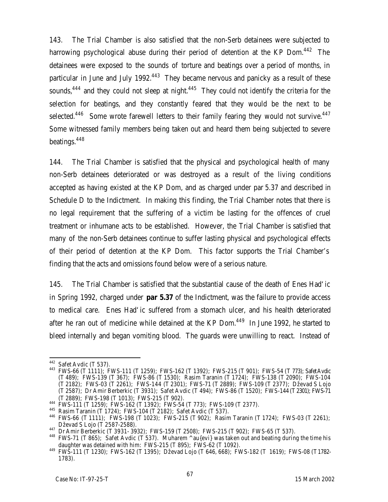143. The Trial Chamber is also satisfied that the non-Serb detainees were subjected to harrowing psychological abuse during their period of detention at the KP Dom.<sup>442</sup> The detainees were exposed to the sounds of torture and beatings over a period of months, in particular in June and July 1992.<sup>443</sup> They became nervous and panicky as a result of these sounds,<sup>444</sup> and they could not sleep at night.<sup>445</sup> They could not identify the criteria for the selection for beatings, and they constantly feared that they would be the next to be selected.<sup>446</sup> Some wrote farewell letters to their family fearing they would not survive.<sup>447</sup> Some witnessed family members being taken out and heard them being subjected to severe beatings.<sup>448</sup>

144. The Trial Chamber is satisfied that the physical and psychological health of many non-Serb detainees deteriorated or was destroyed as a result of the living conditions accepted as having existed at the KP Dom, and as charged under par 5.37 and described in Schedule D to the Indictment. In making this finding, the Trial Chamber notes that there is no legal requirement that the suffering of a victim be lasting for the offences of cruel treatment or inhumane acts to be established. However, the Trial Chamber is satisfied that many of the non-Serb detainees continue to suffer lasting physical and psychological effects of their period of detention at the KP Dom. This factor supports the Trial Chamber's finding that the acts and omissions found below were of a serious nature.

145. The Trial Chamber is satisfied that the substantial cause of the death of Enes Had'ic in Spring 1992, charged under **par 5.37** of the Indictment, was the failure to provide access to medical care. Enes Had'ic suffered from a stomach ulcer, and his health deteriorated after he ran out of medicine while detained at the KP Dom. $449$  In June 1992, he started to bleed internally and began vomiting blood. The guards were unwilling to react. Instead of

 $\overline{a}$  $442$  Safet Avdic (T 537).

<sup>443</sup> FWS-66 (T 1111); FWS-111 (T 1259); FWS-162 (T 1392); FWS-215 (T 901); FWS-54 (T 773); Safet Avdic (T 489); FWS-139 (T 367); FWS-86 (T 1530); Rasim Taranin (T 1724); FWS-138 (T 2090); FWS-104 (T 2182); FWS-03 (T 2261); FWS-144 (T 2301); FWS-71 (T 2889); FWS-109 (T 2377); Dževad S Lojo (T 2587); Dr Amir Berberkic (T 3931); Safet Avdic (T 494); FWS-86 (T 1520); FWS-144 (T2301); FWS-71 (T 2889); FWS-198 (T 1013); FWS-215 (T 902).

<sup>444</sup> FWS-111 (T 1259); FWS-162 (T 1392); FWS-54 (T 773); FWS-109 (T 2377).

<sup>445</sup> Rasim Taranin (T 1724); FWS-104 (T 2182); Safet Avdic (T 537).

<sup>446</sup> FWS-66 (T 1111); FWS-198 (T 1023); FWS-215 (T 902); Rasim Taranin (T 1724); FWS-03 (T 2261); Dževad S Lojo (T 2587-2588).

<sup>447</sup> Dr Amir Berberkic (T 3931- 3932); FWS-159 (T 2508); FWS-215 (T 902); FWS-65 (T 537).

<sup>&</sup>lt;sup>448</sup> FWS-71 (T 865); Safet Avdic (T 537). Muharem ^au{evi} was taken out and beating during the time his daughter was detained with him: FWS-215 (T 895); FWS-62 (T 1092).

<sup>449</sup> FWS-111 (T 1230); FWS-162 (T 1395); Dževad Lojo (T 646, 668); FWS-182 (T 1619); FWS-08 (T1782- 1783).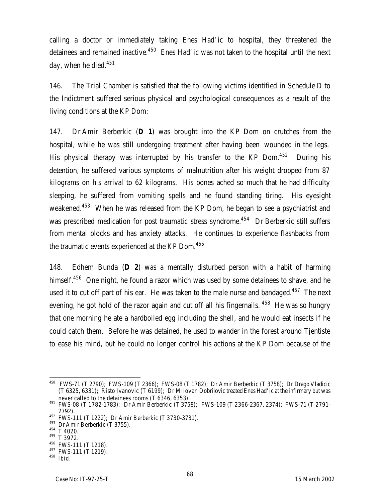calling a doctor or immediately taking Enes Had'ic to hospital, they threatened the detainees and remained inactive.<sup>450</sup> Enes Had' ic was not taken to the hospital until the next day, when he died. $451$ 

146. The Trial Chamber is satisfied that the following victims identified in Schedule D to the Indictment suffered serious physical and psychological consequences as a result of the living conditions at the KP Dom:

147. Dr Amir Berberkic (**D 1**) was brought into the KP Dom on crutches from the hospital, while he was still undergoing treatment after having been wounded in the legs. His physical therapy was interrupted by his transfer to the KP Dom. $452$  During his detention, he suffered various symptoms of malnutrition after his weight dropped from 87 kilograms on his arrival to 62 kilograms. His bones ached so much that he had difficulty sleeping, he suffered from vomiting spells and he found standing tiring. His eyesight weakened.<sup>453</sup> When he was released from the KP Dom, he began to see a psychiatrist and was prescribed medication for post traumatic stress syndrome.<sup>454</sup> Dr Berberkic still suffers from mental blocks and has anxiety attacks. He continues to experience flashbacks from the traumatic events experienced at the KP Dom.<sup>455</sup>

148. Edhem Bunda (**D 2**) was a mentally disturbed person with a habit of harming himself.<sup>456</sup> One night, he found a razor which was used by some detainees to shave, and he used it to cut off part of his ear. He was taken to the male nurse and bandaged.<sup>457</sup> The next evening, he got hold of the razor again and cut off all his fingernails. <sup>458</sup> He was so hungry that one morning he ate a hardboiled egg including the shell, and he would eat insects if he could catch them. Before he was detained, he used to wander in the forest around Tjentiste to ease his mind, but he could no longer control his actions at the KP Dom because of the

 $\overline{a}$  $^{450}$  FWS-71 (T 2790); FWS-109 (T 2366); FWS-08 (T 1782); Dr Amir Berberkic (T 3758); Dr Drago Vladicic (T 6325, 6331); Risto Ivanovic (T 6199); Dr Milovan Dobrilovic treated Enes Had'ic at the infirmary but was never called to the detainees rooms (T 6346, 6353).

<sup>451</sup> FWS-08 (T 1782-1783); Dr Amir Berberkic (T 3758); FWS-109 (T 2366-2367, 2374); FWS-71 (T 2791- 2792).

<sup>452</sup> FWS-111 (T 1222); Dr Amir Berberkic (T 3730-3731).

<sup>&</sup>lt;sup>453</sup> Dr Amir Berberkic (T 3755).

<sup>454</sup> T 4020.

<sup>455</sup> T 3972.

<sup>456</sup> FWS-111 (T 1218). <sup>457</sup> FWS-111 (T 1219).

<sup>458</sup> *Ibid.*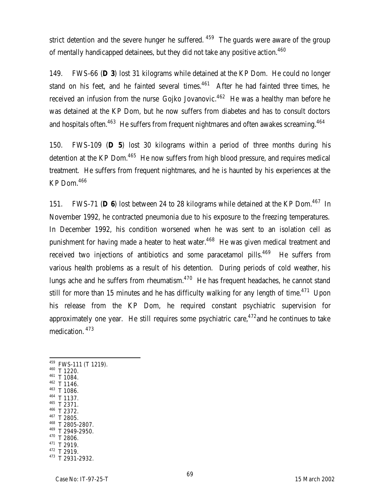strict detention and the severe hunger he suffered.  $459$  The guards were aware of the group of mentally handicapped detainees, but they did not take any positive action.<sup>460</sup>

149. FWS-66 (**D 3**) lost 31 kilograms while detained at the KP Dom. He could no longer stand on his feet, and he fainted several times.<sup>461</sup> After he had fainted three times, he received an infusion from the nurse Gojko Jovanovic.<sup>462</sup> He was a healthy man before he was detained at the KP Dom, but he now suffers from diabetes and has to consult doctors and hospitals often.<sup>463</sup> He suffers from frequent nightmares and often awakes screaming.<sup>464</sup>

150. FWS-109 (**D 5**) lost 30 kilograms within a period of three months during his detention at the KP Dom.<sup>465</sup> He now suffers from high blood pressure, and requires medical treatment. He suffers from frequent nightmares, and he is haunted by his experiences at the KP Dom.<sup>466</sup>

151. FWS-71 (D 6) lost between 24 to 28 kilograms while detained at the KP Dom.<sup>467</sup> In November 1992, he contracted pneumonia due to his exposure to the freezing temperatures. In December 1992, his condition worsened when he was sent to an isolation cell as punishment for having made a heater to heat water.<sup>468</sup> He was given medical treatment and received two injections of antibiotics and some paracetamol pills.<sup>469</sup> He suffers from various health problems as a result of his detention. During periods of cold weather, his lungs ache and he suffers from rheumatism. $470$  He has frequent headaches, he cannot stand still for more than 15 minutes and he has difficulty walking for any length of time.<sup>471</sup> Upon his release from the KP Dom, he required constant psychiatric supervision for approximately one year. He still requires some psychiatric care,  $472$  and he continues to take medication. <sup>473</sup>

- <sup>459</sup> FWS-111 (T 1219). <sup>460</sup> T 1220. <sup>461</sup> T 1084.
- <sup>462</sup> T 1146.

- <sup>463</sup> T 1086.
- <sup>464</sup> T 1137. <sup>465</sup> T 2371.
- <sup>466</sup> T 2372.
- <sup>467</sup> T 2805.
- <sup>468</sup> T 2805-2807.
- <sup>469</sup> T 2949-2950.
- <sup>470</sup> T 2806. <sup>471</sup> T 2919.
- <sup>472</sup> T 2919.
- <sup>473</sup> T 2931-2932.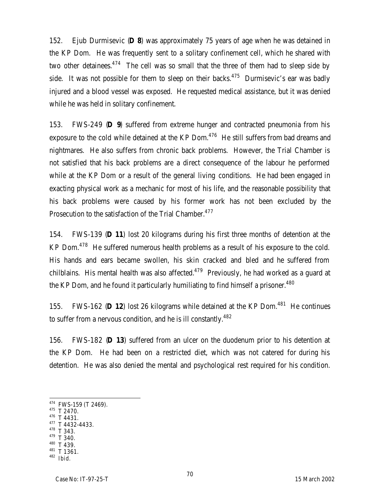152. Ejub Durmisevic (**D 8**) was approximately 75 years of age when he was detained in the KP Dom. He was frequently sent to a solitary confinement cell, which he shared with two other detainees. $474$  The cell was so small that the three of them had to sleep side by side. It was not possible for them to sleep on their backs.<sup>475</sup> Durmisevic's ear was badly injured and a blood vessel was exposed. He requested medical assistance, but it was denied while he was held in solitary confinement.

153. FWS-249 (**D 9**) suffered from extreme hunger and contracted pneumonia from his exposure to the cold while detained at the KP Dom.<sup>476</sup> He still suffers from bad dreams and nightmares. He also suffers from chronic back problems. However, the Trial Chamber is not satisfied that his back problems are a direct consequence of the labour he performed while at the KP Dom or a result of the general living conditions. He had been engaged in exacting physical work as a mechanic for most of his life, and the reasonable possibility that his back problems were caused by his former work has not been excluded by the Prosecution to the satisfaction of the Trial Chamber.<sup>477</sup>

154. FWS-139 (**D 11**) lost 20 kilograms during his first three months of detention at the KP Dom.<sup>478</sup> He suffered numerous health problems as a result of his exposure to the cold. His hands and ears became swollen, his skin cracked and bled and he suffered from chilblains. His mental health was also affected.<sup>479</sup> Previously, he had worked as a guard at the KP Dom, and he found it particularly humiliating to find himself a prisoner.<sup>480</sup>

155. FWS-162 (D 12) lost 26 kilograms while detained at the KP Dom.<sup>481</sup> He continues to suffer from a nervous condition, and he is ill constantly.<sup>482</sup>

156. FWS-182 (**D 13**) suffered from an ulcer on the duodenum prior to his detention at the KP Dom. He had been on a restricted diet, which was not catered for during his detention. He was also denied the mental and psychological rest required for his condition.

<sup>475</sup> T 2470.

- <sup>476</sup> T 4431.
- $477$  T 4432-4433.
- $T$  343. <sup>479</sup> T 340.
- <sup>480</sup> T 439.
- <sup>481</sup> T 1361.

<sup>474</sup> FWS-159 (T 2469).

<sup>482</sup> *Ibid.*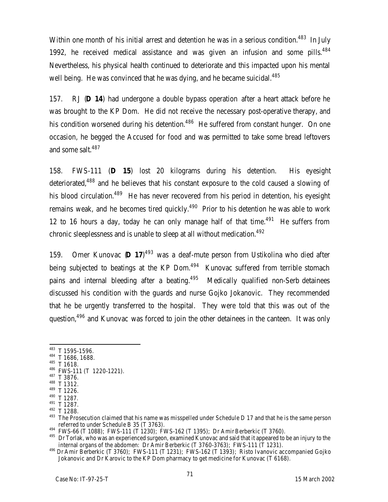Within one month of his initial arrest and detention he was in a serious condition.<sup>483</sup> In July 1992, he received medical assistance and was given an infusion and some pills. $484$ Nevertheless, his physical health continued to deteriorate and this impacted upon his mental well being. He was convinced that he was dying, and he became suicidal.<sup>485</sup>

157. RJ (**D 14**) had undergone a double bypass operation after a heart attack before he was brought to the KP Dom. He did not receive the necessary post-operative therapy, and his condition worsened during his detention.<sup>486</sup> He suffered from constant hunger. On one occasion, he begged the Accused for food and was permitted to take some bread leftovers and some salt.<sup>487</sup>

158. FWS-111 (**D 15**) lost 20 kilograms during his detention. His eyesight deteriorated,<sup>488</sup> and he believes that his constant exposure to the cold caused a slowing of his blood circulation.<sup>489</sup> He has never recovered from his period in detention, his eyesight remains weak, and he becomes tired quickly.<sup>490</sup> Prior to his detention he was able to work 12 to 16 hours a day, today he can only manage half of that time.<sup>491</sup> He suffers from chronic sleeplessness and is unable to sleep at all without medication.<sup>492</sup>

159. Omer Kunovac (**D 17**) <sup>493</sup> was a deaf-mute person from Ustikolina who died after being subjected to beatings at the KP Dom.<sup>494</sup> Kunovac suffered from terrible stomach pains and internal bleeding after a beating. $495$  Medically qualified non-Serb detainees discussed his condition with the guards and nurse Gojko Jokanovic. They recommended that he be urgently transferred to the hospital. They were told that this was out of the question,<sup>496</sup> and Kunovac was forced to join the other detainees in the canteen. It was only

<sup>485</sup> T 1618.

 $483$  T 1595-1596.

<sup>484</sup> T 1686, 1688.

<sup>486</sup> FWS-111 (T 1220-1221).

<sup>487</sup> T 3876.

<sup>488</sup> T 1312. <sup>489</sup> T 1226.

<sup>490</sup> T 1287.

<sup>491</sup> T 1287.

<sup>492</sup> T 1288.

<sup>&</sup>lt;sup>493</sup> The Prosecution claimed that his name was misspelled under Schedule D 17 and that he is the same person referred to under Schedule B 35 (T 3763).

<sup>494</sup> FWS-66 (T 1088); FWS-111 (T 1230); FWS-162 (T 1395); Dr Amir Berberkic (T 3760).

<sup>&</sup>lt;sup>495</sup> Dr Torlak, who was an experienced surgeon, examined Kunovac and said that it appeared to be an injury to the internal organs of the abdomen: Dr Amir Berberkic (T 3760-3763); FWS-111 (T 1231).

<sup>496</sup> Dr Amir Berberkic (T 3760); FWS-111 (T 1231); FWS-162 (T 1393); Risto Ivanovic accompanied Gojko Jokanovic and Dr Karovic to the KP Dom pharmacy to get medicine for Kunovac (T 6168).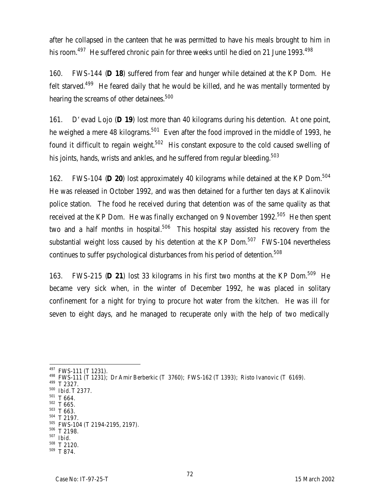after he collapsed in the canteen that he was permitted to have his meals brought to him in his room.<sup>497</sup> He suffered chronic pain for three weeks until he died on 21 June 1993.<sup>498</sup>

160. FWS-144 (**D 18**) suffered from fear and hunger while detained at the KP Dom. He felt starved.<sup>499</sup> He feared daily that he would be killed, and he was mentally tormented by hearing the screams of other detainees.<sup>500</sup>

161. D'evad Lojo (**D 19**) lost more than 40 kilograms during his detention. At one point, he weighed a mere 48 kilograms.<sup>501</sup> Even after the food improved in the middle of 1993, he found it difficult to regain weight.<sup>502</sup> His constant exposure to the cold caused swelling of his joints, hands, wrists and ankles, and he suffered from regular bleeding.<sup>503</sup>

162. FWS-104 (**D 20**) lost approximately 40 kilograms while detained at the KP Dom.<sup>504</sup> He was released in October 1992, and was then detained for a further ten days at Kalinovik police station. The food he received during that detention was of the same quality as that received at the KP Dom. He was finally exchanged on 9 November 1992.<sup>505</sup> He then spent two and a half months in hospital.<sup>506</sup> This hospital stay assisted his recovery from the substantial weight loss caused by his detention at the KP Dom. $507$  FWS-104 nevertheless continues to suffer psychological disturbances from his period of detention.<sup>508</sup>

163. FWS-215 (**D 21**) lost 33 kilograms in his first two months at the KP Dom.<sup>509</sup> He became very sick when, in the winter of December 1992, he was placed in solitary confinement for a night for trying to procure hot water from the kitchen. He was ill for seven to eight days, and he managed to recuperate only with the help of two medically

<sup>&</sup>lt;sup>497</sup> FWS-111 (T 1231).

<sup>&</sup>lt;sup>498</sup> FWS-111 (T 1231); Dr Amir Berberkic (T 3760); FWS-162 (T 1393); Risto Ivanovic (T 6169).

<sup>499</sup> T 2327.

<sup>500</sup> *Ibid.* T 2377.

 $501$  T 664.  $502$  T 665.

 $503$  T 663.

<sup>504</sup> T 2197.

<sup>505</sup> FWS-104 (T 2194-2195, 2197).

<sup>506</sup> T 2198.

<sup>507</sup> *Ibid.*

<sup>508</sup> T 2120.

 $509$  T 874.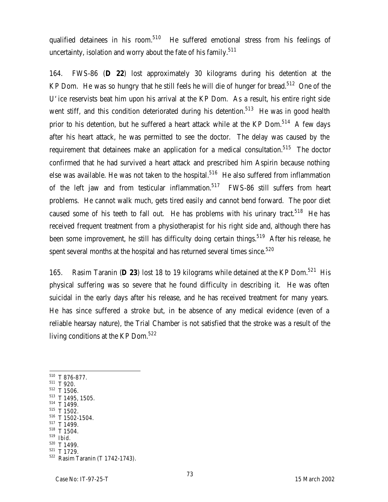qualified detainees in his room.<sup>510</sup> He suffered emotional stress from his feelings of uncertainty, isolation and worry about the fate of his family.<sup>511</sup>

164. FWS-86 (**D 22**) lost approximately 30 kilograms during his detention at the KP Dom. He was so hungry that he still feels he will die of hunger for bread.<sup>512</sup> One of the U'ice reservists beat him upon his arrival at the KP Dom. As a result, his entire right side went stiff, and this condition deteriorated during his detention.<sup>513</sup> He was in good health prior to his detention, but he suffered a heart attack while at the KP Dom. $514$  A few days after his heart attack, he was permitted to see the doctor. The delay was caused by the requirement that detainees make an application for a medical consultation.<sup>515</sup> The doctor confirmed that he had survived a heart attack and prescribed him Aspirin because nothing else was available. He was not taken to the hospital.<sup>516</sup> He also suffered from inflammation of the left jaw and from testicular inflammation.<sup>517</sup> FWS-86 still suffers from heart problems. He cannot walk much, gets tired easily and cannot bend forward. The poor diet caused some of his teeth to fall out. He has problems with his urinary tract.<sup>518</sup> He has received frequent treatment from a physiotherapist for his right side and, although there has been some improvement, he still has difficulty doing certain things.<sup>519</sup> After his release, he spent several months at the hospital and has returned several times since.<sup>520</sup>

165. Rasim Taranin (**D 23**) lost 18 to 19 kilograms while detained at the KP Dom.<sup>521</sup> His physical suffering was so severe that he found difficulty in describing it. He was often suicidal in the early days after his release, and he has received treatment for many years. He has since suffered a stroke but, in the absence of any medical evidence (even of a reliable hearsay nature), the Trial Chamber is not satisfied that the stroke was a result of the living conditions at the KP Dom.<sup>522</sup>

- $510$  T 876-877.
- <sup>511</sup> T 920.

- <sup>512</sup> T 1506. <sup>513</sup> T 1495, 1505.
- <sup>514</sup> T 1499.
- <sup>515</sup> T 1502.
- <sup>516</sup> T 1502-1504.
- <sup>517</sup> T 1499.
- <sup>518</sup> T 1504.
- <sup>519</sup> *Ibid.*
- $520$  T 1499.

 $521$  T 1729. <sup>522</sup> Rasim Taranin (T 1742-1743).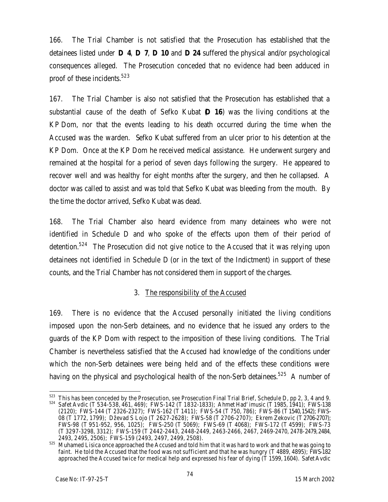166. The Trial Chamber is not satisfied that the Prosecution has established that the detainees listed under **D 4**, **D 7**, **D 10** and **D 24** suffered the physical and/or psychological consequences alleged. The Prosecution conceded that no evidence had been adduced in proof of these incidents.<sup>523</sup>

167. The Trial Chamber is also not satisfied that the Prosecution has established that a substantial cause of the death of Sefko Kubat (**D 16**) was the living conditions at the KP Dom, nor that the events leading to his death occurred during the time when the Accused was the warden. Sefko Kubat suffered from an ulcer prior to his detention at the KP Dom. Once at the KP Dom he received medical assistance. He underwent surgery and remained at the hospital for a period of seven days following the surgery. He appeared to recover well and was healthy for eight months after the surgery, and then he collapsed. A doctor was called to assist and was told that Sefko Kubat was bleeding from the mouth. By the time the doctor arrived, Sefko Kubat was dead.

168. The Trial Chamber also heard evidence from many detainees who were not identified in Schedule D and who spoke of the effects upon them of their period of detention.<sup>524</sup> The Prosecution did not give notice to the Accused that it was relying upon detainees not identified in Schedule D (or in the text of the Indictment) in support of these counts, and the Trial Chamber has not considered them in support of the charges.

### 3. The responsibility of the Accused

169. There is no evidence that the Accused personally initiated the living conditions imposed upon the non-Serb detainees, and no evidence that he issued any orders to the guards of the KP Dom with respect to the imposition of these living conditions. The Trial Chamber is nevertheless satisfied that the Accused had knowledge of the conditions under which the non-Serb detainees were being held and of the effects these conditions were having on the physical and psychological health of the non-Serb detainees.<sup>525</sup> A number of

<sup>523</sup> This has been conceded by the Prosecution, *see* Prosecution Final Trial Brief, Schedule D, pp 2, 3, 4 and 9. <sup>524</sup> Safet Avdic (T 534-538, 461, 469); FWS-142 (T 1832-1833); Ahmet Had'imusic (T 1985, 1941); FWS-138 (2120); FWS-144 (T 2326-2327); FWS-162 (T 1411); FWS-54 (T 750, 786); FWS-86 (T 1540, 1542); FWS-08 (T 1772, 1799); Dževad S Lojo (T 2627-2628); FWS-58 (T 2706-2707); Ekrem Zekovic (T 2706-2707); FWS-98 (T 951-952, 956, 1025); FWS-250 (T 5069); FWS-69 (T 4068); FWS-172 (T 4599); FWS-73 (T 3297-3298, 3312); FWS-159 (T 2442-2443, 2448-2449, 2463-2466, 2467, 2469-2470, 2478- 2479, 2484, 2493, 2495, 2506); FWS-159 (2493, 2497, 2499, 2508).

<sup>525</sup> Muhamed Lisica once approached the Accused and told him that it was hard to work and that he was going to faint. He told the Accused that the food was not sufficient and that he was hungry (T 4889, 4895); FWS-182 approached the Accused twice for medical help and expressed his fear of dying (T 1599, 1604). Safet Avdic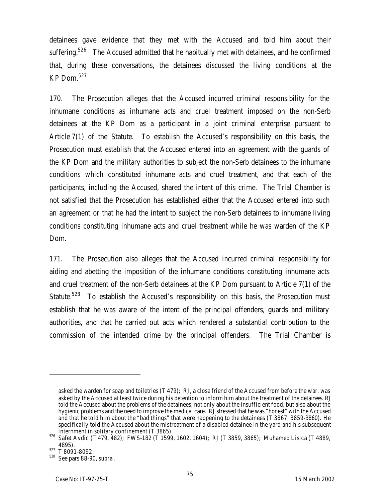detainees gave evidence that they met with the Accused and told him about their suffering.<sup>526</sup> The Accused admitted that he habitually met with detainees, and he confirmed that, during these conversations, the detainees discussed the living conditions at the KP Dom.<sup>527</sup>

170. The Prosecution alleges that the Accused incurred criminal responsibility for the inhumane conditions as inhumane acts and cruel treatment imposed on the non-Serb detainees at the KP Dom as a participant in a joint criminal enterprise pursuant to Article 7(1) of the Statute. To establish the Accused's responsibility on this basis, the Prosecution must establish that the Accused entered into an agreement with the guards of the KP Dom and the military authorities to subject the non-Serb detainees to the inhumane conditions which constituted inhumane acts and cruel treatment, and that each of the participants, including the Accused, shared the intent of this crime. The Trial Chamber is not satisfied that the Prosecution has established either that the Accused entered into such an agreement or that he had the intent to subject the non-Serb detainees to inhumane living conditions constituting inhumane acts and cruel treatment while he was warden of the KP Dom.

171. The Prosecution also alleges that the Accused incurred criminal responsibility for aiding and abetting the imposition of the inhumane conditions constituting inhumane acts and cruel treatment of the non-Serb detainees at the KP Dom pursuant to Article 7(1) of the Statute.<sup>528</sup> To establish the Accused's responsibility on this basis, the Prosecution must establish that he was aware of the intent of the principal offenders, guards and military authorities, and that he carried out acts which rendered a substantial contribution to the commission of the intended crime by the principal offenders. The Trial Chamber is

asked the warden for soap and toiletries (T 479); RJ, a close friend of the Accused from before the war, was asked by the Accused at least twice during his detention to inform him about the treatment of the detainees. RJ told the Accused about the problems of the detainees, not only about the insufficient food, but also about the hygienic problems and the need to improve the medical care. RJ stressed that he was "honest" with the Accused and that he told him about the "bad things" that were happening to the detainees (T 3867, 3859-3860). He specifically told the Accused about the mistreatment of a disabled detainee in the yard and his subsequent internment in solitary confinement (T 3865).

<sup>526</sup> Safet Avdic (T 479, 482); FWS-182 (T 1599, 1602, 1604); RJ (T 3859, 3865); Muhamed Lisica (T 4889, 4895).

 $527$  T 8091-8092.

<sup>528</sup> See pars 88-90, *supra*.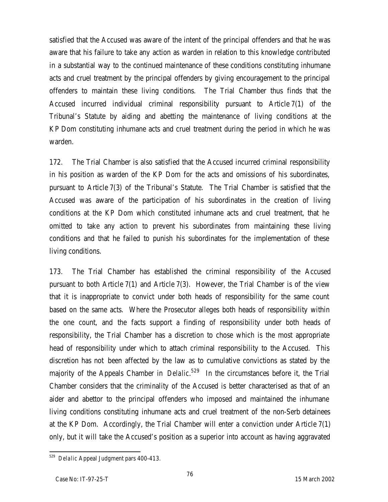satisfied that the Accused was aware of the intent of the principal offenders and that he was aware that his failure to take any action as warden in relation to this knowledge contributed in a substantial way to the continued maintenance of these conditions constituting inhumane acts and cruel treatment by the principal offenders by giving encouragement to the principal offenders to maintain these living conditions. The Trial Chamber thus finds that the Accused incurred individual criminal responsibility pursuant to Article 7(1) of the Tribunal's Statute by aiding and abetting the maintenance of living conditions at the KP Dom constituting inhumane acts and cruel treatment during the period in which he was warden.

172. The Trial Chamber is also satisfied that the Accused incurred criminal responsibility in his position as warden of the KP Dom for the acts and omissions of his subordinates, pursuant to Article 7(3) of the Tribunal's Statute. The Trial Chamber is satisfied that the Accused was aware of the participation of his subordinates in the creation of living conditions at the KP Dom which constituted inhumane acts and cruel treatment, that he omitted to take any action to prevent his subordinates from maintaining these living conditions and that he failed to punish his subordinates for the implementation of these living conditions.

173. The Trial Chamber has established the criminal responsibility of the Accused pursuant to both Article 7(1) and Article 7(3). However, the Trial Chamber is of the view that it is inappropriate to convict under both heads of responsibility for the same count based on the same acts. Where the Prosecutor alleges both heads of responsibility within the one count, and the facts support a finding of responsibility under both heads of responsibility, the Trial Chamber has a discretion to chose which is the most appropriate head of responsibility under which to attach criminal responsibility to the Accused. This discretion has not been affected by the law as to cumulative convictions as stated by the majority of the Appeals Chamber in *Delalic*. <sup>529</sup> In the circumstances before it, the Trial Chamber considers that the criminality of the Accused is better characterised as that of an aider and abettor to the principal offenders who imposed and maintained the inhumane living conditions constituting inhumane acts and cruel treatment of the non-Serb detainees at the KP Dom. Accordingly, the Trial Chamber will enter a conviction under Article 7(1) only, but it will take the Accused's position as a superior into account as having aggravated

 $\overline{a}$ <sup>529</sup> *Delalic* Appeal Judgment pars 400-413.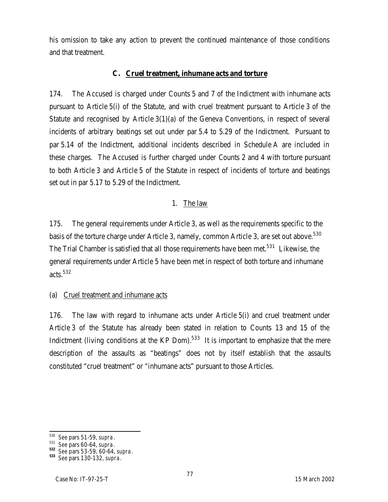his omission to take any action to prevent the continued maintenance of those conditions and that treatment.

#### **C. Cruel treatment, inhumane acts and torture**

174. The Accused is charged under Counts 5 and 7 of the Indictment with inhumane acts pursuant to Article 5(i) of the Statute, and with cruel treatment pursuant to Article 3 of the Statute and recognised by Article 3(1)(a) of the Geneva Conventions, in respect of several incidents of arbitrary beatings set out under par 5.4 to 5.29 of the Indictment. Pursuant to par 5.14 of the Indictment, additional incidents described in Schedule A are included in these charges. The Accused is further charged under Counts 2 and 4 with torture pursuant to both Article 3 and Article 5 of the Statute in respect of incidents of torture and beatings set out in par 5.17 to 5.29 of the Indictment.

#### 1. The law

175. The general requirements under Article 3, as well as the requirements specific to the basis of the torture charge under Article 3, namely, common Article 3, are set out above. $^{530}$ The Trial Chamber is satisfied that all those requirements have been met.<sup>531</sup> Likewise, the general requirements under Article 5 have been met in respect of both torture and inhumane acts. $532$ 

### (a) Cruel treatment and inhumane acts

176. The law with regard to inhumane acts under Article 5(i) and cruel treatment under Article 3 of the Statute has already been stated in relation to Counts 13 and 15 of the Indictment (living conditions at the KP Dom). $533$  It is important to emphasize that the mere description of the assaults as "beatings" does not *by itself* establish that the assaults constituted "cruel treatment" or "inhumane acts" pursuant to those Articles.

 $\overline{a}$ <sup>530</sup> *See* pars 51-59, *supra*.

<sup>531</sup> *See* pars 60-64, *supra*.

**<sup>532</sup>** *See* pars 53-59, 60-64, *supra*.

**<sup>533</sup>** *See* pars 130-132, *supra*.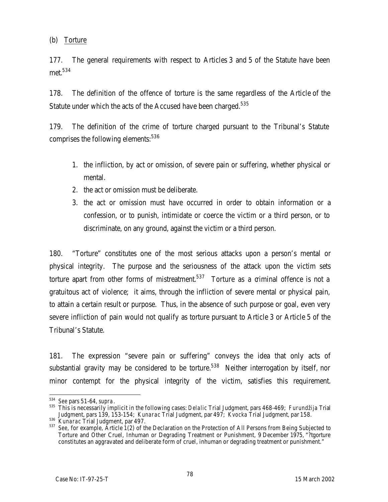(b) Torture

177. The general requirements with respect to Articles 3 and 5 of the Statute have been met.<sup>534</sup>

178. The definition of the offence of torture is the same regardless of the Article of the Statute under which the acts of the Accused have been charged.<sup>535</sup>

179. The definition of the crime of torture charged pursuant to the Tribunal's Statute comprises the following elements: 536

- 1. the infliction, by act or omission, of severe pain or suffering, whether physical or mental.
- 2. the act or omission must be deliberate.
- 3. the act or omission must have occurred in order to obtain information or a confession, or to punish, intimidate or coerce the victim or a third person, or to discriminate, on any ground, against the victim or a third person.

180. "Torture" constitutes one of the most serious attacks upon a person's mental or physical integrity. The purpose and the seriousness of the attack upon the victim sets torture apart from other forms of mistreatment.<sup>537</sup> Torture as a giminal offence is not a gratuitous act of violence; it aims, through the infliction of severe mental or physical pain, to attain a certain result or purpose. Thus, in the absence of such purpose or goal, even very severe infliction of pain would not qualify as torture pursuant to Article 3 or Article 5 of the Tribunal's Statute.

181. The expression "severe pain or suffering" conveys the idea that only acts of substantial gravity may be considered to be torture.<sup>538</sup> Neither interrogation by itself, nor minor contempt for the physical integrity of the victim, satisfies this requirement.

 $\overline{a}$ <sup>534</sup> *See* pars 51-64, *supra*.

<sup>535</sup> This is necessarily implicit in the following cases: *Delalic* Trial Judgment, pars 468-469; *Furundžija* Trial Judgment, pars 139, 153-154; *Kunarac* Trial Judgment, par 497; *Kvocka* Trial Judgment*,* par 158*.* 

<sup>536</sup> *Kunarac* Trial Judgment, par 497.

<sup>537</sup> *See*, for example, Article 1(2) of the Declaration on the Protection of All Persons from Being Subjected to Torture and Other Cruel, Inhuman or Degrading Treatment or Punishment, 9 December 1975, "?tgorture constitutes an aggravated and deliberate form of cruel, inhuman or degrading treatment or punishment."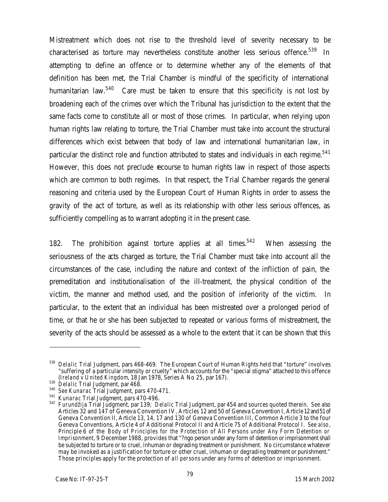Mistreatment which does not rise to the threshold level of severity necessary to be characterised as torture may nevertheless constitute another less serious offence.<sup>539</sup> In attempting to define an offence or to determine whether any of the elements of that definition has been met, the Trial Chamber is mindful of the specificity of international humanitarian law.<sup>540</sup> Care must be taken to ensure that this specificity is not lost by broadening each of the crimes over which the Tribunal has jurisdiction to the extent that the same facts come to constitute all or most of those crimes. In particular, when relying upon human rights law relating to torture, the Trial Chamber must take into account the structural differences which exist between that body of law and international humanitarian law, in particular the distinct role and function attributed to states and individuals in each regime.<sup>541</sup> However, this does not preclude recourse to human rights law in respect of those aspects which are common to both regimes. In that respect, the Trial Chamber regards the general reasoning and criteria used by the European Court of Human Rights in order to assess the gravity of the act of torture, as well as its relationship with other less serious offences, as sufficiently compelling as to warrant adopting it in the present case.

182. The prohibition against torture applies at all times. $542$  When assessing the seriousness of the acts charged as torture, the Trial Chamber must take into account all the circumstances of the case, including the nature and context of the infliction of pain, the premeditation and institutionalisation of the ill-treatment, the physical condition of the victim, the manner and method used, and the position of inferiority of the victim. In particular, to the extent that an individual has been mistreated over a prolonged period of time, or that he or she has been subjected to repeated or various forms of mistreatment, the severity of the acts should be assessed as a whole to the extent that it can be shown that this

<sup>538</sup> *Delalic* Trial Judgment, pars 468-469. The European Court of Human Rights held that "torture" involves "suffering of a particular intensity or cruelty" which accounts for the "special stigma" attached to this offence (*Ireland v United Kingdom*, 18 Jan 1978, Series A No 25, par 167).

<sup>539</sup> *Delalic* Trial Judgment, par 468.

<sup>540</sup> *See Kunarac* Trial Judgment, pars 470-471.

<sup>541</sup> *Kunarac* Trial Judgment, pars 470-496.

<sup>542</sup> *Furundžija* Trial Judgment, par 139; *Delalic* Trial Judgment, par 454 and sources quoted therein. *See also* Articles 32 and 147 of Geneva Convention IV, Articles 12 and 50 of Geneva Convention I, Article 12 and 51 of Geneva Convention II, Article 13, 14, 17 and 130 of Geneva Convention III, Common Article 3 to the four Geneva Conventions, Article 4 of Additional Protocol II and Article 75 of Additional Protocol I. *See also*, Principle 6 of the *Body of Principles for the Protection of All Persons under Any Form Detention or Imprisonment*, 9 December 1988, provides that "?ngo person under any form of detention or imprisonment shall be subjected to torture or to cruel, inhuman or degrading treatment or punishment. No circumstance whatever may be invoked as a justification for torture or other cruel, inhuman or degrading treatment or punishment." Those principles apply for the protection of *all persons* under any forms of detention or imprisonment.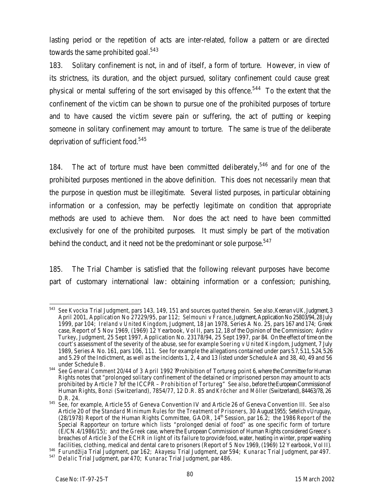lasting period or the repetition of acts are inter-related, follow a pattern or are directed towards the same prohibited goal.<sup>543</sup>

183. Solitary confinement is not, in and of itself, a form of torture. However, in view of its strictness, its duration, and the object pursued, solitary confinement could cause great physical or mental suffering of the sort envisaged by this offence.<sup>544</sup> To the extent that the confinement of the victim can be shown to pursue one of the prohibited purposes of torture and to have caused the victim severe pain or suffering, the act of putting or keeping someone in solitary confinement may amount to torture. The same is true of the deliberate deprivation of sufficient food.<sup>545</sup>

184. The act of torture must have been committed deliberately,  $546$  and for one of the prohibited purposes mentioned in the above definition. This does not necessarily mean that the purpose in question must be illegitimate. Several listed purposes, in particular obtaining information or a confession, may be perfectly legitimate on condition that appropriate methods are used to achieve them. Nor does the act need to have been committed exclusively for one of the prohibited purposes. It must simply be part of the motivation behind the conduct, and it need not be the predominant or sole purpose.<sup>547</sup>

185. The Trial Chamber is satisfied that the following relevant purposes have become part of customary international law: obtaining information or a confession; punishing,

<sup>543</sup> <sup>543</sup> *See Kvocka* Trial Judgment, pars 143, 149, 151 and sources quoted therein. *See also*, *Keenanv UK*, Judgment, 3 April 2001, Application No 27229/95, par 112; *Selmouni v France*, Judgment, Application No 25803/94, 28July 1999, par 104; *Ireland v United Kingdom*, Judgment, 18 Jan 1978, Series A No. 25, pars 167 and 174; Greek case, Report of 5 Nov 1969, (1969) 12 Yearbook, Vol II, pars 12, 18 of the Opinion of the Commission; *Aydinv Turkey*, Judgment, 25 Sept 1997, Application No. 23178/94, 25 Sept 1997, par 84. On the effect of time on the court's assessment of the severity of the abuse, *see* for example *Soering v United Kingdom*, Judgment, 7 July 1989, Series A No. 161, pars 106, 111. *See* for example the allegations contained under pars 5.7, 5.11, 5.24, 5.26 and 5.29 of the Indictment, as well as the incidents 1, 2, 4 and 13 listed under Schedule A and 38, 40, 49 and 56 under Schedule B.

<sup>544</sup> *See General Comment* 20/44 of 3 April 1992 ?Prohibition of Tortureg, point 6, where the Committee for Human Rights notes that "prolonged solitary confinement of the detained or imprisoned person may amount to acts prohibited by Article 7 ?of the ICCPR – *Prohibition of Torture*g." *See also*, before the European Commission of Human Rights, *Bonzi* (Switzerland), 7854/77, 12 D.R. 85 and *Kröcher and Möller* (Switzerland), 84463/78, 26 D.R. 24.

<sup>545</sup> *See*, for example, Article 55 of Geneva Convention IV and Article 26 of Geneva Convention III. *See also* Article 20 of the *Standard Minimum Rules for the Treatment of Prisoners*, 30 August 1955; *Setelichv Uruguay*, (28/1978) Report of the Human Rights Committee, GAOR, 14th Session, par 16.2; the 1986 *Report* of the Special Rapporteur on torture which lists "prolonged denial of food" as one specific form of torture (E/CN.4/1986/15); and the *Greek* case, where the European Commission of Human Rights considered Greece's breaches of Article 3 of the ECHR in light of its failure to provide food, water, heating in winter, proper washing facilities, clothing, medical and dental care to prisoners (Report of 5 Nov 1969, (1969) 12 Yearbook, Vol II).

<sup>546</sup> *Furundžija* Trial Judgment, par 162; *Akayesu* Trial Judgment, par 594; *Kunarac* Trial Judgment, par 497.

<sup>547</sup> *Delalic* Trial Judgment, par 470; *Kunarac* Trial Judgment, par 486.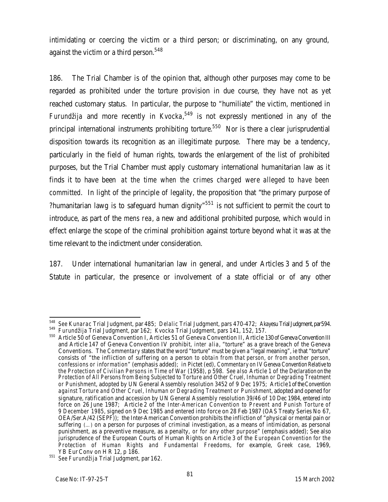intimidating or coercing the victim or a third person; or discriminating, on any ground, against the victim or a third person. $548$ 

186. The Trial Chamber is of the opinion that, although other purposes may come to be regarded as prohibited under the torture provision in due course, they have not as yet reached customary status. In particular, the purpose to "humiliate" the victim, mentioned in *Furundžija* and more recently in *Kvocka*, <sup>549</sup> is not expressly mentioned in any of the principal international instruments prohibiting torture.<sup>550</sup> Nor is there a clear jurisprudential disposition towards its recognition as an illegitimate purpose. There may be a tendency, particularly in the field of human rights, towards the enlargement of the list of prohibited purposes, but the Trial Chamber must apply customary international humanitarian law as it finds it to have been *at the time when the crimes charged were alleged to have been committed*. In light of the principle of legality, the proposition that "the primary purpose of ?humanitarian lawg is to safeguard human dignity<sup> $n551$ </sup> is not sufficient to permit the court to introduce, as part of the *mens rea*, a new and additional prohibited purpose, which would in effect enlarge the scope of the criminal prohibition against torture beyond what it was at the time relevant to the indictment under consideration.

187. Under international humanitarian law in general, and under Articles 3 and 5 of the Statute in particular, the presence or involvement of a state official or of any other

<sup>548</sup> <sup>548</sup> *See Kunarac* Trial Judgment, par 485; *Delalic* Trial Judgment, pars 470-472; *Akayesu* Trial Judgment, par594. <sup>549</sup> *Furundžija* Trial Judgment, par 162; *Kvocka* Trial Judgment, pars 141, 152, 157.

<sup>550</sup> Article 50 of Geneva Convention I, Articles 51 of Geneva Convention II, Article 130 of Geneva Convention III and Article 147 of Geneva Convention IV prohibit, *inter alia*, "torture" as a grave breach of the Geneva Conventions. The *Commentary* states that the word "torture" must be given a "legal meaning", ie that "torture" consists of "the infliction of suffering on a person *to obtain from that person, or from another person, confessions or information*" (emphasis added); in Pictet (ed), *Commentary on IV Geneva Convention Relative to the Protection of Civilian Persons in Time of War* (1958), p 598. *See also* Article 1 of the *Declaration on the Protection of All Persons from Being Subjected to Torture and Other Cruel, Inhuman or Degrading Treatment or Punishment*, adopted by UN General Assembly resolution 3452 of 9 Dec 1975; Article1 of the *Convention against Torture and Other Cruel, Inhuman or Degrading Treatment or Punishment*, adopted and opened for signature, ratification and accession by UN General Assembly resolution 39/46 of 10 Dec 1984, entered into force on 26 June 1987; Article 2 of the *Inter-American Convention to Prevent and Punish Torture of 9 December 1985*, signed on 9 Dec 1985 and entered into force on 28 Feb 1987 (OAS Treaty Series No 67, OEA/Ser.A/42 (SEPF)); the Inter-American Convention prohibits the infliction of "physical or mental pain or suffering (…) on a person for purposes of criminal investigation, as a means of intimidation, as personal punishment, as a preventive measure, as a penalty, *or for any other purpose*" (emphasis added); See also jurisprudence of the European Courts of Human Rights on Article 3 of the *European Convention for the Protection of Human Rights and Fundamental Freedoms*, for example, *Greek case*, 1969, YB Eur Conv on H R 12, p 186.

<sup>551</sup> *See Furundžija* Trial Judgment, par 162.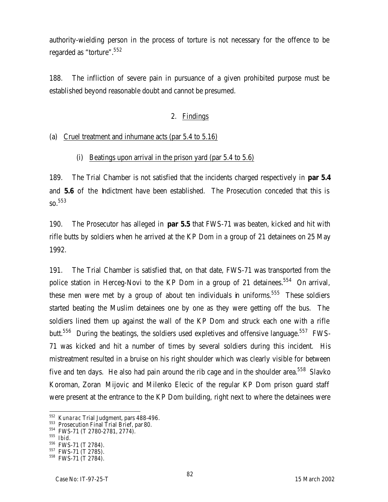authority-wielding person in the process of torture is not necessary for the offence to be regarded as "torture".<sup>552</sup>

188. The infliction of severe pain in pursuance of a given prohibited purpose must be established beyond reasonable doubt and cannot be presumed.

## 2. Findings

### (a) Cruel treatment and inhumane acts (par 5.4 to 5.16)

### (i) Beatings upon arrival in the prison yard (par 5.4 to 5.6)

189. The Trial Chamber is not satisfied that the incidents charged respectively in **par 5.4** and **5.6** of the **halictment** have been established. The Prosecution conceded that this is  $SO<sup>553</sup>$ 

190. The Prosecutor has alleged in **par 5.5** that FWS-71 was beaten, kicked and hit with rifle butts by soldiers when he arrived at the KP Dom in a group of 21 detainees on 25 May 1992.

191. The Trial Chamber is satisfied that, on that date, FWS-71 was transported from the police station in Herceg-Novi to the KP Dom in a group of 21 detainees.<sup>554</sup> On arrival, these men were met by a group of about ten individuals in uniforms.<sup>555</sup> These soldiers started beating the Muslim detainees one by one as they were getting off the bus. The soldiers lined them up against the wall of the KP Dom and struck each one with a rifle butt.<sup>556</sup> During the beatings, the soldiers used expletives and offensive language.<sup>557</sup> FWS-71 was kicked and hit a number of times by several soldiers during this incident*.* His mistreatment resulted in a bruise on his right shoulder which was clearly visible for between five and ten days. He also had pain around the rib cage and in the shoulder area.<sup>558</sup> Slavko Koroman, Zoran Mijovic and Milenko Elecic of the regular KP Dom prison guard staff were present at the entrance to the KP Dom building, right next to where the detainees were

<sup>552</sup> *Kunarac* Trial Judgment, pars 488-496.

<sup>553</sup> Prosecution Final Trial Brief, par 80.

<sup>554</sup> FWS-71 (T 2780-2781, 2774).

<sup>555</sup> *Ibid.*

<sup>556</sup> FWS-71 (T 2784).

<sup>557</sup> FWS-71 (T 2785).

<sup>558</sup> FWS-71 (T 2784).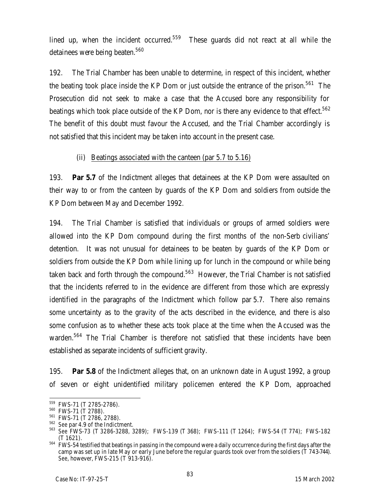lined up, when the incident occurred.<sup>559</sup> These quards did not react at all while the detainees were being beaten.<sup>560</sup>

192. The Trial Chamber has been unable to determine, in respect of this incident, whether the beating took place inside the KP Dom or just outside the entrance of the prison.<sup>561</sup> The Prosecution did not seek to make a case that the Accused bore any responsibility for beatings which took place outside of the KP Dom, nor is there any evidence to that effect.<sup>562</sup> The benefit of this doubt must favour the Accused, and the Trial Chamber accordingly is not satisfied that this incident may be taken into account in the present case.

### (ii) Beatings associated with the canteen (par 5.7 to 5.16)

193. **Par 5.7** of the Indictment alleges that detainees at the KP Dom were assaulted on their way to or from the canteen by guards of the KP Dom and soldiers from outside the KP Dom between May and December 1992*.* 

194. The Trial Chamber is satisfied that individuals or groups of armed soldiers were allowed into the KP Dom compound during the first months of the non-Serb civilians' detention*.* It was not unusual for detainees to be beaten by guards of the KP Dom or soldiers from outside the KP Dom while lining up for lunch in the compound or while being taken back and forth through the compound.<sup>563</sup> However, the Trial Chamber is not satisfied that the incidents referred to in the evidence are different from those which are expressly identified in the paragraphs of the Indictment which follow par 5.7. There also remains some uncertainty as to the gravity of the acts described in the evidence, and there is also some confusion as to whether these acts took place at the time when the Accused was the warden.<sup>564</sup> The Trial Chamber is therefore not satisfied that these incidents have been established as separate incidents of sufficient gravity.

195. **Par 5.8** of the Indictment alleges that, on an unknown date in August 1992, a group of seven or eight unidentified military policemen entered the KP Dom, approached

 $\overline{a}$ <sup>559</sup> FWS-71 (T 2785-2786).

<sup>560</sup> FWS-71 (T 2788).

<sup>561</sup> FWS-71 (T 2786, 2788).

<sup>562</sup> *See* par 4.9 of the Indictment.

<sup>563</sup> *See* FWS-73 (T 3286-3288, 3289); FWS-139 (T 368); FWS-111 (T 1264); FWS-54 (T 774); FWS-182 (T 1621).

<sup>&</sup>lt;sup>564</sup> FWS-54 testified that beatings in passing in the compound were a daily occurrence during the first days after the camp was set up in late May or early June before the regular guards took over from the soldiers (T 743-744). *See*, however, FWS-215 (T 913-916).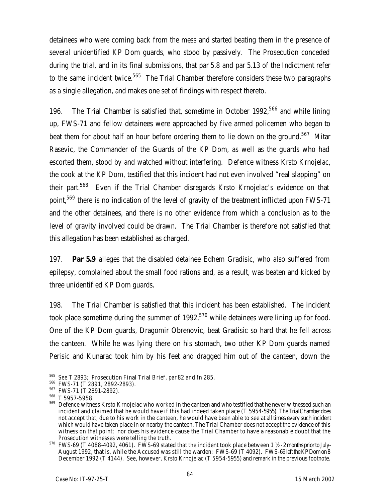detainees who were coming back from the mess and started beating them in the presence of several unidentified KP Dom guards, who stood by passively. The Prosecution conceded during the trial, and in its final submissions, that par 5.8 and par 5.13 of the Indictment refer to the same incident twice.<sup>565</sup> The Trial Chamber therefore considers these two paragraphs as a single allegation, and makes one set of findings with respect thereto.

196. The Trial Chamber is satisfied that, sometime in October 1992,<sup>566</sup> and while lining up, FWS-71 and fellow detainees were approached by five armed policemen who began to beat them for about half an hour before ordering them to lie down on the ground.<sup>567</sup> Mitar Rasevic, the Commander of the Guards of the KP Dom, as well as the guards who had escorted them, stood by and watched without interfering. Defence witness Krsto Krnojelac, the cook at the KP Dom, testified that this incident had not even involved "real slapping" on their part.<sup>568</sup> Even if the Trial Chamber disregards Krsto Krnojelac's evidence on that point,<sup>569</sup> there is no indication of the level of gravity of the treatment inflicted upon FWS-71 and the other detainees, and there is no other evidence from which a conclusion as to the level of gravity involved could be drawn. The Trial Chamber is therefore not satisfied that this allegation has been established as charged.

197. **Par 5.9** alleges that the disabled detainee Edhem Gradisic, who also suffered from epilepsy, complained about the small food rations and, as a result, was beaten and kicked by three unidentified KP Dom guards.

198. The Trial Chamber is satisfied that this incident has been established. The incident took place sometime during the summer of  $1992<sub>1</sub>$ <sup>570</sup> while detainees were lining up for food. One of the KP Dom guards, Dragomir Obrenovic, beat Gradisic so hard that he fell across the canteen. While he was lying there on his stomach, two other KP Dom guards named Perisic and Kunarac took him by his feet and dragged him out of the canteen, down the

 $\overline{a}$ <sup>565</sup> *See* T 2893; Prosecution Final Trial Brief, par 82 and fn 285.

<sup>566</sup> FWS-71 (T 2891, 2892-2893).

<sup>567</sup> FWS-71 (T 2891-2892).

<sup>568</sup> T 5957-5958.

<sup>&</sup>lt;sup>569</sup> Defence witness Krsto Krnojelac who worked in the canteen and who testified that he never witnessed such an incident and claimed that he would have if this had indeed taken place (T 5954-5955). The Trial Chamber does not accept that, due to his work in the canteen, he would have been able to see at all times every such incident which would have taken place in or nearby the canteen. The Trial Chamber does not accept the evidence of this witness on that point; nor does his evidence cause the Trial Chamber to have a reasonable doubt that the Prosecution witnesses were telling the truth.

<sup>570</sup> FWS-69 (T 4088-4092, 4061). FWS-69 stated that the incident took place between 1 ½ - 2 months prior to July-August 1992, that is, while the Accused was still the warden: FWS-69 (T 4092). FWS-69 left the KP Dom on 8 December 1992 (T 4144). *See*, however, Krsto Krnojelac (T 5954-5955) and remark in the previous footnote.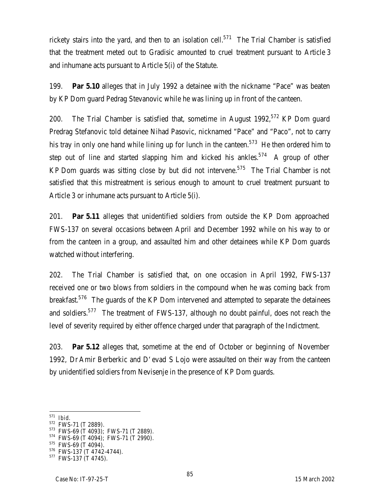rickety stairs into the yard, and then to an isolation cell.<sup>571</sup> The Trial Chamber is satisfied that the treatment meted out to Gradisic amounted to cruel treatment pursuant to Article 3 and inhumane acts pursuant to Article 5(i) of the Statute.

199. **Par 5.10** alleges that in July 1992 a detainee with the nickname "Pace" was beaten by KP Dom guard Pedrag Stevanovic while he was lining up in front of the canteen.

200. The Trial Chamber is satisfied that, sometime in August 1992,  $572$  KP Dom guard Predrag Stefanovic told detainee Nihad Pasovic, nicknamed "Pace" and "Paco", not to carry his tray in only one hand while lining up for lunch in the canteen.<sup>573</sup> He then ordered him to step out of line and started slapping him and kicked his ankles.<sup>574</sup> A group of other KP Dom guards was sitting close by but did not intervene.<sup>575</sup> The Trial Chamber is not satisfied that this mistreatment is serious enough to amount to cruel treatment pursuant to Article 3 or inhumane acts pursuant to Article 5(i).

201. **Par 5.11** alleges that unidentified soldiers from outside the KP Dom approached FWS-137 on several occasions between April and December 1992 while on his way to or from the canteen in a group, and assaulted him and other detainees while KP Dom guards watched without interfering.

202. The Trial Chamber is satisfied that, on one occasion in April 1992, FWS-137 received one or two blows from soldiers in the compound when he was coming back from breakfast.<sup>576</sup> The guards of the KP Dom intervened and attempted to separate the detainees and soldiers.<sup>577</sup> The treatment of FWS-137, although no doubt painful, does not reach the level of severity required by either offence charged under that paragraph of the Indictment.

203. **Par 5.12** alleges that, sometime at the end of October or beginning of November 1992, Dr Amir Berberkic and D'evad S Lojo were assaulted on their way from the canteen by unidentified soldiers from Nevisenje in the presence of KP Dom guards.

 $\overline{a}$ <sup>571</sup> *Ibid*.

<sup>572</sup> FWS-71 (T 2889).

<sup>573</sup> FWS-69 (T 4093); FWS-71 (T 2889).

<sup>574</sup> FWS-69 (T 4094); FWS-71 (T 2990).

<sup>575</sup> FWS-69 (T 4094).

<sup>576</sup> FWS-137 (T 4742-4744).

<sup>&</sup>lt;sup>577</sup> FWS-137 (T 4745).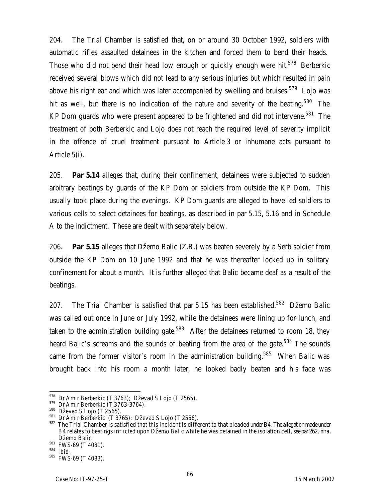204. The Trial Chamber is satisfied that, on or around 30 October 1992, soldiers with automatic rifles assaulted detainees in the kitchen and forced them to bend their heads. Those who did not bend their head low enough or quickly enough were hit.<sup>578</sup> Berberkic received several blows which did not lead to any serious injuries but which resulted in pain above his right ear and which was later accompanied by swelling and bruises.<sup>579</sup> Loio was hit as well, but there is no indication of the nature and severity of the beating.<sup>580</sup> The KP Dom guards who were present appeared to be frightened and did not intervene.<sup>581</sup> The treatment of both Berberkic and Lojo does not reach the required level of severity implicit in the offence of cruel treatment pursuant to Article 3 or inhumane acts pursuant to Article 5(i).

205. **Par 5.14** alleges that, during their confinement, detainees were subjected to sudden arbitrary beatings by guards of the KP Dom or soldiers from outside the KP Dom. This usually took place during the evenings. KP Dom guards are alleged to have led soldiers to various cells to select detainees for beatings, as described in par 5.15, 5.16 and in Schedule A to the indictment. These are dealt with separately below.

206. **Par 5.15** alleges that Džemo Balic (Z.B.) was beaten severely by a Serb soldier from outside the KP Dom on 10 June 1992 and that he was thereafter locked up in solitary confinement for about a month. It is further alleged that Balic became deaf as a result of the beatings.

207. The Trial Chamber is satisfied that par 5.15 has been established.<sup>582</sup> Džemo Balic was called out once in June or July 1992, while the detainees were lining up for lunch, and taken to the administration building gate.<sup>583</sup> After the detainees returned to room 18, they heard Balic's screams and the sounds of beating from the area of the gate.<sup>584</sup> The sounds came from the former visitor's room in the administration building.<sup>585</sup> When Balic was brought back into his room a month later, he looked badly beaten and his face was

 $^{578}$  Dr Amir Berberkic (T 3763); Dževad S Lojo (T 2565).

<sup>579</sup> Dr Amir Berberkic (T 3763-3764).

<sup>&</sup>lt;sup>580</sup> Dževad S Lojo (T 2565).

<sup>&</sup>lt;sup>581</sup> Dr Amir Berberkic (T 3765); Dževad S Lojo (T 2556).

<sup>582</sup> The Trial Chamber is satisfied that this incident is different to that pleaded under B4. The allegation made under B4 relates to beatings inflicted upon Džemo Balic while he was detained in the isolation cell, *see* par 262, *infra*. Džemo Balic

<sup>583</sup> FWS-69 (T 4081).

<sup>584</sup> *Ibid* .

<sup>&</sup>lt;sup>585</sup> FWS-69 (T 4083).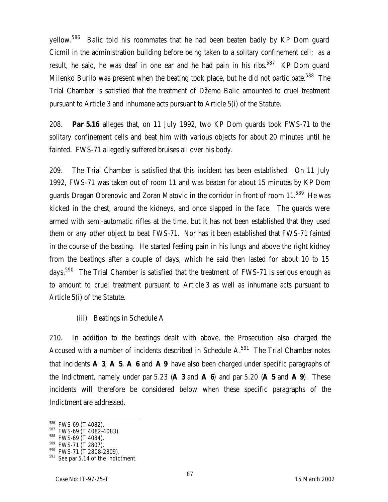yellow.<sup>586</sup> Balic told his roommates that he had been beaten badly by KP Dom quard Cicmil in the administration building before being taken to a solitary confinement cell; as a result, he said, he was deaf in one ear and he had pain in his ribs.<sup>587</sup> KP Dom quard Milenko Burilo was present when the beating took place, but he did not participate.<sup>588</sup> The Trial Chamber is satisfied that the treatment of Džemo Balic amounted to cruel treatment pursuant to Article 3 and inhumane acts pursuant to Article 5(i) of the Statute.

208. **Par 5.16** alleges that, on 11 July 1992, two KP Dom guards took FWS-71 to the solitary confinement cells and beat him with various objects for about 20 minutes until he fainted. FWS-71 allegedly suffered bruises all over his body.

209. The Trial Chamber is satisfied that this incident has been established. On 11 July 1992, FWS-71 was taken out of room 11 and was beaten for about 15 minutes by KP Dom guards Dragan Obrenovic and Zoran Matovic in the corridor in front of room 11.<sup>589</sup> He was kicked in the chest, around the kidneys, and once slapped in the face. The guards were armed with semi-automatic rifles at the time, but it has not been established that they used them or any other object to beat FWS-71. Nor has it been established that FWS-71 fainted in the course of the beating. He started feeling pain in his lungs and above the right kidney from the beatings after a couple of days, which he said then lasted for about 10 to 15 days.<sup>590</sup> The Trial Chamber is satisfied that the treatment of FWS-71 is serious enough as to amount to cruel treatment pursuant to Article 3 as well as inhumane acts pursuant to Article 5(i) of the Statute.

#### (iii) Beatings in Schedule A

210. In addition to the beatings dealt with above, the Prosecution also charged the Accused with a number of incidents described in Schedule  $A<sup>591</sup>$  The Trial Chamber notes that incidents **A 3**, **A 5**, **A 6** and **A 9** have also been charged under specific paragraphs of the Indictment, namely under par 5.23 (**A 3** and **A 6**) and par 5.20 (**A 5** and **A 9**). These incidents will therefore be considered below when these specific paragraphs of the Indictment are addressed.

<sup>586</sup> FWS-69 (T 4082).

<sup>587</sup> FWS-69 (T 4082-4083).

<sup>588</sup> FWS-69 (T 4084).

<sup>&</sup>lt;sup>589</sup> FWS-71 (T 2807).

 $590$  FWS-71 (T 2808-2809).

<sup>591</sup> *See* par 5.14 of the Indictment.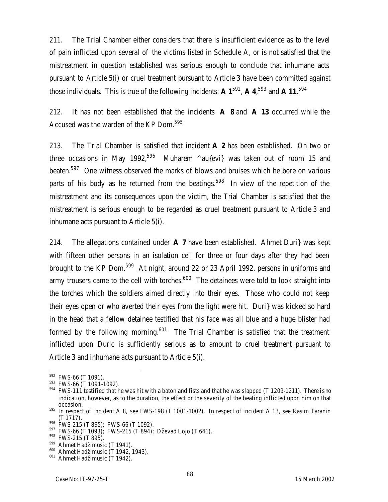211. The Trial Chamber either considers that there is insufficient evidence as to the level of pain inflicted upon several of the victims listed in Schedule A, or is not satisfied that the mistreatment in question established was serious enough to conclude that inhumane acts pursuant to Article 5(i) or cruel treatment pursuant to Article 3 have been committed against those individuals. This is true of the following incidents: **A 1**<sup>592</sup> , **A 4**, <sup>593</sup> and **A 11**. 594

212. It has not been established that the incidents **A 8** and **A 13** occurred while the Accused was the warden of the KP Dom.<sup>595</sup>

213. The Trial Chamber is satisfied that incident **A 2** has been established. On two or three occasions in May 1992,<sup>596</sup> Muharem  $\land$ au{evi} was taken out of room 15 and beaten.<sup>597</sup> One witness observed the marks of blows and bruises which he bore on various parts of his body as he returned from the beatings.<sup>598</sup> In view of the repetition of the mistreatment and its consequences upon the victim, the Trial Chamber is satisfied that the mistreatment is serious enough to be regarded as cruel treatment pursuant to Article 3 and inhumane acts pursuant to Article 5(i).

214. The allegations contained under **A 7** have been established. Ahmet Duri} was kept with fifteen other persons in an isolation cell for three or four days after they had been brought to the KP Dom.<sup>599</sup> At night, around 22 or 23 April 1992, persons in uniforms and army trousers came to the cell with torches.<sup>600</sup> The detainees were told to look straight into the torches which the soldiers aimed directly into their eyes. Those who could not keep their eyes open or who averted their eyes from the light were hit. Duri} was kicked so hard in the head that a fellow detainee testified that his face was all blue and a huge blister had formed by the following morning.<sup>601</sup> The Trial Chamber is satisfied that the treatment inflicted upon Duric is sufficiently serious as to amount to cruel treatment pursuant to Article 3 and inhumane acts pursuant to Article 5(i).

 $592$  FWS-66 (T 1091).

<sup>&</sup>lt;sup>593</sup> FWS-66 (T 1091-1092).

<sup>594</sup> FWS-111 testified that he was hit with a baton and fists and that he was slapped (T 1209-1211). There is no indication, however, as to the duration, the effect or the severity of the beating inflicted upon him on that occasion.

<sup>595</sup> In respect of incident A 8, *see* FWS-198 (T 1001-1002). In respect of incident A 13, *see* Rasim Taranin (T 1717).

<sup>596</sup> FWS-215 (T 895); FWS-66 (T 1092).

<sup>597</sup> FWS-66 (T 1093); FWS-215 (T 894); Dževad Lojo (T 641).

<sup>&</sup>lt;sup>598</sup> FWS-215 (T 895).

<sup>&</sup>lt;sup>599</sup> Ahmet Hadžimusic (T 1941).

<sup>&</sup>lt;sup>600</sup> Ahmet Hadžimusic (T 1942, 1943).

<sup>601</sup> Ahmet Hadžimusic (T 1942).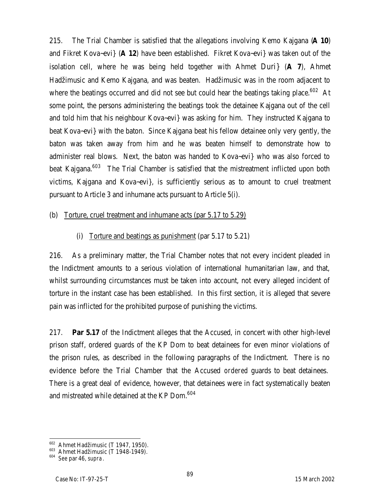215. The Trial Chamber is satisfied that the allegations involving Kemo Kajgana (**A 10**) and Fikret Kova~evi} (**A 12**) have been established. Fikret Kova~evi} was taken out of the isolation cell, where he was being held together with Ahmet Duri} (**A 7**), Ahmet Hadžimusic and Kemo Kajgana, and was beaten. Hadžimusic was in the room adjacent to where the beatings occurred and did not see but could hear the beatings taking place.<sup>602</sup> At some point, the persons administering the beatings took the detainee Kajgana out of the cell and told him that his neighbour Kova~evi} was asking for him. They instructed Kajgana to beat Kova~evi} with the baton. Since Kajgana beat his fellow detainee only very gently, the baton was taken away from him and he was beaten himself to demonstrate how to administer real blows. Next, the baton was handed to Kova~evi} who was also forced to beat Kajgana.<sup>603</sup> The Trial Chamber is satisfied that the mistreatment inflicted upon both victims, Kajgana and Kova~evi}, is sufficiently serious as to amount to cruel treatment pursuant to Article 3 and inhumane acts pursuant to Article 5(i).

### (b) Torture, cruel treatment and inhumane acts (par 5.17 to 5.29)

# (i) Torture and beatings as punishment (par 5.17 to 5.21)

216. As a preliminary matter, the Trial Chamber notes that not every incident pleaded in the Indictment amounts to a serious violation of international humanitarian law, and that, whilst surrounding circumstances must be taken into account, not every alleged incident of torture in the instant case has been established. In this first section, it is alleged that severe pain was inflicted for the prohibited purpose of punishing the victims.

217. **Par 5.17** of the Indictment alleges that the Accused, in concert with other high-level prison staff, ordered guards of the KP Dom to beat detainees for even minor violations of the prison rules, as described in the following paragraphs of the Indictment. There is no evidence before the Trial Chamber that the Accused *ordered* guards to beat detainees. There is a great deal of evidence, however, that detainees were in fact systematically beaten and mistreated while detained at the KP Dom.<sup>604</sup>

 $\overline{a}$ <sup>602</sup> Ahmet Hadžimusic (T 1947, 1950).

 $603$  Ahmet Hadžimusic (T 1948-1949).

<sup>604</sup> *See* par 46, *supra*.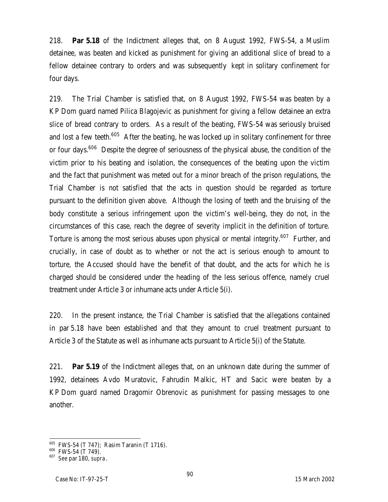218. **Par 5.18** of the Indictment alleges that, on 8 August 1992, FWS-54, a Muslim detainee, was beaten and kicked as punishment for giving an additional slice of bread to a fellow detainee contrary to orders and was subsequently kept in solitary confinement for four days.

219. The Trial Chamber is satisfied that, on 8 August 1992, FWS-54 was beaten by a KP Dom guard named Pilica Blagojevic as punishment for giving a fellow detainee an extra slice of bread contrary to orders. As a result of the beating, FWS-54 was seriously bruised and lost a few teeth.<sup>605</sup> After the beating, he was locked up in solitary confinement for three or four days.<sup>606</sup> Despite the degree of seriousness of the physical abuse, the condition of the victim prior to his beating and isolation, the consequences of the beating upon the victim and the fact that punishment was meted out for a minor breach of the prison regulations, the Trial Chamber is not satisfied that the acts in question should be regarded as torture pursuant to the definition given above. Although the losing of teeth and the bruising of the body constitute a serious infringement upon the victim's well-being, they do not, in the circumstances of this case, reach the degree of severity implicit in the definition of torture. Torture is among the most serious abuses upon physical or mental integrity.<sup>607</sup> Further, and crucially, in case of doubt as to whether or not the act is serious enough to amount to torture, the Accused should have the benefit of that doubt, and the acts for which he is charged should be considered under the heading of the less serious offence, namely cruel treatment under Article 3 or inhumane acts under Article 5(i).

220. In the present instance, the Trial Chamber is satisfied that the allegations contained in par 5.18 have been established and that they amount to cruel treatment pursuant to Article 3 of the Statute as well as inhumane acts pursuant to Article 5(i) of the Statute.

221. **Par 5.19** of the Indictment alleges that, on an unknown date during the summer of 1992, detainees Avdo Muratovic, Fahrudin Malkic, HT and Sacic were beaten by a KP Dom guard named Dragomir Obrenovic as punishment for passing messages to one another.

<sup>605</sup> FWS-54 (T 747); Rasim Taranin (T 1716).

<sup>606</sup> FWS-54 (T 749).

<sup>607</sup> *See* par 180, *supra*.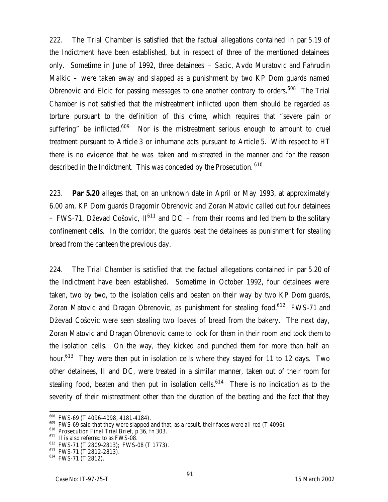222. The Trial Chamber is satisfied that the factual allegations contained in par 5.19 of the Indictment have been established, but in respect of three of the mentioned detainees only. Sometime in June of 1992, three detainees – Sacic, Avdo Muratovic and Fahrudin Malkic – were taken away and slapped as a punishment by two KP Dom guards named Obrenovic and Elcic for passing messages to one another contrary to orders.<sup>608</sup> The Trial Chamber is not satisfied that the mistreatment inflicted upon them should be regarded as torture pursuant to the definition of this crime, which requires that "severe pain or suffering" be inflicted.<sup>609</sup> Nor is the mistreatment serious enough to amount to cruel treatment pursuant to Article 3 or inhumane acts pursuant to Article 5. With respect to HT there is no evidence that he was taken and mistreated in the manner and for the reason described in the Indictment. This was conceded by the Prosecution. <sup>610</sup>

223. **Par 5.20** alleges that, on an unknown date in April or May 1993, at approximately 6.00 am, KP Dom guards Dragomir Obrenovic and Zoran Matovic called out four detainees – FWS-71, Dževad Cošovic,  $II^{611}$  and DC – from their rooms and led them to the solitary confinement cells. In the corridor, the guards beat the detainees as punishment for stealing bread from the canteen the previous day.

224. The Trial Chamber is satisfied that the factual allegations contained in par 5.20 of the Indictment have been established. Sometime in October 1992, four detainees were taken, two by two, to the isolation cells and beaten on their way by two KP Dom guards, Zoran Matovic and Dragan Obrenovic, as punishment for stealing food.<sup>612</sup> FWS-71 and Dževad Cošovic were seen stealing two loaves of bread from the bakery. The next day, Zoran Matovic and Dragan Obrenovic came to look for them in their room and took them to the isolation cells. On the way, they kicked and punched them for more than half an hour.<sup>613</sup> They were then put in isolation cells where they stayed for 11 to 12 days. Two other detainees, II and DC, were treated in a similar manner, taken out of their room for stealing food, beaten and then put in isolation cells.<sup>614</sup> There is no indication as to the severity of their mistreatment other than the duration of the beating and the fact that they

<sup>608</sup> FWS-69 (T 4096-4098, 4181-4184).

 $609$  FWS-69 said that they were slapped and that, as a result, their faces were all red (T 4096).

<sup>&</sup>lt;sup>610</sup> Prosecution Final Trial Brief, p 36, fn 303.

<sup>&</sup>lt;sup>611</sup> II is also referred to as FWS-08.

<sup>612</sup> FWS-71 (T 2809-2813); FWS-08 (T 1773).

<sup>613</sup> FWS-71 (T 2812-2813).

<sup>614</sup> FWS-71 (T 2812).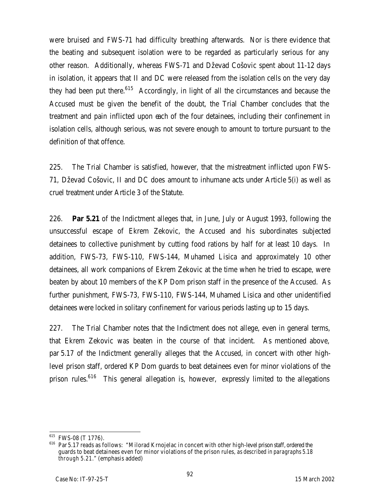were bruised and FWS-71 had difficulty breathing afterwards. Nor is there evidence that the beating and subsequent isolation were to be regarded as particularly serious for any other reason. Additionally, whereas FWS-71 and Dževad Cošovic spent about 11-12 days in isolation, it appears that II and DC were released from the isolation cells on the very day they had been put there. $615$  Accordingly, in light of all the circumstances and because the Accused must be given the benefit of the doubt, the Trial Chamber concludes that the treatment and pain inflicted upon each of the four detainees, including their confinement in isolation cells, although serious, was not severe enough to amount to torture pursuant to the definition of that offence.

225. The Trial Chamber is satisfied, however, that the mistreatment inflicted upon FWS-71, Dževad Cošovic, II and DC does amount to inhumane acts under Article 5(i) as well as cruel treatment under Article 3 of the Statute.

226. **Par 5.21** of the Indictment alleges that, in June, July or August 1993, following the unsuccessful escape of Ekrem Zekovic, the Accused and his subordinates subjected detainees to collective punishment by cutting food rations by half for at least 10 days. In addition, FWS-73, FWS-110, FWS-144, Muhamed Lisica and approximately 10 other detainees, all work companions of Ekrem Zekovic at the time when he tried to escape, were beaten by about 10 members of the KP Dom prison staff in the presence of the Accused. As further punishment, FWS-73, FWS-110, FWS-144, Muhamed Lisica and other unidentified detainees were locked in solitary confinement for various periods lasting up to 15 days.

227. The Trial Chamber notes that the Indictment does not allege, even in general terms, that Ekrem Zekovic was beaten in the course of that incident. As mentioned above, par 5.17 of the Indictment generally alleges that the Accused, in concert with other highlevel prison staff, ordered KP Dom guards to beat detainees even for minor violations of the prison rules.<sup>616</sup> This general allegation is, however, expressly limited to the allegations

 $\overline{\phantom{a}}$ 

<sup>&</sup>lt;sup>615</sup> FWS-08 (T 1776).

<sup>&</sup>lt;sup>616</sup> Par 5.17 reads as follows: "Milorad Krnojelac in concert with other high-level prison staff, ordered the guards to beat detainees even for minor violations of the prison rules, *as described in paragraphs 5.18 through 5.21*." (emphasis added)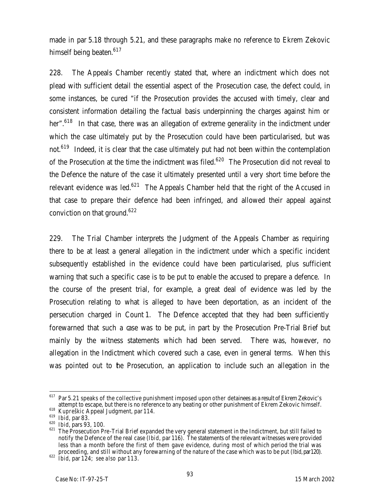made in par 5.18 through 5.21, and these paragraphs make no reference to Ekrem Zekovic himself being beaten.<sup>617</sup>

228. The Appeals Chamber recently stated that, where an indictment which does not plead with sufficient detail the essential aspect of the Prosecution case, the defect could, in some instances, be cured "if the Prosecution provides the accused with timely, clear and consistent information detailing the factual basis underpinning the charges against him or her".<sup>618</sup> In that case, there was an allegation of extreme generality in the indictment under which the case ultimately put by the Prosecution could have been particularised, but was not.<sup>619</sup> Indeed, it is clear that the case ultimately put had not been within the contemplation of the Prosecution at the time the indictment was filed.<sup>620</sup> The Prosecution did not reveal to the Defence the nature of the case it ultimately presented until a very short time before the relevant evidence was led. $621$  The Appeals Chamber held that the right of the Accused in that case to prepare their defence had been infringed, and allowed their appeal against conviction on that ground.<sup>622</sup>

229. The Trial Chamber interprets the Judgment of the Appeals Chamber as requiring there to be at least a general allegation in the indictment under which a specific incident subsequently established in the evidence could have been particularised, plus sufficient warning that such a specific case is to be put to enable the accused to prepare a defence. In the course of the present trial, for example, a great deal of evidence was led by the Prosecution relating to what is alleged to have been deportation, as an incident of the persecution charged in Count 1. The Defence accepted that they had been sufficiently forewarned that such a case was to be put, in part by the Prosecution Pre-Trial Brief but mainly by the witness statements which had been served. There was, however, no allegation in the Indictment which covered such a case, even in general terms. When this was pointed out to the Prosecution, an application to include such an allegation in the

 $\overline{a}$ <sup>617</sup> Par 5.21 speaks of the collective punishment imposed upon *other* detainees as a result of Ekrem Zekovic's attempt to escape, but there is no reference to any beating or other punishment of Ekrem Zekovic himself.

<sup>618</sup> *Kupreškic* Appeal Judgment, par 114.

<sup>619</sup> *Ibid*, par 83.

<sup>620</sup> *Ibid*, pars 93, 100.

 $621$  The Prosecution Pre-Trial Brief expanded the very general statement in the Indictment, but still failed to notify the Defence of the real case (*Ibid*, par 116). The statements of the relevant witnesses were provided less than a month before the first of them gave evidence, during most of which period the trial was proceeding, and still without any forewarning of the nature of the case which was to be put (*Ibid*, par120).

<sup>622</sup> *Ibid*, par 124; *see also* par 113.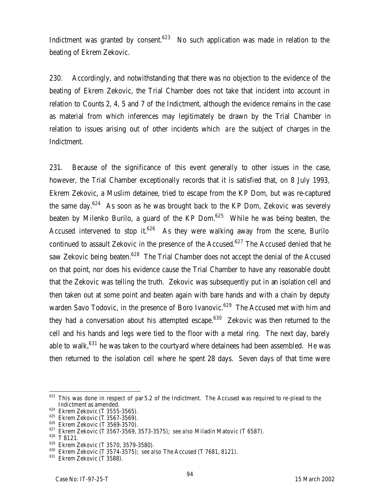Indictment was granted by consent. $623$  No such application was made in relation to the beating of Ekrem Zekovic.

230. Accordingly, and notwithstanding that there was no objection to the evidence of the beating of Ekrem Zekovic, the Trial Chamber does not take that incident into account in relation to Counts 2, 4, 5 and 7 of the Indictment, although the evidence remains in the case as material from which inferences may legitimately be drawn by the Trial Chamber in relation to issues arising out of other incidents which *are* the subject of charges in the Indictment.

231. Because of the significance of this event generally to other issues in the case, however, the Trial Chamber exceptionally records that it is satisfied that, on 8 July 1993, Ekrem Zekovic, a Muslim detainee, tried to escape from the KP Dom, but was re-captured the same day.<sup>624</sup> As soon as he was brought back to the KP Dom, Zekovic was severely beaten by Milenko Burilo, a guard of the KP Dom.<sup>625</sup> While he was being beaten, the Accused intervened to stop it.<sup>626</sup> As they were walking away from the scene, Burilo continued to assault Zekovic in the presence of the Accused.<sup>627</sup> The Accused denied that he saw Zekovic being beaten.<sup>628</sup> The Trial Chamber does not accept the denial of the Accused on that point, nor does his evidence cause the Trial Chamber to have any reasonable doubt that the Zekovic was telling the truth. Zekovic was subsequently put in an isolation cell and then taken out at some point and beaten again with bare hands and with a chain by deputy warden Savo Todovic, in the presence of Boro Ivanovic.<sup>629</sup> The Accused met with him and they had a conversation about his attempted escape. $630$  Zekovic was then returned to the cell and his hands and legs were tied to the floor with a metal ring. The next day, barely able to walk, $631$  he was taken to the courtyard where detainees had been assembled. He was then returned to the isolation cell where he spent 28 days. Seven days of that time were

 $623$  This was done in respect of par 5.2 of the Indictment. The Accused was required to re-plead to the Indictment as amended.

 $^{624}$  Ekrem Zekovic (T 3555-3565).

 $^{625}$  Ekrem Zekovic (T 3567-3569).

<sup>&</sup>lt;sup>626</sup> Ekrem Zekovic (T 3569-3570).

<sup>627</sup> Ekrem Zekovic (T 3567-3569, 3573-3575); *see also* Miladin Matovic (T 6587).

<sup>628</sup> T 8121.

<sup>629</sup> Ekrem Zekovic (T 3570, 3579-3580).

<sup>630</sup> Ekrem Zekovic (T 3574-3575); *see also* The Accused (T 7681, 8121).

 $631$  Ekrem Zekovic (T 3588).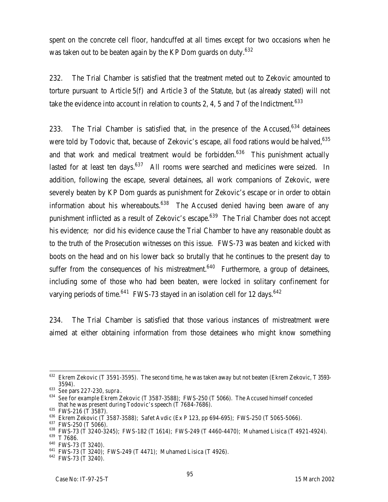spent on the concrete cell floor, handcuffed at all times except for two occasions when he was taken out to be beaten again by the KP Dom guards on duty.<sup>632</sup>

232. The Trial Chamber is satisfied that the treatment meted out to Zekovic amounted to torture pursuant to Article 5(f) and Article 3 of the Statute, but (as already stated) will not take the evidence into account in relation to counts 2, 4, 5 and 7 of the Indictment.<sup>633</sup>

233. The Trial Chamber is satisfied that, in the presence of the Accused, $634$  detainees were told by Todovic that, because of Zekovic's escape, all food rations would be halved,<sup>635</sup> and that work and medical treatment would be forbidden.<sup>636</sup> This punishment actually lasted for at least ten days. $637$  All rooms were searched and medicines were seized. In addition, following the escape, several detainees, all work companions of Zekovic, were severely beaten by KP Dom guards as punishment for Zekovic's escape or in order to obtain information about his whereabouts.<sup>638</sup> The Accused denied having been aware of any punishment inflicted as a result of Zekovic's escape.<sup>639</sup> The Trial Chamber does not accept his evidence; nor did his evidence cause the Trial Chamber to have any reasonable doubt as to the truth of the Prosecution witnesses on this issue. FWS-73 was beaten and kicked with boots on the head and on his lower back so brutally that he continues to the present day to suffer from the consequences of his mistreatment.<sup>640</sup> Furthermore, a group of detainees, including some of those who had been beaten, were locked in solitary confinement for varying periods of time.<sup>641</sup> FWS-73 stayed in an isolation cell for 12 days.<sup>642</sup>

234. The Trial Chamber is satisfied that those various instances of mistreatment were aimed at either obtaining information from those detainees who might know something

 $\overline{a}$  $632$  Ekrem Zekovic (T 3591-3595). The second time, he was taken away but not beaten (Ekrem Zekovic, T 3593-3594).

<sup>633</sup> *See* pars 227-230, *supra*.

<sup>634</sup> *See* for example Ekrem Zekovic (T 3587-3588); FWS-250 (T 5066). The Accused himself conceded that he was present during Todovic's speech (T 7684-7686).

 $635$  FWS-216 (T 3587).

<sup>636</sup> Ekrem Zekovic (T 3587-3588); Safet Avdic (Ex P 123, pp 694-695); FWS-250 (T 5065-5066).

<sup>&</sup>lt;sup>637</sup> FWS-250 (T 5066).

 $638$  FWS-73 (T 3240-3245); FWS-182 (T 1614); FWS-249 (T 4460-4470); Muhamed Lisica (T 4921-4924).

<sup>639</sup> T 7686.

<sup>640</sup> FWS-73 (T 3240).

<sup>641</sup> FWS-73 (T 3240); FWS-249 (T 4471); Muhamed Lisica (T 4926).

<sup>642</sup> FWS-73 (T 3240).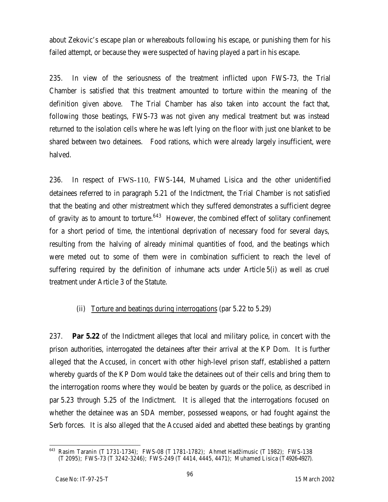about Zekovic's escape plan or whereabouts following his escape, or punishing them for his failed attempt, or because they were suspected of having played a part in his escape.

235. In view of the seriousness of the treatment inflicted upon FWS-73, the Trial Chamber is satisfied that this treatment amounted to torture within the meaning of the definition given above. The Trial Chamber has also taken into account the fact that, following those beatings, FWS-73 was not given any medical treatment but was instead returned to the isolation cells where he was left lying on the floor with just one blanket to be shared between two detainees. Food rations, which were already largely insufficient, were halved.

236. In respect of FWS-110, FWS-144, Muhamed Lisica and the other unidentified detainees referred to in paragraph 5.21 of the Indictment, the Trial Chamber is not satisfied that the beating and other mistreatment which they suffered demonstrates a sufficient degree of gravity as to amount to torture.<sup>643</sup> However, the combined effect of solitary confinement for a short period of time, the intentional deprivation of necessary food for several days, resulting from the halving of already minimal quantities of food, and the beatings which were meted out to some of them were in combination sufficient to reach the level of suffering required by the definition of inhumane acts under Article 5(i) as well as cruel treatment under Article 3 of the Statute.

# (ii) Torture and beatings during interrogations (par 5.22 to 5.29)

237. **Par 5.22** of the Indictment alleges that local and military police, in concert with the prison authorities, interrogated the detainees after their arrival at the KP Dom. It is further alleged that the Accused, in concert with other high-level prison staff, established a pattern whereby guards of the KP Dom would take the detainees out of their cells and bring them to the interrogation rooms where they would be beaten by guards or the police, as described in par 5.23 through 5.25 of the Indictment. It is alleged that the interrogations focused on whether the detainee was an SDA member, possessed weapons, or had fought against the Serb forces. It is also alleged that the Accused aided and abetted these beatings by granting

<sup>643</sup> <sup>643</sup> Rasim Taranin (T 1731-1734); FWS-08 (T 1781-1782); Ahmet Hadžimusic (T 1982); FWS-138 (T 2095); FWS-73 (T 3242-3246); FWS-249 (T 4414, 4445, 4471); Muhamed Lisica (T4926-4927).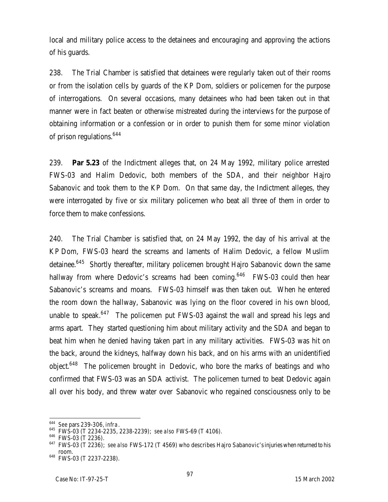local and military police access to the detainees and encouraging and approving the actions of his guards.

238. The Trial Chamber is satisfied that detainees were regularly taken out of their rooms or from the isolation cells by guards of the KP Dom, soldiers or policemen for the purpose of interrogations. On several occasions, many detainees who had been taken out in that manner were in fact beaten or otherwise mistreated during the interviews for the purpose of obtaining information or a confession or in order to punish them for some minor violation of prison regulations.<sup>644</sup>

239. **Par 5.23** of the Indictment alleges that, on 24 May 1992, military police arrested FWS-03 and Halim Dedovic, both members of the SDA, and their neighbor Hajro Sabanovic and took them to the KP Dom. On that same day, the Indictment alleges, they were interrogated by five or six military policemen who beat all three of them in order to force them to make confessions.

240. The Trial Chamber is satisfied that, on 24 May 1992, the day of his arrival at the KP Dom, FWS-03 heard the screams and laments of Halim Dedovic, a fellow Muslim detainee.<sup>645</sup> Shortly thereafter, military policemen brought Hajro Sabanovic down the same hallway from where Dedovic's screams had been coming.<sup>646</sup> FWS-03 could then hear Sabanovic's screams and moans. FWS-03 himself was then taken out. When he entered the room down the hallway, Sabanovic was lying on the floor covered in his own blood, unable to speak.<sup>647</sup> The policemen put FWS-03 against the wall and spread his legs and arms apart. They started questioning him about military activity and the SDA and began to beat him when he denied having taken part in any military activities. FWS-03 was hit on the back, around the kidneys, halfway down his back, and on his arms with an unidentified object.<sup>648</sup> The policemen brought in Dedovic, who bore the marks of beatings and who confirmed that FWS-03 was an SDA activist. The policemen turned to beat Dedovic again all over his body, and threw water over Sabanovic who regained consciousness only to be

 $\overline{a}$ <sup>644</sup> *See* pars 239-306, *infra*.

<sup>645</sup> FWS-03 (T 2234-2235, 2238-2239); *see also* FWS-69 (T 4106).

<sup>646</sup> FWS-03 (T 2236).

<sup>647</sup> FWS-03 (T 2236); *see also* FWS-172 (T 4569) who describes Hajro Sabanovic's injuries when returned to his room.

<sup>648</sup> FWS-03 (T 2237-2238).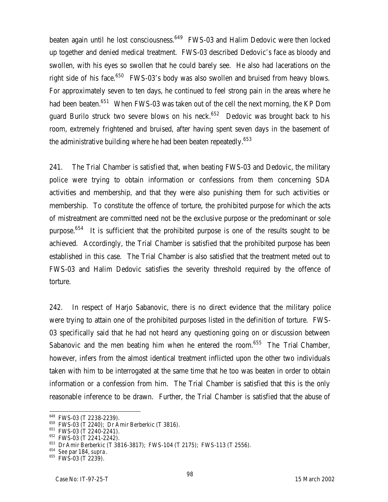beaten again until he lost consciousness.<sup>649</sup> FWS-03 and Halim Dedovic were then locked up together and denied medical treatment. FWS-03 described Dedovic's face as bloody and swollen, with his eyes so swollen that he could barely see. He also had lacerations on the right side of his face.<sup>650</sup> FWS-03's body was also swollen and bruised from heavy blows. For approximately seven to ten days, he continued to feel strong pain in the areas where he had been beaten.<sup>651</sup> When FWS-03 was taken out of the cell the next morning, the KP Dom guard Burilo struck two severe blows on his neck.<sup>652</sup> Dedovic was brought back to his room, extremely frightened and bruised, after having spent seven days in the basement of the administrative building where he had been beaten repeatedly.<sup>653</sup>

241. The Trial Chamber is satisfied that, when beating FWS-03 and Dedovic, the military police were trying to obtain information or confessions from them concerning SDA activities and membership, and that they were also punishing them for such activities or membership. To constitute the offence of torture, the prohibited purpose for which the acts of mistreatment are committed need not be the exclusive purpose or the predominant or sole purpose.<sup>654</sup> It is sufficient that the prohibited purpose is one of the results sought to be achieved. Accordingly, the Trial Chamber is satisfied that the prohibited purpose has been established in this case. The Trial Chamber is also satisfied that the treatment meted out to FWS-03 and Halim Dedovic satisfies the severity threshold required by the offence of torture.

242. In respect of Harjo Sabanovic, there is no direct evidence that the military police were trying to attain one of the prohibited purposes listed in the definition of torture. FWS-03 specifically said that he had not heard any questioning going on or discussion between Sabanovic and the men beating him when he entered the room.<sup>655</sup> The Trial Chamber, however, infers from the almost identical treatment inflicted upon the other two individuals taken with him to be interrogated at the same time that he too was beaten in order to obtain information or a confession from him. The Trial Chamber is satisfied that this is the only reasonable inference to be drawn. Further, the Trial Chamber is satisfied that the abuse of

 $^{649}$  FWS-03 (T 2238-2239).

<sup>650</sup> FWS-03 (T 2240); Dr Amir Berberkic (T 3816).

<sup>651</sup> FWS-03 (T 2240-2241).

<sup>652</sup> FWS-03 (T 2241-2242).

<sup>653</sup> Dr Amir Berberkic (T 3816-3817); FWS-104 (T 2175); FWS-113 (T 2556).

<sup>654</sup> *See* par 184, *supra*.

<sup>&</sup>lt;sup>655</sup> FWS-03 (T 2239).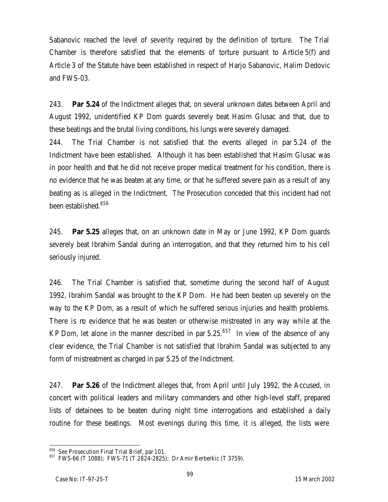Sabanovic reached the level of severity required by the definition of torture. The Trial Chamber is therefore satisfied that the elements of torture pursuant to Article 5(f) and Article 3 of the Statute have been established in respect of Harjo Sabanovic, Halim Dedovic and FWS-03.

243. **Par 5.24** of the Indictment alleges that, on several unknown dates between April and August 1992, unidentified KP Dom guards severely beat Hasim Glusac and that, due to these beatings and the brutal living conditions, his lungs were severely damaged.

244. The Trial Chamber is not satisfied that the events alleged in par 5.24 of the Indictment have been established. Although it has been established that Hasim Glusac was in poor health and that he did not receive proper medical treatment for his condition, there is no evidence that he was beaten at any time, or that he suffered severe pain as a result of any beating as is alleged in the Indictment. The Prosecution conceded that this incident had not been established.<sup>656</sup>

245. **Par 5.25** alleges that, on an unknown date in May or June 1992, KP Dom guards severely beat Ibrahim Sandal during an interrogation, and that they returned him to his cell seriously injured.

246. The Trial Chamber is satisfied that, sometime during the second half of August 1992, Ibrahim Sandal was brought to the KP Dom. He had been beaten up severely on the way to the KP Dom, as a result of which he suffered serious injuries and health problems. There is m evidence that he was beaten or otherwise mistreated in any way while at the KP Dom, let alone in the manner described in par  $5.25.^{657}$  In view of the absence of any clear evidence, the Trial Chamber is not satisfied that Ibrahim Sandal was subjected to any form of mistreatment as charged in par 5.25 of the Indictment.

247. **Par 5.26** of the Indictment alleges that, from April until July 1992, the Accused, in concert with political leaders and military commanders and other high-level staff, prepared lists of detainees to be beaten during night time interrogations and established a daily routine for these beatings. Most evenings during this time, it is alleged, the lists were

<sup>656</sup> S*ee* Prosecution Final Trial Brief, par 101.

 $657$  FWS-66 (T 1088); FWS-71 (T 2824-2825); Dr Amir Berberkic (T 3759).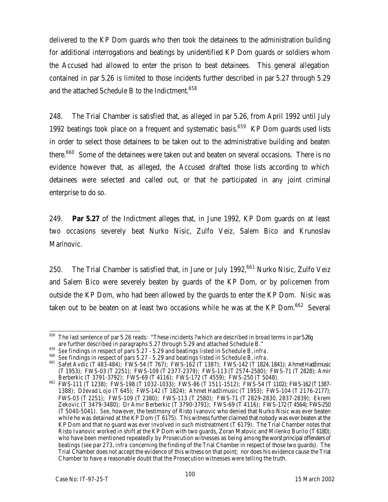delivered to the KP Dom guards who then took the detainees to the administration building for additional interrogations and beatings by unidentified KP Dom guards or soldiers whom the Accused had allowed to enter the prison to beat detainees. This general allegation contained in par 5.26 is limited to those incidents further described in par 5.27 through 5.29 and the attached Schedule B to the Indictment. $^{658}$ 

248. The Trial Chamber is satisfied that, as alleged in par 5.26, from April 1992 until July 1992 beatings took place on a frequent and systematic basis.<sup>659</sup> KP Dom quards used lists in order to select those detainees to be taken out to the administrative building and beaten there.<sup>660</sup> Some of the detainees were taken out and beaten on several occasions. There is no evidence however that, as alleged, the Accused drafted those lists according to which detainees were selected and called out, or that he participated in any joint criminal enterprise to do so.

249. **Par 5.27** of the Indictment alleges that, in June 1992, KP Dom guards on at least two occasions severely beat Nurko Nisic, Zulfo Veiz, Salem Bico and Krunoslav Marinovic.

250. The Trial Chamber is satisfied that, in June or July 1992,  $661$  Nurko Nisic, Zulfo Veiz and Salem Bico were severely beaten by guards of the KP Dom, or by policemen from outside the KP Dom, who had been allowed by the guards to enter the KP Dom. Nisic was taken out to be beaten on at least two occasions while he was at the KP Dom.<sup>662</sup> Several

<sup>658</sup> The last sentence of par 5.26 reads: "These incidents ?which are described in broad terms in par5.26g are further described in paragraphs 5.27 through 5.29 and attached Schedule B."

<sup>659</sup> *See* findings in respect of pars 5.27 - 5.29 and beatings listed in Schedule B, *infra*.

<sup>660</sup> *See* findings in respect of pars 5.27 - 5.29 and beatings listed in Schedule B, *infra*.

<sup>&</sup>lt;sup>661</sup> Safet Avdic (T 483-484); FWS-54 (T 767); FWS-162 (T 1387); FWS-142 (T 1824, 1841); Ahmet Hadžimusic (T 1953); FWS-03 (T 2251); FWS-109 (T 2377-2379); FWS-113 (T 2574-2580); FWS-71 (T 2828); Amir Berberkic (T 3791-3792); FWS-69 (T 4116); FWS-172 (T 4559); FWS-250 (T 5048).

<sup>662</sup> FWS-111 (T 1238); FWS-198 (T 1032-1033); FWS-86 (T 1511-1512); FWS-54 (T 1102); FWS-162 (T1387- 1388); Dževad Lojo (T 645); FWS-142 (T 1824); Ahmet Hadžimusic (T 1953); FWS-104 (T 2176-2177); FWS-03 (T 2251); FWS-109 (T 2380); FWS-113 (T 2580); FWS-71 (T 2829-2830, 2837-2839); Ekrem Zekovic (T 3479-3480); Dr Amir Berberkic (T 3790-3791); FWS-69 (T 4116); FWS-172 (T4564); FWS-250 (T 5040-5041). *See*, however, the testimony of Risto Ivanovic who denied that Nurko Nisic was ever beaten while he was detained at the KP Dom (T 6175). This witness further claimed that nobody was ever beaten at the KP Dom and that no guard was ever involved in such mistreatment (T 6179). The Trial Chamber notes that Risto Ivanovic worked in shift at the KP Dom with two guards, Zoran Matovic and Milenko Burilo (T 6180); who have been mentioned repeatedly by Prosecution witnesses as being among the worst principal offenders of beatings (*see* par 273, *infra* concerning the finding of the Trial Chamber in respect of those two guards). The Trial Chamber does not accept the evidence of this witness on that point; nor does his evidence cause the Trial Chamber to have a reasonable doubt that the Prosecution witnesses were telling the truth.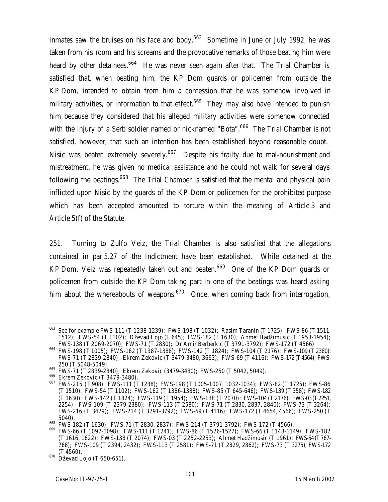inmates saw the bruises on his face and body. $663$  Sometime in June or July 1992, he was taken from his room and his screams and the provocative remarks of those beating him were heard by other detainees.<sup>664</sup> He was never seen again after that. The Trial Chamber is satisfied that, when beating him, the KP Dom guards or policemen from outside the KP Dom, intended to obtain from him a confession that he was somehow involved in military activities, or information to that effect.<sup>665</sup> They *may* also have intended to punish him because they considered that his alleged military activities were somehow connected with the injury of a Serb soldier named or nicknamed "Bota".<sup>666</sup> The Trial Chamber is not satisfied, however, that such an intention has been established beyond reasonable doubt. Nisic was beaten extremely severely.<sup>667</sup> Despite his frailty due to mal-nourishment and mistreatment, he was given no medical assistance and he could not walk for several days following the beatings.<sup>668</sup> The Trial Chamber is satisfied that the mental and physical pain inflicted upon Nisic by the guards of the KP Dom or policemen for the prohibited purpose which *has* been accepted amounted to torture within the meaning of Article 3 and Article 5(f) of the Statute.

251. Turning to Zulfo Veiz, the Trial Chamber is also satisfied that the allegations contained in par 5.27 of the Indictment have been established. While detained at the KP Dom, Veiz was repeatedly taken out and beaten.<sup>669</sup> One of the KP Dom quards or policemen from outside the KP Dom taking part in one of the beatings was heard asking him about the whereabouts of weapons.<sup>670</sup> Once, when coming back from interrogation,

<sup>663</sup> *See* for example FWS-111 (T 1238-1239); FWS-198 (T 1032); Rasim Taranin (T 1725); FWS-86 (T 1511- 1512); FWS-54 (T 1102); Dževad Lojo (T 645); FWS-182 (T 1630); Ahmet Hadžimusic (T 1953-1954); FWS-138 (T 2069-2070); FWS-71 (T 2830); Dr Amir Berberkic (T 3791-3792); FWS-172 (T 4566).

<sup>664</sup> FWS-198 (T 1005); FWS-162 (T 1387-1388); FWS-142 (T 1824); FWS-104 (T 2176); FWS-109 (T 2380); FWS-71 (T 2839-2840); Ekrem Zekovic (T 3479-3480, 3663); FWS-69 (T 4116); FWS-172 (T 4564); FWS-250 (T 5048-5049).

<sup>665</sup> FWS-71 (T 2839-2840); Ekrem Zekovic (3479-3480); FWS-250 (T 5042, 5049).

<sup>&</sup>lt;sup>666</sup> Ekrem Zekovic (T 3479-3480).

<sup>667</sup> FWS-215 (T 908); FWS-111 (T 1238); FWS-198 (T 1005-1007, 1032-1034); FWS-82 (T 1725); FWS-86 (T 1510); FWS-54 (T 1102); FWS-162 (T 1386-1388); FWS-85 (T 645-646); FWS-139 (T 358); FWS-182 (T 1630); FWS-142 (T 1824); FWS-119 (T 1954); FWS-138 (T 2070); FWS-104 (T 2176); FWS-03 (T 2251, 2254); FWS-109 (T 2379-2380); FWS-113 (T 2580); FWS-71 (T 2830, 2837, 2840); FWS-73 (T 3264); FWS-216 (T 3479); FWS-214 (T 3791-3792); FWS-69 (T 4116); FWS-172 (T 4654, 4566); FWS-250 (T 5040).

<sup>668</sup> FWS-182 (T 1630); FWS-71 (T 2830, 2837); FWS-214 (T 3791-3792); FWS-172 (T 4566).

<sup>669</sup> FWS-66 (T 1097-1098); FWS-111 (T 1241); FWS-86 (T 1526-1527); FWS-66 (T 1148-1149); FWS-182 (T 1616, 1622); FWS-138 (T 2074); FWS-03 (T 2252-2253); Ahmet Hadžimusic (T 1961); FWS-54 (T767- 768); FWS-109 (T 2394, 2432); FWS-113 (T 2581); FWS-71 (T 2829, 2862); FWS-73 (T 3275); FWS-172 (T 4560).

<sup>670</sup> Dževad Lojo (T 650-651).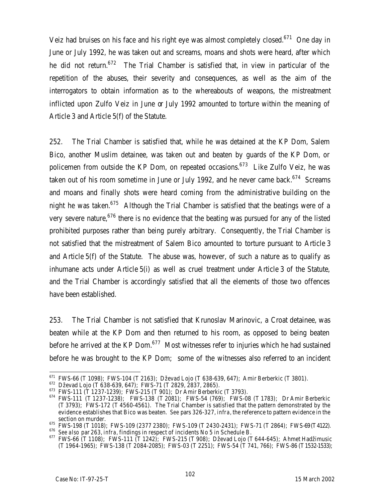Veiz had bruises on his face and his right eye was almost completely closed.<sup>671</sup> One day in June or July 1992, he was taken out and screams, moans and shots were heard, after which he did not return.<sup>672</sup> The Trial Chamber is satisfied that, in view in particular of the repetition of the abuses, their severity and consequences, as well as the aim of the interrogators to obtain information as to the whereabouts of weapons, the mistreatment inflicted upon Zulfo Veiz in June or July 1992 amounted to torture within the meaning of Article 3 and Article 5(f) of the Statute.

252. The Trial Chamber is satisfied that, while he was detained at the KP Dom, Salem Bico, another Muslim detainee, was taken out and beaten by guards of the KP Dom, or policemen from outside the KP Dom, on repeated occasions.<sup>673</sup> Like Zulfo Veiz, he was taken out of his room sometime in June or July 1992, and he never came back.<sup>674</sup> Screams and moans and finally shots were heard coming from the administrative building on the night he was taken.<sup>675</sup> Although the Trial Chamber is satisfied that the beatings were of a very severe nature,  $676$  there is no evidence that the beating was pursued for any of the listed prohibited purposes rather than being purely arbitrary. Consequently, the Trial Chamber is not satisfied that the mistreatment of Salem Bico amounted to torture pursuant to Article 3 and Article 5(f) of the Statute. The abuse was, however, of such a nature as to qualify as inhumane acts under Article 5(i) as well as cruel treatment under Article 3 of the Statute, and the Trial Chamber is accordingly satisfied that all the elements of those two offences have been established.

253. The Trial Chamber is not satisfied that Krunoslav Marinovic, a Croat detainee, was beaten while at the KP Dom and then returned to his room, as opposed to being beaten before he arrived at the KP Dom. $677$  Most witnesses refer to injuries which he had sustained before he was brought to the KP Dom; some of the witnesses also referred to an incident

 $\overline{a}$  $^{671}$  FWS-66 (T 1098); FWS-104 (T 2163); Dževad Lojo (T 638-639, 647); Amir Berberkic (T 3801).

 $^{672}$  Dževad Lojo (T 638-639, 647); FWS-71 (T 2829, 2837, 2865).

 $673$  FWS-111 (T 1237-1239); FWS-215 (T 901); Dr Amir Berberkic (T 3793).

<sup>674</sup> FWS-111 (T 1237-1238); FWS-138 (T 2081); FWS-54 (769); FWS-08 (T 1783); Dr Amir Berberkic (T 3793); FWS-172 (T 4560-4561). The Trial Chamber is satisfied that the pattern demonstrated by the evidence establishes that Bico was beaten. *See* pars 326-327, *infra,* the reference to pattern evidence in the section on murder.

 $^{675}$  FWS-198 (T 1018); FWS-109 (2377 2380); FWS-109 (T 2430-2431); FWS-71 (T 2864); FWS-69 (T4122).

<sup>676</sup> *See also* par 263, *infra,* findings in respect of incidents No 5 in Schedule B.

<sup>677</sup> FWS-66 (T 1108); FWS-111 (T 1242); FWS-215 (T 908); Dževad Lojo (T 644-645); Ahmet Hadžimusic (T 1964-1965); FWS-138 (T 2084-2085); FWS-03 (T 2251); FWS-54 (T 741, 766); FWS-86 (T1532-1533);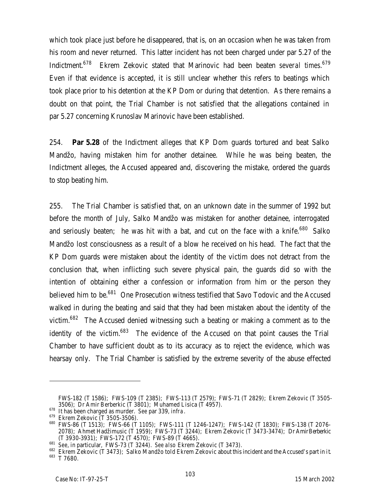which took place just before he disappeared, that is, on an occasion when he was taken from his room and never returned. This latter incident has not been charged under par 5.27 of the Indictment.<sup>678</sup> Ekrem Zekovic stated that Marinovic had been beaten *several times*. 679 Even if that evidence is accepted, it is still unclear whether this refers to beatings which took place prior to his detention at the KP Dom or during that detention. As there remains a doubt on that point, the Trial Chamber is not satisfied that the allegations contained in par 5.27 concerning Krunoslav Marinovic have been established.

254. **Par 5.28** of the Indictment alleges that KP Dom guards tortured and beat Salko Mandžo, having mistaken him for another detainee. While he was being beaten, the Indictment alleges, the Accused appeared and, discovering the mistake, ordered the guards to stop beating him.

255. The Trial Chamber is satisfied that, on an unknown date in the summer of 1992 but before the month of July, Salko Mandžo was mistaken for another detainee, interrogated and seriously beaten; he was hit with a bat, and cut on the face with a knife.<sup>680</sup> Salko Mandžo lost consciousness as a result of a blow he received on his head. The fact that the KP Dom guards were mistaken about the identity of the victim does not detract from the conclusion that, when inflicting such severe physical pain, the guards did so with the intention of obtaining either a confession or information from him or the person they believed him to be.<sup>681</sup> One Prosecution witness testified that Savo Todovic and the Accused walked in during the beating and said that they had been mistaken about the identity of the victim.<sup>682</sup> The Accused denied witnessing such a beating or making a comment as to the identity of the victim. $683$  The evidence of the Accused on that point causes the Trial Chamber to have sufficient doubt as to its accuracy as to reject the evidence, which was hearsay only. The Trial Chamber is satisfied by the extreme severity of the abuse effected

FWS-182 (T 1586); FWS-109 (T 2385); FWS-113 (T 2579); FWS-71 (T 2829); Ekrem Zekovic (T 3505- 3506); Dr Amir Berberkic (T 3801); Muhamed Lisica (T 4957).

<sup>678</sup> It has been charged as murder. *See* par 339, *infra*.

<sup>679</sup> Ekrem Zekovic (T 3505-3506).

<sup>680</sup> FWS-86 (T 1513); FWS-66 (T 1105); FWS-111 (T 1246-1247); FWS-142 (T 1830); FWS-138 (T 2076- 2078); Ahmet Hadžimusic (T 1959); FWS-73 (T 3244); Ekrem Zekovic (T 3473-3474); Dr Amir Berberkic (T 3930-3931); FWS-172 (T 4570); FWS-89 (T 4665).

<sup>681</sup> *See*, in particular, FWS-73 (T 3244). *See also* Ekrem Zekovic (T 3473).

<sup>682</sup> Ekrem Zekovic (T 3473); Salko Mandžo told Ekrem Zekovic about this incident and the Accused's part in it. <sup>683</sup> T 7680.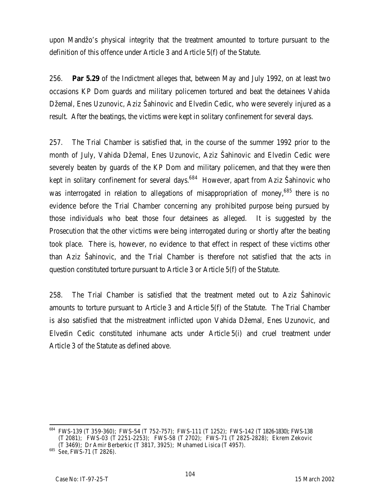upon Mandžo's physical integrity that the treatment amounted to torture pursuant to the definition of this offence under Article 3 and Article 5(f) of the Statute.

256. **Par 5.29** of the Indictment alleges that, between May and July 1992, on at least two occasions KP Dom guards and military policemen tortured and beat the detainees Vahida Džemal, Enes Uzunovic, Aziz Šahinovic and Elvedin Cedic, who were severely injured as a result. After the beatings, the victims were kept in solitary confinement for several days.

257. The Trial Chamber is satisfied that, in the course of the summer 1992 prior to the month of July, Vahida Džemal, Enes Uzunovic, Aziz Šahinovic and Elvedin Cedic were severely beaten by guards of the KP Dom and military policemen, and that they were then kept in solitary confinement for several days.<sup>684</sup> However, apart from Aziz Šahinovic who was interrogated in relation to allegations of misappropriation of money,<sup>685</sup> there is no evidence before the Trial Chamber concerning any prohibited purpose being pursued by those individuals who beat those four detainees as alleged. It is suggested by the Prosecution that the other victims were being interrogated during or shortly after the beating took place. There is, however, no evidence to that effect in respect of these victims other than Aziz Šahinovic, and the Trial Chamber is therefore not satisfied that the acts in question constituted torture pursuant to Article 3 or Article 5(f) of the Statute.

258. The Trial Chamber is satisfied that the treatment meted out to Aziz Šahinovic amounts to torture pursuant to Article 3 and Article 5(f) of the Statute. The Trial Chamber is also satisfied that the mistreatment inflicted upon Vahida Džemal, Enes Uzunovic, and Elvedin Cedic constituted inhumane acts under Article 5(i) and cruel treatment under Article 3 of the Statute as defined above.

<sup>684</sup> FWS-139 (T 359-360); FWS-54 (T 752-757); FWS-111 (T 1252); FWS-142 (T 1826-1830); FWS-138 (T 2081); FWS-03 (T 2251-2253); FWS-58 (T 2702); FWS-71 (T 2825-2828); Ekrem Zekovic (T 3469); Dr Amir Berberkic (T 3817, 3925); Muhamed Lisica (T 4957).

<sup>685</sup> *See*, FWS-71 (T 2826).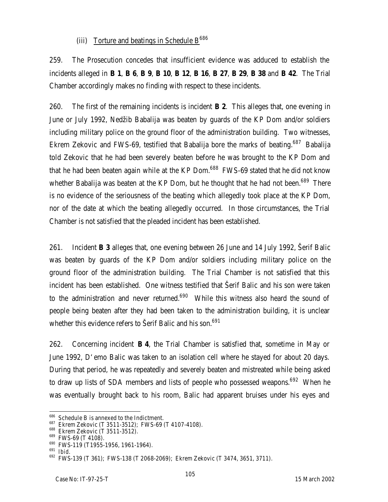### (iii) Torture and beatings in Schedule  $B^{686}$

259. The Prosecution concedes that insufficient evidence was adduced to establish the incidents alleged in **B 1, B 6, B 9, B 10, B 12, B 16, B 27, B 29, B 38** and **B 42**. The Trial Chamber accordingly makes no finding with respect to these incidents.

260. The first of the remaining incidents is incident **B 2**. This alleges that, one evening in June or July 1992, Nedžib Babalija was beaten by guards of the KP Dom and/or soldiers including military police on the ground floor of the administration building. Two witnesses, Ekrem Zekovic and FWS-69, testified that Babalija bore the marks of beating.<sup>687</sup> Babalija told Zekovic that he had been severely beaten before he was brought to the KP Dom and that he had been beaten again while at the KP Dom.<sup>688</sup> FWS-69 stated that he did not know whether Babalija was beaten at the KP Dom, but he thought that he had not been.<sup>689</sup> There is no evidence of the seriousness of the beating which allegedly took place at the KP Dom, nor of the date at which the beating allegedly occurred. In those circumstances, the Trial Chamber is not satisfied that the pleaded incident has been established.

261. Incident **B 3** alleges that, one evening between 26 June and 14 July 1992, Šerif Balic was beaten by guards of the KP Dom and/or soldiers including military police on the ground floor of the administration building. The Trial Chamber is not satisfied that this incident has been established. One witness testified that Šerif Balic and his son were taken to the administration and never returned.<sup>690</sup> While this witness also heard the sound of people being beaten after they had been taken to the administration building, it is unclear whether this evidence refers to Serif Balic and his son.<sup>691</sup>

262. Concerning incident **B 4**, the Trial Chamber is satisfied that, sometime in May or June 1992, D'emo Balic was taken to an isolation cell where he stayed for about 20 days. During that period, he was repeatedly and severely beaten and mistreated while being asked to draw up lists of SDA members and lists of people who possessed weapons.<sup>692</sup> When he was eventually brought back to his room, Balic had apparent bruises under his eyes and

 $^{686}$  Schedule B is annexed to the Indictment.

<sup>687</sup> Ekrem Zekovic (T 3511-3512); FWS-69 (T 4107-4108).

<sup>688</sup> Ekrem Zekovic (T 3511-3512).

<sup>689</sup> FWS-69 (T 4108).

<sup>690</sup> FWS-119 (T1955-1956, 1961-1964).

<sup>691</sup> *Ibid*.

<sup>692</sup> FWS-139 (T 361); FWS-138 (T 2068-2069); Ekrem Zekovic (T 3474, 3651, 3711).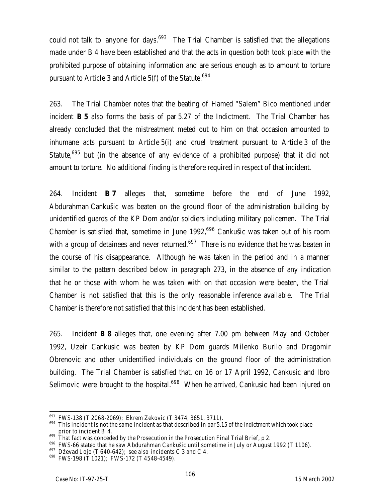could not talk to anyone for days.<sup>693</sup> The Trial Chamber is satisfied that the allegations made under B 4 have been established and that the acts in question both took place with the prohibited purpose of obtaining information and are serious enough as to amount to torture pursuant to Article 3 and Article  $5(f)$  of the Statute.<sup>694</sup>

263. The Trial Chamber notes that the beating of Hamed "Salem" Bico mentioned under incident **B 5** also forms the basis of par 5.27 of the Indictment. The Trial Chamber has already concluded that the mistreatment meted out to him on that occasion amounted to inhumane acts pursuant to Article 5(i) and cruel treatment pursuant to Article 3 of the Statute,<sup>695</sup> but (in the absence of any evidence of a prohibited purpose) that it did not amount to torture. No additional finding is therefore required in respect of that incident.

264. Incident **B 7** alleges that, sometime before the end of June 1992, Abdurahman Cankušic was beaten on the ground floor of the administration building by unidentified guards of the KP Dom and/or soldiers including military policemen. The Trial Chamber is satisfied that, sometime in June 1992,<sup>696</sup> Cankušic was taken out of his room with a group of detainees and never returned.<sup>697</sup> There is no evidence that he was beaten in the course of his disappearance. Although he was taken in the period and in a manner similar to the pattern described below in paragraph 273, in the absence of any indication that he or those with whom he was taken with on that occasion were beaten, the Trial Chamber is not satisfied that this is the only reasonable inference available. The Trial Chamber is therefore not satisfied that this incident has been established.

265. Incident **B 8** alleges that, one evening after 7.00 pm between May and October 1992, Uzeir Cankusic was beaten by KP Dom guards Milenko Burilo and Dragomir Obrenovic and other unidentified individuals on the ground floor of the administration building. The Trial Chamber is satisfied that, on 16 or 17 April 1992, Cankusic and Ibro Selimovic were brought to the hospital.<sup>698</sup> When he arrived, Cankusic had been injured on

 $^{693}$  FWS-138 (T 2068-2069); Ekrem Zekovic (T 3474, 3651, 3711).

 $694$  This incident is not the same incident as that described in par 5.15 of the Indictment which took place prior to incident B 4.

 $^{695}$  That fact was conceded by the Prosecution in the Prosecution Final Trial Brief, p 2.

<sup>&</sup>lt;sup>696</sup> FWS-66 stated that he saw Abdurahman Cankušic until sometime in July or August 1992 (T 1106).

<sup>697</sup> Dževad Lojo (T 640-642); *see also* incidents C 3 and C 4.

<sup>698</sup> FWS-198 (T 1021); FWS-172 (T 4548-4549).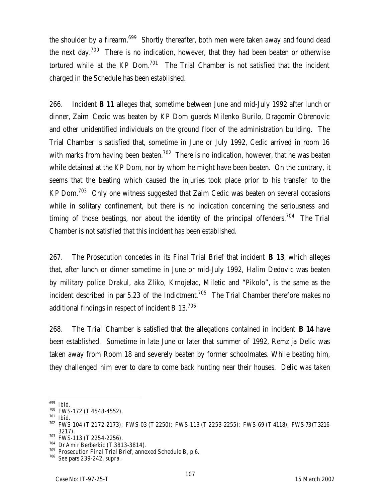the shoulder by a firearm.<sup>699</sup> Shortly thereafter, both men were taken away and found dead the next day.<sup>700</sup> There is no indication, however, that they had been beaten or otherwise tortured while at the  $KP$  Dom.<sup>701</sup> The Trial Chamber is not satisfied that the incident charged in the Schedule has been established.

266. Incident **B 11** alleges that, sometime between June and mid-July 1992 after lunch or dinner, Zaim Cedic was beaten by KP Dom guards Milenko Burilo, Dragomir Obrenovic and other unidentified individuals on the ground floor of the administration building. The Trial Chamber is satisfied that, sometime in June or July 1992, Cedic arrived in room 16 with marks from having been beaten.<sup>702</sup> There is no indication, however, that he was beaten while detained at the KP Dom, nor by whom he might have been beaten. On the contrary, it seems that the beating which caused the injuries took place prior to his transfer to the KP Dom.<sup>703</sup> Only one witness suggested that Zaim Cedic was beaten on several occasions while in solitary confinement, but there is no indication concerning the seriousness and timing of those beatings, nor about the identity of the principal offenders.<sup>704</sup> The Trial Chamber is not satisfied that this incident has been established.

267. The Prosecution concedes in its Final Trial Brief that incident **B 13**, which alleges that, after lunch or dinner sometime in June or mid-July 1992, Halim Dedovic was beaten by military police Drakul, aka Zliko, Krnojelac, Miletic and "Pikolo", is the same as the incident described in par 5.23 of the Indictment.<sup>705</sup> The Trial Chamber therefore makes no additional findings in respect of incident B 13.<sup>706</sup>

268. The Trial Chamber is satisfied that the allegations contained in incident **B 14** have been established. Sometime in late June or later that summer of 1992, Remzija Delic was taken away from Room 18 and severely beaten by former schoolmates. While beating him, they challenged him ever to dare to come back hunting near their houses. Delic was taken

 $703$  FWS-113 (T 2254-2256).

 $\overline{a}$ <sup>699</sup> *Ibid*.

<sup>700</sup> FWS-172 (T 4548-4552).

<sup>701</sup> *Ibid*.

<sup>702</sup> FWS-104 (T 2172-2173); FWS-03 (T 2250); FWS-113 (T 2253-2255); FWS-69 (T 4118); FWS-73 (T3216- 3217).

<sup>704</sup> Dr Amir Berberkic (T 3813-3814).

<sup>705</sup> Prosecution Final Trial Brief, annexed Schedule B, p 6.

<sup>706</sup> *See* pars 239-242, *supra*.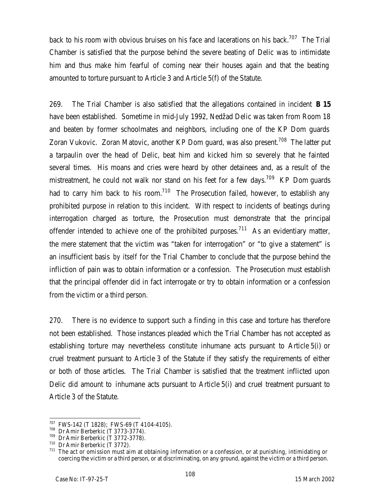back to his room with obvious bruises on his face and lacerations on his back.<sup>707</sup> The Trial Chamber is satisfied that the purpose behind the severe beating of Delic was to intimidate him and thus make him fearful of coming near their houses again and that the beating amounted to torture pursuant to Article 3 and Article 5(f) of the Statute.

269. The Trial Chamber is also satisfied that the allegations contained in incident **B 15** have been established. Sometime in mid-July 1992, Nedžad Delic was taken from Room 18 and beaten by former schoolmates and neighbors, including one of the KP Dom guards Zoran Vukovic. Zoran Matovic, another KP Dom quard, was also present.<sup>708</sup> The latter put a tarpaulin over the head of Delic, beat him and kicked him so severely that he fainted several times. His moans and cries were heard by other detainees and, as a result of the mistreatment, he could not walk nor stand on his feet for a few days.<sup>709</sup> KP Dom quards had to carry him back to his room.<sup>710</sup> The Prosecution failed, however, to establish any prohibited purpose in relation to this incident. With respect to incidents of beatings during interrogation charged as torture, the Prosecution must demonstrate that the principal offender intended to achieve one of the prohibited purposes.<sup>711</sup> As an evidentiary matter, the mere statement that the victim was "taken for interrogation" or "to give a statement" is an insufficient basis *by itself* for the Trial Chamber to conclude that the purpose behind the infliction of pain was to obtain information or a confession. The Prosecution must establish that the principal offender did in fact interrogate or try to obtain information or a confession from the victim or a third person.

270. There is no evidence to support such a finding in this case and torture has therefore not been established. Those instances pleaded which the Trial Chamber has not accepted as establishing torture may nevertheless constitute inhumane acts pursuant to Article 5(i) or cruel treatment pursuant to Article 3 of the Statute if they satisfy the requirements of either or both of those articles. The Trial Chamber is satisfied that the treatment inflicted upon Delic did amount to inhumane acts pursuant to Article 5(i) and cruel treatment pursuant to Article 3 of the Statute.

 $707$  FWS-142 (T 1828); FWS-69 (T 4104-4105).

 $708$  Dr Amir Berberkic (T 3773-3774).

 $709$  Dr Amir Berberkic (T 3772-3778).

 $710$  Dr Amir Berberkic (T 3772).

 $711$  The act or omission must aim at obtaining information or a confession, or at punishing, intimidating or coercing the victim or a third person, or at discriminating, on any ground, against the victim or a third person.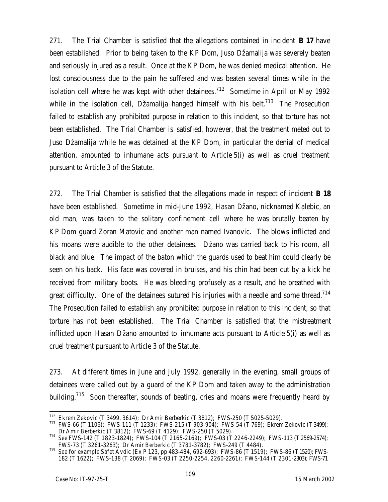271. The Trial Chamber is satisfied that the allegations contained in incident **B 17** have been established. Prior to being taken to the KP Dom, Juso Džamalija was severely beaten and seriously injured as a result. Once at the KP Dom, he was denied medical attention. He lost consciousness due to the pain he suffered and was beaten several times while in the isolation cell where he was kept with other detainees.<sup>712</sup> Sometime in April or May 1992 while in the isolation cell, Džamalija hanged himself with his belt.<sup>713</sup> The Prosecution failed to establish any prohibited purpose in relation to this incident, so that torture has not been established. The Trial Chamber is satisfied, however, that the treatment meted out to Juso Džamalija while he was detained at the KP Dom, in particular the denial of medical attention, amounted to inhumane acts pursuant to Article 5(i) as well as cruel treatment pursuant to Article 3 of the Statute.

272. The Trial Chamber is satisfied that the allegations made in respect of incident **B 18** have been established. Sometime in mid-June 1992, Hasan Džano, nicknamed Kalebic, an old man, was taken to the solitary confinement cell where he was brutally beaten by KP Dom guard Zoran Matovic and another man named Ivanovic. The blows inflicted and his moans were audible to the other detainees. Džano was carried back to his room, all black and blue. The impact of the baton which the guards used to beat him could clearly be seen on his back. His face was covered in bruises, and his chin had been cut by a kick he received from military boots. He was bleeding profusely as a result, and he breathed with great difficulty. One of the detainees sutured his injuries with a needle and some thread.<sup>714</sup> The Prosecution failed to establish any prohibited purpose in relation to this incident, so that torture has not been established. The Trial Chamber is satisfied that the mistreatment inflicted upon Hasan Džano amounted to inhumane acts pursuant to Article 5(i) as well as cruel treatment pursuant to Article 3 of the Statute.

273. At different times in June and July 1992, generally in the evening, small groups of detainees were called out by a guard of the KP Dom and taken away to the administration building.<sup>715</sup> Soon thereafter, sounds of beating, cries and moans were frequently heard by

 $\overline{a}$ <sup>712</sup> Ekrem Zekovic (T 3499, 3614); Dr Amir Berberkic (T 3812); FWS-250 (T 5025-5029).

<sup>713</sup> FWS-66 (T 1106); FWS-111 (T 1233); FWS-215 (T 903-904); FWS-54 (T 769); Ekrem Zekovic (T 3499); Dr Amir Berberkic (T 3812); FWS-69 (T 4129); FWS-250 (T 5029).

<sup>714</sup> *See* FWS-142 (T 1823-1824); FWS-104 (T 2165-2169); FWS-03 (T 2246-2249); FWS-113 (T2569-2574); FWS-73 (T 3261-3263); Dr Amir Berberkic (T 3781-3782); FWS-249 (T 4484).

<sup>715</sup> *See* for example Safet Avdic (Ex P 123, pp 483-484, 692-693); FWS-86 (T 1519); FWS-86 (T1520); FWS-182 (T 1622); FWS-138 (T 2069); FWS-03 (T 2250-2254, 2260-2261); FWS-144 (T 2301-2303); FWS-71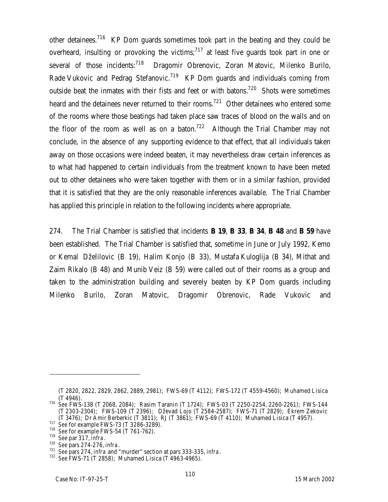other detainees.<sup>716</sup> KP Dom quards sometimes took part in the beating and they could be overheard, insulting or provoking the victims;<sup>717</sup> at least five quards took part in one or several of those incidents:<sup>718</sup> Dragomir Obrenovic, Zoran Matovic, Milenko Burilo, Rade Vukovic and Pedrag Stefanovic.<sup>719</sup> KP Dom guards and individuals coming from outside beat the inmates with their fists and feet or with batons.<sup>720</sup> Shots were sometimes heard and the detainees never returned to their rooms.<sup>721</sup> Other detainees who entered some of the rooms where those beatings had taken place saw traces of blood on the walls and on the floor of the room as well as on a baton.<sup>722</sup> Although the Trial Chamber may not conclude, in the absence of any supporting evidence to that effect, that all individuals taken away on those occasions were indeed beaten, it may nevertheless draw certain inferences as to what had happened to certain individuals from the treatment known to have been meted out to other detainees who were taken together with them or in a similar fashion, provided that it is satisfied that they are the only reasonable inferences available. The Trial Chamber has applied this principle in relation to the following incidents where appropriate.

274. The Trial Chamber is satisfied that incidents **B 19**, **B 33**, **B 34**, **B 48** and **B 59** have been established. The Trial Chamber is satisfied that, sometime in June or July 1992, Kemo or Kemal Dželilovic (B 19), Halim Konjo (B 33), Mustafa Kuloglija (B 34), Mithat and Zaim Rikalo (B 48) and Munib Veiz (B 59) were called out of their rooms as a group and taken to the administration building and severely beaten by KP Dom guards including Milenko Burilo, Zoran Matovic, Dragomir Obrenovic, Rade Vukovic and

<sup>(</sup>T 2820, 2822, 2829, 2862, 2889, 2981); FWS-69 (T 4112); FWS-172 (T 4559-4560); Muhamed Lisica (T 4946).

<sup>716</sup> *See* FWS-138 (T 2068, 2084); Rasim Taranin (T 1724); FWS-03 (T 2250-2254, 2260-2261); FWS-144 (T 2303-2304); FWS-109 (T 2396); Dževad Lojo (T 2584-2587); FWS-71 (T 2829); Ekrem Zekovic (T 3476); Dr Amir Berberkic (T 3811); RJ (T 3861); FWS-69 (T 4110); Muhamed Lisica (T 4957).

<sup>717</sup> *See* for example FWS-73 (T 3286-3289).

<sup>718</sup> *See* for example FWS-54 (T 761-762).

<sup>719</sup> *See* par 317, *infra*.

<sup>720</sup> *See* pars 274-276, *infra*.

<sup>721</sup> *See* pars 274, *infra* and "murder" section at pars 333-335, *infra*.

<sup>722</sup> *See* FWS-71 (T 2858); Muhamed Lisica (T 4963-4965).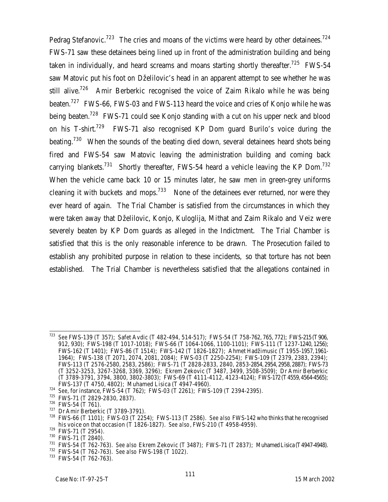Pedrag Stefanovic.<sup>723</sup> The cries and moans of the victims were heard by other detainees.<sup>724</sup> FWS-71 saw these detainees being lined up in front of the administration building and being taken in individually, and heard screams and moans starting shortly thereafter.<sup>725</sup> FWS-54 saw Matovic put his foot on Dželilovic's head in an apparent attempt to see whether he was still alive.<sup>726</sup> Amir Berberkic recognised the voice of Zaim Rikalo while he was being beaten.<sup>727</sup> FWS-66, FWS-03 and FWS-113 heard the voice and cries of Konjo while he was being beaten.<sup>728</sup> FWS-71 could see Konjo standing with a cut on his upper neck and blood on his T-shirt.<sup>729</sup> FWS-71 also recognised KP Dom guard Burilo's voice during the beating.<sup>730</sup> When the sounds of the beating died down, several detainees heard shots being fired and FWS-54 saw Matovic leaving the administration building and coming back carrying blankets.<sup>731</sup> Shortly thereafter, FWS-54 heard a vehicle leaving the KP Dom.<sup>732</sup> When the vehicle came back 10 or 15 minutes later, he saw men in green-grey uniforms cleaning it with buckets and mops.<sup>733</sup> None of the detainees ever returned, nor were they ever heard of again. The Trial Chamber is satisfied from the circumstances in which they were taken away that Dželilovic, Konjo, Kuloglija, Mithat and Zaim Rikalo and Veiz were severely beaten by KP Dom guards as alleged in the Indictment. The Trial Chamber is satisfied that this is the only reasonable inference to be drawn. The Prosecution failed to establish any prohibited purpose in relation to these incidents, so that torture has not been established. The Trial Chamber is nevertheless satisfied that the allegations contained in

<sup>727</sup> Dr Amir Berberkic (T 3789-3791).

<sup>732</sup> FWS-54 (T 762-763). *See also* FWS-198 (T 1022).

<sup>723</sup> <sup>723</sup> *See* FWS-139 (T 357); Safet Avdic (T 482-494, 514-517); FWS-54 (T 758-762, 765, 772); FWS-215 (T906, 912, 930); FWS-198 (T 1017-1018); FWS-66 (T 1064-1066, 1100-1101); FWS-111 (T 1237-1240, 1256); FWS-162 (T 1401); FWS-86 (T 1514); FWS-142 (T 1826-1827); Ahmet Hadžimusic (T 1955-1957, 1961- 1964); FWS-138 (T 2071, 2074, 2081, 2084); FWS-03 (T 2250-2254); FWS-109 (T 2379, 2383, 2394); FWS-113 (T 2576-2580, 2583, 2586); FWS-71 (T 2828-2833, 2840, 2853-2854, 2954, 2958, 2887); FWS-73 (T 3252-3253, 3267-3268, 3369, 3296); Ekrem Zekovic (T 3487, 3499, 3508-3509); Dr Amir Berberkic (T 3789-3791, 3794, 3800, 3802-3803); FWS-69 (T 4111-4112, 4123-4124); FWS-172 (T4559, 4564-4565); FWS-137 (T 4750, 4802); Muhamed Lisica (T 4947-4960).

<sup>724</sup> *See*, for instance, FWS-54 (T 762); FWS-03 (T 2261); FWS-109 (T 2394-2395).

<sup>725</sup> FWS-71 (T 2829-2830, 2837).

<sup>726</sup> FWS-54 (T 761).

<sup>728</sup> FWS-66 (T 1101); FWS-03 (T 2254); FWS-113 (T 2586). *See also* FWS-142 who thinks that he recognised his voice on that occasion (T 1826-1827). *See also*, FWS-210 (T 4958-4959).

<sup>729</sup> FWS-71 (T 2954).

<sup>730</sup> FWS-71 (T 2840).

<sup>731</sup> FWS-54 (T 762-763). *See also* Ekrem Zekovic (T 3487); FWS-71 (T 2837); Muhamed Lisica (T4947-4948).

<sup>733</sup> FWS-54 (T 762-763).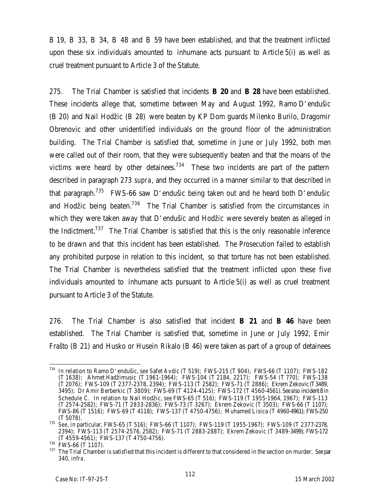B 19, B 33, B 34, B 48 and B 59 have been established, and that the treatment inflicted upon these six individuals amounted to inhumane acts pursuant to Article 5(i) as well as cruel treatment pursuant to Article 3 of the Statute.

275. The Trial Chamber is satisfied that incidents **B 20** and **B 28** have been established. These incidents allege that, sometime between May and August 1992, Ramo D'endušic (B 20) and Nail Hodžic (B 28) were beaten by KP Dom guards Milenko Burilo, Dragomir Obrenovic and other unidentified individuals on the ground floor of the administration building. The Trial Chamber is satisfied that, sometime in June or July 1992, both men were called out of their room, that they were subsequently beaten and that the moans of the victims were heard by other detainees.<sup>734</sup> These two incidents are part of the pattern described in paragraph 273 *supra*, and they occurred in a manner similar to that described in that paragraph.<sup>735</sup> FWS-66 saw D'endušic being taken out and he heard both D'endušic and Hodžic being beaten.<sup>736</sup> The Trial Chamber is satisfied from the circumstances in which they were taken away that D'endušic and Hodžic were severely beaten as alleged in the Indictment.<sup>737</sup> The Trial Chamber is satisfied that this is the only reasonable inference to be drawn and that this incident has been established. The Prosecution failed to establish any prohibited purpose in relation to this incident, so that torture has not been established. The Trial Chamber is nevertheless satisfied that the treatment inflicted upon these five individuals amounted to inhumane acts pursuant to Article 5(i) as well as cruel treatment pursuant to Article 3 of the Statute.

276. The Trial Chamber is also satisfied that incident **B 21** and **B 46** have been established. The Trial Chamber is satisfied that, sometime in June or July 1992, Emir Frašto (B 21) and Husko or Husein Rikalo (B 46) were taken as part of a group of detainees

 $\overline{a}$ <sup>734</sup> In relation to Ramo D'endušic, s*ee* Safet Avdic (T 519); FWS-215 (T 904); FWS-66 (T 1107); FWS-182 (T 1638); Ahmet Hadžimusic (T 1961-1964); FWS-104 (T 2184, 2217); FWS-54 (T 770); FWS-138 (T 2076); FWS-109 (T 2377-2378, 2394); FWS-113 (T 2582); FWS-71 (T 2886); Ekrem Zekovic (T3489, 3495); Dr Amir Berberkic (T 3809); FWS-69 (T 4124-4125); FWS-172 (T 4560-4561). *See also* incident 8 in Schedule C. In relation to Nail Hodžic, *see* FWS-65 (T 516); FWS-119 (T 1955-1964, 1967); FWS-113 (T 2574-2582); FWS-71 (T 2833-2836); FWS-73 (T 3267); Ekrem Zekovic (T 3503); FWS-66 (T 1107); FWS-86 (T 1516); FWS-69 (T 4118); FWS-137 (T 4750-4756); Muhamed Lisica (T 4960-4961); FWS-250 (T 5078).

<sup>735</sup> *See*, in particular, FWS-65 (T 516); FWS-66 (T 1107); FWS-119 (T 1955-1967); FWS-109 (T 2377-2378, 2394); FWS-113 (T 2574-2576, 2582); FWS-71 (T 2883-2887); Ekrem Zekovic (T 3489-3499); FWS-172 (T 4559-4561); FWS-137 (T 4750-4756).

<sup>736</sup> FWS-66 (T 1107).

<sup>737</sup> The Trial Chamber is satisfied that this incident is different to that considered in the section on murder. *See* par 340, *infra*.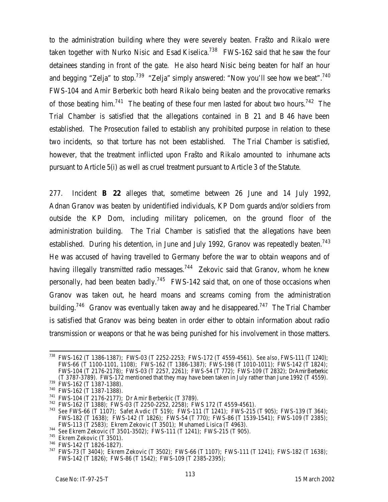to the administration building where they were severely beaten. Frašto and Rikalo were taken together with Nurko Nisic and Esad Kiselica.<sup>738</sup> FWS-162 said that he saw the four detainees standing in front of the gate. He also heard Nisic being beaten for half an hour and begging "Zelja" to stop.<sup>739</sup> "Zelja" simply answered: "Now you'll see how we beat".<sup>740</sup> FWS-104 and Amir Berberkic both heard Rikalo being beaten and the provocative remarks of those beating him.<sup>741</sup> The beating of these four men lasted for about two hours.<sup>742</sup> The Trial Chamber is satisfied that the allegations contained in B 21 and B 46 have been established. The Prosecution failed to establish any prohibited purpose in relation to these two incidents, so that torture has not been established. The Trial Chamber is satisfied, however, that the treatment inflicted upon Frašto and Rikalo amounted to inhumane acts pursuant to Article 5(i) as well as cruel treatment pursuant to Article 3 of the Statute.

277. Incident **B 22** alleges that, sometime between 26 June and 14 July 1992, Adnan Granov was beaten by unidentified individuals, KP Dom guards and/or soldiers from outside the KP Dom, including military policemen, on the ground floor of the administration building. The Trial Chamber is satisfied that the allegations have been established. During his detention, in June and July 1992, Granov was repeatedly beaten.<sup>743</sup> He was accused of having travelled to Germany before the war to obtain weapons and of having illegally transmitted radio messages.<sup>744</sup> Zekovic said that Granov, whom he knew personally, had been beaten badly.<sup>745</sup> FWS-142 said that, on one of those occasions when Granov was taken out, he heard moans and screams coming from the administration building.<sup>746</sup> Granov was eventually taken away and he disappeared.<sup>747</sup> The Trial Chamber is satisfied that Granov was being beaten in order either to obtain information about radio transmission or weapons or that he was being punished for his involvement in those matters.

 $\overline{a}$ <sup>738</sup> FWS-162 (T 1386-1387); FWS-03 (T 2252-2253; FWS-172 (T 4559-4561). *See also*, FWS-111 (T 1240); FWS-66 (T 1100-1101, 1108); FWS-162 (T 1386-1387); FWS-198 (T 1010-1011); FWS-142 (T 1824); FWS-104 (T 2176-2178); FWS-03 (T 2257, 2261); FWS-54 (T 772); FWS-109 (T 2832); DrAmir Berberkic (T 3787-3789). FWS-172 mentioned that they may have been taken in July rather than June 1992 (T 4559).

 $739$  FWS-162 (T 1387-1388).

<sup>740</sup> FWS-162 (T 1387-1388).

<sup>741</sup> FWS-104 (T 2176-2177); Dr Amir Berberkic (T 3789).

<sup>742</sup> FWS-162 (T 1388); FWS-03 (T 2250-2252, 2258); FWS 172 (T 4559-4561).

<sup>743</sup> *See* FWS-66 (T 1107); Safet Avdic (T 519); FWS-111 (T 1241); FWS-215 (T 905); FWS-139 (T 364); FWS-182 (T 1638); FWS-142 (T 1826); FWS-54 (T 770); FWS-86 (T 1539-1541); FWS-109 (T 2385); FWS-113 (T 2583); Ekrem Zekovic (T 3501); Muhamed Lisica (T 4963).

<sup>744</sup> *See* Ekrem Zekovic (T 3501-3502); FWS-111 (T 1241); FWS-215 (T 905).

<sup>&</sup>lt;sup>745</sup> Ekrem Zekovic (T 3501).

<sup>746</sup> FWS-142 (T 1826-1827).

<sup>747</sup> FWS-73 (T 3404); Ekrem Zekovic (T 3502); FWS-66 (T 1107); FWS-111 (T 1241); FWS-182 (T 1638); FWS-142 (T 1826); FWS-86 (T 1542); FWS-109 (T 2385-2395);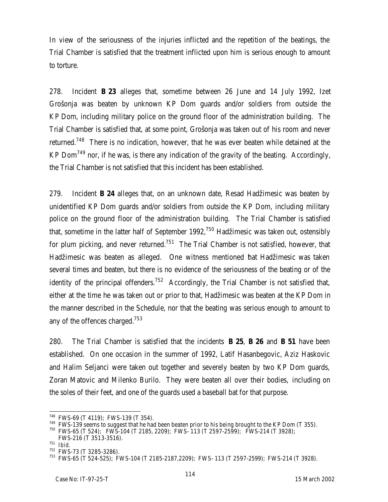In view of the seriousness of the injuries inflicted and the repetition of the beatings, the Trial Chamber is satisfied that the treatment inflicted upon him is serious enough to amount to torture.

278. Incident **B 23** alleges that, sometime between 26 June and 14 July 1992, Izet Grošonja was beaten by unknown KP Dom guards and/or soldiers from outside the KP Dom, including military police on the ground floor of the administration building. The Trial Chamber is satisfied that, at some point, Grošonja was taken out of his room and never returned.<sup>748</sup> There is no indication, however, that he was ever beaten while detained at the KP Dom<sup>749</sup> nor, if he was, is there any indication of the gravity of the beating. Accordingly, the Trial Chamber is not satisfied that this incident has been established.

279. Incident **B 24** alleges that, on an unknown date, Resad Hadžimesic was beaten by unidentified KP Dom guards and/or soldiers from outside the KP Dom, including military police on the ground floor of the administration building. The Trial Chamber is satisfied that, sometime in the latter half of September 1992, $750$  Hadžimesic was taken out, ostensibly for plum picking, and never returned.<sup>751</sup> The Trial Chamber is not satisfied, however, that Hadžimesic was beaten as alleged. One witness mentioned that Hadžimesic was taken several times and beaten, but there is no evidence of the seriousness of the beating or of the identity of the principal offenders.<sup>752</sup> Accordingly, the Trial Chamber is not satisfied that, either at the time he was taken out or prior to that, Hadžimesic was beaten at the KP Dom in the manner described in the Schedule, nor that the beating was serious enough to amount to any of the offences charged.<sup>753</sup>

280. The Trial Chamber is satisfied that the incidents **B 25**, **B 26** and **B 51** have been established. On one occasion in the summer of 1992, Latif Hasanbegovic, Aziz Haskovic and Halim Seljanci were taken out together and severely beaten by two KP Dom guards, Zoran Matovic and Milenko Burilo. They were beaten all over their bodies, including on the soles of their feet, and one of the guards used a baseball bat for that purpose.

 $748$  FWS-69 (T 4119); FWS-139 (T 354).

<sup>&</sup>lt;sup>749</sup> FWS-139 seems to suggest that he had been beaten prior to his being brought to the KP Dom (T 355).

 $750$  FWS-65 (T 524); FWS-104 (T 2185, 2209); FWS-113 (T 2597-2599); FWS-214 (T 3928); FWS-216 (T 3513-3516).

<sup>751</sup> *Ibid*.

<sup>&</sup>lt;sup>752</sup> FWS-73 (T 3285-3286).

<sup>753</sup> FWS-65 (T 524-525); FWS-104 (T 2185-2187,2209); FWS- 113 (T 2597-2599); FWS-214 (T 3928).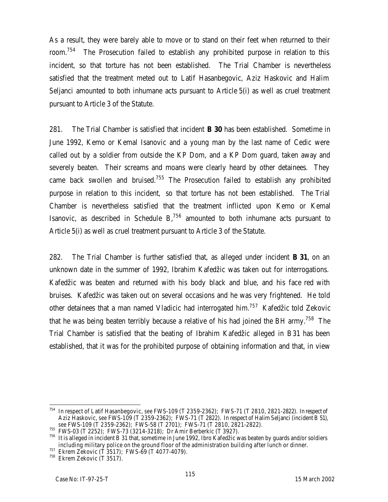As a result, they were barely able to move or to stand on their feet when returned to their room.<sup>754</sup> The Prosecution failed to establish any prohibited purpose in relation to this incident, so that torture has not been established. The Trial Chamber is nevertheless satisfied that the treatment meted out to Latif Hasanbegovic, Aziz Haskovic and Halim Seljanci amounted to both inhumane acts pursuant to Article 5(i) as well as cruel treatment pursuant to Article 3 of the Statute.

281. The Trial Chamber is satisfied that incident **B 30** has been established. Sometime in June 1992, Kemo or Kemal Isanovic and a young man by the last name of Cedic were called out by a soldier from outside the KP Dom, and a KP Dom guard, taken away and severely beaten. Their screams and moans were clearly heard by other detainees. They came back swollen and bruised.<sup>755</sup> The Prosecution failed to establish any prohibited purpose in relation to this incident, so that torture has not been established. The Trial Chamber is nevertheless satisfied that the treatment inflicted upon Kemo or Kemal Isanovic, as described in Schedule  $B<sub>1</sub><sup>756</sup>$  amounted to both inhumane acts pursuant to Article 5(i) as well as cruel treatment pursuant to Article 3 of the Statute.

282. The Trial Chamber is further satisfied that, as alleged under incident **B 31**, on an unknown date in the summer of 1992, Ibrahim Kafedžic was taken out for interrogations. Kafedžic was beaten and returned with his body black and blue, and his face red with bruises. Kafedžic was taken out on several occasions and he was very frightened. He told other detainees that a man named Vladicic had interrogated him.<sup>757</sup> Kafedžic told Zekovic that he was being beaten terribly because a relative of his had joined the BH army.<sup>758</sup> The Trial Chamber is satisfied that the beating of Ibrahim Kafedžic alleged in B31 has been established, that it was for the prohibited purpose of obtaining information and that, in view

<sup>754</sup> In respect of Latif Hasanbegovic, *see* FWS-109 (T 2359-2362); FWS-71 (T 2810, 2821-2822). In respect of Aziz Haskovic, *see* FWS-109 (T 2359-2362); FWS-71 (T 2822). In respect of Halim Seljanci (incident B 51), *see* FWS-109 (T 2359-2362); FWS-58 (T 2701); FWS-71 (T 2810, 2821-2822).

<sup>755</sup> FWS-03 (T 2252); FWS-73 (3214-3218); Dr Amir Berberkic (T 3927).

<sup>756</sup> It is alleged in incident B 31 that, sometime in June 1992, Ibro Kafedžic was beaten by guards and/or soldiers including military police on the ground floor of the administration building after lunch or dinner.

 $\frac{757}{10}$  Ekrem Zekovic (T 3517); FWS-69 (T 4077-4079).

 $758$  Ekrem Zekovic (T 3517).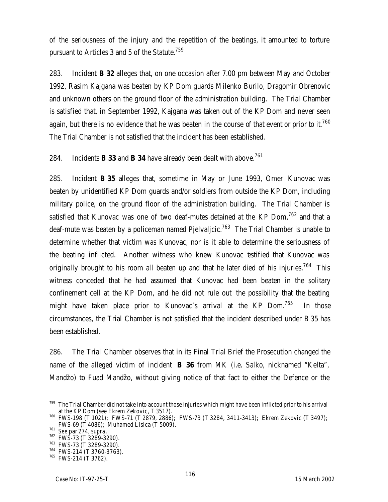of the seriousness of the injury and the repetition of the beatings, it amounted to torture pursuant to Articles 3 and 5 of the Statute.<sup>759</sup>

283. Incident **B 32** alleges that, on one occasion after 7.00 pm between May and October 1992, Rasim Kajgana was beaten by KP Dom guards Milenko Burilo, Dragomir Obrenovic and unknown others on the ground floor of the administration building. The Trial Chamber is satisfied that, in September 1992, Kajgana was taken out of the KP Dom and never seen again, but there is no evidence that he was beaten in the course of that event or prior to it.<sup>760</sup> The Trial Chamber is not satisfied that the incident has been established.

284. Incidents **B 33** and **B 34** have already been dealt with above.<sup>761</sup>

285. Incident **B 35** alleges that, sometime in May or June 1993, Omer Kunovac was beaten by unidentified KP Dom guards and/or soldiers from outside the KP Dom, including military police, on the ground floor of the administration building. The Trial Chamber is satisfied that Kunovac was one of two deaf-mutes detained at the KP Dom,  $762$  and that a deaf-mute was beaten by a policeman named Pjelvaljcic.<sup>763</sup> The Trial Chamber is unable to determine whether that victim was Kunovac, nor is it able to determine the seriousness of the beating inflicted. Another witness who knew Kunovac testified that Kunovac was originally brought to his room all beaten up and that he later died of his injuries.<sup>764</sup> This witness conceded that he had assumed that Kunovac had been beaten in the solitary confinement cell at the KP Dom, and he did not rule out the possibility that the beating might have taken place prior to Kunovac's arrival at the KP Dom. $765$  In those circumstances, the Trial Chamber is not satisfied that the incident described under B 35 has been established.

286. The Trial Chamber observes that in its Final Trial Brief the Prosecution changed the name of the alleged victim of incident **B 36** from MK (i.e. Salko, nicknamed "Kelta", Mandžo) to Fuad Mandžo, without giving notice of that fact to either the Defence or the

<sup>&</sup>lt;sup>759</sup> The Trial Chamber did not take into account those injuries which might have been inflicted prior to his arrival at the KP Dom (s*ee* Ekrem Zekovic, T 3517).

<sup>760</sup> FWS-198 (T 1021); FWS-71 (T 2879, 2886); FWS-73 (T 3284, 3411-3413); Ekrem Zekovic (T 3497); FWS-69 (T 4086); Muhamed Lisica (T 5009).

<sup>761</sup> *See* par 274, *supra*.

<sup>762</sup> FWS-73 (T 3289-3290).

<sup>763</sup> FWS-73 (T 3289-3290).

<sup>764</sup> FWS-214 (T 3760-3763).

<sup>765</sup> FWS-214 (T 3762).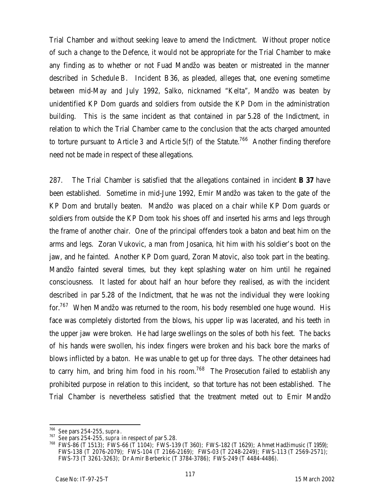Trial Chamber and without seeking leave to amend the Indictment. Without proper notice of such a change to the Defence, it would not be appropriate for the Trial Chamber to make any finding as to whether or not Fuad Mandžo was beaten or mistreated in the manner described in Schedule B. Incident B36, as pleaded, alleges that, one evening sometime between mid-May and July 1992, Salko, nicknamed "Kelta", Mandžo was beaten by unidentified KP Dom guards and soldiers from outside the KP Dom in the administration building. This is the same incident as that contained in par 5.28 of the Indictment, in relation to which the Trial Chamber came to the conclusion that the acts charged amounted to torture pursuant to Article 3 and Article  $5(f)$  of the Statute.<sup>766</sup> Another finding therefore need not be made in respect of these allegations.

287. The Trial Chamber is satisfied that the allegations contained in incident **B 37** have been established. Sometime in mid-June 1992, Emir Mandžo was taken to the gate of the KP Dom and brutally beaten. Mandžo was placed on a chair while KP Dom guards or soldiers from outside the KP Dom took his shoes off and inserted his arms and legs through the frame of another chair. One of the principal offenders took a baton and beat him on the arms and legs. Zoran Vukovic, a man from Josanica, hit him with his soldier's boot on the jaw, and he fainted. Another KP Dom guard, Zoran Matovic, also took part in the beating. Mandžo fainted several times, but they kept splashing water on him until he regained consciousness. It lasted for about half an hour before they realised, as with the incident described in par 5.28 of the Indictment, that he was not the individual they were looking for.<sup>767</sup> When Mandžo was returned to the room, his body resembled one huge wound. His face was completely distorted from the blows, his upper lip was lacerated, and his teeth in the upper jaw were broken. He had large swellings on the soles of both his feet. The backs of his hands were swollen, his index fingers were broken and his back bore the marks of blows inflicted by a baton. He was unable to get up for three days. The other detainees had to carry him, and bring him food in his room.<sup>768</sup> The Prosecution failed to establish any prohibited purpose in relation to this incident, so that torture has not been established. The Trial Chamber is nevertheless satisfied that the treatment meted out to Emir Mandžo

<sup>766</sup> *See* pars 254-255, *supra*.

<sup>767</sup> *See* pars 254-255, *supra* in respect of par 5.28.

<sup>768</sup> FWS-86 (T 1513); FWS-66 (T 1104); FWS-139 (T 360); FWS-182 (T 1629); Ahmet Hadžimusic (T 1959); FWS-138 (T 2076-2079); FWS-104 (T 2166-2169); FWS-03 (T 2248-2249); FWS-113 (T 2569-2571); FWS-73 (T 3261-3263); Dr Amir Berberkic (T 3784-3786); FWS-249 (T 4484-4486).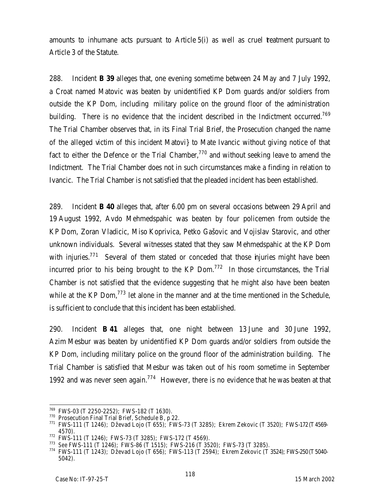amounts to inhumane acts pursuant to Article 5(i) as well as cruel treatment pursuant to Article 3 of the Statute.

288. Incident **B 39** alleges that, one evening sometime between 24 May and 7 July 1992, a Croat named Matovic was beaten by unidentified KP Dom guards and/or soldiers from outside the KP Dom, including military police on the ground floor of the administration building. There is no evidence that the incident described in the Indictment occurred.<sup>769</sup> The Trial Chamber observes that, in its Final Trial Brief, the Prosecution changed the name of the alleged victim of this incident Matovi} to Mate Ivancic without giving notice of that fact to either the Defence or the Trial Chamber, $770$  and without seeking leave to amend the Indictment. The Trial Chamber does not in such circumstances make a finding in relation to Ivancic. The Trial Chamber is not satisfied that the pleaded incident has been established.

289. Incident **B 40** alleges that, after 6.00 pm on several occasions between 29 April and 19 August 1992, Avdo Mehmedspahic was beaten by four policemen from outside the KP Dom, Zoran Vladicic, Miso Koprivica, Petko Gašovic and Vojislav Starovic, and other unknown individuals. Several witnesses stated that they saw Mehmedspahic at the KP Dom with injuries.<sup>771</sup> Several of them stated or conceded that those niuries might have been incurred prior to his being brought to the KP Dom.<sup>772</sup> In those circumstances, the Trial Chamber is not satisfied that the evidence suggesting that he might also have been beaten while at the KP Dom,  $773$  let alone in the manner and at the time mentioned in the Schedule, is sufficient to conclude that this incident has been established.

290. Incident **B 41** alleges that, one night between 13 June and 30 June 1992, Azim Mesbur was beaten by unidentified KP Dom guards and/or soldiers from outside the KP Dom, including military police on the ground floor of the administration building. The Trial Chamber is satisfied that Mesbur was taken out of his room sometime in September 1992 and was never seen again.<sup>774</sup> However, there is no evidence that he was beaten at that

 $^{769}$  FWS-03 (T 2250-2252); FWS-182 (T 1630).

<sup>770</sup> Prosecution Final Trial Brief, Schedule B, p 22.

<sup>771</sup> FWS-111 (T 1246); Dževad Lojo (T 655); FWS-73 (T 3285); Ekrem Zekovic (T 3520); FWS-172 (T4569- 4570).

<sup>772</sup> FWS-111 (T 1246); FWS-73 (T 3285); FWS-172 (T 4569).

<sup>773</sup> *See* FWS-111 (T 1246); FWS-86 (T 1515); FWS-216 (T 3520); FWS-73 (T 3285).

<sup>774</sup> FWS-111 (T 1243); Dževad Lojo (T 656); FWS-113 (T 2594); Ekrem Zekovic (T 3524); FWS-250 (T5040- 5042).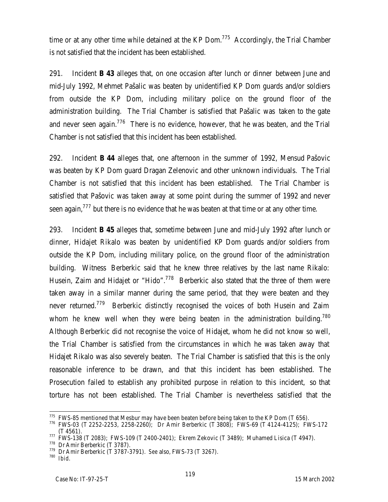time or at any other time while detained at the KP Dom.<sup>775</sup> Accordingly, the Trial Chamber is not satisfied that the incident has been established.

291. Incident **B 43** alleges that, on one occasion after lunch or dinner between June and mid-July 1992, Mehmet Pašalic was beaten by unidentified KP Dom guards and/or soldiers from outside the KP Dom, including military police on the ground floor of the administration building. The Trial Chamber is satisfied that Pašalic was taken to the gate and never seen again.<sup>776</sup> There is no evidence, however, that he was beaten, and the Trial Chamber is not satisfied that this incident has been established.

292. Incident **B 44** alleges that, one afternoon in the summer of 1992, Mensud Pašovic was beaten by KP Dom guard Dragan Zelenovic and other unknown individuals. The Trial Chamber is not satisfied that this incident has been established. The Trial Chamber is satisfied that Pašovic was taken away at some point during the summer of 1992 and never seen again, $777$  but there is no evidence that he was beaten at that time or at any other time.

293. Incident **B 45** alleges that, sometime between June and mid-July 1992 after lunch or dinner, Hidajet Rikalo was beaten by unidentified KP Dom guards and/or soldiers from outside the KP Dom, including military police, on the ground floor of the administration building. Witness Berberkic said that he knew three relatives by the last name Rikalo: Husein, Zaim and Hidajet or "Hido".<sup>778</sup> Berberkic also stated that the three of them were taken away in a similar manner during the same period, that they were beaten and they never returned.<sup>779</sup> Berberkic distinctly recognised the voices of both Husein and Zaim whom he knew well when they were being beaten in the administration building.<sup>780</sup> Although Berberkic did not recognise the voice of Hidajet, whom he did not know so well, the Trial Chamber is satisfied from the circumstances in which he was taken away that Hidajet Rikalo was also severely beaten. The Trial Chamber is satisfied that this is the only reasonable inference to be drawn, and that this incident has been established. The Prosecution failed to establish any prohibited purpose in relation to this incident, so that torture has not been established. The Trial Chamber is nevertheless satisfied that the

 $\overline{a}$  $^{775}$  FWS-85 mentioned that Mesbur may have been beaten before being taken to the KP Dom (T 656).

<sup>776</sup> FWS-03 (T 2252-2253, 2258-2260); Dr Amir Berberkic (T 3808); FWS-69 (T 4124-4125); FWS-172 (T 4561).

<sup>777</sup> FWS-138 (T 2083); FWS-109 (T 2400-2401); Ekrem Zekovic (T 3489); Muhamed Lisica (T 4947).

<sup>778</sup> Dr Amir Berberkic (T 3787).

<sup>779</sup> Dr Amir Berberkic (T 3787-3791). *See* also, FWS-73 (T 3267).

<sup>780</sup> *Ibid*.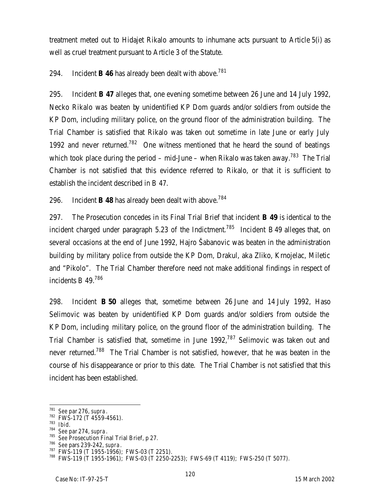treatment meted out to Hidajet Rikalo amounts to inhumane acts pursuant to Article 5(i) as well as cruel treatment pursuant to Article 3 of the Statute.

294. Incident **B 46** has already been dealt with above.<sup>781</sup>

295. Incident **B 47** alleges that, one evening sometime between 26 June and 14 July 1992, Necko Rikalo was beaten by unidentified KP Dom guards and/or soldiers from outside the KP Dom, including military police, on the ground floor of the administration building. The Trial Chamber is satisfied that Rikalo was taken out sometime in late June or early July 1992 and never returned.<sup>782</sup> One witness mentioned that he heard the sound of beatings which took place during the period – mid-June – when Rikalo was taken away.<sup>783</sup> The Trial Chamber is not satisfied that this evidence referred to Rikalo, or that it is sufficient to establish the incident described in B 47.

296. Incident **B 48** has already been dealt with above.<sup>784</sup>

297. The Prosecution concedes in its Final Trial Brief that incident **B 49** is identical to the incident charged under paragraph 5.23 of the Indictment.<sup>785</sup> Incident B49 alleges that, on several occasions at the end of June 1992, Hajro Šabanovic was beaten in the administration building by military police from outside the KP Dom, Drakul, aka Zliko, Krnojelac, Miletic and "Pikolo". The Trial Chamber therefore need not make additional findings in respect of incidents B 49. 786

298. Incident **B 50** alleges that, sometime between 26 June and 14 July 1992, Haso Selimovic was beaten by unidentified KP Dom guards and/or soldiers from outside the KP Dom, including military police, on the ground floor of the administration building. The Trial Chamber is satisfied that, sometime in June 1992,<sup>787</sup> Selimovic was taken out and never returned.<sup>788</sup> The Trial Chamber is not satisfied, however, that he was beaten in the course of his disappearance or prior to this date. The Trial Chamber is not satisfied that this incident has been established.

<sup>781</sup> *See* par 276, *supra*.

<sup>782</sup> FWS-172 (T 4559-4561).

<sup>783</sup> *Ibid*.

<sup>784</sup> *See* par 274, *supra*.

<sup>785</sup> *See* Prosecution Final Trial Brief, p 27.

<sup>786</sup> *See* pars 239-242, *supra*.

<sup>787</sup> FWS-119 (T 1955-1956); FWS-03 (T 2251).

<sup>788</sup> FWS-119 (T 1955-1961); FWS-03 (T 2250-2253); FWS-69 (T 4119); FWS-250 (T 5077).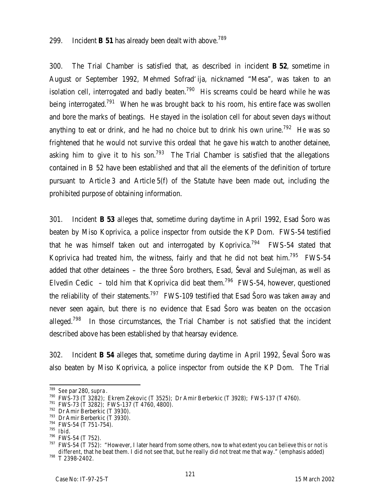## 299. Incident **B 51** has already been dealt with above.<sup>789</sup>

300. The Trial Chamber is satisfied that, as described in incident **B 52**, sometime in August or September 1992, Mehmed Sofrad'ija, nicknamed "Mesa", was taken to an isolation cell, interrogated and badly beaten.<sup>790</sup> His screams could be heard while he was being interrogated.<sup>791</sup> When he was brought back to his room, his entire face was swollen and bore the marks of beatings. He stayed in the isolation cell for about seven days without anything to eat or drink, and he had no choice but to drink his own urine.<sup>792</sup> He was so frightened that he would not survive this ordeal that he gave his watch to another detainee, asking him to give it to his son.<sup>793</sup> The Trial Chamber is satisfied that the allegations contained in B 52 have been established and that all the elements of the definition of torture pursuant to Article 3 and Article 5(f) of the Statute have been made out, including the prohibited purpose of obtaining information.

301. Incident **B 53** alleges that, sometime during daytime in April 1992, Esad Šoro was beaten by Miso Koprivica, a police inspector from outside the KP Dom. FWS-54 testified that he was himself taken out and interrogated by Koprivica.<sup>794</sup> FWS-54 stated that Koprivica had treated him, the witness, fairly and that he did not beat him.<sup>795</sup> FWS-54 added that other detainees – the three Šoro brothers, Esad, Ševal and Sulejman, as well as Elvedin Cedic – told him that Koprivica did beat them.<sup>796</sup> FWS-54, however, questioned the reliability of their statements.<sup>797</sup> FWS-109 testified that Esad Soro was taken away and never seen again, but there is no evidence that Esad Šoro was beaten on the occasion alleged.<sup>798</sup> In those circumstances, the Trial Chamber is not satisfied that the incident described above has been established by that hearsay evidence.

302. Incident **B 54** alleges that, sometime during daytime in April 1992, Ševal Šoro was also beaten by Miso Koprivica, a police inspector from outside the KP Dom. The Trial

 $\overline{a}$ <sup>789</sup> *See* par 280, *supra*.

<sup>790</sup> FWS-73 (T 3282); Ekrem Zekovic (T 3525); Dr Amir Berberkic (T 3928); FWS-137 (T 4760).

<sup>791</sup> FWS-73 (T 3282); FWS-137 (T 4760, 4800).

<sup>792</sup> Dr Amir Berberkic (T 3930).

<sup>793</sup> Dr Amir Berberkic (T 3930).

<sup>&</sup>lt;sup>794</sup> FWS-54 (T 751-754).

<sup>795</sup> *Ibid*.

<sup>796</sup> FWS-54 (T 752).

<sup>797</sup> FWS-54 (T 752): "However, I later heard from some others, *now to what extent you can believe this or not is different*, that he beat them. I did not see that, but he really did not treat me that way." (emphasis added) <sup>798</sup> T 2398-2402.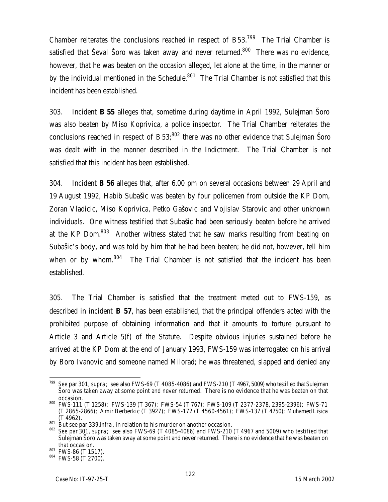Chamber reiterates the conclusions reached in respect of B53.<sup>799</sup> The Trial Chamber is satisfied that Ševal Šoro was taken away and never returned.<sup>800</sup> There was no evidence, however, that he was beaten on the occasion alleged, let alone at the time, in the manner or by the individual mentioned in the Schedule. $801$  The Trial Chamber is not satisfied that this incident has been established.

303. Incident **B 55** alleges that, sometime during daytime in April 1992, Sulejman Šoro was also beaten by Miso Koprivica, a police inspector. The Trial Chamber reiterates the conclusions reached in respect of  $B53$ <sup>802</sup> there was no other evidence that Sulejman Soro was dealt with in the manner described in the Indictment. The Trial Chamber is not satisfied that this incident has been established.

304. Incident **B 56** alleges that, after 6.00 pm on several occasions between 29 April and 19 August 1992, Habib Subašic was beaten by four policemen from outside the KP Dom, Zoran Vladicic, Miso Koprivica, Petko Gašovic and Vojislav Starovic and other unknown individuals. One witness testified that Subašic had been seriously beaten before he arrived at the KP Dom.<sup>803</sup> Another witness stated that he saw marks resulting from beating on Subašic's body, and was told by him that he had been beaten; he did not, however, tell him when or by whom.<sup>804</sup> The Trial Chamber is not satisfied that the incident has been established.

305. The Trial Chamber is satisfied that the treatment meted out to FWS-159, as described in incident **B 57**, has been established, that the principal offenders acted with the prohibited purpose of obtaining information and that it amounts to torture pursuant to Article 3 and Article 5(f) of the Statute. Despite obvious injuries sustained before he arrived at the KP Dom at the end of January 1993, FWS-159 was interrogated on his arrival by Boro Ivanovic and someone named Milorad; he was threatened, slapped and denied any

 $\overline{a}$ <sup>799</sup> *See* par 301, *supra*; *see* also FWS-69 (T 4085-4086) and FWS-210 (T 4967, 5009) who testified that Sulejman Šoro was taken away at some point and never returned. There is no evidence that he was beaten on that occasion.

<sup>800</sup> FWS-111 (T 1258); FWS-139 (T 367); FWS-54 (T 767); FWS-109 (T 2377-2378, 2395-2396); FWS-71 (T 2865-2866); Amir Berberkic (T 3927); FWS-172 (T 4560-4561); FWS-137 (T 4750); Muhamed Lisica (T 4962).

<sup>801</sup> But see par 339, *infra*, in relation to his murder on another occasion.

<sup>802</sup> *See* par 301, *supra*; *see* also FWS-69 (T 4085-4086) and FWS-210 (T 4967 and 5009) who testified that Sulejman Šoro was taken away at some point and never returned. There is no evidence that he was beaten on that occasion.

 $803$  FWS-86 (T 1517).

<sup>804</sup> FWS-58 (T 2700).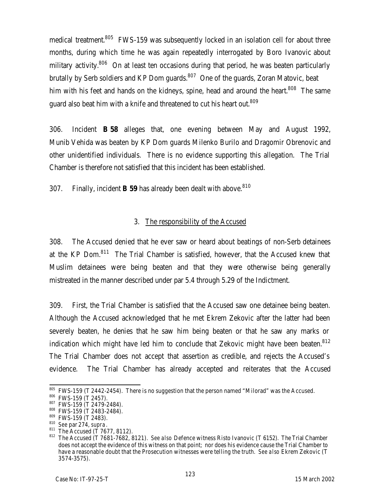medical treatment.<sup>805</sup> FWS-159 was subsequently locked in an isolation cell for about three months, during which time he was again repeatedly interrogated by Boro Ivanovic about military activity.<sup>806</sup> On at least ten occasions during that period, he was beaten particularly brutally by Serb soldiers and KP Dom guards. $807$  One of the guards, Zoran Matovic, beat him with his feet and hands on the kidneys, spine, head and around the heart.<sup>808</sup> The same guard also beat him with a knife and threatened to cut his heart out. $^{809}$ 

306. Incident **B 58** alleges that, one evening between May and August 1992, Munib Vehida was beaten by KP Dom guards Milenko Burilo and Dragomir Obrenovic and other unidentified individuals. There is no evidence supporting this allegation. The Trial Chamber is therefore not satisfied that this incident has been established.

307. Finally, incident **B 59** has already been dealt with above.<sup>810</sup>

# 3. The responsibility of the Accused

308. The Accused denied that he ever saw or heard about beatings of non-Serb detainees at the KP Dom.<sup>811</sup> The Trial Chamber is satisfied, however, that the Accused knew that Muslim detainees were being beaten and that they were otherwise being generally mistreated in the manner described under par 5.4 through 5.29 of the Indictment.

309. First, the Trial Chamber is satisfied that the Accused saw one detainee being beaten. Although the Accused acknowledged that he met Ekrem Zekovic after the latter had been severely beaten, he denies that he saw him being beaten or that he saw any marks or indication which might have led him to conclude that Zekovic might have been beaten.<sup>812</sup> The Trial Chamber does not accept that assertion as credible, and rejects the Accused's evidence. The Trial Chamber has already accepted and reiterates that the Accused

 $\overline{a}$  $805$  FWS-159 (T 2442-2454). There is no suggestion that the person named "Milorad" was the Accused.

<sup>806</sup> FWS-159 (T 2457).

<sup>807</sup> FWS-159 (T 2479-2484).

<sup>808</sup> FWS-159 (T 2483-2484).

<sup>809</sup> FWS-159 (T 2483).

<sup>810</sup> *See* par 274, *supra*.

 $^{811}$  The Accused (T 7677, 8112).

<sup>812</sup> The Accused (T 7681-7682, 8121). *See also* Defence witness Risto Ivanovic (T 6152). The Trial Chamber does not accept the evidence of this witness on that point; nor does his evidence cause the Trial Chamber to have a reasonable doubt that the Prosecution witnesses were telling the truth. *See also* Ekrem Zekovic (T 3574-3575).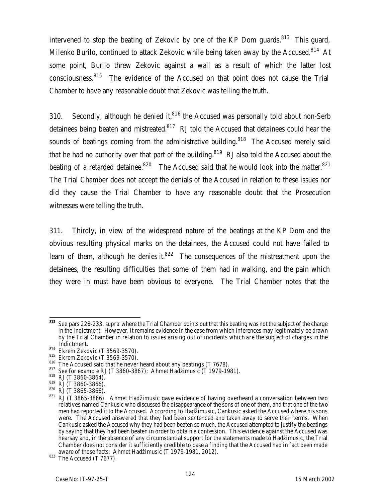intervened to stop the beating of Zekovic by one of the KP Dom quards. $813$  This quard, Milenko Burilo, continued to attack Zekovic while being taken away by the Accused.<sup>814</sup> At some point, Burilo threw Zekovic against a wall as a result of which the latter lost consciousness.<sup>815</sup> The evidence of the Accused on that point does not cause the Trial Chamber to have any reasonable doubt that Zekovic was telling the truth.

310. Secondly, although he denied it, $816$  the Accused was personally told about non-Serb detainees being beaten and mistreated. $817$  RJ told the Accused that detainees could hear the sounds of beatings coming from the administrative building.<sup>818</sup> The Accused merely said that he had no authority over that part of the building.<sup>819</sup> RJ also told the Accused about the beating of a retarded detainee.<sup>820</sup> The Accused said that he would look into the matter.<sup>821</sup> The Trial Chamber does not accept the denials of the Accused in relation to these issues nor did they cause the Trial Chamber to have any reasonable doubt that the Prosecution witnesses were telling the truth.

311. Thirdly, in view of the widespread nature of the beatings at the KP Dom and the obvious resulting physical marks on the detainees, the Accused could not have failed to learn of them, although he denies it. $822$  The consequences of the mistreatment upon the detainees, the resulting difficulties that some of them had in walking, and the pain which they were in must have been obvious to everyone. The Trial Chamber notes that the

<sup>813</sup> **<sup>813</sup>** *See* pars 228-233, *supra* where the Trial Chamber points out that this beating was not the subject of the charge in the Indictment. However, it remains evidence in the case from which inferences may legitimately be drawn by the Trial Chamber in relation to issues arising out of incidents which *are* the subject of charges in the Indictment.

<sup>814</sup> Ekrem Zekovic (T 3569-3570).

<sup>815</sup> Ekrem Zekovic (T 3569-3570).

 $816$  The Accused said that he never heard about any beatings (T 7678).

<sup>817</sup> *See* for example RJ (T 3860-3867); Ahmet Hadžimusic (T 1979-1981).

 $818$  RJ (T 3860-3864).

 $819$  RJ (T 3860-3866).

 $820$  RJ (T 3865-3866).

<sup>821</sup> RJ (T 3865-3866). Ahmet Hadžimusic gave evidence of having overheard a conversation between two relatives named Cankusic who discussed the disappearance of the sons of one of them, and that one of the two men had reported it to the Accused. According to Hadžimusic, Cankusic asked the Accused where his sons were. The Accused answered that they had been sentenced and taken away to serve their terms. When Cankusic asked the Accused why they had been beaten so much, the Accused attempted to justify the beatings by saying that they had been beaten in order to obtain a confession. This evidence against the Accused was hearsay and, in the absence of any circumstantial support for the statements made to Hadžimusic, the Trial Chamber does not consider it sufficiently credible to base a finding that the Accused had in fact been made aware of those facts: Ahmet Hadžimusic (T 1979-1981, 2012).

 $822$  The Accused (T 7677).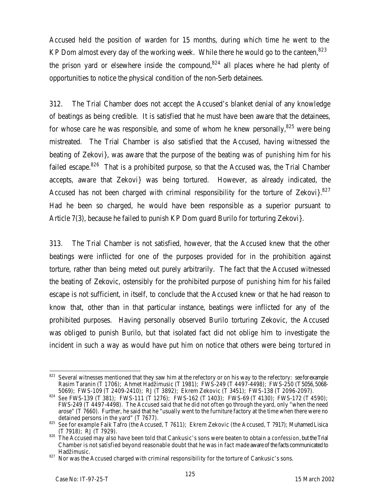Accused held the position of warden for 15 months, during which time he went to the KP Dom almost every day of the working week. While there he would go to the canteen.  $823$ the prison yard or elsewhere inside the compound, $824$  all places where he had plenty of opportunities to notice the physical condition of the non-Serb detainees.

312. The Trial Chamber does not accept the Accused's blanket denial of any knowledge of beatings as being credible. It is satisfied that he must have been aware that the detainees, for whose care he was responsible, and some of whom he knew personally, $825$  were being mistreated. The Trial Chamber is also satisfied that the Accused, having witnessed the beating of Zekovi}, was aware that the purpose of the beating was of *punishing* him for his failed escape.<sup>826</sup> That is a prohibited purpose, so that the Accused was, the Trial Chamber accepts, aware that Zekovi} was being tortured. However, as already indicated, the Accused has not been charged with criminal responsibility for the torture of Zekovi $3.827$ Had he been so charged, he would have been responsible as a superior pursuant to Article 7(3), because he failed to punish KP Dom guard Burilo for torturing Zekovi}.

313. The Trial Chamber is not satisfied, however, that the Accused knew that the other beatings were inflicted for one of the purposes provided for in the prohibition against torture, rather than being meted out purely arbitrarily. The fact that the Accused witnessed the beating of Zekovic, ostensibly for the prohibited purpose of *punishing* him for his failed escape is not sufficient, in itself, to conclude that the Accused knew or that he had reason to know that, other than in that particular instance, beatings were inflicted for any of the prohibited purposes. Having personally observed Burilo torturing Zekovic, the Accused was obliged to punish Burilo, but that isolated fact did not oblige him to investigate the incident in such a way as would have put him on notice that others were being *tortured* in

<sup>823</sup> Several witnesses mentioned that they saw him at the refectory or on his way to the refectory: *see* for example Rasim Taranin (T 1706); Ahmet Hadžimusic (T 1981); FWS-249 (T 4497-4498); FWS-250 (T5056, 5068- 5069); FWS-109 (T 2409-2410); RJ (T 3892); Ekrem Zekovic (T 3451); FWS-138 (T 2096-2097).

<sup>824</sup> *See* FWS-139 (T 381); FWS-111 (T 1276); FWS-162 (T 1403); FWS-69 (T 4130); FWS-172 (T 4590); FWS-249 (T 4497-4498). The Accused said that he did not often go through the yard, only "when the need arose" (T 7660). Further, he said that he "usually went to the furniture factory at the time when there were no detained persons in the yard" (T 7677).

<sup>825</sup> *See* for example Faik Tafro (the Accused, T 7611); Ekrem Zekovic (the Accused, T 7917); Muhamed Lisica (T 7918); RJ (T 7929).

<sup>826</sup> The Accused may also have been told that Cankusic's sons were beaten to obtain a *confession*, but the Trial Chamber is not satisfied beyond reasonable doubt that he was in fact made aware of the facts communicated to Hadžimusic.

<sup>827</sup> Nor was the Accused charged with criminal responsibility for the torture of Cankusic's sons.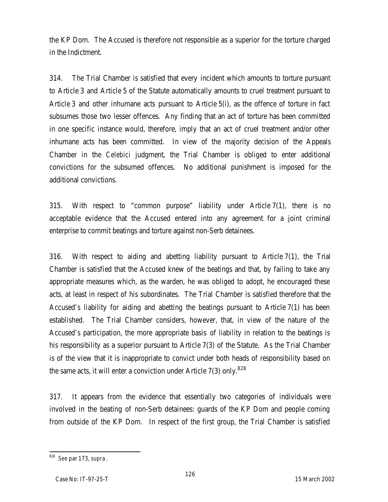the KP Dom. The Accused is therefore not responsible as a superior for the torture charged in the Indictment.

314. The Trial Chamber is satisfied that every incident which amounts to torture pursuant to Article 3 and Article 5 of the Statute automatically amounts to cruel treatment pursuant to Article 3 and other inhumane acts pursuant to Article 5(i), as the offence of torture in fact subsumes those two lesser offences. Any finding that an act of torture has been committed in one specific instance would, therefore, imply that an act of cruel treatment and/or other inhumane acts has been committed. In view of the majority decision of the Appeals Chamber in the *Celebici* judgment, the Trial Chamber is obliged to enter additional convictions for the subsumed offences. No additional punishment is imposed for the additional convictions.

315. With respect to "common purpose" liability under Article 7(1), there is no acceptable evidence that the Accused entered into any agreement for a joint criminal enterprise to commit beatings and torture against non-Serb detainees.

316. With respect to aiding and abetting liability pursuant to Article 7(1), the Trial Chamber is satisfied that the Accused knew of the beatings and that, by failing to take any appropriate measures which, as the warden, he was obliged to adopt, he encouraged these acts, at least in respect of his subordinates. The Trial Chamber is satisfied therefore that the Accused's liability for aiding and abetting the beatings pursuant to Article 7(1) has been established. The Trial Chamber considers, however, that, in view of the nature of the Accused's participation, the more appropriate basis of liability in relation to the beatings is his responsibility as a superior pursuant to Article 7(3) of the Statute. As the Trial Chamber is of the view that it is inappropriate to convict under both heads of responsibility based on the same acts, it will enter a conviction under Article  $7(3)$  only.<sup>828</sup>

317. It appears from the evidence that essentially two categories of individuals were involved in the beating of non-Serb detainees: guards of the KP Dom and people coming from outside of the KP Dom. In respect of the first group, the Trial Chamber is satisfied

 $\overline{a}$ <sup>828</sup> *See* par 173, *supra*.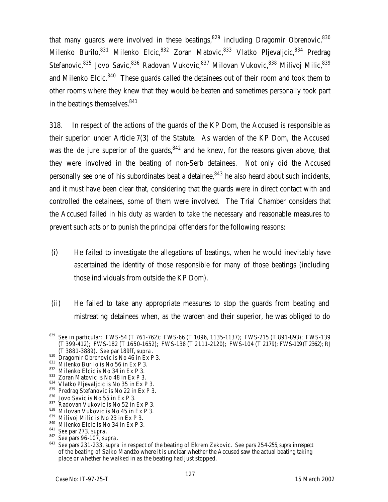that many guards were involved in these beatings,  $829$  including Dragomir Obrenovic,  $830$ Milenko Burilo,  $831$  Milenko Elcic,  $832$  Zoran Matovic,  $833$  Vlatko Pljevaljcic,  $834$  Predrag Stefanovic, <sup>835</sup> Jovo Savic, <sup>836</sup> Radovan Vukovic, <sup>837</sup> Milovan Vukovic, <sup>838</sup> Milivoj Milic, <sup>839</sup> and Milenko Elcic.<sup>840</sup> These guards called the detainees out of their room and took them to other rooms where they knew that they would be beaten and sometimes personally took part in the beatings themselves.<sup>841</sup>

318. In respect of the actions of the guards of the KP Dom, the Accused is responsible as their superior under Article 7(3) of the Statute. As warden of the KP Dom, the Accused was the *de jure* superior of the guards, <sup>842</sup> and he knew, for the reasons given above, that they were involved in the beating of non-Serb detainees. Not only did the Accused personally see one of his subordinates beat a detainee,  $843$  he also heard about such incidents, and it must have been clear that, considering that the guards were in direct contact with and controlled the detainees, some of them were involved. The Trial Chamber considers that the Accused failed in his duty as warden to take the necessary and reasonable measures to prevent such acts or to punish the principal offenders for the following reasons:

- (i) He failed to investigate the allegations of beatings, when he would inevitably have ascertained the identity of those responsible for many of those beatings (including those individuals from outside the KP Dom).
- (ii) He failed to take any appropriate measures to stop the guards from beating and mistreating detainees when, as the warden and their superior, he was obliged to do

<sup>829</sup> <sup>829</sup> *See* in particular: FWS-54 (T 761-762); FWS-66 (T 1096, 1135-1137); FWS-215 (T 891-893); FWS-139 (T 399-412); FWS-182 (T 1650-1652); FWS-138 (T 2111-2120); FWS-104 (T 2179); FWS-109 (T2362); RJ (T 3881-3889). *See* par 189ff, *supra*.

<sup>830</sup> Dragomir Obrenovic is No 46 in Ex P 3.

<sup>831</sup> Milenko Burilo is No 56 in Ex P 3.

<sup>832</sup> Milenko Elcic is No 34 in Ex P 3.

<sup>833</sup> Zoran Matovic is No 48 in Ex P 3.

<sup>834</sup> Vlatko Pljevaljcic is No 35 in Ex P 3.

<sup>835</sup> Predrag Stefanovic is No 22 in Ex P 3.

<sup>836</sup> Jovo Savic is No 55 in Ex P 3.

<sup>837</sup> Radovan Vukovic is No 52 in Ex P 3.

<sup>838</sup> Milovan Vukovic is No 45 in Ex P 3.

<sup>839</sup> Milivoj Milic is No 23 in Ex P 3.

<sup>840</sup> Milenko Elcic is No 34 in Ex P 3.

<sup>841</sup> *See* par 273, *supra*.

<sup>842</sup> *See* pars 96-107, *supra*.

<sup>843</sup> *See* pars 231-233, *supra* in respect of the beating of Ekrem Zekovic. *See* pars 254-255, *supra* in respect of the beating of Salko Mandžo where it is unclear whether the Accused saw the actual beating taking place or whether he walked in as the beating had just stopped.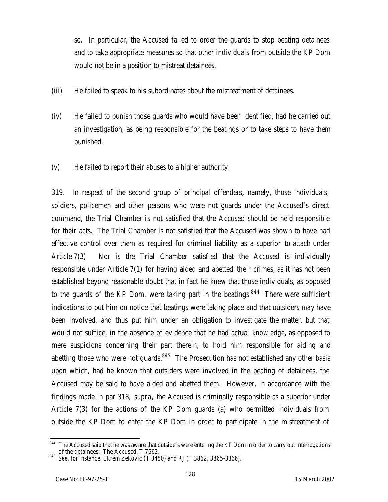so. In particular, the Accused failed to order the guards to stop beating detainees and to take appropriate measures so that other individuals from outside the KP Dom would not be in a position to mistreat detainees.

- (iii) He failed to speak to his subordinates about the mistreatment of detainees.
- (iv) He failed to punish those guards who would have been identified, had he carried out an investigation, as being responsible for the beatings or to take steps to have them punished.
- (v) He failed to report their abuses to a higher authority.

319. In respect of the second group of principal offenders, namely, those individuals, soldiers, policemen and other persons who were not guards under the Accused's direct command, the Trial Chamber is not satisfied that the Accused should be held responsible for *their* acts. The Trial Chamber is not satisfied that the Accused was shown to have had effective control over them as required for criminal liability as a superior to attach under Article 7(3). Nor is the Trial Chamber satisfied that the Accused is individually responsible under Article 7(1) for having aided and abetted *their* crimes, as it has not been established beyond reasonable doubt that in fact he *knew* that those individuals, as opposed to the guards of the KP Dom, were taking part in the beatings.<sup>844</sup> There were sufficient indications to put him on notice that beatings were taking place and that outsiders *may* have been involved, and thus put him under an obligation to investigate the matter, but that would not suffice, in the absence of evidence that he had actual *knowledge*, as opposed to mere suspicions concerning their part therein, to hold him responsible for aiding and abetting those who were not guards. $845$  The Prosecution has not established any other basis upon which, had he known that outsiders were involved in the beating of detainees, the Accused may be said to have aided and abetted them. However, in accordance with the findings made in par 318, *supra*, the Accused is criminally responsible as a superior under Article 7(3) for the actions of the KP Dom guards (a) who permitted individuals from outside the KP Dom to enter the KP Dom in order to participate in the mistreatment of

 $\overline{a}$  $844$  The Accused said that he was aware that outsiders were entering the KP Dom in order to carry out interrogations of the detainees: The Accused, T 7662.

<sup>845</sup> *See*, for instance, Ekrem Zekovic (T 3450) and RJ (T 3862, 3865-3866).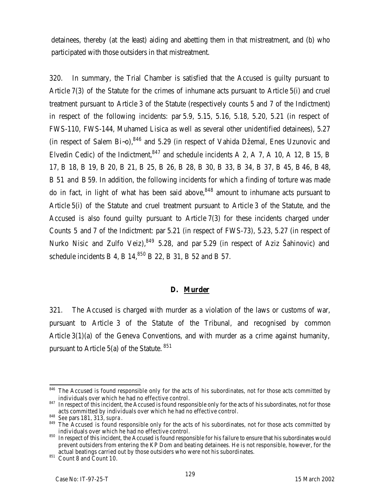detainees, thereby (at the least) aiding and abetting them in that mistreatment, and (b) who participated with those outsiders in that mistreatment.

320. In summary, the Trial Chamber is satisfied that the Accused is guilty pursuant to Article 7(3) of the Statute for the crimes of inhumane acts pursuant to Article 5(i) and cruel treatment pursuant to Article 3 of the Statute (respectively counts 5 and 7 of the Indictment) in respect of the following incidents: par 5.9, 5.15, 5.16, 5.18, 5.20, 5.21 (in respect of FWS-110, FWS-144, Muhamed Lisica as well as several other unidentified detainees), 5.27 (in respect of Salem Bi~o),  $846$  and 5.29 (in respect of Vahida Džemal, Enes Uzunovic and Elvedin Cedic) of the Indictment,  $847$  and schedule incidents A 2, A 7, A 10, A 12, B 15, B 17, B 18, B 19, B 20, B 21, B 25, B 26, B 28, B 30, B 33, B 34, B 37, B 45, B 46, B 48, B 51 and B59. In addition, the following incidents for which a finding of torture was made do in fact, in light of what has been said above,  $848$  amount to inhumane acts pursuant to Article 5(i) of the Statute and cruel treatment pursuant to Article 3 of the Statute, and the Accused is also found guilty pursuant to Article 7(3) for these incidents charged under Counts 5 and 7 of the Indictment: par 5.21 (in respect of FWS-73), 5.23, 5.27 (in respect of Nurko Nisic and Zulfo Veiz), $849$  5.28, and par 5.29 (in respect of Aziz Šahinovic) and schedule incidents B 4, B  $14<sup>,850</sup>$  B 22, B 31, B 52 and B 57.

#### **D. Murder**

321. The Accused is charged with murder as a violation of the laws or customs of war, pursuant to Article 3 of the Statute of the Tribunal, and recognised by common Article 3(1)(a) of the Geneva Conventions, and with murder as a crime against humanity, pursuant to Article 5(a) of the Statute. <sup>851</sup>

 $\overline{a}$ <sup>846</sup> The Accused is found responsible only for the acts of his subordinates, not for those acts committed by individuals over which he had no effective control.

<sup>847</sup> In respect of this incident, the Accused is found responsible only for the acts of his subordinates, not for those acts committed by individuals over which he had no effective control.

<sup>848</sup> *See* pars 181, 313, *supra*.

<sup>849</sup> The Accused is found responsible only for the acts of his subordinates, not for those acts committed by individuals over which he had no effective control.

<sup>850</sup> In respect of this incident, the Accused is found responsible for his failure to ensure that his subordinates would prevent outsiders from entering the KP Dom and beating detainees. He is not responsible, however, for the actual beatings carried out by those outsiders who were not his subordinates.

<sup>851</sup> Count 8 and Count 10.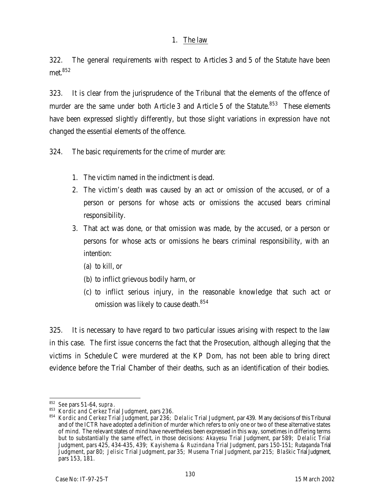### 1. The law

322. The general requirements with respect to Articles 3 and 5 of the Statute have been met. 852

323. It is clear from the jurisprudence of the Tribunal that the elements of the offence of murder are the same under both Article 3 and Article 5 of the Statute.<sup>853</sup> These elements have been expressed slightly differently, but those slight variations in expression have not changed the essential elements of the offence.

324. The basic requirements for the crime of murder are:

- 1. The victim named in the indictment is dead.
- 2. The victim's death was caused by an act or omission of the accused, or of a person or persons for whose acts or omissions the accused bears criminal responsibility.
- 3. That act was done, or that omission was made, by the accused, or a person or persons for whose acts or omissions he bears criminal responsibility, with an intention:
	- (a) to kill, or
	- (b) to inflict grievous bodily harm, or
	- (c) to inflict serious injury, in the reasonable knowledge that such act or omission was likely to cause death.<sup>854</sup>

325. It is necessary to have regard to two particular issues arising with respect to the law in this case. The first issue concerns the fact that the Prosecution, although alleging that the victims in Schedule C were murdered at the KP Dom, has not been able to bring direct evidence before the Trial Chamber of their deaths, such as an identification of their bodies.

 $\overline{a}$ <sup>852</sup> *See* pars 51-64, *supra*.

<sup>853</sup> *Kordic and Cerkez* Trial Judgment, pars 236.

<sup>854</sup> *Kordic and Cerkez* Trial Judgment, par 236; *Delalic* Trial Judgment, par 439. Many decisions of this Tribunal and of the ICTR have adopted a definition of murder which refers to only one or two of these alternative states of mind. The relevant states of mind have nevertheless been expressed in this way, sometimes in differing terms but to substantially the same effect, in those decisions: *Akayesu* Trial Judgment, par 589; *Delalic* Trial Judgment, pars 425, 434-435, 439; *Kayishema & Ruzindana* Trial Judgment, pars 150-151; *Rutaganda* Trial Judgment, par 80; *Jelisic* Trial Judgment, par 35; *Musema* Trial Judgment, par 215; *Blaškic* Trial Judgment, pars 153, 181.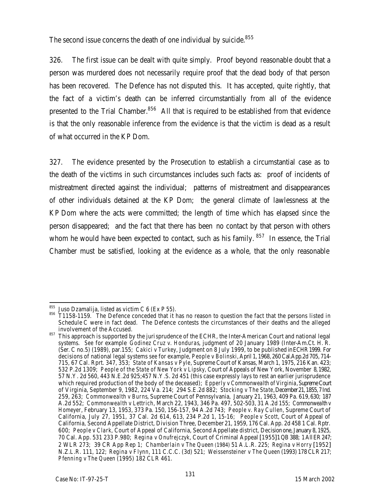The second issue concerns the death of one individual by suicide.<sup>855</sup>

326. The first issue can be dealt with quite simply. Proof beyond reasonable doubt that a person was murdered does not necessarily require proof that the dead body of that person has been recovered. The Defence has not disputed this. It has accepted, quite rightly, that the fact of a victim's death can be inferred circumstantially from all of the evidence presented to the Trial Chamber. $856$  All that is required to be established from that evidence is that the only reasonable inference from the evidence is that the victim is dead as a result of what occurred in the KP Dom.

327. The evidence presented by the Prosecution to establish a circumstantial case as to the death of the victims in such circumstances includes such facts as: proof of incidents of mistreatment directed against the individual; patterns of mistreatment and disappearances of other individuals detained at the KP Dom; the general climate of lawlessness at the KP Dom where the acts were committed; the length of time which has elapsed since the person disappeared; and the fact that there has been no contact by that person with others whom he would have been expected to contact, such as his family.  $857$  In essence, the Trial Chamber must be satisfied, looking at the evidence as a whole, that the only reasonable

 $\overline{a}$  $^{855}$  Juso Dzamalija, listed as victim C 6 (Ex P 55).

<sup>856</sup> T1158-1159. The Defence conceded that it has no reason to question the fact that the persons listed in Schedule C were in fact dead. The Defence contests the circumstances of their deaths and the alleged involvement of the Accused.

<sup>857</sup> This approach is supported by the jurisprudence of the ECHR, the Inter-American Court and national legal systems. *See* for example *Godinez Cruz v. Honduras*, judgment of 20 January 1989 (Inter-Am.Ct. H. R. (Ser. C no.5) (1989), par.155; *Cakici v Turkey*, Judgment on 8 July 1999, to be published in ECHR 1999. For decisions of national legal systems *see* for example, *People v Bolinski*, April 1, 1968, 260 Cal.App.2d 705, 714- 715, 67 Cal. Rprt. 347, 353; *State of Kansas v Pyle*, Supreme Court of Kansas, March 1, 1975, 216 Kan. 423; 532 P.2d 1309; *People of the State of New York v Lipsky*, Court of Appeals of New York, November 8, 1982, 57 N.Y. 2d 560, 443 N.E.2d 925;457 N.Y.S. 2d 451 (this case expressly lays to rest an earlier jurisprudence which required production of the body of the deceased); *Epperly v Commonwealth of Virginia*, Supreme Court of Virginia, September 9, 1982, 224 Va. 214; 294 S.E.2d 882; *Stocking v The State*, December 21, 1855, 7 Ind. 259, 263; *Commonwealth v Burns*, Supreme Court of Pennsylvania, January 21, 1963, 409 Pa. 619, 630; 187 A.2d 552; *Commonwealth v Lettrich*, March 22, 1943, 346 Pa. 497, 502-503, 31 A.2d 155; *Commonwealthv Homeyer*, February 13, 1953, 373 Pa. 150, 156-157, 94 A.2d 743; *People v. Ray Cullen*, Supreme Court of California, July 27, 1951, 37 Cal. 2d 614, 613, 234 P.2d 1, 15-16; *People v Scott*, Court of Appeal of California, Second Appellate District, Division Three, December 21, 1959, 176 Cal. App. 2d 458 1 Cal. Rptr. 600; *People v Clark,* Court of Appeal of California, Second Appellate district, Decision one, January 8, 1925, 70 Cal. App. 531 233 P.980; *Regina v Onufrejczyk*, Court of Criminal Appeal [1955] 1 QB 388; 1 All ER 247; 2 WLR 273; 39 CR App Rep 1; *Chamberlain v The Queen* (1984) 51 A.L.R. 225; *Regina v Horry* [1952] N.Z.L.R. 111, 122; *Regina v Flynn*, 111 C.C.C. (3d) 521; *Weissensteiner v The Queen* (1993) 178 CLR 217; *Pfenning v The Queen* (1995) 182 CLR 461.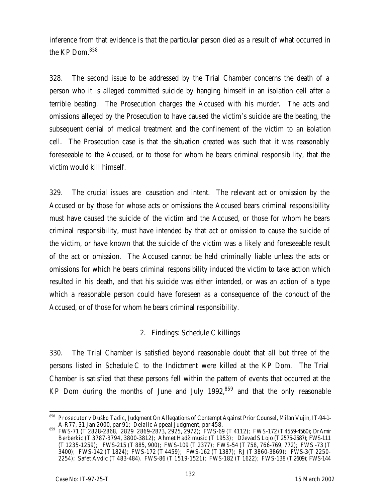inference from that evidence is that the particular person died as a result of what occurred in the KP Dom.<sup>858</sup>

328. The second issue to be addressed by the Trial Chamber concerns the death of a person who it is alleged committed suicide by hanging himself in an isolation cell after a terrible beating. The Prosecution charges the Accused with his murder. The acts and omissions alleged by the Prosecution to have caused the victim's suicide are the beating, the subsequent denial of medical treatment and the confinement of the victim to an isolation cell. The Prosecution case is that the situation created was such that it was reasonably foreseeable to the Accused, or to those for whom he bears criminal responsibility, that the victim would kill himself.

329. The crucial issues are causation and intent. The relevant act or omission by the Accused or by those for whose acts or omissions the Accused bears criminal responsibility must have caused the suicide of the victim and the Accused, or those for whom he bears criminal responsibility, must have intended by that act or omission to cause the suicide of the victim, or have known that the suicide of the victim was a likely and foreseeable result of the act or omission. The Accused cannot be held criminally liable unless the acts or omissions for which he bears criminal responsibility induced the victim to take action which resulted in his death, and that his suicide was either intended, or was an action of a type which a reasonable person could have foreseen as a consequence of the conduct of the Accused, or of those for whom he bears criminal responsibility.

### 2. Findings: Schedule C killings

330. The Trial Chamber is satisfied beyond reasonable doubt that all but three of the persons listed in Schedule C to the Indictment were killed at the KP Dom. The Trial Chamber is satisfied that these persons fell within the pattern of events that occurred at the KP Dom during the months of June and July 1992, $859$  and that the only reasonable

<sup>858</sup> *Prosecutor v Duško Tadic*, Judgment On Allegations of Contempt Against Prior Counsel, Milan Vujin, IT-94-1- A-R77, 31 Jan 2000, par 91; *Delalic* Appeal Judgment, par 458.

<sup>859</sup> FWS-71 (T 2828-2868, 2829 2869-2873, 2925, 2972); FWS-69 (T 4112); FWS-172 (T4559-4560); DrAmir Berberkic (T 3787-3794, 3800-3812); Ahmet Hadžimusic (T 1953); Dževad S Lojo (T2575-2587); FWS-111 (T 1235-1259); FWS-215 (T 885, 900); FWS-109 (T 2377); FWS-54 (T 758, 766-769, 772); FWS -73 (T 3400); FWS-142 (T 1824); FWS-172 (T 4459); FWS-162 (T 1387); RJ (T 3860-3869); FWS-3(T 2250- 2254); Safet Avdic (T 483-484). FWS-86 (T 1519-1521); FWS-182 (T 1622); FWS-138 (T2609); FWS-144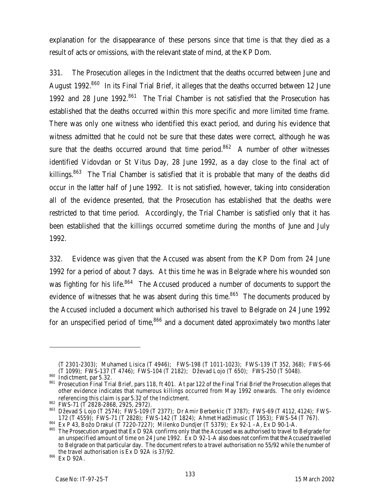explanation for the disappearance of these persons since that time is that they died as a result of acts or omissions, with the relevant state of mind, at the KP Dom.

331. The Prosecution alleges in the Indictment that the deaths occurred between June and August 1992.<sup>860</sup> In its Final Trial Brief, it alleges that the deaths occurred between 12 June 1992 and 28 June 1992.<sup>861</sup> The Trial Chamber is not satisfied that the Prosecution has established that the deaths occurred within this more specific and more limited time frame. There was only one witness who identified this exact period, and during his evidence that witness admitted that he could not be sure that these dates were correct, although he was sure that the deaths occurred around that time period.<sup>862</sup> A number of other witnesses identified Vidovdan or St Vitus Day, 28 June 1992, as a day close to the final act of killings.<sup>863</sup> The Trial Chamber is satisfied that it is probable that many of the deaths did occur in the latter half of June 1992. It is not satisfied, however, taking into consideration all of the evidence presented, that the Prosecution has established that the deaths were restricted to that time period. Accordingly, the Trial Chamber is satisfied only that it has been established that the killings occurred sometime during the months of line and July 1992.

332. Evidence was given that the Accused was absent from the KP Dom from 24 June 1992 for a period of about 7 days. At this time he was in Belgrade where his wounded son was fighting for his life.<sup>864</sup> The Accused produced a number of documents to support the evidence of witnesses that he was absent during this time.<sup>865</sup> The documents produced by the Accused included a document which authorised his travel to Belgrade on 24 June 1992 for an unspecified period of time, $866$  and a document dated approximately two months later

<sup>(</sup>T 2301-2303); Muhamed Lisica (T 4946); FWS-198 (T 1011-1023); FWS-139 (T 352, 368); FWS-66 (T 1099); FWS-137 (T 4746); FWS-104 (T 2182); Dževad Lojo (T 650); FWS-250 (T 5048).

<sup>860</sup> Indictment, par 5.32.

<sup>861</sup> Prosecution Final Trial Brief, pars 118, ft 401. At par 122 of the Final Trial Brief the Prosecution alleges that other evidence indicates that numerous killings occurred from May 1992 onwards. The only evidence referencing this claim is par 5.32 of the Indictment.

<sup>862</sup> FWS-71 (T 2828-2868, 2925, 2972).

<sup>863</sup> Dževad S Lojo (T 2574); FWS-109 (T 2377); Dr Amir Berberkic (T 3787); FWS-69 (T 4112, 4124); FWS-172 (T 4559); FWS-71 (T 2828); FWS-142 (T 1824); Ahmet Hadžimusic (T 1953); FWS-54 (T 767).

<sup>864</sup> Ex P 43, Božo Drakul (T 7220-7227); Milenko Dundjer (T 5379); Ex 92-1 –A, Ex D 90-1-A.

<sup>865</sup> The Prosecution argued that Ex D 92A confirms only that the Accused was authorised to travel to Belgrade for an unspecified amount of time on 24 June 1992. Ex D 92-1-A also does not confirm that the Accused travelled to Belgrade on that particular day. The document refers to a travel authorisation no 55/92 while the number of the travel authorisation is Ex D 92A is 37/92.

<sup>866</sup> Ex D 92A.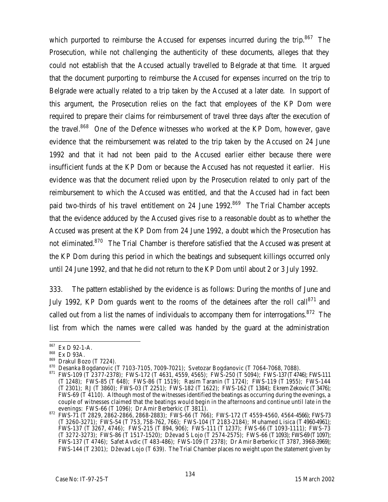which purported to reimburse the Accused for expenses incurred during the trip. $867$  The Prosecution, while not challenging the authenticity of these documents, alleges that they could not establish that the Accused actually travelled to Belgrade at that time. It argued that the document purporting to reimburse the Accused for expenses incurred on the trip to Belgrade were actually related to a trip taken by the Accused at a later date. In support of this argument, the Prosecution relies on the fact that employees of the KP Dom were required to prepare their claims for reimbursement of travel three days after the execution of the travel.<sup>868</sup> One of the Defence witnesses who worked at the KP Dom, however, gave evidence that the reimbursement was related to the trip taken by the Accused on 24 June 1992 and that it had not been paid to the Accused earlier either because there were insufficient funds at the KP Dom or because the Accused has not requested it earlier. His evidence was that the document relied upon by the Prosecution related to only part of the reimbursement to which the Accused was entitled, and that the Accused had in fact been paid two-thirds of his travel entitlement on 24 June 1992.<sup>869</sup> The Trial Chamber accepts that the evidence adduced by the Accused gives rise to a reasonable doubt as to whether the Accused was present at the KP Dom from 24 June 1992, a doubt which the Prosecution has not eliminated.<sup>870</sup> The Trial Chamber is therefore satisfied that the Accused was present at the KP Dom during this period in which the beatings and subsequent killings occurred only until 24 June 1992, and that he did not return to the KP Dom until about 2 or 3 July 1992.

333. The pattern established by the evidence is as follows: During the months of June and July 1992, KP Dom guards went to the rooms of the detainees after the roll call $871$  and called out from a list the names of individuals to accompany them for interrogations.<sup>872</sup> The list from which the names were called was handed by the guard at the administration

<sup>867</sup> Ex D 92-1-A.

<sup>868</sup> Ex D 93A.

<sup>869</sup> Drakul Bozo (T 7224).

<sup>870</sup> Desanka Bogdanovic (T 7103-7105, 7009-7021); Svetozar Bogdanovic (T 7064-7068, 7088).

<sup>871</sup> FWS-109 (T 2377-2378); FWS-172 (T 4631, 4559, 4565); FWS-250 (T 5094); FWS-137 (T4746); FWS-111 (T 1248); FWS-85 (T 648); FWS-86 (T 1519); Rasim Taranin (T 1724); FWS-119 (T 1955); FWS-144 (T 2301); RJ (T 3860); FWS-03 (T 2251); FWS-182 (T 1622); FWS-162 (T 1384); Ekrem Zekovic (T3476); FWS-69 (T 4110). Although most of the witnesses identified the beatings as occurring during the evenings, a couple of witnesses claimed that the beatings would begin in the afternoons and continue until late in the evenings: FWS-66 (T 1096); Dr Amir Berberkic (T 3811).

<sup>872</sup> FWS-71 (T 2829, 2862-2866, 2868-2883); FWS-66 (T 766); FWS-172 (T 4559-4560, 4564-4566); FWS-73 (T 3260-3271); FWS-54 (T 753, 758-762, 766); FWS-104 (T 2183-2184); Muhamed Lisica (T 4960-4961); FWS-137 (T 3267, 4746); FWS-215 (T 894, 906); FWS-111 (T 1237); FWS-66 (T 1093-1111); FWS-73 (T 3272-3273); FWS-86 (T 1517-1520); Dževad S Lojo (T 2574-2575); FWS-66 (T1093); FWS-69 (T1097); FWS-137 (T 4746); Safet Avdic (T 483-486); FWS-109 (T 2378); Dr Amir Berberkic (T 3787, 3968-3969); FWS-144 (T 2301); Dževad Lojo (T 639). The Trial Chamber places no weight upon the statement given by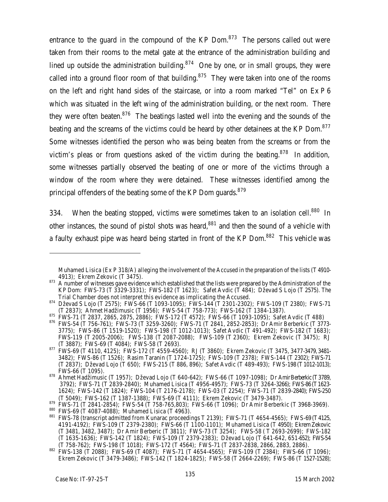entrance to the quard in the compound of the  $KP$  Dom.<sup>873</sup> The persons called out were taken from their rooms to the metal gate at the entrance of the administration building and lined up outside the administration building. $874$  One by one, or in small groups, they were called into a ground floor room of that building. $875$  They were taken into one of the rooms on the left and right hand sides of the staircase, or into a room marked "Tel" on Ex P 6 which was situated in the left wing of the administration building, or the next room. There they were often beaten.<sup>876</sup> The beatings lasted well into the evening and the sounds of the beating and the screams of the victims could be heard by other detainees at the KP Dom.<sup>877</sup> Some witnesses identified the person who was being beaten from the screams or from the victim's pleas or from questions asked of the victim during the beating.<sup>878</sup> In addition, some witnesses partially observed the beating of one or more of the victims through a window of the room where they were detained. These witnesses identified among the principal offenders of the beating some of the KP Dom quards.<sup>879</sup>

334. When the beating stopped, victims were sometimes taken to an isolation cell.<sup>880</sup> In other instances, the sound of pistol shots was heard, $881$  and then the sound of a vehicle with a faulty exhaust pipe was heard being started in front of the KP Dom.<sup>882</sup> This vehicle was

Muhamed Lisica (Ex P 318/A) alleging the involvement of the Accused in the preparation of the lists (T 4910- 4913); Ekrem Zekovic (T 3475).

 $873$  A number of witnesses gave evidence which established that the lists were prepared by the Administration of the KP Dom: FWS-73 (T 3329-3331); FWS-182 (T 1623); Safet Avdic (T 484); Dževad S Lojo (T 2575). The Trial Chamber does not interpret this evidence as implicating the Accused.

<sup>874</sup> Dževad S Lojo (T 2575); FWS-66 (T 1093-1095); FWS-144 (T 2301-2302); FWS-109 (T 2380); FWS-71 (T 2837); Ahmet Hadžimusic (T 1956); FWS-54 (T 758-773); FWS-162 (T 1384-1387).

<sup>875</sup> FWS-71 (T 2837, 2865, 2875, 2886); FWS-172 (T 4572); FWS-66 (T 1093-1095); Safet Avdic (T 488)

<sup>876</sup> FWS-54 (T 756-761); FWS-73 (T 3259-3260); FWS-71 (T 2841, 2852-2853); Dr Amir Berberkic (T 3773-3775); FWS-86 (T 1519-1520); FWS-198 (T 1012-1013); Safet Avdic (T 491-492); FWS-182 (T 1683); FWS-119 (T 2005-2006); FWS-138 (T 2087-2088); FWS-109 (T 2360); Ekrem Zekovic (T 3475); RJ (T 3887); FWS-69 (T 4084); FWS-58 (T 2693).

<sup>877</sup> FWS-69 (T 4110, 4125); FWS-172 (T 4559-4560); RJ (T 3860); Ekrem Zekovic (T 3475, 3477-3479, 3481-3482); FWS-86 (T 1526); Rasim Taranin (T 1724-1725); FWS-109 (T 2378); FWS-144 (T 2302); FWS-71 (T 2837); Dževad Lojo (T 650); FWS-215 (T 886, 896); Safet Avdic (T 489-493); FWS-198 (T1012-1013); FWS-66 (T 1095).

<sup>878</sup> Ahmet Hadžimusic (T 1957); Dževad Lojo (T 640-642); FWS-66 (T 1097-1098); Dr Amir Berberkic (T 3789, 3792); FWS-71 (T 2839-2840); Muhamed Lisica (T 4956-4957); FWS-73 (T 3264-3266); FWS-86 (T1623- 1624); FWS-142 (T 1824); FWS-104 (T 2176-2178); FWS-03 (T 2254); FWS-71 (T 2839-2840); FWS-250 (T 5049); FWS-162 (T 1387-1388); FWS-69 (T 4111); Ekrem Zekovic (T 3479-3487).

<sup>879</sup> FWS-71 (T 2841-2854); FWS-54 (T 758-765,803); FWS-66 (T 1096); Dr Amir Berberkic (T 3968-3969).

<sup>880</sup> FWS-69 (T 4087-4088); Muhamed Lisica (T 4963). 881 FWS-78 (transcript admitted from Kunarac proceedings T 2139); FWS-71 (T 4654-4565); FWS-69 (T 4125,

<sup>4191-4192);</sup> FWS-109 (T 2379-2380); FWS-66 (T 1100-1101); Muhamed Lisica (T 4950); Ekrem Zekovic (T 3481, 3482, 3487); Dr Amir Berberic (T 3811); FWS-73 (T 3254); FWS-58 ( T 2693-2699); FWS-182 (T 1635-1636); FWS-142 (T 1824); FWS-109 (T 2379-2383); Dževad Lojo (T 641-642, 651-652); FWS-54 (T 758-762); FWS-198 (T 1018); FWS-172 (T 4564); FWS-71 (T 2837-2838, 2866, 2883, 2886).

<sup>882</sup> FWS-138 (T 2088); FWS-69 (T 4087); FWS-71 (T 4654-4565); FWS-109 (T 2384); FWS-66 (T 1096); Ekrem Zekovic (T 3479-3486); FWS-142 (T 1824-1825); FWS-58 (T 2664-2269); FWS-86 (T 1527-1528);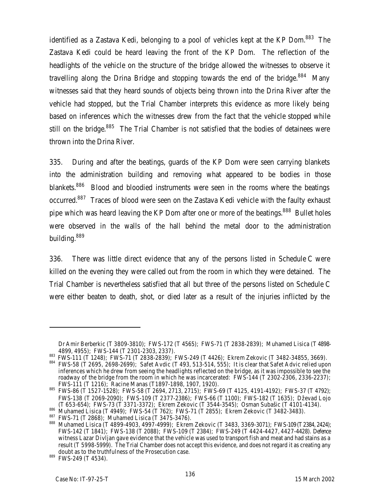identified as a Zastava Kedi, belonging to a pool of vehicles kept at the KP Dom.<sup>883</sup> The Zastava Kedi could be heard leaving the front of the KP Dom. The reflection of the headlights of the vehicle on the structure of the bridge allowed the witnesses to observe it travelling along the Drina Bridge and stopping towards the end of the bridge. $884$  Many witnesses said that they heard sounds of objects being thrown into the Drina River after the vehicle had stopped, but the Trial Chamber interprets this evidence as more likely being based on inferences which the witnesses drew from the fact that the vehicle stopped while still on the bridge.<sup>885</sup> The Trial Chamber is not satisfied that the bodies of detainees were thrown into the Drina River.

335. During and after the beatings, guards of the KP Dom were seen carrying blankets into the administration building and removing what appeared to be bodies in those blankets.<sup>886</sup> Blood and bloodied instruments were seen in the rooms where the beatings occurred.<sup>887</sup> Traces of blood were seen on the Zastava Kedi vehicle with the faulty exhaust pipe which was heard leaving the KP Dom after one or more of the beatings.<sup>888</sup> Bullet holes were observed in the walls of the hall behind the metal door to the administration building. 889

336. There was little direct evidence that any of the persons listed in Schedule C were killed on the evening they were called out from the room in which they were detained. The Trial Chamber is nevertheless satisfied that all but three of the persons listed on Schedule C were either beaten to death, shot, or died later as a result of the injuries inflicted by the

Dr Amir Berberkic (T 3809-3810); FWS-172 (T 4565); FWS-71 (T 2838-2839); Muhamed Lisica (T 4898- 4899, 4955); FWS-144 (T 2301-2303, 2337).

<sup>883</sup> FWS-111 (T 1248); FWS-71 (T 2838-2839); FWS-249 (T 4426); Ekrem Zekovic (T 3482-34855, 3669).

 $884$  FWS-58 (T 2695, 2698-2699); Safet Avdic (T 493, 513-514, 555); It is clear that Safet Advic relied upon inferences which he drew from seeing the headlights reflected on the bridge, as it was impossible to see the roadway of the bridge from the room in which he was incarcerated: FWS-144 (T 2302-2306, 2336-2237); FWS-111 (T 1216); Racine Manas (T1897-1898, 1907, 1920).

<sup>885</sup> FWS-86 (T 1527-1528); FWS-58 (T 2694, 2713, 2715); FWS-69 (T 4125, 4191-4192); FWS-37 (T 4792); FWS-138 (T 2069-2090); FWS-109 (T 2377-2386); FWS-66 (T 1100); FWS-182 (T 1635); Dževad Lojo (T 653-654); FWS-73 (T 3371-3372); Ekrem Zekovic (T 3544-3545); Osman Subašic (T 4101-4134).

<sup>886</sup> Muhamed Lisica (T 4949); FWS-54 (T 762); FWS-71 (T 2855); Ekrem Zekovic (T 3482-3483).

 $^{887}$  FWS-71 (T 2868); Muhamed Lisica (T 3475-3476).

<sup>888</sup> Muhamed Lisica (T 4899-4903, 4997-4999); Ekrem Zekovic (T 3483, 3369-3071); FWS-109 (T 2384, 2424); FWS-142 (T 1841); FWS-138 (T 2088); FWS-109 (T 2384); FWS-249 (T 4424-4427, 4427-4428). Defence witness Lazar Divljan gave evidence that the vehicle was used to transport fish and meat and had stains as a result (T 5998-5999). The Trial Chamber does not accept this evidence, and does not regard it as creating any doubt as to the truthfulness of the Prosecution case.

<sup>889</sup> FWS-249 (T 4534).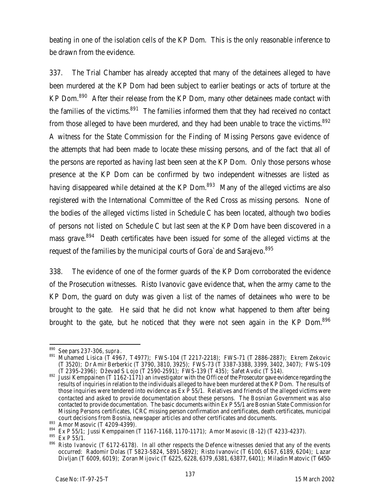beating in one of the isolation cells of the KP Dom. This is the only reasonable inference to be drawn from the evidence.

337. The Trial Chamber has already accepted that many of the detainees alleged to have been murdered at the KP Dom had been subject to earlier beatings or acts of torture at the KP Dom.<sup>890</sup> After their release from the KP Dom, many other detainees made contact with the families of the victims. $891$  The families informed them that they had received no contact from those alleged to have been murdered, and they had been unable to trace the victims.<sup>892</sup> A witness for the State Commission for the Finding of Missing Persons gave evidence of the attempts that had been made to locate these missing persons, and of the fact that all of the persons are reported as having last been seen at the KP Dom. Only those persons whose presence at the KP Dom can be confirmed by two independent witnesses are listed as having disappeared while detained at the KP Dom.<sup>893</sup> Many of the alleged victims are also registered with the International Committee of the Red Cross as missing persons. None of the bodies of the alleged victims listed in Schedule C has been located, although two bodies of persons not listed on Schedule C but last seen at the KP Dom have been discovered in a mass grave.<sup>894</sup> Death certificates have been issued for some of the alleged victims at the request of the families by the municipal courts of Gora`de and Sarajevo.<sup>895</sup>

338. The evidence of one of the former guards of the KP Dom corroborated the evidence of the Prosecution witnesses. Risto Ivanovic gave evidence that, when the army came to the KP Dom, the guard on duty was given a list of the names of detainees who were to be brought to the gate. He said that he did not know what happened to them after being brought to the gate, but he noticed that they were not seen again in the KP Dom.<sup>896</sup>

<sup>890</sup> See pars 237-306, *supra*.

<sup>891</sup> Muhamed Lisica (T<sup>'</sup>4967, T4977); FWS-104 (T 2217-2218); FWS-71 (T 2886-2887); Ekrem Zekovic (T 3520); Dr Amir Berberkic (T 3790, 3810, 3925); FWS-73 (T 3387-3388, 3399, 3402, 3407); FWS-109 (T 2395-2396); Dževad S Lojo (T 2590-2591); FWS-139 (T 435); Safet Avdic (T 514).

 $892$  Jussi Kemppainen (T 1162-1171) an investigator with the Office of the Prosecutor gave evidence regarding the results of inquiries in relation to the individuals alleged to have been murdered at the KP Dom. The results of those inquiries were tendered into evidence as  $Ex \tilde{P}$  55/1. Relatives and friends of the alleged victims were contacted and asked to provide documentation about these persons. The Bosnian Government was also contacted to provide documentation. The basic documents within Ex P 55/1 are Bosnian State Commission for Missing Persons certificates, ICRC missing person confirmation and certificates, death certificates, municipal court decisions from Bosnia, newspaper articles and other certificates and documents.

<sup>893</sup> Amor Masovic (T 4209-4399).

<sup>894</sup> Ex P 55/1; Jussi Kemppainen (T 1167-1168, 1170-1171); Amor Masovic (B-12) (T 4233-4237).

<sup>895</sup> Ex P 55/1.

<sup>896</sup> Risto Ivanovic (T 6172-6178). In all other respects the Defence witnesses denied that any of the events occurred: Radomir Dolas (T 5823-5824, 5891-5892); Risto Ivanovic (T 6100, 6167, 6189, 6204); Lazar Divljan (T 6009, 6019); Zoran Mijovic (T 6225, 6228, 6379 ,6381, 63877, 6401); Miladin Matovic (T 6450-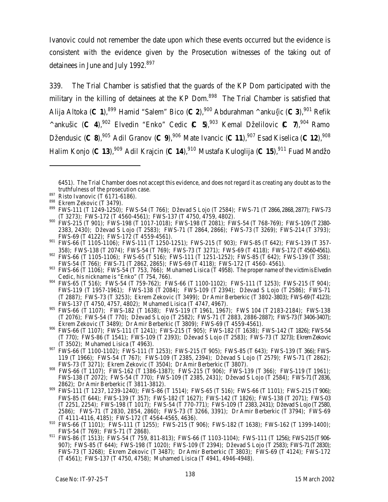Ivanovic could not remember the date upon which these events occurred but the evidence is consistent with the evidence given by the Prosecution witnesses of the taking out of detainees in June and July 1992.<sup>897</sup>

339. The Trial Chamber is satisfied that the guards of the KP Dom participated with the military in the killing of detainees at the KP Dom.<sup>898</sup> The Trial Chamber is satisfied that Alija Altoka (**C 1**),<sup>899</sup> Hamid "Salem" Bico (**C 2**),<sup>900</sup> Abdurahman ^anku{ic (**C 3**),<sup>901</sup> Refik <sup> $\land$ </sup>ankušic (**C 4**),<sup>902</sup> Elvedin "Enko" Cedic (**C 5**),<sup>903</sup> Kemal Dželilovic (**C 7**),<sup>904</sup> Ramo Džendusic (**C 8**),<sup>905</sup> Adil Granov (**C 9**),<sup>906</sup> Mate Ivancic (**C 11**),<sup>907</sup> Esad Kiselica (**C 12**),<sup>908</sup> Halim Konjo (**C 13**),<sup>909</sup> Adil Krajcin (**C 14**),<sup>910</sup> Mustafa Kuloglija (**C 15**),<sup>911</sup> Fuad Mandžo

<sup>6451).</sup> The Trial Chamber does not accept this evidence, and does not regard it as creating any doubt as to the truthfulness of the prosecution case.

<sup>897</sup> Risto Ivanovic (T 6171-6186).

<sup>898</sup> Ekrem Zekovic (T 3479).

<sup>899</sup> FWS-111 (T 1249-1250); FWS-54 (T 766); Dževad S Lojo (T 2584); FWS-71 (T 2866, 2868, 2877); FWS-73 (T 3273); FWS-172 (T 4560-4561); FWS-137 (T 4750, 4759, 4802).

<sup>&</sup>lt;sup>900</sup> FWS-215 (T 901); FWS-198 (T 1017-1018); FWS-198 (T 2081); FWS-54 (T 768-769); FWS-109 (T 2380-2383, 2430); Dževad S Lojo (T 2583); FWS-71 (T 2864, 2866); FWS-73 (T 3269); FWS-214 (T 3793); FWS-69 (T 4122); FWS-172 (T 4559-4561).

<sup>901</sup> FWS-66 (T 1105-1106); FWS-111 (T 1250-1251); FWS-215 (T 903); FWS-85 (T 642); FWS-139 (T 357-358); FWS-138 (T 2074); FWS-54 (T 769); FWS-73 (T 3271); FWS-69 (T 4118); FWS-172 (T4560-4561).

<sup>902</sup> FWS-66 (T 1105-1106); FWS-65 (T 516); FWS-111 (T 1251-1252); FWS-85 (T 642); FWS-139 (T 358); FWS-54 (T 766); FWS-71 (T 2862, 2865); FWS-69 (T 4118); FWS-172 (T 4560- 4561).

<sup>903</sup> FWS-66 (T 1106); FWS-54 (T 753, 766); Muhamed Lisica (T 4958). The proper name of the victim is Elvedin Cedic, his nickname is "Enko" (T 754, 766).

<sup>904</sup> FWS-65 (T 516); FWS-54 (T 759-762); FWS-66 (T 1100-1102); FWS-111 (T 1253); FWS-215 (T 904); FWS-119 (T 1957-1961); FWS-138 (T 2084); FWS-109 (T 2394); Dževad S Lojo (T 2586); FWS-71 (T 2887); FWS-73 (T 3253); Ekrem Zekovic (T 3499); Dr Amir Berberkic (T 3802-3803); FWS-69 (T4123); FWS-137 (T 4750, 4757, 4802); Muhamed Lisica (T 4747, 4967).

<sup>905</sup> FWS-66 (T 1107); FWS-182 (T 1638); FWS-119 (T 1961, 1967); FWS 104 (T 2183-2184); FWS-138 (T 2076); FWS-54 (T 770); Dževad S Lojo (T 2582); FWS-71 (T 2883, 2886-2887); FWS-73 (T3406-3407); Ekrem Zekovic (T 3489); Dr Amir Berberkic (T 3809); FWS-69 (T 4559-4561).

<sup>906</sup> FWS-66 (T 1107); FWS-111 (T 1241); FWS-215 (T 905); FWS-182 (T 1638); FWS-142 (T 1826); FWS-54 (T 770); FWS-86 (T 1541); FWS-109 (T 2393); Dževad S Lojo (T 2583); FWS-73 (T 3273); Ekrem Zekovic (T 3502); Muhamed Lisica (T 4963).

<sup>907</sup> FWS-66 (T 1100-1102); FWS-111 (T 1253); FWS-215 (T 905); FWS-85 (T 643); FWS-139 (T 366); FWS-119 (T 1966); FWS-54 (T 767); FWS-109 (T 2385, 2394); Dževad S Lojo (T 2579); FWS-71 (T 2862); FWS-73 (T 3271); Ekrem Zekovic (T 3504); Dr Amir Berberkic (T 3807).

<sup>908</sup> FWS-66 (T 1107); FWS-162 (T 1386-1387); FWS-215 (T 906); FWS-139 (T 366); FWS-119 (T 1961); FWS-138 (T 2072); FWS-54 (T 770); FWS-109 (T 2385, 2431); Dževad S Lojo (T 2584); FWS-71 (T2836, 2862); Dr Amir Berberkic (T 3811-3812).

<sup>909</sup> FWS-111 (T 1237, 1239-1240); FWS-86 (T 1514); FWS-65 (T 516); FWS-66 (T 1101); FWS-215 (T906); FWS-85 (T 644); FWS-139 (T 357); FWS-182 (T 1627); FWS-142 (T 1826); FWS-138 (T 2071); FWS-03 (T 2251, 2254); FWS-198 (T 1017); FWS-54 (T 770-771); FWS-109 (T 2383, 2431); Dževad S Lojo (T2580, 2586); FWS-71 (T 2830, 2854, 2860); FWS-73 (T 3266, 3391); Dr Amir Berberkic (T 3794); FWS-69 (T 4111-4116, 4185); FWS-172 (T 4564-4565, 4636).

<sup>910</sup> FWS-66 (T 1101); FWS-111 (T 1255); FWS-215 (T 906); FWS-182 (T 1638); FWS-162 (T 1399-1400); FWS-54 (T 769); FWS-71 (T 2868).

<sup>911</sup> FWS-86 (T 1513); FWS-54 (T 759, 811-813); FWS-66 (T 1103-1104); FWS-111 (T 1256); FWS-215 (T906- 907); FWS-85 (T 644); FWS-198 (T 1020); FWS-109 (T 2394); Dževad S Lojo (T 2583); FWS-71 (T2830); FWS-73 (T 3268); Ekrem Zekovic (T 3487); Dr Amir Berberkic (T 3803); FWS-69 (T 4124); FWS-172 (T 4561); FWS-137 (T 4750, 4758); Muhamed Lisica (T 4941, 4946-4948).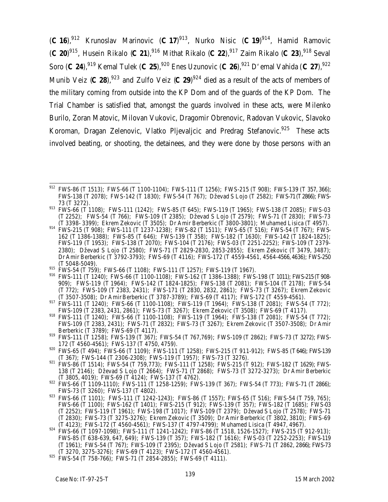(**C 16**),<sup>912</sup> Krunoslav Marinovic (**C 17**) <sup>913</sup>, Nurko Nisic (**C 19**) <sup>914</sup>, Hamid Ramovic (**C** 20)<sup>915</sup>, Husein Rikalo (**C** 21),<sup>916</sup> Mithat Rikalo (**C 22**),<sup>917</sup> Zaim Rikalo (**C 23**),<sup>918</sup> Seval Soro (**C 24**),<sup>919</sup> Kemal Tulek (**C 25**),<sup>920</sup> Enes Uzunovic (**C 26**),<sup>921</sup> D'emal Vahida (**C 27**),<sup>922</sup> Munib Veiz (C 28),<sup>923</sup> and Zulfo Veiz (C 29)<sup>924</sup> died as a result of the acts of members of the military coming from outside into the KP Dom and of the guards of the KP Dom. The Trial Chamber is satisfied that, amongst the guards involved in these acts, were Milenko Burilo, Zoran Matovic, Milovan Vukovic, Dragomir Obrenovic, Radovan Vukovic, Slavoko Koroman, Dragan Zelenovic, Vlatko Pljevaljcic and Predrag Stefanovic.<sup>925</sup> These acts involved beating, or shooting, the detainees, and they were done by those persons with an

- <sup>915</sup> FWS-54 (T 759); FWS-66 (T 1108); FWS-111 (T 1257); FWS-119 (T 1967).
- <sup>916</sup> FWS-111 (T 1240); FWS-66 (T 1100-1108); FWS-162 (T 1386-1388); FWS-198 (T 1011); FWS-215 (T908- 909); FWS-119 (T 1964); FWS-142 (T 1824-1825); FWS-138 (T 2081); FWS-104 (T 2178); FWS-54 (T 772); FWS-109 (T 2383, 2431); FWS-171 (T 2830, 2832, 2861); FWS-73 (T 3267); Ekrem Zekovic (T 3507-3508); Dr Amir Berberkic (T 3787-3789); FWS-69 (T 4117); FWS-172 (T 4559-4561).
- <sup>917</sup> FWS-111 (T 1240); FWS-66 (T 1100-1108); FWS-119 (T 1964); FWS-138 (T 2081); FWS-54 (T 772); FWS-109 (T 2383, 2431, 2861); FWS-73 (T 3267); Ekrem Zekovic (T 3508); FWS-69 (T 4117).
- 918 FWS-107 (1 2303, 2431, 2001); TWS 73 (T 2207); EWS-119 (T 1964); FWS-138 (T 2081); FWS-54 (T 772); FWS-109 (T 2383, 2431); FWS-71 (T 2832); FWS-73 (T 3267); Ekrem Zekovic (T 3507-3508); Dr Amir Berberkic (T 3789); FWS-69 (T 4117).
- <sup>919</sup> FWS-111 (T 1258); FWS-139 (T 367); FWS-54 (T 767,769); FWS-109 (T 2862); FWS-73 (T 3272); FWS-172 (T 4560-4561); FWS-137 (T 4750, 4759).
- 920 FWS-65 (T 494); FWS-66 (T 1109); FWS-111 (T 1258); FWS-215 (T 911-912); FWS-85 (T646); FWS-139 (T 367); FWS-144 (T 2306-2308); FWS-119 (T 1957); FWS-73 (T 3276).
- <sup>921</sup> FWS-86 (T 1514); FWS-54 (T 759,773); FWS-111 (T 1258); FWS-215 (T 912); FWS-182 (T 1629); FWS-138 (T 2146); Dževad S Lojo (T 2664); FWS-71 (T 2868); FWS-73 (T 3272-3273); Dr Amir Berberkic (T 3805, 4019); FWS-69 (T 4124); FWS-137 (T 4762).
- $^{922}$  FWS-66 (T 1109-1110); FWS-111 (T 1258-1259); FWS-139 (T 367); FWS-54 (T 773); FWS-71 (T 2866); FWS-73 (T 3260); FWS-137 (T 4802).
- 923 FWS-66 (T 1101); FWS-111 (T 1242-1243); FWS-86 (T 1557); FWS-65 (T 516); FWS-54 (T 759, 765); FWS-66 (T 1100); FWS-162 (T 1401); FWS-215 (T 912); FWS-139 (T 357); FWS-182 (T 1685); FWS-03 (T 2252); FWS-119 (T 1961); FWS-198 (T 1017); FWS-109 (T 2379); Dževad S Lojo (T 2578); FWS-71 (T 2830); FWS-73 (T 3275-3276); Ekrem Zekovic (T 3509); Dr Amir Berberkic (T 3802, 3810); FWS-69 (T 4123); FWS-172 (T 4560-4561); FWS-137 (T 4797-4799); Muhamed Lisica (T 4947, 4967).
- $^{924}$  FWS-66 (T 1097-1098); FWS-111 (T 1241-1242); FWS-86 (T 1518, 1526-1527); FWS-215 (T 912-913); FWS-85 (T 638-639, 647, 649); FWS-139 (T 357); FWS-182 (T 1616); FWS-03 (T 2252-2253); FWS-119 (T 1961); FWS-54 (T 767); FWS-109 (T 2395); Dževad S Lojo (T 2581); FWS-71 (T 2862, 2866); FWS-73 (T 3270, 3275-3276); FWS-69 (T 4123); FWS-172 (T 4560-4561).

 $\overline{a}$  $^{912}$  FWS-86 (T 1513); FWS-66 (T 1100-1104); FWS-111 (T 1256); FWS-215 (T 908); FWS-139 (T 357, 366); FWS-138 (T 2078); FWS-142 (T 1830); FWS-54 (T 767); Dževad S Lojo (T 2582); FWS-71 (T2866); FWS-73 (T 3272).

<sup>&</sup>lt;sup>913</sup> FWS-66 (T 1108); FWS-111 (1242); FWS-85 (T 645); FWS-119 (T 1965); FWS-138 (T 2085); FWS-03 (T 2252); FWS-54 (T 766); FWS-109 (T 2385); Dževad S Lojo (T 2579); FWS-71 (T 2830); FWS-73 (T 3398- 3399); Ekrem Zekovic (T 3505); Dr Amir Berberkic (T 3800-3801); Muhamed Lisica (T 4957).

<sup>914</sup> FWS-215 (T 908); FWS-111 (T 1237-1238); FWS-82 (T 1511); FWS-65 (T 516); FWS-54 (T 767); FWS-162 (T 1386-1388); FWS-85 (T 646); FWS-139 (T 358); FWS-182 (T 1630); FWS-142 (T 1824-1825); FWS-119 (T 1953); FWS-138 (T 2070); FWS-104 (T 2176); FWS-03 (T 2251-2252); FWS-109 (T 2379- 2380); Dževad S Lojo (T 2580); FWS-71 (T 2829-2830, 2853-2855); Ekrem Zekovic (T 3479, 3487); Dr Amir Berberkic (T 3792-3793); FWS-69 (T 4116); FWS-172 (T 4559-4561, 4564-4566, 4636); FWS-250 (T 5048-5049).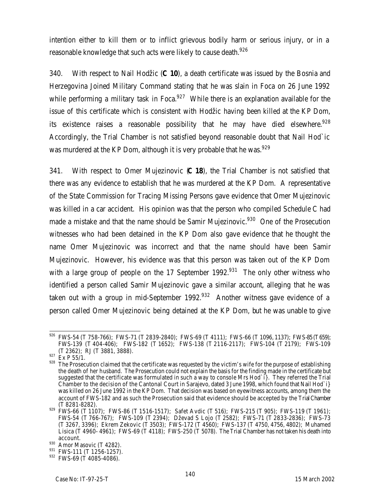intention either to kill them or to inflict grievous bodily harm or serious injury, or in a reasonable knowledge that such acts were likely to cause death.<sup>926</sup>

340. With respect to Nail Hodžic (**C 10**), a death certificate was issued by the Bosnia and Herzegovina Joined Military Command stating that he was slain in Foca on 26 June 1992 while performing a military task in Foca. $927$  While there is an explanation available for the issue of this certificate which is consistent with Hodžic having been killed at the KP Dom, its existence raises a reasonable possibility that he may have died elsewhere.<sup>928</sup> Accordingly, the Trial Chamber is not satisfied beyond reasonable doubt that Nail Hod`ic was murdered at the KP Dom, although it is very probable that he was.<sup>929</sup>

341. With respect to Omer Mujezinovic (**C 18**), the Trial Chamber is not satisfied that there was any evidence to establish that he was murdered at the KP Dom. A representative of the State Commission for Tracing Missing Persons gave evidence that Omer Mujezinovic was killed in a car accident. His opinion was that the person who compiled Schedule C had made a mistake and that the name should be Samir Mujezinovic.<sup>930</sup> One of the Prosecution witnesses who had been detained in the KP Dom also gave evidence that he thought the name Omer Mujezinovic was incorrect and that the name should have been Samir Mujezinovic. However, his evidence was that this person was taken out of the KP Dom with a large group of people on the 17 September 1992.<sup>931</sup> The only other witness who identified a person called Samir Mujezinovic gave a similar account, alleging that he was taken out with a group in mid-September 1992. $932$  Another witness gave evidence of a person called Omer Mujezinovic being detained at the KP Dom, but he was unable to give

 $\overline{a}$  $926$  FWS-54 (T 758-766); FWS-71 (T 2839-2840); FWS-69 (T 4111); FWS-66 (T 1096, 1137); FWS-85 (T659); FWS-139 (T 404-406); FWS-182 (T 1652); FWS-138 (T 2116-2117); FWS-104 (T 2179); FWS-109 (T 2362); RJ (T 3881, 3888).

 $927$  Ex P 55/1.

<sup>928</sup> The Prosecution claimed that the certificate was requested by the victim's wife for the purpose of establishing the death of her husband. The Prosecution could not explain the basis for the finding made in the certificate but suggested that the certificate was formulated in such a way to console Mrs Hod`i}. They referred the Trial Chamber to the decision of the Cantonal Court in Sarajevo, dated 3 June 1998, which found that Nail Hod`i} was killed on 26 June 1992 in the KP Dom. That decision was based on eyewitness accounts, among them the account of FWS-182 and as such the Prosecution said that evidence should be accepted by the Trial Chamber (T 8281-8282).

 $^{929}$  FWS-66 (T 1107); FWS-86 (T 1516-1517); Safet Avdic (T 516); FWS-215 (T 905); FWS-119 (T 1961); FWS-54 (T 766-767); FWS-109 (T 2394); Dževad S Lojo (T 2582); FWS-71 (T 2833-2836); FWS-73 (T 3267, 3396); Ekrem Zekovic (T 3503); FWS-172 (T 4560); FWS-137 (T 4750, 4756, 4802); Muhamed Lisica (T 4960- 4961); FWS-69 (T 4118); FWS-250 (T 5078). The Trial Chamber has not taken his death into account.

<sup>930</sup> Amor Masovic (T 4282).

<sup>931</sup> FWS-111 (T 1256-1257).

<sup>932</sup> FWS-69 (T 4085-4086).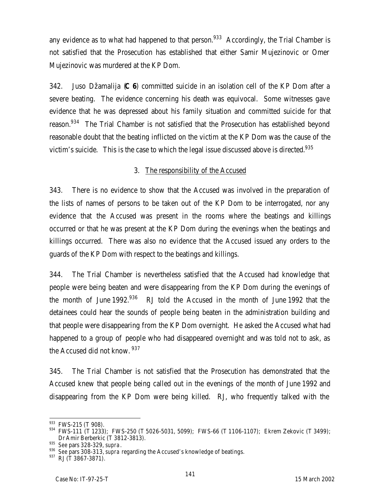any evidence as to what had happened to that person.<sup>933</sup> Accordingly, the Trial Chamber is not satisfied that the Prosecution has established that either Samir Mujezinovic or Omer Mujezinovic was murdered at the KP Dom.

342. Juso Džamalija (**C 6**) committed suicide in an isolation cell of the KP Dom after a severe beating. The evidence concerning his death was equivocal. Some witnesses gave evidence that he was depressed about his family situation and committed suicide for that reason.<sup>934</sup> The Trial Chamber is not satisfied that the Prosecution has established beyond reasonable doubt that the beating inflicted on the victim at the KP Dom was the cause of the victim's suicide. This is the case to which the legal issue discussed above is directed.<sup>935</sup>

### 3. The responsibility of the Accused

343. There is no evidence to show that the Accused was involved in the preparation of the lists of names of persons to be taken out of the KP Dom to be interrogated, nor any evidence that the Accused was present in the rooms where the beatings and killings occurred or that he was present at the KP Dom during the evenings when the beatings and killings occurred. There was also no evidence that the Accused issued any orders to the guards of the KP Dom with respect to the beatings and killings.

344. The Trial Chamber is nevertheless satisfied that the Accused had knowledge that people were being beaten and were disappearing from the KP Dom during the evenings of the month of June 1992.<sup>936</sup> RJ told the Accused in the month of June 1992 that the detainees could hear the sounds of people being beaten in the administration building and that people were disappearing from the KP Dom overnight. He asked the Accused what had happened to a group of people who had disappeared overnight and was told not to ask, as the Accused did not know. <sup>937</sup>

345. The Trial Chamber is not satisfied that the Prosecution has demonstrated that the Accused knew that people being called out in the evenings of the month of June 1992 and disappearing from the KP Dom were being killed. RJ, who frequently talked with the

<sup>933</sup> FWS-215 (T 908).

<sup>934</sup> FWS-111 (T 1233); FWS-250 (T 5026-5031, 5099); FWS-66 (T 1106-1107); Ekrem Zekovic (T 3499); Dr Amir Berberkic (T 3812-3813).

<sup>935</sup> *See* pars 328-329, *supra*.

<sup>936</sup> *See* pars 308-313, *supra* regarding the Accused's knowledge of beatings.

<sup>937</sup> RJ (T 3867-3871).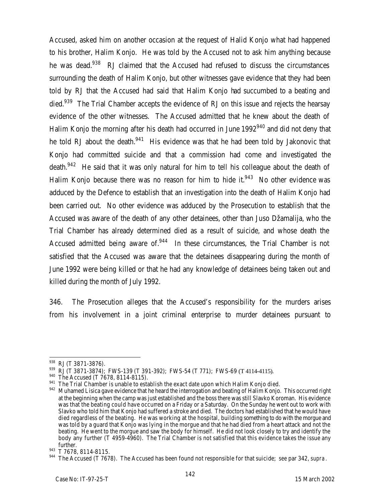Accused, asked him on another occasion at the request of Halid Konjo what had happened to his brother, Halim Konjo. He was told by the Accused not to ask him anything because he was dead.<sup>938</sup> RJ claimed that the Accused had refused to discuss the circumstances surrounding the death of Halim Konjo, but other witnesses gave evidence that they had been told by RJ that the Accused had said that Halim Konjo had succumbed to a beating and died.<sup>939</sup> The Trial Chamber accepts the evidence of RJ on this issue and rejects the hearsay evidence of the other witnesses. The Accused admitted that he knew about the death of Halim Konjo the morning after his death had occurred in June 1992<sup>940</sup> and did not deny that he told RJ about the death.<sup>941</sup> His evidence was that he had been told by Jakonovic that Konjo had committed suicide and that a commission had come and investigated the death.<sup>942</sup> He said that it was only natural for him to tell his colleague about the death of Halim Konjo because there was no reason for him to hide it.<sup>943</sup> No other evidence was adduced by the Defence to establish that an investigation into the death of Halim Konjo had been carried out. No other evidence was adduced by the Prosecution to establish that the Accused was aware of the death of any other detainees, other than Juso Džamalija, who the Trial Chamber has already determined died as a result of suicide, and whose death the Accused admitted being aware of. $944$  In these circumstances, the Trial Chamber is not satisfied that the Accused was aware that the detainees disappearing during the month of June 1992 were being killed or that he had any knowledge of detainees being taken out and killed during the month of July 1992.

346. The Prosecution alleges that the Accused's responsibility for the murders arises from his involvement in a joint criminal enterprise to murder detainees pursuant to

 $\overline{a}$ <sup>938</sup> RJ (T 3871-3876).

<sup>939</sup> RJ (T 3871-3874); FWS-139 (T 391-392); FWS-54 (T 771); FWS-69 (T 4114-4115).

<sup>940</sup> The Accused (T 7678, 8114-8115).

<sup>941</sup> The Trial Chamber is unable to establish the exact date upon which Halim Konjo died.

<sup>942</sup> Muhamed Lisica gave evidence that he heard the interrogation and beating of Halim Konjo. This occurred right at the beginning when the camp was just established and the boss there was still Slavko Koroman. His evidence was that the beating could have occurred on a Friday or a Saturday. On the Sunday he went out to work with Slavko who told him that Konjo had suffered a stroke and died. The doctors had established that he would have died regardless of the beating. He was working at the hospital, building something to do with the morgue and was told by a guard that Konjo was lying in the morgue and that he had died from a heart attack and not the beating. He went to the morgue and saw the body for himself. He did not look closely to try and identify the body any further (T 4959-4960). The Trial Chamber is not satisfied that this evidence takes the issue any further.

<sup>943</sup> T 7678, 8114-8115.

<sup>944</sup> The Accused (T 7678). The Accused has been found not responsible for that suicide; *see* par 342, *supra*.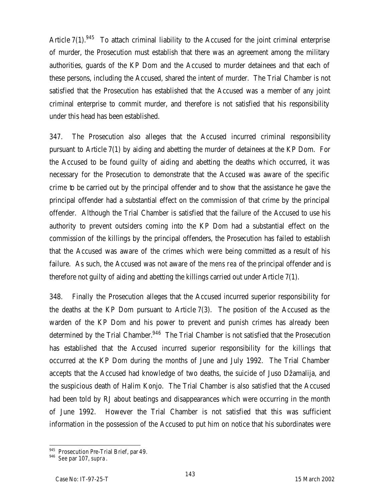Article  $7(1)$ <sup>945</sup> To attach criminal liability to the Accused for the joint criminal enterprise of murder, the Prosecution must establish that there was an agreement among the military authorities, guards of the KP Dom and the Accused to murder detainees and that each of these persons, including the Accused, shared the intent of murder. The Trial Chamber is not satisfied that the Prosecution has established that the Accused was a member of any joint criminal enterprise to commit murder, and therefore is not satisfied that his responsibility under this head has been established.

347. The Prosecution also alleges that the Accused incurred criminal responsibility pursuant to Article 7(1) by aiding and abetting the murder of detainees at the KP Dom. For the Accused to be found guilty of aiding and abetting the deaths which occurred, it was necessary for the Prosecution to demonstrate that the Accused was aware of the specific crime to be carried out by the principal offender and to show that the assistance he gave the principal offender had a substantial effect on the commission of that crime by the principal offender. Although the Trial Chamber is satisfied that the failure of the Accused to use his authority to prevent outsiders coming into the KP Dom had a substantial effect on the commission of the killings by the principal offenders, the Prosecution has failed to establish that the Accused was aware of the crimes which were being committed as a result of his failure. As such, the Accused was not aware of the *mens rea* of the principal offender and is therefore not guilty of aiding and abetting the killings carried out under Article 7(1).

348. Finally the Prosecution alleges that the Accused incurred superior responsibility for the deaths at the KP Dom pursuant to Article 7(3). The position of the Accused as the warden of the KP Dom and his power to prevent and punish crimes has already been determined by the Trial Chamber.<sup>946</sup> The Trial Chamber is not satisfied that the Prosecution has established that the Accused incurred superior responsibility for the killings that occurred at the KP Dom during the months of June and July 1992. The Trial Chamber accepts that the Accused had knowledge of two deaths, the suicide of Juso Džamalija, and the suspicious death of Halim Konjo. The Trial Chamber is also satisfied that the Accused had been told by RJ about beatings and disappearances which were occurring in the month of June 1992. However the Trial Chamber is not satisfied that this was sufficient information in the possession of the Accused to put him on notice that his subordinates were

 $\overline{a}$ <sup>945</sup> Prosecution Pre-Trial Brief, par 49.

<sup>946</sup> *See* par 107, *supra*.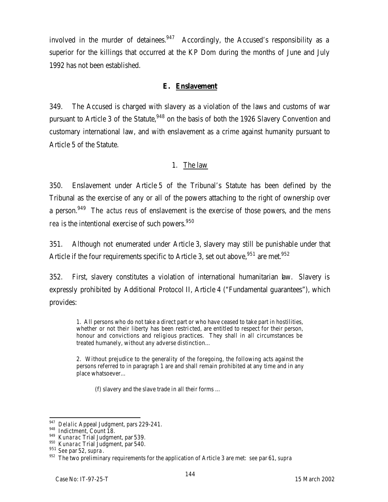involved in the murder of detainees.  $947$  Accordingly, the Accused's responsibility as a superior for the killings that occurred at the KP Dom during the months of June and July 1992 has not been established.

#### **E. Enslavement**

349. The Accused is charged with slavery as a violation of the laws and customs of war pursuant to Article 3 of the Statute,<sup>948</sup> on the basis of both the 1926 Slavery Convention and customary international law, and with enslavement as a crime against humanity pursuant to Article 5 of the Statute.

#### 1. The law

350. Enslavement under Article 5 of the Tribunal's Statute has been defined by the Tribunal as the exercise of any or all of the powers attaching to the right of ownership over a person.<sup>949</sup> The *actus reus* of enslavement is the exercise of those powers, and the *mens rea* is the intentional exercise of such powers.<sup>950</sup>

351. Although not enumerated under Article 3, slavery may still be punishable under that Article if the four requirements specific to Article 3, set out above,  $951$  are met.  $952$ 

352. First, slavery constitutes a violation of international humanitarian law. Slavery is expressly prohibited by Additional Protocol II, Article 4 ("Fundamental guarantees"), which provides:

1. All persons who do not take a direct part or who have ceased to take part in hostilities, whether or not their liberty has been restricted, are entitled to respect for their person, honour and convictions and religious practices. They shall in all circumstances be treated humanely, without any adverse distinction…

2. Without prejudice to the generality of the foregoing, the following acts against the persons referred to in paragraph 1 are and shall remain prohibited at any time and in any place whatsoever…

(f) slavery and the slave trade in all their forms …

<sup>947</sup> *Delalic* Appeal Judgment, pars 229-241.

<sup>948</sup> Indictment, Count 18.

<sup>949</sup> *Kunarac* Trial Judgment, par 539.

<sup>950</sup> *Kunarac* Trial Judgment, par 540.

<sup>951</sup> *See* par 52, *supra*.

<sup>952</sup> The two preliminary requirements for the application of Article 3 are met: *see* par 61, *supra*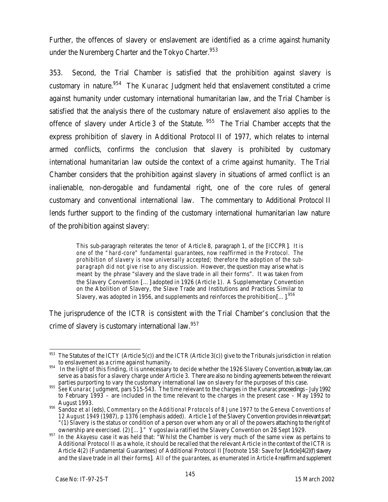Further, the offences of slavery or enslavement are identified as a crime against humanity under the Nuremberg Charter and the Tokyo Charter.<sup>953</sup>

353. Second, the Trial Chamber is satisfied that the prohibition against slavery is customary in nature.<sup>954</sup> The *Kunarac* Judgment held that enslavement constituted a crime against humanity under customary international humanitarian law, and the Trial Chamber is satisfied that the analysis there of the customary nature of enslavement also applies to the offence of slavery under Article 3 of the Statute. <sup>955</sup> The Trial Chamber accepts that the express prohibition of slavery in Additional Protocol II of 1977, which relates to internal armed conflicts, confirms the conclusion that slavery is prohibited by customary international humanitarian law outside the context of a crime against humanity. The Trial Chamber considers that the prohibition against slavery in situations of armed conflict is an inalienable, non-derogable and fundamental right, one of the core rules of general customary and conventional international law. The commentary to Additional Protocol II lends further support to the finding of the customary international humanitarian law nature of the prohibition against slavery:

This sub-paragraph reiterates the tenor of Article 8, paragraph 1, of the [ICCPR]. *It is one of the "hard-core" fundamental guarantees, now reaffirmed in the Protocol. The prohibition of slavery is now universally accepted; therefore the adoption of the subparagraph did not give rise to any discussion.* However, the question may arise what is meant by the phrase "slavery and the slave trade in all their forms". It was taken from the Slavery Convention […] adopted in 1926 (Article 1). A Supplementary Convention on the Abolition of Slavery, the Slave Trade and Institutions and Practices Similar to Slavery, was adopted in 1956, and supplements and reinforces the prohibition[...]. $^{956}$ 

The jurisprudence of the ICTR is consistent with the Trial Chamber's conclusion that the crime of slavery is customary international law.<sup>957</sup>

<sup>953</sup> The Statutes of the ICTY (Article 5(c)) and the ICTR (Article 3(c)) give to the Tribunals jurisdiction in relation to enslavement as a crime against humanity.

<sup>&</sup>lt;sup>954</sup> In the light of this finding, it is unnecessary to decide whether the 1926 Slavery Convention, as treaty law, can serve as a basis for a slavery charge under Article 3. There are also no binding agreements between the relevant parties purporting to vary the customary international law on slavery for the purposes of this case.

<sup>955</sup> *See Kunarac* Judgment, pars 515-543. The time relevant to the charges in the *Kunarac* proceedings – July1992 to February 1993 – are included in the time relevant to the charges in the present case – May 1992 to August 1993.

<sup>956</sup> Sandoz *et al* (eds), *Commentary on the Additional Protocols of 8 June 1977 to the Geneva Conventions of 12 August 1949* (1987), p 1376 (emphasis added). Article 1 of the Slavery Convention providesin relevant part: "(1) Slavery is the status or condition of a person over whom any or all of the powers attaching to the right of ownership are exercised. (2) […]." Yugoslavia ratified the Slavery Convention on 28 Sept 1929.

<sup>957</sup> In the *Akayesu* case it was held that: "Whilst the Chamber is very much of the same view as pertains to Additional Protocol II as a whole, it should be recalled that the relevant Article in the context of the ICTR is Article 4(2) (Fundamental Guarantees) of Additional Protocol II [footnote 158: Save for [Article]4(2)(f) slavery and the slave trade in all their forms]. *All of the guarantees, as enumerated in Article 4 reaffirm and supplement*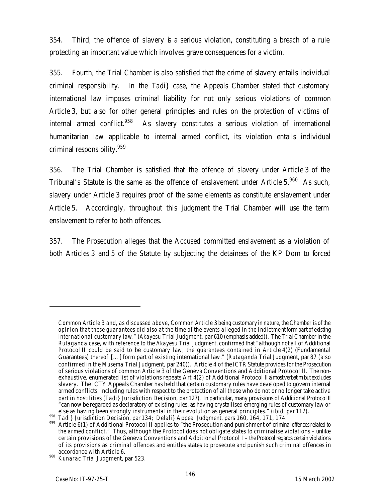354. Third, the offence of slavery is a serious violation, constituting a breach of a rule protecting an important value which involves grave consequences for a victim.

355. Fourth, the Trial Chamber is also satisfied that the crime of slavery entails individual criminal responsibility. In the *Tadi}* case, the Appeals Chamber stated that customary international law imposes criminal liability for not only serious violations of common Article 3, but also for other general principles and rules on the protection of victims of internal armed conflict.<sup>958</sup> As slavery constitutes a serious violation of international humanitarian law applicable to internal armed conflict, its violation entails individual criminal responsibility.<sup>959</sup>

356. The Trial Chamber is satisfied that the offence of slavery under Article 3 of the Tribunal's Statute is the same as the offence of enslavement under Article 5.<sup>960</sup> As such, slavery under Article 3 requires proof of the same elements as constitute enslavement under Article 5. Accordingly, throughout this judgment the Trial Chamber will use the term enslavement to refer to both offences.

357. The Prosecution alleges that the Accused committed enslavement as a violation of both Articles 3 and 5 of the Statute by subjecting the detainees of the KP Dom to forced

 $\overline{a}$ 

*Common Article 3 and, as discussed above, Common Article 3 being customary in nature, the Chamber is of the opinion that these guarantees did also at the time of the events alleged in the Indictment form part of existing international customary law.*" (*Akayesu* Trial Judgment, par 610 (emphasis added)). The Trial Chamber in the *Rutaganda* case, with reference to the *Akayesu* Trial Judgment, confirmed that "although not all of Additional Protocol II could be said to be customary law, the guarantees contained in Article 4(2) (Fundamental Guarantees) thereof […] form part of existing international law." (*Rutaganda* Trial Judgment, par 87 (also confirmed in the *Musema* Trial Judgment, par 240)). Article 4 of the ICTR Statute provides for the Prosecution of serious violations of common Article 3 of the Geneva Conventions and Additional Protocol II. The nonexhaustive, enumerated list of violations repeats Art 4(2) of Additional Protocol II almost verbatim but excludes slavery. The ICTY Appeals Chamber has held that certain customary rules have developed to govern internal armed conflicts, including rules with respect to the protection of all those who do not or no longer take active part in hostilities (*Tadi* } Jurisdiction Decision, par 127). In particular, many provisions of Additional Protocol II "can now be regarded as declaratory of existing rules, as having crystallised emerging rules of customary law or else as having been strongly instrumental in their evolution as general principles." (*ibid,* par 117).

<sup>958</sup> *Tadi}* Jurisdiction Decision, par 134; *Delali}* Appeal Judgment, pars 160, 164, 171, 174.

<sup>959</sup> Article 6(1) of Additional Protocol II applies to "the Prosecution and punishment of *criminal offences related to the armed conflict*." Thus, although the Protocol does not obligate states to criminalise violations – unlike certain provisions of the Geneva Conventions and Additional Protocol I – the Protocol regards certain violations of its provisions as *criminal offences* and entitles states to prosecute and punish such criminal offences in accordance with Article 6.

<sup>960</sup> *Kunarac* Trial Judgment, par 523.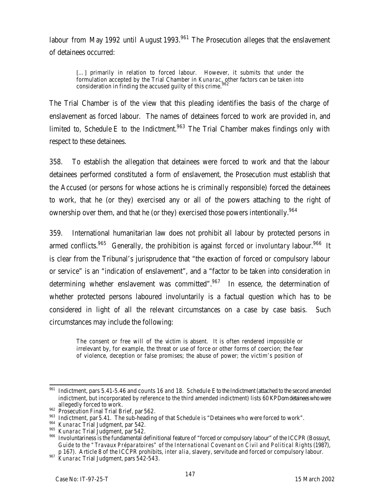labour from May 1992 until August 1993.<sup>961</sup> The Prosecution alleges that the enslavement of detainees occurred:

[...] primarily in relation to forced labour. However, it submits that under the formulation accepted by the Trial Chamber in *Kunarac*, other factors can be taken into consideration in finding the accused guilty of this crime. $^{962}$ 

The Trial Chamber is of the view that this pleading identifies the basis of the charge of enslavement as forced labour. The names of detainees forced to work are provided in, and limited to, Schedule E to the Indictment.<sup>963</sup> The Trial Chamber makes findings only with respect to these detainees.

358. To establish the allegation that detainees were forced to work and that the labour detainees performed constituted a form of enslavement, the Prosecution must establish that the Accused (or persons for whose actions he is criminally responsible) forced the detainees to work, that he (or they) exercised any or all of the powers attaching to the right of ownership over them, and that he (or they) exercised those powers intentionally.<sup>964</sup>

359. International humanitarian law does not prohibit all labour by protected persons in armed conflicts.<sup>965</sup> Generally, the prohibition is against *forced* or *involuntary* labour.<sup>966</sup> It is clear from the Tribunal's jurisprudence that "the exaction of forced or compulsory labour or service" is an "indication of enslavement", and a "factor to be taken into consideration in determining whether enslavement was committed". $967$  In essence, the determination of whether protected persons laboured involuntarily is a factual question which has to be considered in light of all the relevant circumstances on a case by case basis. Such circumstances may include the following:

The consent or free will of the victim is absent. It is often rendered impossible or irrelevant by, for example, the threat or use of force or other forms of coercion; the fear of violence, deception or false promises; the abuse of power; the victim's position of

<sup>961</sup> <sup>961</sup> Indictment, pars 5.41-5.46 and counts 16 and 18. Schedule E to the Indictment (attached to the second amended indictment, but incorporated by reference to the third amended indictment) lists 60 KPDom detainees who were allegedly forced to work.

<sup>&</sup>lt;sup>962</sup> Prosecution Final Trial Brief, par 562.

<sup>963</sup> Indictment, par 5.41. The sub-heading of that Schedule is "Detainees who were forced to work".

<sup>964</sup> *Kunarac* Trial Judgment, par 542.

<sup>965</sup> *Kunarac* Trial Judgment, par 542.

<sup>966</sup> Involuntariness is the fundamental definitional feature of "forced or compulsory labour" of the ICCPR (Bossuyt, *Guide to the "Travaux Préparatoires" of the International Covenant on Civil and Political Rights* (1987), p 167). Article 8 of the ICCPR prohibits, *inter alia*, slavery, servitude and forced or compulsory labour.

<sup>967</sup> *Kunarac* Trial Judgment*,* pars 542-543.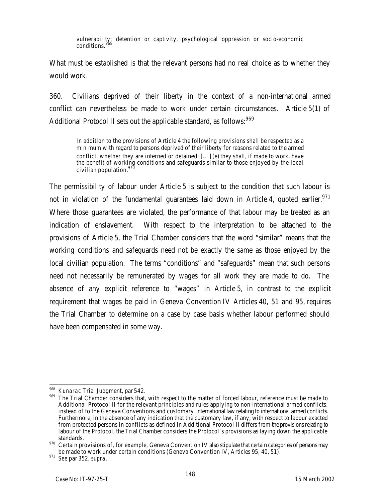vulnerability; detention or captivity, psychological oppression or socio-economic conditions.<sup>96</sup>

What must be established is that the relevant persons had no real choice as to whether they would work.

360. Civilians deprived of their liberty in the context of a non-international armed conflict can nevertheless be made to work under certain circumstances. Article 5(1) of Additional Protocol II sets out the applicable standard, as follows: <sup>969</sup>

In addition to the provisions of Article 4 the following provisions shall be respected as a minimum with regard to persons deprived of their liberty for reasons related to the armed conflict, whether they are interned or detained; […] (e) they shall, if made to work, have the benefit of working conditions and safeguards similar to those enjoyed by the local civilian population.<sup>970</sup>

The permissibility of labour under Article 5 is subject to the condition that such labour is not in violation of the fundamental guarantees laid down in Article 4, quoted earlier.<sup>971</sup> Where those guarantees are violated, the performance of that labour may be treated as an indication of enslavement. With respect to the interpretation to be attached to the provisions of Article 5, the Trial Chamber considers that the word "similar" means that the working conditions and safeguards need not be exactly the same as those enjoyed by the local civilian population. The terms "conditions" and "safeguards" mean that such persons need not necessarily be remunerated by wages for all work they are made to do. The absence of any explicit reference to "wages" in Article 5, in contrast to the explicit requirement that wages be paid in Geneva Convention IV Articles 40, 51 and 95, requires the Trial Chamber to determine on a case by case basis whether labour performed should have been compensated in some way.

 $\overline{a}$ <sup>968</sup> *Kunarac* Trial Judgment, par 542.

<sup>969</sup> The Trial Chamber considers that, with respect to the matter of forced labour, reference must be made to Additional Protocol II for the relevant principles and rules applying to non-international armed conflicts, instead of to the Geneva Conventions and customary international law relating to international armed conflicts. Furthermore, in the absence of any indication that the customary law, if any, with respect to labour exacted from protected persons in conflicts as defined in Additional Protocol II differs from the provisions relating to labour of the Protocol, the Trial Chamber considers the Protocol's provisions as laying down the applicable standards.

<sup>&</sup>lt;sup>970</sup> Certain provisions of, for example, Geneva Convention IV also stipulate that certain categories of persons may be made to work under certain conditions (Geneva Convention IV, Articles 95, 40, 51).

<sup>971</sup> *See* par 352, *supra*.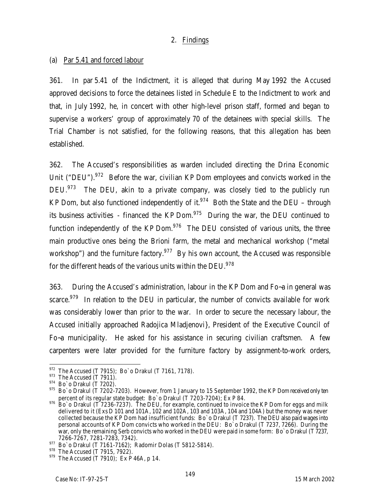# 2. Findings

# (a) Par 5.41 and forced labour

361. In par 5.41 of the Indictment, it is alleged that during May 1992 the Accused approved decisions to force the detainees listed in Schedule E to the Indictment to work and that, in July 1992, he, in concert with other high-level prison staff, formed and began to supervise a workers' group of approximately 70 of the detainees with special skills. The Trial Chamber is not satisfied, for the following reasons, that this allegation has been established.

362. The Accused's responsibilities as warden included directing the Drina Economic Unit ("DEU").<sup>972</sup> Before the war, civilian KP Dom employees and convicts worked in the DEU.<sup>973</sup> The DEU, akin to a private company, was closely tied to the publicly run KP Dom, but also functioned independently of it.<sup>974</sup> Both the State and the DEU – through its business activities - financed the KP Dom. $975$  During the war, the DEU continued to function independently of the KP Dom. $\frac{976}{100}$  The DEU consisted of various units, the three main productive ones being the Brioni farm, the metal and mechanical workshop ("metal workshop") and the furniture factory.<sup>977</sup> By his own account, the Accused was responsible for the different heads of the various units within the DEU.<sup>978</sup>

363. During the Accused's administration, labour in the KP Dom and Fo~a in general was scarce.<sup>979</sup> In relation to the DEU in particular, the number of convicts available for work was considerably lower than prior to the war. In order to secure the necessary labour, the Accused initially approached Radojica Mladjenovi}, President of the Executive Council of Fo~a municipality. He asked for his assistance in securing civilian craftsmen. A few carpenters were later provided for the furniture factory by assignment-to-work orders,

 $\overline{a}$  $^{972}$  The Accused (T 7915); Bo`o Drakul (T 7161, 7178).

 $973$  The Accused (T 7911).

<sup>974</sup> Bo`o Drakul (T 7202).

<sup>975</sup> Bo`o Drakul (T 7202-7203). However, from 1 January to 15 September 1992, the KP Dom received only ten percent of its regular state budget: Bo`o Drakul (T 7203-7204); Ex P 84.

 $976$  Bo`o Drakul (T 7236-7237). The DEU, for example, continued to invoice the KP Dom for eggs and milk delivered to it (Exs D 101 and 101A, 102 and 102A, 103 and 103A, 104 and 104A) but the money was never collected because the KP Dom had insufficient funds: Bo`o Drakul (T 7237). The DEU also paid wages into personal accounts of KP Dom convicts who worked in the DEU: Bo`o Drakul (T 7237, 7266). During the war, only the remaining Serb convicts who worked in the DEU were paid in some form: Bo`o Drakul (T 7237, 7266-7267, 7281-7283, 7342).

 $^{977}$  Bo`o Drakul (T 7161-7162); Radomir Dolas (T 5812-5814).

 $^{978}$  The Accused (T 7915, 7922).

 $979$  The Accused (T 7910); Ex P 46A, p 14.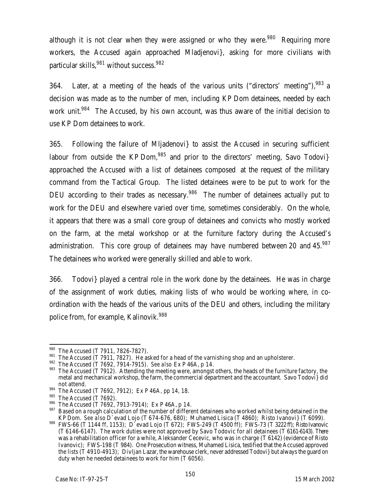although it is not clear when they were assigned or who they were.<sup>980</sup> Requiring more workers, the Accused again approached Mladjenovi}, asking for more civilians with particular skills,  $981$  without success.  $982$ 

364. Later, at a meeting of the heads of the various units ("directors' meeting"), $^{983}$  a decision was made as to the number of men, including KP Dom detainees, needed by each work unit.<sup>984</sup> The Accused, by his own account, was thus aware of the initial decision to use KP Dom detainees to work.

365. Following the failure of Mljadenovi} to assist the Accused in securing sufficient labour from outside the KP Dom,  $985$  and prior to the directors' meeting, Savo Todovi} approached the Accused with a list of detainees composed at the request of the military command from the Tactical Group. The listed detainees were to be put to work for the DEU according to their trades as necessary.<sup>986</sup> The number of detainees actually put to work for the DEU and elsewhere varied over time, sometimes considerably. On the whole, it appears that there was a small core group of detainees and convicts who mostly worked on the farm, at the metal workshop or at the furniture factory during the Accused's administration. This core group of detainees may have numbered between 20 and 45.<sup>987</sup> The detainees who worked were generally skilled and able to work.

366. Todovi} played a central role in the work done by the detainees. He was in charge of the assignment of work duties, making lists of who would be working where, in coordination with the heads of the various units of the DEU and others, including the military police from, for example, Kalinovik.<sup>988</sup>

 $\overline{a}$ 980 The Accused (T 7911, 7826-7827).

 $\frac{981}{10}$  The Accused (T 7911, 7827). He asked for a head of the varnishing shop and an upholsterer.

<sup>982</sup> The Accused (T 7692, 7914-7915). *See also* Ex P 46A, p 14.

<sup>983</sup> The Accused (T 7912). Attending the meeting were, amongst others, the heads of the furniture factory, the metal and mechanical workshop, the farm, the commercial department and the accountant. Savo Todovi} did not attend.

<sup>984</sup> The Accused (T 7692, 7912); Ex P 46A, pp 14, 18.

<sup>985</sup> The Accused (T 7692).

 $986$  The Accused (T 7692, 7913-7914); Ex P 46A, p 14.

<sup>987</sup> Based on a rough calculation of the number of different detainees who worked whilst being detained in the KP Dom. *See also* D`evad Lojo (T 674-676, 680); Muhamed Lisica (T 4860); Risto Ivanovi} (T 6099).

 $988$  FWS-66 (T 1144 ff, 1153); D`evad Lojo (T 672); FWS-249 (T 4500 ff); FWS-73 (T 3222 ff); Risto Ivanovic (T 6146-6147). The work duties were not approved by Savo Todovic for all detainees (T 6161-6143). There was a rehabilitation officer for a while, Aleksander Cecevic, who was in charge (T 6142) (evidence of Risto Ivanovic); FWS-198 (T 984). One Prosecution witness, Muhamed Lisica, testified that the Accused approved the lists (T 4910-4913); Divljan Lazar, the warehouse clerk, never addressed Todovi} but always the guard on duty when he needed detainees to work for him (T 6056).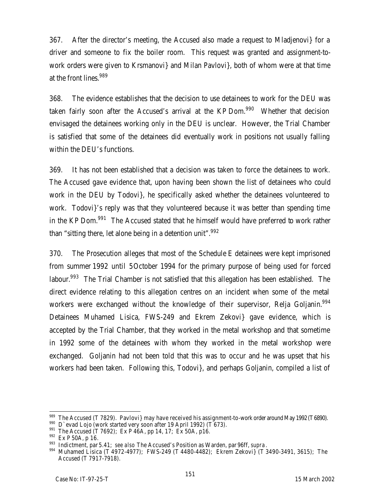367. After the director's meeting, the Accused also made a request to Mladjenovi} for a driver and someone to fix the boiler room. This request was granted and assignment-towork orders were given to Krsmanovi} and Milan Pavlovi}, both of whom were at that time at the front lines.<sup>989</sup>

368. The evidence establishes that the decision to use detainees to work for the DEU was taken fairly soon after the Accused's arrival at the KP Dom. $990$  Whether that decision envisaged the detainees working only in the DEU is unclear. However, the Trial Chamber is satisfied that some of the detainees did eventually work in positions not usually falling within the DEU's functions.

369. It has not been established that a decision was taken to force the detainees to work. The Accused gave evidence that, upon having been shown the list of detainees who could work in the DEU by Todovi}, he specifically asked whether the detainees volunteered to work. Todovi}'s reply was that they volunteered because it was better than spending time in the KP Dom.<sup>991</sup> The Accused stated that he himself would have preferred to work rather than "sitting there, let alone being in a detention unit".<sup>992</sup>

370. The Prosecution alleges that most of the Schedule E detainees were kept imprisoned from summer 1992 until 5October 1994 for the primary purpose of being used for forced labour.<sup>993</sup> The Trial Chamber is not satisfied that this allegation has been established. The direct evidence relating to this allegation centres on an incident when some of the metal workers were exchanged without the knowledge of their supervisor, Relja Goljanin.<sup>994</sup> Detainees Muhamed Lisica, FWS-249 and Ekrem Zekovi} gave evidence, which is accepted by the Trial Chamber, that they worked in the metal workshop and that sometime in 1992 some of the detainees with whom they worked in the metal workshop were exchanged. Goljanin had not been told that this was to occur and he was upset that his workers had been taken. Following this, Todovi}, and perhaps Goljanin, compiled a list of

 $\overline{a}$ 

<sup>989</sup> The Accused (T 7829). Pavlovi} may have received his assignment-to-work order around May 1992 (T 6890).

<sup>990</sup> D`evad Lojo (work started very soon after 19 April 1992) (T 673).

<sup>991</sup> The Accused (T 7692); Ex P 46A, pp 14, 17; Ex 50A, p16.

<sup>992</sup> Ex P 50A, p 16.

<sup>993</sup> Indictment, par 5.41; *see also* The Accused's Position as Warden, par 96ff, *supra*.

<sup>994</sup> Muhamed Lisica (T 4972-4977); FWS-249 (T 4480-4482); Ekrem Zekovi} (T 3490-3491, 3615); The Accused (T 7917-7918).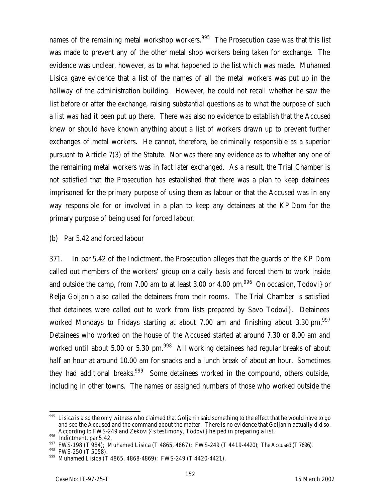names of the remaining metal workshop workers.<sup>995</sup> The Prosecution case was that this list was made to prevent any of the other metal shop workers being taken for exchange. The evidence was unclear, however, as to what happened to the list which was made. Muhamed Lisica gave evidence that a list of the names of all the metal workers was put up in the hallway of the administration building. However, he could not recall whether he saw the list before or after the exchange, raising substantial questions as to what the purpose of such a list was had it been put up there. There was also no evidence to establish that the Accused knew or should have known anything about a list of workers drawn up to prevent further exchanges of metal workers. He cannot, therefore, be criminally responsible as a superior pursuant to Article 7(3) of the Statute. Nor was there any evidence as to whether any one of the remaining metal workers was in fact later exchanged. As a result, the Trial Chamber is not satisfied that the Prosecution has established that there was a plan to keep detainees imprisoned for the primary purpose of using them as labour or that the Accused was in any way responsible for or involved in a plan to keep any detainees at the KP Dom for the primary purpose of being used for forced labour.

#### (b) Par 5.42 and forced labour

371. In par 5.42 of the Indictment, the Prosecution alleges that the guards of the KP Dom called out members of the workers' group on a daily basis and forced them to work inside and outside the camp, from 7.00 am to at least 3.00 or 4.00  $\text{pm.}^{996}$  On occasion, Todovi} or Relja Goljanin also called the detainees from their rooms. The Trial Chamber is satisfied that detainees were called out to work from lists prepared by Savo Todovi}. Detainees worked Mondays to Fridays starting at about 7.00 am and finishing about 3.30 pm.<sup>997</sup> Detainees who worked on the house of the Accused started at around 7.30 or 8.00 am and worked until about 5.00 or 5.30 pm.<sup>998</sup> All working detainees had regular breaks of about half an hour at around 10.00 am for snacks and a lunch break of about an hour. Sometimes they had additional breaks.<sup>999</sup> Some detainees worked in the compound, others outside, including in other towns. The names or assigned numbers of those who worked outside the

 $\overline{a}$  $995$  Lisica is also the only witness who claimed that Goljanin said something to the effect that he would have to go and see the Accused and the command about the matter. There is no evidence that Goljanin actually did so. According to FWS-249 and Zekovi}'s testimony, Todovi} helped in preparing a list.

<sup>996</sup> Indictment, par 5.42.

<sup>997</sup> FWS-198 (T 984); Muhamed Lisica (T 4865, 4867); FWS-249 (T 4419-4420); The Accused (T 7696).

 $^{998}$  FWS-250 (T 5058).

Muhamed Lisica (T 4865, 4868-4869); FWS-249 (T 4420-4421).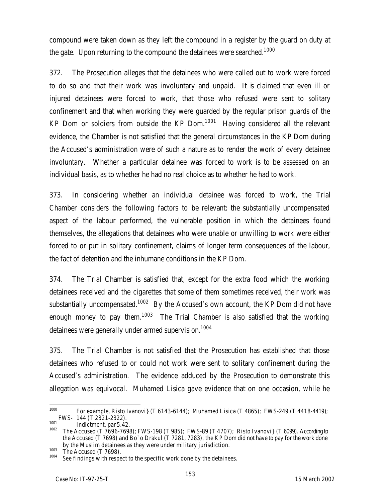compound were taken down as they left the compound in a register by the guard on duty at the gate. Upon returning to the compound the detainees were searched.<sup>1000</sup>

372. The Prosecution alleges that the detainees who were called out to work were forced to do so and that their work was involuntary and unpaid. It is claimed that even ill or injured detainees were forced to work, that those who refused were sent to solitary confinement and that when working they were guarded by the regular prison guards of the KP Dom or soldiers from outside the KP Dom. $1001$  Having considered all the relevant evidence, the Chamber is not satisfied that the general circumstances in the KP Dom during the Accused's administration were of such a nature as to render the work of every detainee involuntary. Whether a particular detainee was forced to work is to be assessed on an individual basis, as to whether he had no real choice as to whether he had to work.

373. In considering whether an individual detainee was forced to work, the Trial Chamber considers the following factors to be relevant: the substantially uncompensated aspect of the labour performed, the vulnerable position in which the detainees found themselves, the allegations that detainees who were unable or unwilling to work were either forced to or put in solitary confinement, claims of longer term consequences of the labour, the fact of detention and the inhumane conditions in the KP Dom.

374. The Trial Chamber is satisfied that, except for the extra food which the working detainees received and the cigarettes that some of them sometimes received, their work was substantially uncompensated.<sup>1002</sup> By the Accused's own account, the KP Dom did not have enough money to pay them.<sup>1003</sup> The Trial Chamber is also satisfied that the working detainees were generally under armed supervision.<sup>1004</sup>

375. The Trial Chamber is not satisfied that the Prosecution has established that those detainees who refused to or could not work were sent to solitary confinement during the Accused's administration. The evidence adduced by the Prosecution to demonstrate this allegation was equivocal. Muhamed Lisica gave evidence that on one occasion, while he

<sup>1000</sup> <sup>1000</sup> For example, Risto Ivanovi} (T 6143-6144); Muhamed Lisica (T 4865); FWS-249 (T 4418-4419); FWS- 144 (T 2321-2322).

 $1001$  Indictment, par 5.42.

The Accused (T 7696-7698); FWS-198 (T 985); FWS-89 (T 4707); Risto Ivanovi} (T 6099). According to the Accused (T 7698) and Bo`o Drakul (T 7281, 7283), the KP Dom did not have to pay for the work done by the Muslim detainees as they were under military jurisdiction.

 $\frac{1003}{1004}$  The Accused (T 7698).

See findings with respect to the specific work done by the detainees.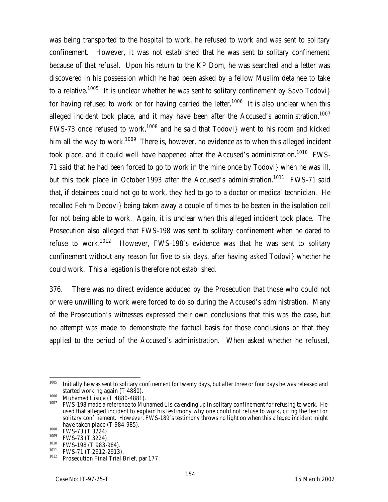was being transported to the hospital to work, he refused to work and was sent to solitary confinement. However, it was not established that he was sent to solitary confinement because of that refusal. Upon his return to the KP Dom, he was searched and a letter was discovered in his possession which he had been asked by a fellow Muslim detainee to take to a relative.<sup>1005</sup> It is unclear whether he was sent to solitary confinement by Savo Todovi} for having refused to work or for having carried the letter.<sup>1006</sup> It is also unclear when this alleged incident took place, and it may have been after the Accused's administration.<sup>1007</sup> FWS-73 once refused to work,<sup>1008</sup> and he said that Todovi} went to his room and kicked him all the way to work.<sup>1009</sup> There is, however, no evidence as to when this alleged incident took place, and it could well have happened after the Accused's administration.<sup>1010</sup> FWS-71 said that he had been forced to go to work in the mine once by Todovi} when he was ill, but this took place in October 1993 after the Accused's administration.<sup>1011</sup> FWS-71 said that, if detainees could not go to work, they had to go to a doctor or medical technician. He recalled Fehim Dedovi} being taken away a couple of times to be beaten in the isolation cell for not being able to work. Again, it is unclear when this alleged incident took place. The Prosecution also alleged that FWS-198 was sent to solitary confinement when he dared to refuse to work.<sup>1012</sup> However, FWS-198's evidence was that he was sent to solitary confinement without any reason for five to six days, after having asked Todovi} whether he could work. This allegation is therefore not established.

376. There was no direct evidence adduced by the Prosecution that those who could not or were unwilling to work were forced to do so during the Accused's administration. Many of the Prosecution's witnesses expressed their own conclusions that this was the case, but no attempt was made to demonstrate the factual basis for those conclusions or that they applied to the period of the Accused's administration. When asked whether he refused,

<sup>1005</sup> Initially he was sent to solitary confinement for twenty days, but after three or four days he was released and started working again (T 4880).

 $\frac{1006}{1007}$  Muhamed Lisica (T 4880-4881).

FWS-198 made a reference to Muhamed Lisica ending up in solitary confinement for refusing to work. He used that alleged incident to explain his testimony why one could not refuse to work, citing the fear for solitary confinement. However, FWS-189's testimony throws no light on when this alleged incident might have taken place (T 984-985).

 $\frac{1008}{1009}$  FWS-73 (T 3224).

 $^{1009}$  FWS-73 (T 3224).

 $\frac{1010}{1011}$  FWS-198 (T 983-984).

 $^{1011}$  FWS-71 (T 2912-2913).

Prosecution Final Trial Brief, par 177.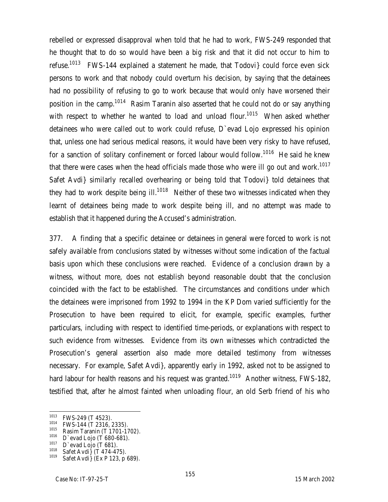rebelled or expressed disapproval when told that he had to work, FWS-249 responded that he thought that to do so would have been a big risk and that it did not occur to him to refuse.<sup>1013</sup> FWS-144 explained a statement he made, that Todovi} could force even sick persons to work and that nobody could overturn his decision, by saying that the detainees had no possibility of refusing to go to work because that would only have worsened their position in the camp.<sup>1014</sup> Rasim Taranin also asserted that he could not do or say anything with respect to whether he wanted to load and unload flour.<sup>1015</sup> When asked whether detainees who were called out to work could refuse, D`evad Lojo expressed his opinion that, unless one had serious medical reasons, it would have been very risky to have refused, for a sanction of solitary confinement or forced labour would follow.<sup>1016</sup> He said he knew that there were cases when the head officials made those who were ill go out and work.<sup>1017</sup> Safet Avdi} similarly recalled overhearing or being told that Todovi} told detainees that they had to work despite being  $III^{1018}$  Neither of these two witnesses indicated when they learnt of detainees being made to work despite being ill, and no attempt was made to establish that it happened during the Accused's administration.

377. A finding that a specific detainee or detainees in general were forced to work is not safely available from conclusions stated by witnesses without some indication of the factual basis upon which these conclusions were reached. Evidence of a conclusion drawn by a witness, without more, does not establish beyond reasonable doubt that the conclusion coincided with the fact to be established. The circumstances and conditions under which the detainees were imprisoned from 1992 to 1994 in the KP Dom varied sufficiently for the Prosecution to have been required to elicit, for example, specific examples, further particulars, including with respect to identified time-periods, or explanations with respect to such evidence from witnesses. Evidence from its own witnesses which contradicted the Prosecution's general assertion also made more detailed testimony from witnesses necessary. For example, Safet Avdi}, apparently early in 1992, asked not to be assigned to hard labour for health reasons and his request was granted.<sup>1019</sup> Another witness, FWS-182, testified that, after he almost fainted when unloading flour, an old Serb friend of his who

<sup>1013</sup>  $^{1013}$  FWS-249 (T 4523).

 $^{1014}$  FWS-144 (T 2316, 2335).

 $^{1015}$  Rasim Taranin (T 1701-1702).

 $1016$  D`evad Lojo (T 680-681).

 $\frac{1017}{1018}$  D`evad Lojo (T 681).

 $1018$  Safet Avdi  $\int (\dot{T} 474 - 475)$ .

 $1019$  Safet Avdi} (Ex P 123, p 689).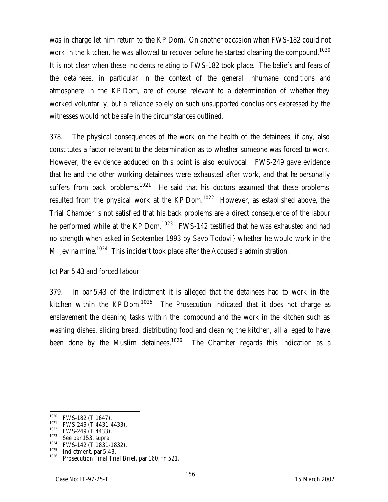was in charge let him return to the KP Dom. On another occasion when FWS-182 could not work in the kitchen, he was allowed to recover before he started cleaning the compound.<sup>1020</sup> It is not clear when these incidents relating to FWS-182 took place. The beliefs and fears of the detainees, in particular in the context of the general inhumane conditions and atmosphere in the KP Dom, are of course relevant to a determination of whether they worked voluntarily, but a reliance solely on such unsupported conclusions expressed by the witnesses would not be safe in the circumstances outlined.

378. The physical consequences of the work on the health of the detainees, if any, also constitutes a factor relevant to the determination as to whether someone was forced to work. However, the evidence adduced on this point is also equivocal. FWS-249 gave evidence that he and the other working detainees were exhausted after work, and that he personally suffers from back problems.<sup>1021</sup> He said that his doctors assumed that these problems resulted from the physical work at the KP Dom.<sup>1022</sup> However, as established above, the Trial Chamber is not satisfied that his back problems are a direct consequence of the labour he performed while at the KP Dom.<sup>1023</sup> FWS-142 testified that he was exhausted and had no strength when asked in September 1993 by Savo Todovi} whether he would work in the Miljevina mine.<sup>1024</sup> This incident took place after the Accused's administration.

# (c) Par 5.43 and forced labour

379. In par 5.43 of the Indictment it is alleged that the detainees had to work in the kitchen within the KP Dom.<sup>1025</sup> The Prosecution indicated that it does not charge as enslavement the cleaning tasks within the compound and the work in the kitchen such as washing dishes, slicing bread, distributing food and cleaning the kitchen, all alleged to have been done by the Muslim detainees.<sup>1026</sup> The Chamber regards this indication as a

<sup>1020</sup>  $^{1020}$  FWS-182 (T 1647).

 $^{1021}$  FWS-249 (T 4431-4433).

 $^{1022}$  FWS-249 (T 4433).

<sup>1023</sup> *See* par 153, *supra*.

 $1024$  FWS-142 (T 1831-1832).

 $\frac{1025}{1026}$  Indictment, par 5.43.

Prosecution Final Trial Brief, par 160, fn 521.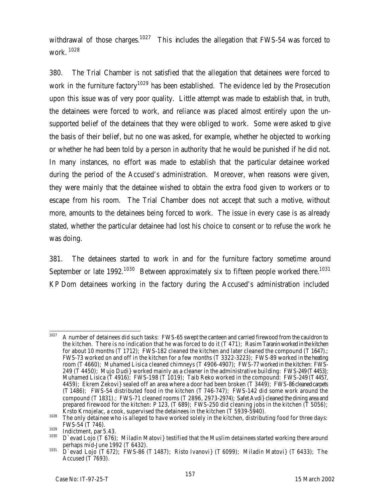withdrawal of those charges.<sup>1027</sup> This includes the allegation that FWS-54 was forced to work. <sup>1028</sup>

380. The Trial Chamber is not satisfied that the allegation that detainees were forced to work in the furniture factory<sup>1029</sup> has been established. The evidence led by the Prosecution upon this issue was of very poor quality. Little attempt was made to establish that, in truth, the detainees were forced to work, and reliance was placed almost entirely upon the unsupported belief of the detainees that they were obliged to work. Some were asked to give the basis of their belief, but no one was asked, for example, whether he objected to working or whether he had been told by a person in authority that he would be punished if he did not. In many instances, no effort was made to establish that the particular detainee worked during the period of the Accused's administration. Moreover, when reasons were given, they were mainly that the detainee wished to obtain the extra food given to workers or to escape from his room. The Trial Chamber does not accept that such a motive, without more, amounts to the detainees being forced to work. The issue in every case is as already stated, whether the particular detainee had lost his choice to consent or to refuse the work he was doing.

381. The detainees started to work in and for the furniture factory sometime around September or late 1992.<sup>1030</sup> Between approximately six to fifteen people worked there.<sup>1031</sup> KP Dom detainees working in the factory during the Accused's administration included

<sup>1027</sup> A number of detainees did such tasks: FWS-65 swept the canteen and carried firewood from the cauldron to the kitchen. There is no indication that he was forced to do it (T 471); Rasim Taranin worked in the kitchen for about 10 months (T 1712); FWS-182 cleaned the kitchen and later cleaned the compound (T 1647).; FWS-73 worked on and off in the kitchen for a few months (T 3322-3223); FWS-89 worked in the heating room (T 4660); Muhamed Lisica cleaned chimneys (T 4906-4907); FWS-77 worked in the kitchen: FWS-249  $(T$  4450); Mujo Dudi} worked mainly as a cleaner in the administrative building: FWS-249 (T4453); Muhamed Lisica (T 4916); FWS-198 (T 1019); Taib Reko worked in the compound: FWS-249 (T 4457, 4459); Ekrem Zekovi} sealed off an area where a door had been broken (T 3449); FWS-86 cleaned carpets (T 1486); FWS-54 distributed food in the kitchen (T 746-747); FWS-142 did some work around the compound (T 1831).; FWS-71 cleaned rooms (T 2896, 2973-2974); Safet Avdi} cleaned the dining area and prepared firewood for the kitchen: P 123, (T 689); FWS-250 did cleaning jobs in the kitchen (T 5056); Krsto Krnojelac, a cook, supervised the detainees in the kitchen (T 5939-5940).

<sup>1028</sup> The only detainee who is alleged to have worked solely in the kitchen, distributing food for three days: FWS-54 (T 746).

 $\frac{1029}{1030}$  Indictment, par 5.43.

D`evad Lojo (T 676); Miladin Matovi} testified that the Muslim detainees started working there around perhaps mid-June 1992 (T 6432).

<sup>1031</sup> D`evad Lojo (T 672); FWS-86 (T 1487); Risto Ivanovi} (T 6099); Miladin Matovi} (T 6433); The Accused (T 7693).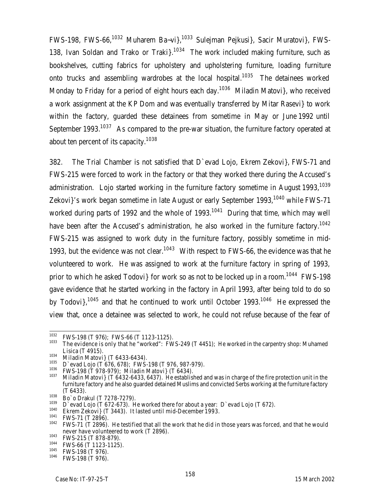FWS-198, FWS-66,<sup>1032</sup> Muharem Ba~vi},<sup>1033</sup> Sulejman Pejkusi}, Sacir Muratovi}, FWS-138, Ivan Soldan and Trako or Traki $\frac{1034}{1034}$  The work included making furniture, such as bookshelves, cutting fabrics for upholstery and upholstering furniture, loading furniture onto trucks and assembling wardrobes at the local hospital.<sup>1035</sup> The detainees worked Monday to Friday for a period of eight hours each day.<sup>1036</sup> Miladin Matovi}, who received a work assignment at the KP Dom and was eventually transferred by Mitar Rasevi} to work within the factory, guarded these detainees from sometime in May or June 1992 until September 1993.<sup>1037</sup> As compared to the pre-war situation, the furniture factory operated at about ten percent of its capacity.<sup>1038</sup>

382. The Trial Chamber is not satisfied that D`evad Lojo, Ekrem Zekovi}, FWS-71 and FWS-215 were forced to work in the factory or that they worked there during the Accused's administration. Lojo started working in the furniture factory sometime in August 1993,<sup>1039</sup> Zekovi}'s work began sometime in late August or early September 1993,<sup>1040</sup> while FWS-71 worked during parts of 1992 and the whole of  $1993$ .<sup>1041</sup> During that time, which may well have been after the Accused's administration, he also worked in the furniture factory.<sup>1042</sup> FWS-215 was assigned to work duty in the furniture factory, possibly sometime in mid-1993, but the evidence was not clear.<sup>1043</sup> With respect to FWS-66, the evidence was that he volunteered to work. He was assigned to work at the furniture factory in spring of 1993, prior to which he asked Todovi} for work so as not to be locked up in a room.<sup>1044</sup> FWS-198 gave evidence that he started working in the factory in April 1993, after being told to do so by Todovi},<sup>1045</sup> and that he continued to work until October 1993.<sup>1046</sup> He expressed the view that, once a detainee was selected to work, he could not refuse because of the fear of

<sup>1032</sup>  $1032$  FWS-198 (T 976); FWS-66 (T 1123-1125).

The evidence is only that he "worked": FWS-249 (T 4451); He worked in the carpentry shop: Muhamed Lisica (T 4915).

 $1034$  Miladin Matovi} (T 6433-6434).

 $^{1035}$  D`evad Lojo (T 676, 678); FWS-198 (T 976, 987-979).

 $1036$  FWS-198 (T 978-979); Miladin Matovi} (T 6434).

Miladin Matovi} (T 6432-6433, 6437). He established and was in charge of the fire protection unit in the furniture factory and he also guarded detained Muslims and convicted Serbs working at the furniture factory (T 6433).

 $\frac{1038}{1039}$  Bo`o Drakul (T 7278-7279).

<sup>&</sup>lt;sup>1039</sup> D`evad Lojo (T 672-673). He worked there for about a year: D`evad Lojo (T 672).

<sup>&</sup>lt;sup>1040</sup> Ekrem Zekovi} (T 3443). It lasted until mid-December 1993.<br><sup>1041</sup> EMS 71 (T 2804)

 $^{1041}$  FWS-71 (T 2896).

FWS-71 (T 2896). He testified that all the work that he did in those years was forced, and that he would never have volunteered to work (T 2896).

 $1043$  FWS-215 (T 878-879).

 $^{1044}$  FWS-66 (T 1123-1125).

 $^{1045}$  FWS-198 (T 976).

FWS-198 (T 976).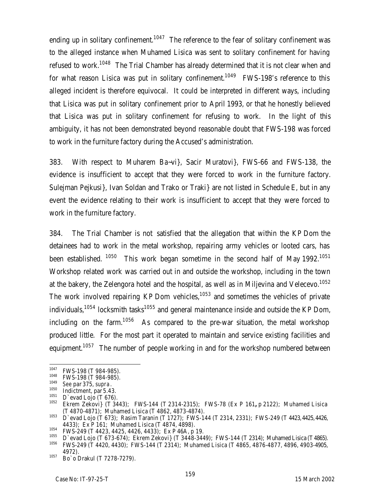ending up in solitary confinement.<sup>1047</sup> The reference to the fear of solitary confinement was to the alleged instance when Muhamed Lisica was sent to solitary confinement for having refused to work.<sup>1048</sup> The Trial Chamber has already determined that it is not clear when and for what reason Lisica was put in solitary confinement.<sup>1049</sup> FWS-198's reference to this alleged incident is therefore equivocal. It could be interpreted in different ways, including that Lisica was put in solitary confinement prior to April 1993, or that he honestly believed that Lisica was put in solitary confinement for refusing to work. In the light of this ambiguity, it has not been demonstrated beyond reasonable doubt that FWS-198 was forced to work in the furniture factory during the Accused's administration.

383. With respect to Muharem Ba~vi}, Sacir Muratovi}, FWS-66 and FWS-138, the evidence is insufficient to accept that they were forced to work in the furniture factory. Sulejman Pejkusi}, Ivan Soldan and Trako or Traki} are not listed in Schedule E, but in any event the evidence relating to their work is insufficient to accept that they were forced to work in the furniture factory.

384. The Trial Chamber is not satisfied that the allegation that within the KP Dom the detainees had to work in the metal workshop, repairing army vehicles or looted cars, has been established. <sup>1050</sup> This work began sometime in the second half of May 1992.<sup>1051</sup> Workshop related work was carried out in and outside the workshop, including in the town at the bakery, the Zelengora hotel and the hospital, as well as in Miljevina and Velecevo. $^{1052}$ The work involved repairing KP Dom vehicles,  $1053$  and sometimes the vehicles of private individuals,<sup>1054</sup> locksmith tasks<sup>1055</sup> and general maintenance inside and outside the KP Dom, including on the farm.<sup>1056</sup> As compared to the pre-war situation, the metal workshop produced little. For the most part it operated to maintain and service existing facilities and equipment.<sup>1057</sup> The number of people working in and for the workshop numbered between

<sup>1047</sup>  $^{1047}$  FWS-198 (T 984-985).

 $^{1048}$  FWS-198 (T 984-985).

<sup>1049</sup> *See* par 375, *supra*.

 $^{1050}$  Indictment, par 5.43.

 $^{1051}$  D`evad Lojo (T 676).

<sup>1052</sup> Ekrem Zekovi} (T 3443); FWS-144 (T 2314-2315); FWS-78 (Ex P 161**,** p 2122); Muhamed Lisica (T 4870-4871); Muhamed Lisica (T 4862, 4873-4874).

<sup>1053</sup> D`evad Lojo (T 673); Rasim Taranin (T 1727); FWS-144 (T 2314, 2331); FWS-249 (T 4423, 4425, 4426, 4433); Ex P 161; Muhamed Lisica (T 4874, 4898).

<sup>&</sup>lt;sup>1054</sup> FWS-249 (T 4423, 4425, 4426, 4433); Ex P 46A, p 19.<br><sup>1055</sup> Diavad Lois (T 472, 474); Ekrom Zakovi) (T 2448, 244)

<sup>&</sup>lt;sup>1055</sup> D`evad Lojo (T 673-674); Ekrem Zekovi} (T 3448-3449); FWS-144 (T 2314); Muhamed Lisica (T 4865).<br><sup>1056</sup> EMS 240 (T 4420, 4420); FMS 144 (T 2314); Muhamed Lisica (T 4845, 4874, 4877, 4806, 4902, 4905. <sup>1056</sup> FWS-249 (T 4420, 4430); FWS-144 (T 2314); Muhamed Lisica (T 4865, 4876-4877, 4896, 4903-4905, 4972).

<sup>1057</sup> Bo`o Drakul (T 7278-7279).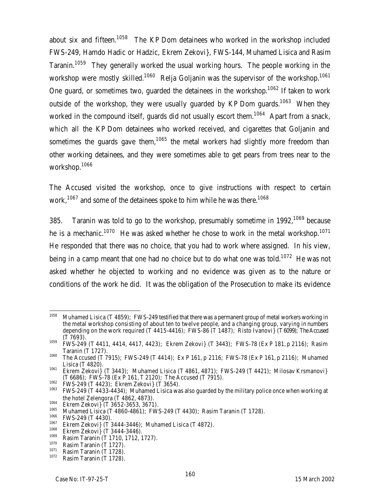about six and fifteen.<sup>1058</sup> The KP Dom detainees who worked in the workshop included FWS-249, Hamdo Hadic or Hadzic, Ekrem Zekovi}, FWS-144, Muhamed Lisica and Rasim Taranin.<sup>1059</sup> They generally worked the usual working hours. The people working in the workshop were mostly skilled.<sup>1060</sup> Relja Goljanin was the supervisor of the workshop.<sup>1061</sup> One guard, or sometimes two, guarded the detainees in the workshop.<sup>1062</sup> If taken to work outside of the workshop, they were usually quarded by KP Dom quards.<sup>1063</sup> When they worked in the compound itself, quards did not usually escort them.<sup>1064</sup> Apart from a snack, which all the KP Dom detainees who worked received, and cigarettes that Goljanin and sometimes the quards gave them,<sup>1065</sup> the metal workers had slightly more freedom than other working detainees, and they were sometimes able to get pears from trees near to the workshop.<sup>1066</sup>

The Accused visited the workshop, once to give instructions with respect to certain work,<sup>1067</sup> and some of the detainees spoke to him while he was there.<sup>1068</sup>

385. Taranin was told to go to the workshop, presumably sometime in 1992.<sup>1069</sup> because he is a mechanic.<sup>1070</sup> He was asked whether he chose to work in the metal workshop.<sup>1071</sup> He responded that there was no choice, that you had to work where assigned. In his view, being in a camp meant that one had no choice but to do what one was told.<sup>1072</sup> He was not asked whether he objected to working and no evidence was given as to the nature or conditions of the work he did. It was the obligation of the Prosecution to make its evidence

<sup>1062</sup> FWS-249 (T 4423); Ekrem Zekovi} (T 3654).

<sup>1064</sup> Ekrem Zekovi} (T 3652-3653, 3671).

<sup>1058</sup> Muhamed Lisica (T 4859); FWS-249 testified that there was a permanent group of metal workers working in the metal workshop consisting of about ten to twelve people, and a changing group, varying in numbers depending on the work required (T 4415-4416); FWS-86 (T 1487); Risto Ivanovi} (T6099); The Accused (T 7693).

<sup>1059</sup> FWS-249 (T 4411, 4414, 4417, 4423); Ekrem Zekovi} (T 3443); FWS-78 (Ex P 181, p 2116); Rasim Taranin (T 1727).

<sup>1060</sup> The Accused (T 7915); FWS-249 (T 4414); Ex P 161, p 2116; FWS-78 (Ex P 161, p 2116); Muhamed Lisica (T 4820).

<sup>1061</sup> Ekrem Zekovi} (T 3443); Muhamed Lisica (T 4861, 4871); FWS-249 (T 4421); Milosav Krsmanovi} (T 6686); FWS-78 (Ex P 161, T 2120); The Accused (T 7915).

<sup>1063</sup> FWS-249 (T 4433-4434); Muhamed Lisica was also guarded by the military police once when working at the hotel Zelengora (T 4862, 4873).

<sup>&</sup>lt;sup>1065</sup> Muhamed Lisica (T 4860-4861); FWS-249 (T 4430); Rasim Taranin (T 1728).<br><sup>1066</sup> EMS 249 (T 4420).

 $^{1066}$  FWS-249 (T 4430).

 $1067$  Ekrem Zekovi} (T 3444-3446); Muhamed Lisica (T 4872).

 $1068$  Ekrem Zekovi} (T 3444-3446).

 $^{1069}$  Rasim Taranin (T 1710, 1712, 1727).

 $\frac{1070}{1071}$  Rasim Taranin (T 1727).

 $\frac{1071}{1072}$  Rasim Taranin (T 1728).

Rasim Taranin (T 1728).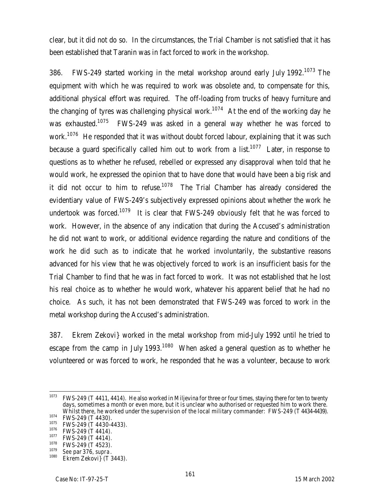clear, but it did not do so. In the circumstances, the Trial Chamber is not satisfied that it has been established that Taranin was in fact forced to work in the workshop.

386. FWS-249 started working in the metal workshop around early July 1992.<sup>1073</sup> The equipment with which he was required to work was obsolete and, to compensate for this, additional physical effort was required. The off-loading from trucks of heavy furniture and the changing of tyres was challenging physical work.<sup>1074</sup> At the end of the working day he was exhausted.<sup>1075</sup> FWS-249 was asked in a general way whether he was forced to work.<sup>1076</sup> He responded that it was without doubt forced labour, explaining that it was such because a guard specifically called him out to work from a list.<sup>1077</sup> Later, in response to questions as to whether he refused, rebelled or expressed any disapproval when told that he would work, he expressed the opinion that to have done that would have been a big risk and it did not occur to him to refuse.<sup>1078</sup> The Trial Chamber has already considered the evidentiary value of FWS-249's subjectively expressed opinions about whether the work he undertook was forced.<sup>1079</sup> It is clear that FWS-249 obviously felt that he was forced to work. However, in the absence of any indication that during the Accused's administration he did not want to work, or additional evidence regarding the nature and conditions of the work he did such as to indicate that he worked involuntarily, the substantive reasons advanced for his view that he was objectively forced to work is an insufficient basis for the Trial Chamber to find that he was in fact forced to work. It was not established that he lost his real choice as to whether he would work, whatever his apparent belief that he had no choice. As such, it has not been demonstrated that FWS-249 was forced to work in the metal workshop during the Accused's administration.

387. Ekrem Zekovi} worked in the metal workshop from mid-July 1992 until he tried to escape from the camp in July 1993.<sup>1080</sup> When asked a general question as to whether he volunteered or was forced to work, he responded that he was a volunteer, because to work

<sup>1073</sup> <sup>1073</sup> FWS-249 (T 4411, 4414). He also worked in Miljevina for three or four times, staying there for ten to twenty days, sometimes a month or even more, but it is unclear who authorised or requested him to work there. Whilst there, he worked under the supervision of the local military commander: FWS-249 (T 4434-4439).  $^{1074}$  FWS-249 (T 4430).

 $^{1075}$  FWS-249 (T 4430-4433).

 $^{1076}$  FWS-249 (T 4414).

<sup>&</sup>lt;sup>1077</sup> FWS-249 (T 4414).

 $^{1078}$  FWS-249 (T 4523).

<sup>1079</sup> *See* par 376, *supra*. Ekrem Zekovi} (T 3443).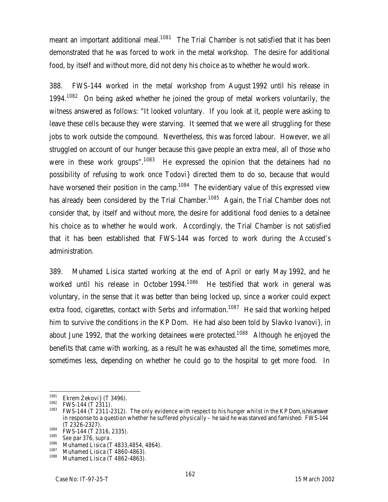meant an important additional meal.<sup>1081</sup> The Trial Chamber is not satisfied that it has been demonstrated that he was forced to work in the metal workshop. The desire for additional food, by itself and without more, did not deny his choice as to whether he would work.

388. FWS-144 worked in the metal workshop from August 1992 until his release in 1994.<sup>1082</sup> On being asked whether he joined the group of metal workers voluntarily, the witness answered as follows: "It looked voluntary. If you look at it, people were asking to leave these cells because they were starving. It seemed that we were all struggling for these jobs to work outside the compound. Nevertheless, this was forced labour. However, we all struggled on account of our hunger because this gave people an extra meal, all of those who were in these work groups".<sup>1083</sup> He expressed the opinion that the detainees had no possibility of refusing to work once Todovi} directed them to do so, because that would have worsened their position in the camp.<sup>1084</sup> The evidentiary value of this expressed view has already been considered by the Trial Chamber.<sup>1085</sup> Again, the Trial Chamber does not consider that, by itself and without more, the desire for additional food denies to a detainee his choice as to whether he would work. Accordingly, the Trial Chamber is not satisfied that it has been established that FWS-144 was forced to work during the Accused's administration.

389. Muhamed Lisica started working at the end of April or early May 1992, and he worked until his release in October 1994. $1086$  He testified that work in general was voluntary, in the sense that it was better than being locked up, since a worker could expect extra food, cigarettes, contact with Serbs and information.<sup>1087</sup> He said that working helped him to survive the conditions in the KP Dom. He had also been told by Slavko Ivanovi}, in about June 1992, that the working detainees were protected.<sup>1088</sup> Although he enjoyed the benefits that came with working, as a result he was exhausted all the time, sometimes more, sometimes less, depending on whether he could go to the hospital to get more food. In

<sup>1081</sup>  $\frac{1081}{1082}$  Ekrem Zekovi} (T 3496).

 $^{1082}$  FWS-144 (T 2311).

<sup>1083</sup> FWS-144 (T 2311-2312). The only evidence with respect to his hunger whilst in the KP Dom, is his answer in response to a question whether he suffered physically – he said he was starved and famished: FWS-144 (T 2326-2327).

 $^{1084}$  FWS-144 (T 2316, 2335).

<sup>1085</sup> *See* par 376, *supra*.

 $\frac{1086}{1087}$  Muhamed Lisica (T 4833,4854, 4864).

 $\frac{1087}{1088}$  Muhamed Lisica (T 4860-4863).

Muhamed Lisica (T 4862-4863).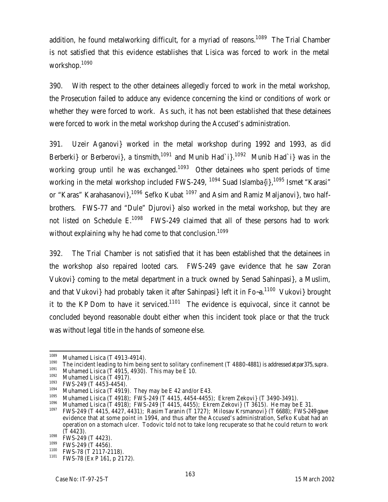addition, he found metalworking difficult, for a myriad of reasons.<sup>1089</sup> The Trial Chamber is not satisfied that this evidence establishes that Lisica was forced to work in the metal workshop.<sup>1090</sup>

390. With respect to the other detainees allegedly forced to work in the metal workshop, the Prosecution failed to adduce any evidence concerning the kind or conditions of work or whether they were forced to work. As such, it has not been established that these detainees were forced to work in the metal workshop during the Accused's administration.

391. Uzeir Aganovi} worked in the metal workshop during 1992 and 1993, as did Berberki} or Berberovi}, a tinsmith,<sup>1091</sup> and Munib Had`i}.<sup>1092</sup> Munib Had`i} was in the working group until he was exchanged.<sup>1093</sup> Other detainees who spent periods of time working in the metal workshop included FWS-249,  $1094$  Suad Islamba{i},  $1095$  Ismet "Karasi" or "Karas" Karahasanovi $3^{1096}$  Sefko Kubat  $1097$  and Asim and Ramiz Maljanovi $3$ , two halfbrothers. FWS-77 and "Dule" Djurovi} also worked in the metal workshop, but they are not listed on Schedule  $E^{1098}$  FWS-249 claimed that all of these persons had to work without explaining why he had come to that conclusion.<sup>1099</sup>

392. The Trial Chamber is not satisfied that it has been established that the detainees in the workshop also repaired looted cars. FWS-249 gave evidence that he saw Zoran Vukovi} coming to the metal department in a truck owned by Senad Sahinpasi}, a Muslim, and that Vukovi} had probably taken it after Sahinpasi} left it in Fo~a.<sup>1100</sup> Vukovi} brought it to the KP Dom to have it serviced.<sup>1101</sup> The evidence is equivocal, since it cannot be concluded beyond reasonable doubt either when this incident took place or that the truck was without legal title in the hands of someone else.

<sup>1090</sup> The incident leading to him being sent to solitary confinement (T 4880-4881) is addressed at par375, *supra*.

 $1091$  Muhamed Lisica (T 4915, 4930). This may be E 10.

<sup>1089</sup>  $\frac{1089}{1090}$  Muhamed Lisica (T 4913-4914).

 $^{1092}$  Muhamed Lisica (T 4917).

 $^{1093}$  FWS-249 (T 4453-4454).

<sup>&</sup>lt;sup>1094</sup> Muhamed Lisica (T 4919). They may be E 42 and/or E43.

<sup>&</sup>lt;sup>1095</sup> Muhamed Lisica (T 4918); FWS-249 (T 4415, 4454-4455); Ekrem Zekovi} (T 3490-3491).

 $1096$  Muhamed Lisica (T 4918); FWS-249 (T 4415, 4455); Ekrem Zekovi} (T 3615). He may be E 31.

<sup>1097</sup> FWS-249 (T 4415, 4427, 4431); Rasim Taranin (T 1727); Milosav Krsmanovi} (T 6688); FWS-249 gave evidence that at some point in 1994, and thus after the Accused's administration, Sefko Kubat had an operation on a stomach ulcer. Todovic told not to take long recuperate so that he could return to work (T 4423).

 $1098$  FWS-249 (T 4423).

 $^{1099}$  FWS-249 (T 4456).

 $^{1100}$  FWS-78 (T 2117-2118).

FWS-78 (Ex P 161, p 2172).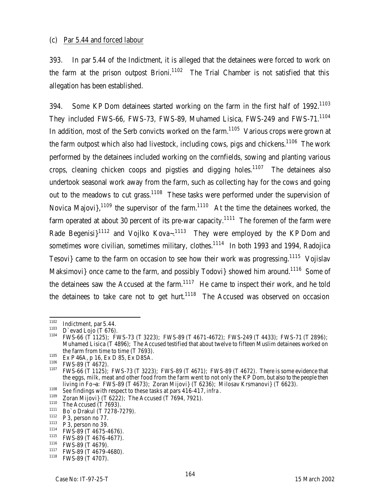393. In par 5.44 of the Indictment, it is alleged that the detainees were forced to work on the farm at the prison outpost Brioni.<sup>1102</sup> The Trial Chamber is not satisfied that this allegation has been established.

394. Some KP Dom detainees started working on the farm in the first half of 1992.<sup>1103</sup> They included FWS-66, FWS-73, FWS-89, Muhamed Lisica, FWS-249 and FWS-71.<sup>1104</sup> In addition, most of the Serb convicts worked on the farm.<sup>1105</sup> Various crops were grown at the farm outpost which also had livestock, including cows, pigs and chickens.<sup>1106</sup> The work performed by the detainees included working on the cornfields, sowing and planting various crops, cleaning chicken coops and pigsties and digging holes.<sup>1107</sup> The detainees also undertook seasonal work away from the farm, such as collecting hay for the cows and going out to the meadows to cut grass.<sup>1108</sup> These tasks were performed under the supervision of Novica Majovi $\cdot$ <sup>1109</sup> the supervisor of the farm.<sup>1110</sup> At the time the detainees worked, the farm operated at about 30 percent of its pre-war capacity.<sup>1111</sup> The foremen of the farm were Rade Begenisi $1^{1112}$  and Vojlko Kova-.<sup>1113</sup> They were employed by the KP Dom and sometimes wore civilian, sometimes military, clothes.<sup>1114</sup> In both 1993 and 1994, Radojica Tesovi} came to the farm on occasion to see how their work was progressing.<sup>1115</sup> Vojislav Maksimovi} once came to the farm, and possibly Todovi} showed him around.<sup>1116</sup> Some of the detainees saw the Accused at the farm. $1117$  He came to inspect their work, and he told the detainees to take care not to get hurt.<sup>1118</sup> The Accused was observed on occasion

<sup>1102</sup>  $^{1102}$  Indictment, par 5.44.

 $^{1103}$  D'evad Lojo (T 676).

<sup>1104</sup> FWS-66 (T 1125); FWS-73 (T 3223); FWS-89 (T 4671-4672); FWS-249 (T 4433); FWS-71 (T 2896); Muhamed Lisica (T 4896); The Accused testified that about twelve to fifteen Muslim detainees worked on the farm from time to time (T 7693).

<sup>1105</sup> Ex P 46A, p 16, Ex D 85, Ex D85A.

 $^{1106}$  FWS-89 (T 4672).

<sup>1107</sup> FWS-66 (T 1125); FWS-73 (T 3223); FWS-89 (T 4671); FWS-89 (T 4672). There is some evidence that the eggs, milk, meat and other food from the farm went to not only the KP Dom, but also to the people then living in Fo~a: FWS-89 (T 4673); Zoran Mijovi} (T 6236); Milosav Krsmanovi} (T 6623).

<sup>&</sup>lt;sup>1108</sup> *See* findings with respect to these tasks at pars 416-417, *infra*.

<sup>&</sup>lt;sup>1109</sup> Zoran Mijovi} (T 6222); The Accused (T 7694, 7921).

 $1110$  The Accused (T 7693).

 $1111$  Bo`o Drakul (T 7278-7279).

 $1112$  P 3, person no 77.

 $1113$  P 3, person no 39.

<sup>1114</sup> FWS-89 (T 4675-4676).

<sup>1115</sup> FWS-89 (T 4676-4677).

<sup>1116</sup> FWS-89 (T 4679).

<sup>&</sup>lt;sup>1117</sup> FWS-89 (T 4679-4680).

FWS-89 (T 4707).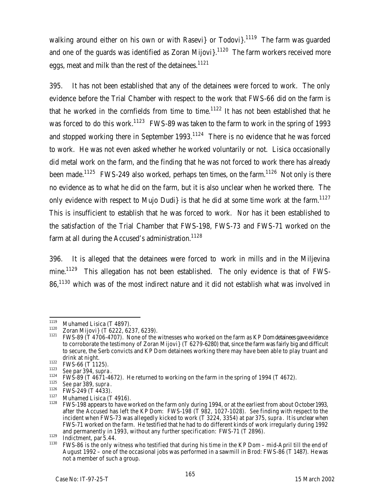walking around either on his own or with Rasevi or Todovi  $1^{1119}$  The farm was quarded and one of the guards was identified as Zoran Mijovi $3^{1120}$  The farm workers received more eggs, meat and milk than the rest of the detainees.<sup>1121</sup>

395. It has not been established that any of the detainees were forced to work. The only evidence before the Trial Chamber with respect to the work that FWS-66 did on the farm is that he worked in the cornfields from time to time.<sup>1122</sup> It has not been established that he was forced to do this work.<sup>1123</sup> FWS-89 was taken to the farm to work in the spring of 1993 and stopped working there in September 1993.<sup>1124</sup> There is no evidence that he was forced to work. He was not even asked whether he worked voluntarily or not. Lisica occasionally did metal work on the farm, and the finding that he was not forced to work there has already been made.<sup>1125</sup> FWS-249 also worked, perhaps ten times, on the farm.<sup>1126</sup> Not only is there no evidence as to what he did on the farm, but it is also unclear when he worked there. The only evidence with respect to Mujo Dudi} is that he did at some time work at the farm.<sup>1127</sup> This is insufficient to establish that he was forced to work. Nor has it been established to the satisfaction of the Trial Chamber that FWS-198, FWS-73 and FWS-71 worked on the farm at all during the Accused's administration.<sup>1128</sup>

396. It is alleged that the detainees were forced to work in mills and in the Miljevina mine.<sup>1129</sup> This allegation has not been established. The only evidence is that of FWS-86.<sup>1130</sup> which was of the most indirect nature and it did not establish what was involved in

<sup>1119</sup>  $^{1119}$  Muhamed Lisica (T 4897).

<sup>&</sup>lt;sup>1120</sup> Zoran Mijovi} (T 6222, 6237, 6239).<br><sup>1121</sup> EMS 80 (T 4706 4707). None of the

<sup>1121</sup> FWS-89 (T 4706-4707). None of the witnesses who worked on the farm as KP Dom detainees gave evidence to corroborate the testimony of Zoran Mijovi} (T 6279-6280) that, since the farm was fairly big and difficult to secure, the Serb convicts and KP Dom detainees working there may have been able to play truant and drink at night.

<sup>1122</sup> **FWS-66** (T 1125).

<sup>1123</sup> *See* par 394, *supra*.

<sup>1124</sup> FWS-89 (T 4671-4672). He returned to working on the farm in the spring of 1994 (T 4672).

<sup>1125</sup> *See* par 389, *supra*.

 $1126$  FWS-249 (T 4433).

 $\frac{1127}{1128}$  Muhamed Lisica (T 4916).

FWS-198 appears to have worked on the farm only during 1994, or at the earliest from about October 1993, after the Accused has left the KP Dom: FWS-198 (T 982, 1027-1028). *See* finding with respect to the incident when FWS-73 was allegedly kicked to work (T 3224, 3354) at par 375, *supra*. It is unclear when FWS-71 worked on the farm. He testified that he had to do different kinds of work irregularly during 1992 and permanently in 1993, without any further specification: FWS-71 (T 2896).

 $\frac{1129}{1130}$  Indictment, par 5.44.

<sup>1130</sup> FWS-86 is the only witness who testified that during his time in the KP Dom – mid-April till the end of August 1992 – one of the occasional jobs was performed in a sawmill in Brod: FWS-86 (T 1487). He was not a member of such a group.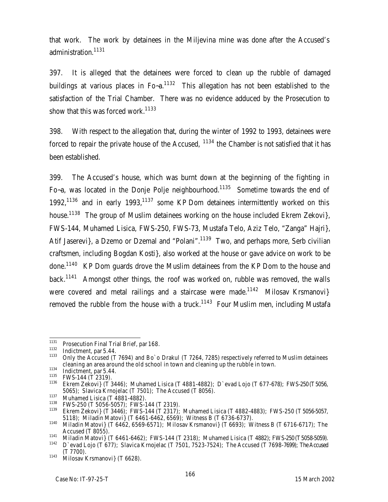that work. The work by detainees in the Miljevina mine was done after the Accused's administration.<sup>1131</sup>

397. It is alleged that the detainees were forced to clean up the rubble of damaged buildings at various places in  $Fo-a$ .<sup>1132</sup> This allegation has not been established to the satisfaction of the Trial Chamber. There was no evidence adduced by the Prosecution to show that this was forced work.<sup>1133</sup>

398. With respect to the allegation that, during the winter of 1992 to 1993, detainees were forced to repair the private house of the Accused,  $1134$  the Chamber is not satisfied that it has been established.

399. The Accused's house, which was burnt down at the beginning of the fighting in Fo-a, was located in the Donje Polje neighbourhood.<sup>1135</sup> Sometime towards the end of 1992,<sup>1136</sup> and in early 1993,<sup>1137</sup> some KP Dom detainees intermittently worked on this house.<sup>1138</sup> The group of Muslim detainees working on the house included Ekrem Zekovi}, FWS-144, Muhamed Lisica, FWS-250, FWS-73, Mustafa Telo, Aziz Telo, "Zanga" Hajri}, Atif Jaserevi}, a Dzemo or Dzemal and "Polani".<sup>1139</sup> Two, and perhaps more, Serb civilian craftsmen, including Bogdan Kosti}, also worked at the house or gave advice on work to be done.<sup>1140</sup> KP Dom guards drove the Muslim detainees from the KP Dom to the house and back.<sup>1141</sup> Amongst other things, the roof was worked on, rubble was removed, the walls were covered and metal railings and a staircase were made.<sup>1142</sup> Milosav Krsmanovi} removed the rubble from the house with a truck.<sup>1143</sup> Four Muslim men, including Mustafa

<sup>1131</sup> Prosecution Final Trial Brief, par 168.

 $\frac{1132}{1133}$  Indictment, par 5.44.

Only the Accused (T 7694) and Bo`o Drakul (T 7264, 7285) respectively referred to Muslim detainees cleaning an area around the old school in town and cleaning up the rubble in town.

<sup>&</sup>lt;sup>1134</sup> Indictment, par 5.44.

 $1135$  FWS-144 (T 2319).

<sup>1136</sup> Ekrem Zekovi} (T 3446); Muhamed Lisica (T 4881-4882); D`evad Lojo (T 677-678); FWS-250 (T5056, 5065); Slavica Krnojelac (T 7501); The Accused (T 8056).

 $\frac{1137}{1138}$  Muhamed Lisica (T 4881-4882).

<sup>&</sup>lt;sup>1138</sup> FWS-250 (T 5056-5057); FWS-144 (T 2319).

<sup>1139</sup> Ekrem Zekovi} (T 3446); FWS-144 (T 2317); Muhamed Lisica (T 4882-4883); FWS-250 (T 5056-5057, 5118); Miladin Matovi} (T 6461-6462, 6569); Witness B (T 6736-6737).

<sup>1140</sup> Miladin Matovi} (T 6462, 6569-6571); Milosav Krsmanovi} (T 6693); Witness B (T 6716-6717); The Accused (T 8055).

<sup>1141</sup> Modern Matovi} (T 6461-6462); FWS-144 (T 2318); Muhamed Lisica (T 4882); FWS-250 (T 5058-5059).<br><sup>1142</sup> Dievad Loio (T 677): Stavica Krpojelac (T 7501, 7523, 7524); The Accused (T 7608, 7600); The Accused <sup>1142</sup> D`evad Lojo (T 677); Slavica Krnojelac (T 7501, 7523-7524); The Accused (T 7698-7699); The Accused (T 7700).

 $1143$  Milosay Krsmanovi} (T 6628).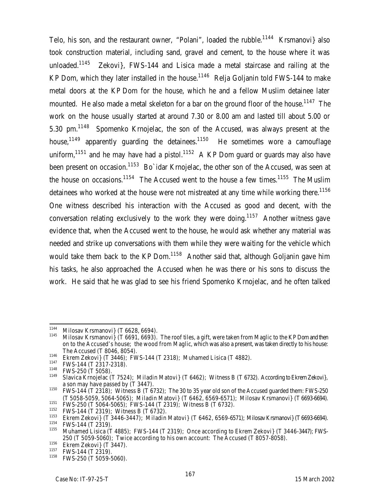Telo, his son, and the restaurant owner, "Polani", loaded the rubble.<sup>1144</sup> Krsmanovi} also took construction material, including sand, gravel and cement, to the house where it was unloaded.<sup>1145</sup> Zekovi}, FWS-144 and Lisica made a metal staircase and railing at the KP Dom, which they later installed in the house.<sup>1146</sup> Relja Goljanin told FWS-144 to make metal doors at the KP Dom for the house, which he and a fellow Muslim detainee later mounted. He also made a metal skeleton for a bar on the ground floor of the house.<sup>1147</sup> The work on the house usually started at around 7.30 or 8.00 am and lasted till about 5.00 or 5.30 pm.<sup>1148</sup> Spomenko Krnojelac, the son of the Accused, was always present at the house,<sup>1149</sup> apparently quarding the detainees.<sup>1150</sup> He sometimes wore a camouflage uniform,<sup>1151</sup> and he may have had a pistol.<sup>1152</sup> A KP Dom quard or quards may also have been present on occasion.<sup>1153</sup> Bo`idar Krnojelac, the other son of the Accused, was seen at the house on occasions.<sup>1154</sup> The Accused went to the house a few times.<sup>1155</sup> The Muslim detainees who worked at the house were not mistreated at any time while working there.<sup>1156</sup> One witness described his interaction with the Accused as good and decent, with the conversation relating exclusively to the work they were doing.<sup>1157</sup> Another witness gave evidence that, when the Accused went to the house, he would ask whether any material was needed and strike up conversations with them while they were waiting for the vehicle which would take them back to the KP Dom.<sup>1158</sup> Another said that, although Goljanin gave him his tasks, he also approached the Accused when he was there or his sons to discuss the work. He said that he was glad to see his friend Spomenko Krnojelac, and he often talked

<sup>1144</sup> <sup>1144</sup> Milosav Krsmanovi} (T 6628, 6694).

Milosav Krsmanovi} (T 6691, 6693). The roof tiles, a gift, were taken from Maglic to the KP Dom and then on to the Accused's house; the wood from Maglic, which was also a present, was taken directly to his house: The Accused (T 8046, 8054).

<sup>&</sup>lt;sup>1146</sup> Ekrem Zekovi} (T 3446); FWS-144 (T 2318); Muhamed Lisica (T 4882).

 $^{1147}$  FWS-144 (T 2317-2318).

 $^{1148}$  FWS-250 (T 5058).

Slavica Krnojelac (T 7524); Miladin Matovi} (T 6462); Witness B (T 6732). According to Ekrem Zekovi}, a son may have passed by (T 3447).

<sup>1150</sup> FWS-144 (T 2318); Witness B (T 6732); The 30 to 35 year old son of the Accused guarded them: FWS-250 (T 5058-5059, 5064-5065); Miladin Matovi} (T 6462, 6569-6571); Milosav Krsmanovi} (T 6693-6694).

<sup>&</sup>lt;sup>1151</sup> FWS-250 (T 5064-5065); FWS-144 (T 2319); Witness B (T 6732).

<sup>&</sup>lt;sup>1152</sup> FWS-144 (T 2319); Witness B (T 6732).

<sup>&</sup>lt;sup>1153</sup> Ekrem Zekovi} (T 3446-3447); Miladin Matovi} (T 6462, 6569-6571); Milosav Krsmanovi} (T 6693-6694).<br><sup>1154</sup> EMS 144 (T 2210)

 $^{1154}$  FWS-144 (T 2319).

Muhamed Lisica (T 4885); FWS-144 (T 2319); Once according to Ekrem Zekovi} (T 3446-3447); FWS-250 (T 5059-5060); Twice according to his own account: The Accused (T 8057-8058).

<sup>&</sup>lt;sup>1156</sup> Ekrem Zekovi} (T 3447).

 $^{1157}$  FWS-144 (T 2319).

FWS-250 (T 5059-5060).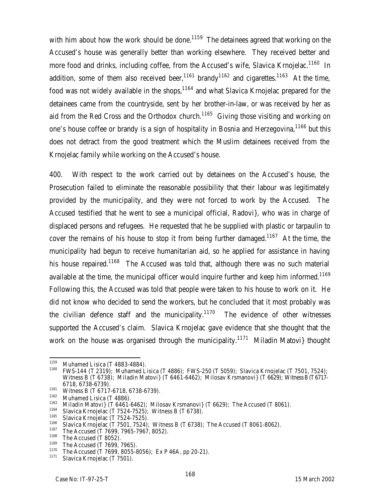with him about how the work should be done.<sup>1159</sup> The detainees agreed that working on the Accused's house was generally better than working elsewhere. They received better and more food and drinks, including coffee, from the Accused's wife, Slavica Krnojelac.<sup>1160</sup> In addition, some of them also received beer,<sup>1161</sup> brandy<sup>1162</sup> and cigarettes.<sup>1163</sup> At the time, food was not widely available in the shops,  $1164$  and what Slavica Krnojelac prepared for the detainees came from the countryside, sent by her brother-in-law, or was received by her as aid from the Red Cross and the Orthodox church.<sup>1165</sup> Giving those visiting and working on one's house coffee or brandy is a sign of hospitality in Bosnia and Herzegovina, <sup>1166</sup> but this does not detract from the good treatment which the Muslim detainees received from the Krnojelac family while working on the Accused's house.

400. With respect to the work carried out by detainees on the Accused's house, the Prosecution failed to eliminate the reasonable possibility that their labour was legitimately provided by the municipality, and they were not forced to work by the Accused. The Accused testified that he went to see a municipal official, Radovi}, who was in charge of displaced persons and refugees. He requested that he be supplied with plastic or tarpaulin to cover the remains of his house to stop it from being further damaged.<sup>1167</sup> At the time, the municipality had begun to receive humanitarian aid, so he applied for assistance in having his house repaired.<sup>1168</sup> The Accused was told that, although there was no such material available at the time, the municipal officer would inquire further and keep him informed.<sup>1169</sup> Following this, the Accused was told that people were taken to his house to work on it. He did not know who decided to send the workers, but he concluded that it most probably was the civilian defence staff and the municipality.<sup>1170</sup> The evidence of other witnesses supported the Accused's claim. Slavica Krnojelac gave evidence that she thought that the work on the house was organised through the municipality.<sup>11/1</sup> Miladin Matovi } thought

<sup>1159</sup> <sup>1159</sup> Muhamed Lisica (T 4883-4884).

<sup>1160</sup> FWS-144 (T 2319); Muhamed Lisica (T 4886); FWS-250 (T 5059); Slavica Krnojelac (T 7501, 7524); Witness B (T 6738); Miladin Matovi} (T 6461-6462); Milosav Krsmanovi} (T 6629); Witness B (T 6717-6718, 6738-6739).

 $^{1161}$  Witness B (T 6717-6718, 6738-6739).

 $\frac{1162}{1163}$  Muhamed Lisica (T 4886).

 $^{1163}$  Miladin Matovi} (T 6461-6462); Milosav Krsmanovi} (T 6629); The Accused (T 8061).

 $1164$  Slavica Krnojelac (T 7524-7525); Witness B (T 6738).

 $1165$  Slavica Krnojelac (T 7524-7525).

<sup>&</sup>lt;sup>1166</sup> Slavica Krnojelac (T 7501, 7524); Witness B (T 6738); The Accused (T 8061-8062).

<sup>&</sup>lt;sup>116</sup>/ The Accused (T 7699, 7965-7967, 8052).

 $^{1168}$  The Accused (T 8052).

 $^{1169}$  The Accused (T 7699, 7965).

<sup>&</sup>lt;sup>1170</sup> The Accused (T 7699, 8055-8056); Ex P 46A, pp 20-21).

Slavica Krnojelac (T 7501).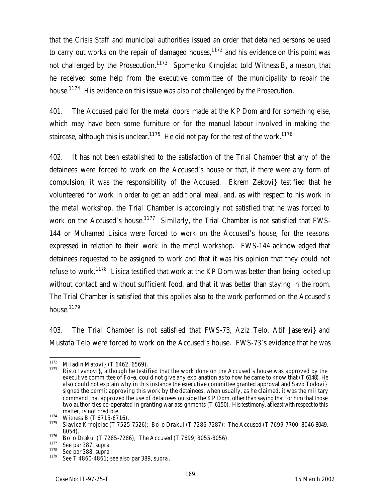that the Crisis Staff and municipal authorities issued an order that detained persons be used to carry out works on the repair of damaged houses, $1172$  and his evidence on this point was not challenged by the Prosecution.<sup>1173</sup> Spomenko Krnojelac told Witness B, a mason, that he received some help from the executive committee of the municipality to repair the house.<sup>1174</sup> His evidence on this issue was also not challenged by the Prosecution.

401. The Accused paid for the metal doors made at the KP Dom and for something else, which may have been some furniture or for the manual labour involved in making the staircase, although this is unclear.<sup>1175</sup> He did not pay for the rest of the work.<sup>1176</sup>

402. It has not been established to the satisfaction of the Trial Chamber that any of the detainees were forced to work on the Accused's house or that, if there were any form of compulsion, it was the responsibility of the Accused. Ekrem Zekovi} testified that he volunteered for work in order to get an additional meal, and, as with respect to his work in the metal workshop, the Trial Chamber is accordingly not satisfied that he was forced to work on the Accused's house.<sup>1177</sup> Similarly, the Trial Chamber is not satisfied that FWS-144 or Muhamed Lisica were forced to work on the Accused's house, for the reasons expressed in relation to their work in the metal workshop. FWS-144 acknowledged that detainees requested to be assigned to work and that it was his opinion that they could not refuse to work.<sup>1178</sup> Lisica testified that work at the KP Dom was better than being locked up without contact and without sufficient food, and that it was better than staying in the room. The Trial Chamber is satisfied that this applies also to the work performed on the Accused's house.<sup>1179</sup>

403. The Trial Chamber is not satisfied that FWS-73, Aziz Telo, Atif Jaserevi} and Mustafa Telo were forced to work on the Accused's house. FWS-73's evidence that he was

<sup>1172</sup> <sup>1172</sup> Miladin Matovi} (T 6462, 6569).

Risto Ivanovi}, although he testified that the work done on the Accused's house was approved by the executive committee of Fo~a, could not give any explanation as to how he came to know that (T 6148). He also could not explain why in this instance the executive committee granted approval and Savo Todovi} signed the permit approving this work by the detainees, when usually, as he claimed, it was the military command that approved the use of detainees outside the KP Dom, other than saying that for him that those two authorities co-operated in granting war assignments (T 6150). His testimony, at least with respect to this matter, is not credible.

<sup>1174</sup> Witness B (T 6715-6716).

<sup>1175</sup> Slavica Krnojelac (T 7525-7526); Bo`o Drakul (T 7286-7287); The Accused (T 7699-7700, 8046-8049, 8054).

 $\frac{1176}{1177}$  Bo`o Drakul (T 7285-7286); The Accused (T 7699, 8055-8056).

<sup>1177</sup> *See* par 387, *supra*.

<sup>1178</sup> *See* par 388, *supra*.

<sup>1179</sup> *See* T 4860-4861; *see* also par 389, *supra*.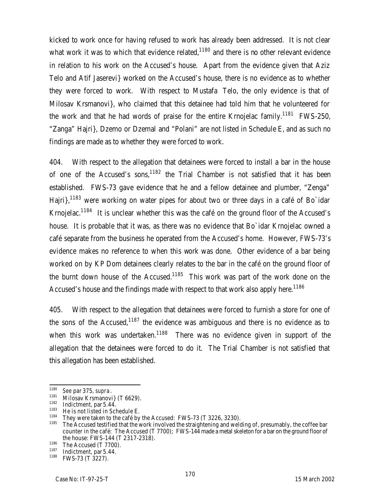kicked to work once for having refused to work has already been addressed. It is not clear what work it was to which that evidence related, $1180$  and there is no other relevant evidence in relation to his work on the Accused's house. Apart from the evidence given that Aziz Telo and Atif Jaserevi} worked on the Accused's house, there is no evidence as to whether they were forced to work. With respect to Mustafa Telo, the only evidence is that of Milosav Krsmanovi}, who claimed that this detainee had told him that he volunteered for the work and that he had words of praise for the entire Krnojelac family.<sup>1181</sup> FWS-250, "Zanga" Hajri}, Dzemo or Dzemal and "Polani" are not listed in Schedule E, and as such no findings are made as to whether they were forced to work.

404. With respect to the allegation that detainees were forced to install a bar in the house of one of the Accused's sons,  $1182$  the Trial Chamber is not satisfied that it has been established. FWS-73 gave evidence that he and a fellow detainee and plumber, "Zenga" Hajri},<sup>1183</sup> were working on water pipes for about two or three days in a café of Bo`idar Krnojelac.<sup>1184</sup> It is unclear whether this was the café on the ground floor of the Accused's house. It is probable that it was, as there was no evidence that Bo`idar Krnojelac owned a café separate from the business he operated from the Accused's home. However, FWS-73's evidence makes no reference to when this work was done. Other evidence of a bar being worked on by KP Dom detainees clearly relates to the bar in the café on the ground floor of the burnt down house of the Accused.<sup>1185</sup> This work was part of the work done on the Accused's house and the findings made with respect to that work also apply here.<sup>1186</sup>

405. With respect to the allegation that detainees were forced to furnish a store for one of the sons of the Accused, $1187$  the evidence was ambiguous and there is no evidence as to when this work was undertaken.<sup>1188</sup> There was no evidence given in support of the allegation that the detainees were forced to do it. The Trial Chamber is not satisfied that this allegation has been established.

<sup>1180</sup> <sup>1180</sup> *See* par 375, *supra*.

<sup>&</sup>lt;sup>1181</sup> Milosav Krsmanovi} (T 6629).

 $^{1182}$  Indictment, par 5.44.

<sup>&</sup>lt;sup>1183</sup> He is not listed in Schedule E.

<sup>&</sup>lt;sup>1184</sup> They were taken to the café by the Accused: FWS-73 (T 3226, 3230).

The Accused testified that the work involved the straightening and welding of, presumably, the coffee bar counter in the café: The Accused (T 7700); FWS-144 made a metal skeleton for a bar on the ground floor of the house: FWS-144 (T 2317-2318).

<sup>&</sup>lt;sup>1186</sup> The Accused (T 7700).

 $\frac{1187}{1188}$  Indictment, par 5.44.

FWS-73 (T 3227).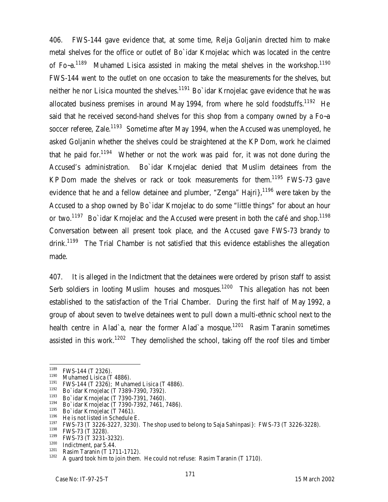406. FWS-144 gave evidence that, at some time, Relja Goljanin directed him to make metal shelves for the office or outlet of Bo`idar Krnojelac which was located in the centre of Fo~a.<sup>1189</sup> Muhamed Lisica assisted in making the metal shelves in the workshop.<sup>1190</sup> FWS-144 went to the outlet on one occasion to take the measurements for the shelves, but neither he nor Lisica mounted the shelves.<sup>1191</sup> Bo`idar Krnojelac gave evidence that he was allocated business premises in around May 1994, from where he sold foodstuffs.<sup>1192</sup> He said that he received second-hand shelves for this shop from a company owned by a Fo~a soccer referee, Zale.<sup>1193</sup> Sometime after May 1994, when the Accused was unemployed, he asked Goljanin whether the shelves could be straightened at the KP Dom, work he claimed that he paid for.<sup>1194</sup> Whether or not the work was paid for, it was not done during the Accused's administration. Bo`idar Krnojelac denied that Muslim detainees from the KP Dom made the shelves or rack or took measurements for them.<sup>1195</sup> FWS-73 gave evidence that he and a fellow detainee and plumber, "Zenga" Hajri $\frac{1196}{1196}$  were taken by the Accused to a shop owned by Bo`idar Krnojelac to do some "little things" for about an hour or two.<sup>1197</sup> Bo`idar Krnojelac and the Accused were present in both the café and shop.<sup>1198</sup> Conversation between all present took place, and the Accused gave FWS-73 brandy to drink.<sup>1199</sup> The Trial Chamber is not satisfied that this evidence establishes the allegation made.

407. It is alleged in the Indictment that the detainees were ordered by prison staff to assist Serb soldiers in looting Muslim houses and mosques.<sup>1200</sup> This allegation has not been established to the satisfaction of the Trial Chamber. During the first half of May 1992, a group of about seven to twelve detainees went to pull down a multi-ethnic school next to the health centre in Alad`a, near the former Alad`a mosque.<sup>1201</sup> Rasim Taranin sometimes assisted in this work.<sup>1202</sup> They demolished the school, taking off the roof tiles and timber

<sup>1189</sup>  $^{1189}$  FWS-144 (T 2326).

 $^{1190}$  Muhamed Lisica (T 4886).

<sup>&</sup>lt;sup>1191</sup> FWS-144 (T 2326); Muhamed Lisica (T 4886).

<sup>1192</sup> Bo`idar Krnojelac (T 7389-7390, 7392).

 $1193$  Bo`idar Krnojelac (T 7390-7391, 7460).

<sup>1194</sup> Bo`idar Krnojelac (T 7390-7392, 7461, 7486).

 $^{1195}$  Bo`idar Krnojelac (T 7461).

<sup>&</sup>lt;sup>1196</sup> He is not listed in Schedule E.

 $1197$  FWS-73 (T 3226-3227, 3230). The shop used to belong to Saja Sahinpasi}: FWS-73 (T 3226-3228).<br> $1198$  FMS 73 (T 3339).

 $^{1198}$  FWS-73 (T 3228).

 $1199$  FWS-73 (T 3231-3232).

 $\frac{1200}{1201}$  Indictment, par 5.44.

 $\frac{1201}{1202}$  Rasim Taranin (T 1711-1712).

A guard took him to join them. He could not refuse: Rasim Taranin (T 1710).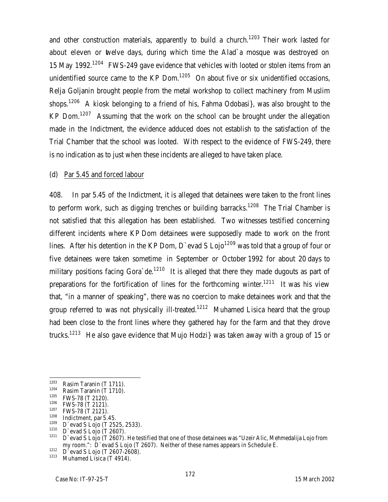and other construction materials, apparently to build a church.<sup>1203</sup> Their work lasted for about eleven or twelve days, during which time the Alad`a mosque was destroyed on 15 May 1992.<sup>1204</sup> FWS-249 gave evidence that vehicles with looted or stolen items from an unidentified source came to the KP Dom.<sup>1205</sup> On about five or six unidentified occasions, Relja Goljanin brought people from the metal workshop to collect machinery from Muslim shops.<sup>1206</sup> A kiosk belonging to a friend of his, Fahma Odobasi}, was also brought to the KP Dom.<sup>1207</sup> Assuming that the work on the school can be brought under the allegation made in the Indictment, the evidence adduced does not establish to the satisfaction of the Trial Chamber that the school was looted. With respect to the evidence of FWS-249, there is no indication as to just when these incidents are alleged to have taken place.

#### (d) Par 5.45 and forced labour

408. In par 5.45 of the Indictment, it is alleged that detainees were taken to the front lines to perform work, such as digging trenches or building barracks.<sup>1208</sup> The Trial Chamber is not satisfied that this allegation has been established. Two witnesses testified concerning different incidents where KP Dom detainees were supposedly made to work on the front lines. After his detention in the KP Dom, D'evad S Lojo<sup>1209</sup> was told that a group of four or five detainees were taken sometime in September or October 1992 for about 20 days to military positions facing Gora de.<sup>1210</sup> It is alleged that there they made dugouts as part of preparations for the fortification of lines for the forthcoming winter.<sup>1211</sup> It was his view that, "in a manner of speaking", there was no coercion to make detainees work and that the group referred to was not physically ill-treated.<sup>1212</sup> Muhamed Lisica heard that the group had been close to the front lines where they gathered hay for the farm and that they drove trucks.<sup>1213</sup> He also gave evidence that Mujo Hodzi} was taken away with a group of 15 or

<sup>1203</sup>  $\frac{1203}{1204}$  Rasim Taranin (T 1711).

<sup>&</sup>lt;sup>1204</sup> Rasim Taranin (T 1710).

 $^{1205}$  FWS-78 (T 2120).

 $^{1206}$  FWS-78 (T 2121).

 $^{1207}$  FWS-78 (T 2121).

 $\frac{1208}{1209}$  Indictment, par 5.45.

 $1209$  D'evad S Lojo (T 2525, 2533).

 $\frac{1210}{1211}$  D`evad S Lojo (T 2607). D`evad S Lojo (T 2607). He testified that one of those detainees was "Uzeir Alic, Mehmedalija Lojo from my room.": D`evad S Lojo (T 2607). Neither of these names appears in Schedule E.

 $1212$  D<sup>-</sup>evad S Lojo (T 2607-2608).

Muhamed Lisica (T 4914).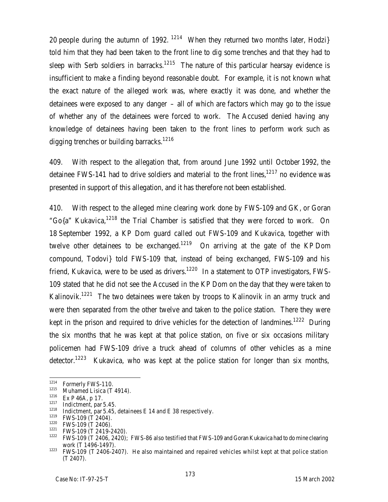20 people during the autumn of 1992.  $1214$  When they returned two months later, Hodzi} told him that they had been taken to the front line to dig some trenches and that they had to sleep with Serb soldiers in barracks.<sup>1215</sup> The nature of this particular hearsay evidence is insufficient to make a finding beyond reasonable doubt. For example, it is not known what the exact nature of the alleged work was, where exactly it was done, and whether the detainees were exposed to any danger – all of which are factors which may go to the issue of whether any of the detainees were forced to work. The Accused denied having any knowledge of detainees having been taken to the front lines to perform work such as digging trenches or building barracks.<sup>1216</sup>

409. With respect to the allegation that, from around June 1992 until October 1992, the detainee FWS-141 had to drive soldiers and material to the front lines,  $1217$  no evidence was presented in support of this allegation, and it has therefore not been established.

410. With respect to the alleged mine clearing work done by FWS-109 and GK, or Goran "Go $\{a''\}$  Kukavica,<sup>1218</sup> the Trial Chamber is satisfied that they were forced to work. On 18 September 1992, a KP Dom guard called out FWS-109 and Kukavica, together with twelve other detainees to be exchanged.<sup>1219</sup> On arriving at the gate of the KP Dom compound, Todovi} told FWS-109 that, instead of being exchanged, FWS-109 and his friend, Kukavica, were to be used as drivers.<sup>1220</sup> In a statement to OTP investigators, FWS-109 stated that he did not see the Accused in the KP Dom on the day that they were taken to Kalinovik.<sup>1221</sup> The two detainees were taken by troops to Kalinovik in an army truck and were then separated from the other twelve and taken to the police station. There they were kept in the prison and required to drive vehicles for the detection of landmines.<sup>1222</sup> During the six months that he was kept at that police station, on five or six occasions military policemen had FWS-109 drive a truck ahead of columns of other vehicles as a mine detector.<sup>1223</sup> Kukavica, who was kept at the police station for longer than six months,

<sup>1214</sup>  $^{1214}$  Formerly FWS-110.

<sup>&</sup>lt;sup>1215</sup> Muhamed Lisica (T 4914).

 $Ex P 46A, p 17.$ 

<sup>1217</sup> Indictment, par 5.45.

<sup>&</sup>lt;sup>1218</sup> Indictment, par 5.45, detainees E 14 and E 38 respectively.<br><sup>1219</sup> EMS 100 (T 2404)

 $^{1219}$  FWS-109 (T 2404).

 $^{1220}$  FWS-109 (T 2406).

FWS-109 (T 2419-2420).

 $1222$  FWS-109 (T 2406, 2420); FWS-86 also testified that FWS-109 and Goran Kukavica had to do mine clearing work (T 1496-1497).

<sup>1223</sup> FWS-109 (T 2406-2407). He also maintained and repaired vehicles whilst kept at that police station (T 2407).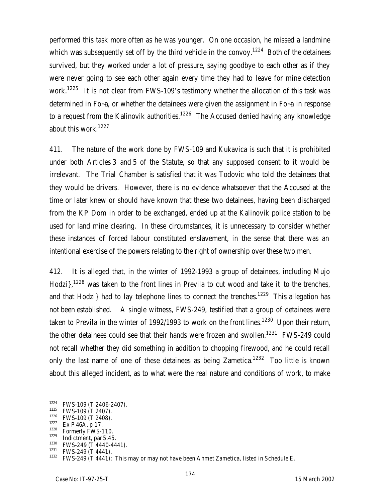performed this task more often as he was younger. On one occasion, he missed a landmine which was subsequently set off by the third vehicle in the convoy.<sup>1224</sup> Both of the detainees survived, but they worked under a lot of pressure, saying goodbye to each other as if they were never going to see each other again every time they had to leave for mine detection work.<sup>1225</sup> It is not clear from FWS-109's testimony whether the allocation of this task was determined in Fo~a, or whether the detainees were given the assignment in Fo~a in response to a request from the Kalinovik authorities.<sup>1226</sup> The Accused denied having any knowledge about this work.<sup>1227</sup>

411. The nature of the work done by FWS-109 and Kukavica is such that it is prohibited under both Articles 3 and 5 of the Statute, so that any supposed consent to it would be irrelevant. The Trial Chamber is satisfied that it was Todovic who told the detainees that they would be drivers. However, there is no evidence whatsoever that the Accused at the time or later knew or should have known that these two detainees, having been discharged from the KP Dom in order to be exchanged, ended up at the Kalinovik police station to be used for land mine clearing. In these circumstances, it is unnecessary to consider whether these instances of forced labour constituted enslavement, in the sense that there was an intentional exercise of the powers relating to the right of ownership over these two men.

412. It is alleged that, in the winter of 1992-1993 a group of detainees, including Mujo Hodzi $\frac{1228}{1228}$  was taken to the front lines in Previla to cut wood and take it to the trenches, and that Hodzi} had to lay telephone lines to connect the trenches.<sup>1229</sup> This allegation has not been established. A single witness, FWS-249, testified that a group of detainees were taken to Previla in the winter of 1992/1993 to work on the front lines.<sup>1230</sup> Upon their return, the other detainees could see that their hands were frozen and swollen.<sup>1231</sup> FWS-249 could not recall whether they did something in addition to chopping firewood, and he could recall only the last name of one of these detainees as being Zametica.<sup>1232</sup> Too little is known about this alleged incident, as to what were the real nature and conditions of work, to make

<sup>1224</sup> FWS-109 (T 2406-2407).

<sup>&</sup>lt;sup>1225</sup> FWS-109 (T 2407).

 $^{1226}$  FWS-109 (T 2408).

 $\frac{1227}{1228}$  Ex P 46A, p 17.

Formerly FWS-110.

 $^{1229}$  Indictment, par 5.45.

<sup>&</sup>lt;sup>1230</sup> FWS-249 (T 4440-4441).

 $^{1231}$  FWS-249 (T 4441).

<sup>1232</sup> FWS-249 (T 4441): This may or may not have been Ahmet Zametica, listed in Schedule E.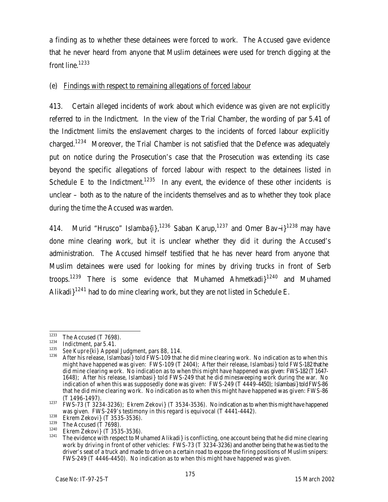a finding as to whether these detainees were forced to work. The Accused gave evidence that he never heard from anyone that Muslim detainees were used for trench digging at the front line.<sup>1233</sup>

# (e) Findings with respect to remaining allegations of forced labour

413. Certain alleged incidents of work about which evidence was given are not explicitly referred to in the Indictment. In the view of the Trial Chamber, the wording of par 5.41 of the Indictment limits the enslavement charges to the incidents of forced labour explicitly charged.<sup>1234</sup> Moreover, the Trial Chamber is not satisfied that the Defence was adequately put on notice during the Prosecution's case that the Prosecution was extending its case beyond the specific allegations of forced labour with respect to the detainees listed in Schedule E to the Indictment.<sup>1235</sup> In any event, the evidence of these other incidents is unclear – both as to the nature of the incidents themselves and as to whether they took place during the time the Accused was warden.

414. Murid "Hrusco" Islamba $\{i\}$ ,  $^{1236}$  Saban Karup,  $^{1237}$  and Omer Bav-i $3^{1238}$  may have done mine clearing work, but it is unclear whether they did it during the Accused's administration. The Accused himself testified that he has never heard from anyone that Muslim detainees were used for looking for mines by driving trucks in front of Serb troops.<sup>1239</sup> There is some evidence that Muhamed Ahmetkadi<sup>1240</sup> and Muhamed Alikadi $1^{1241}$  had to do mine clearing work, but they are not listed in Schedule E.

<sup>1233</sup>  $\frac{1233}{1234}$  The Accused (T 7698).

 $\frac{1234}{1235}$  Indictment, par 5.41.

<sup>&</sup>lt;sup>1235</sup> *See Kupre{ki}* Appeal Judgment, pars 88, 114.<br><sup>1236</sup> After bis release, Islambasi, told EMS 100 that

After his release, Islambasi} told FWS-109 that he did mine clearing work. No indication as to when this might have happened was given: FWS-109 (T 2404); After their release, Islambasi} told FWS-182 that he did mine clearing work. No indication as to when this might have happened was given: FWS-182 (T1647- 1648); After his release, Islambasi} told FWS-249 that he did minesweeping work during the war. No indication of when this was supposedly done was given: FWS-249 (T 4449-4450); Islambasi} told FWS-86 that he did mine clearing work. No indication as to when this might have happened was given: FWS-86 (T 1496-1497).

<sup>1237</sup> FWS-73 (T 3234-3236); Ekrem Zekovi} (T 3534-3536). No indication as to when this might have happened was given. FWS-249's testimony in this regard is equivocal (T 4441-4442).

 $1238$  Ekrem Zekovi} (T 3535-3536).

 $1239$  The Accused (T 7698).

<sup>&</sup>lt;sup>1240</sup> Ekrem Zekovi} (T 3535-3536).

<sup>1241</sup> The evidence with respect to Muhamed Alikadi} is conflicting, one account being that he did mine clearing work by driving in front of other vehicles: FWS-73 (T 3234-3236) and another being that he was tied to the driver's seat of a truck and made to drive on a certain road to expose the firing positions of Muslim snipers: FWS-249 (T 4446-4450). No indication as to when this might have happened was given.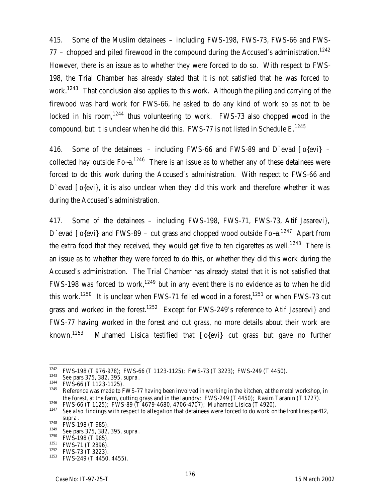415. Some of the Muslim detainees – including FWS-198, FWS-73, FWS-66 and FWS-77 – chopped and piled firewood in the compound during the Accused's administration.<sup>1242</sup> However, there is an issue as to whether they were forced to do so. With respect to FWS-198, the Trial Chamber has already stated that it is not satisfied that he was forced to work.<sup>1243</sup> That conclusion also applies to this work. Although the piling and carrying of the firewood was hard work for FWS-66, he asked to do any kind of work so as not to be locked in his room,<sup>1244</sup> thus volunteering to work. FWS-73 also chopped wood in the compound, but it is unclear when he did this. FWS-77 is not listed in Schedule  $E^{1245}$ 

416. Some of the detainees  $-$  including FWS-66 and FWS-89 and D`evad  $[o\{evi\}$ collected hay outside  $Fo-a$ .<sup>1246</sup> There is an issue as to whether any of these detainees were forced to do this work during the Accused's administration. With respect to FWS-66 and D'evad [o{evi}, it is also unclear when they did this work and therefore whether it was during the Accused's administration.

417. Some of the detainees – including FWS-198, FWS-71, FWS-73, Atif Jasarevi}, D'evad  $\lceil 0$ {evi} and FWS-89 – cut grass and chopped wood outside Fo-a.<sup>1247</sup> Apart from the extra food that they received, they would get five to ten cigarettes as well.<sup>1248</sup> There is an issue as to whether they were forced to do this, or whether they did this work during the Accused's administration. The Trial Chamber has already stated that it is not satisfied that FWS-198 was forced to work,<sup>1249</sup> but in any event there is no evidence as to when he did this work.<sup>1250</sup> It is unclear when FWS-71 felled wood in a forest,<sup>1251</sup> or when FWS-73 cut grass and worked in the forest.<sup>1252</sup> Except for FWS-249's reference to Atif Jasarevi} and FWS-77 having worked in the forest and cut grass, no more details about their work are known.<sup>1253</sup> Muhamed Lisica testified that  $[o\{\text{evi}\}]$  cut grass but gave no further

<sup>1242</sup>  $1242$  FWS-198 (T 976-978); FWS-66 (T 1123-1125); FWS-73 (T 3223); FWS-249 (T 4450).

<sup>1243</sup> *See* pars 375, 382, 395, *supra*.

 $^{1244}$  FWS-66 (T 1123-1125).

Reference was made to FWS-77 having been involved in working in the kitchen, at the metal workshop, in the forest, at the farm, cutting grass and in the laundry: FWS-249 (T 4450); Rasim Taranin (T 1727).

<sup>&</sup>lt;sup>1246</sup> FWS-66 (T 1125); FWS-89 (T 4679-4680, 4706-4707); Muhamed Lisica (T 4920). See also findings with respect to allegation that detainees were forced to do work on the front lines par412, *supra*.

 $\frac{1248}{1249}$  FWS-198 (T 985).

<sup>1249</sup> *See* pars 375, 382, 395, *supra*.

 $\frac{1250}{1251}$  FWS-198 (T 985).

 $\frac{1251}{1252}$  FWS-71 (T 2896).

 $\frac{1252}{1253}$  FWS-73 (T 3223).

FWS-249 (T 4450, 4455).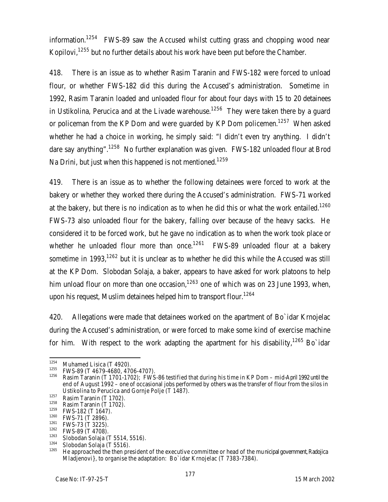information.<sup>1254</sup> FWS-89 saw the Accused whilst cutting grass and chopping wood near Kopilovi, $1255$  but no further details about his work have been put before the Chamber.

418. There is an issue as to whether Rasim Taranin and FWS-182 were forced to unload flour, or whether FWS-182 did this during the Accused's administration. Sometime in 1992, Rasim Taranin loaded and unloaded flour for about four days with 15 to 20 detainees in Ustikolina, Perucica and at the Livade warehouse.<sup>1256</sup> They were taken there by a quard or policeman from the KP Dom and were guarded by KP Dom policemen.<sup>1257</sup> When asked whether he had a choice in working, he simply said: "I didn't even try anything. I didn't dare say anything".<sup>1258</sup> No further explanation was given. FWS-182 unloaded flour at Brod Na Drini, but just when this happened is not mentioned.<sup>1259</sup>

419. There is an issue as to whether the following detainees were forced to work at the bakery or whether they worked there during the Accused's administration. FWS-71 worked at the bakery, but there is no indication as to when he did this or what the work entailed.<sup>1260</sup> FWS-73 also unloaded flour for the bakery, falling over because of the heavy sacks. He considered it to be forced work, but he gave no indication as to when the work took place or whether he unloaded flour more than once.<sup>1261</sup> FWS-89 unloaded flour at a bakery sometime in 1993,  $1262$  but it is unclear as to whether he did this while the Accused was still at the KP Dom. Slobodan Solaja, a baker, appears to have asked for work platoons to help him unload flour on more than one occasion,  $1263$  one of which was on 23 June 1993, when, upon his request, Muslim detainees helped him to transport flour.<sup>1264</sup>

420. Allegations were made that detainees worked on the apartment of Bo`idar Krnojelac during the Accused's administration, or were forced to make some kind of exercise machine for him. With respect to the work adapting the apartment for his disability,  $1265$  Bo idar

<sup>1254</sup>  $^{1254}$  Muhamed Lisica (T 4920).

<sup>&</sup>lt;sup>1255</sup> FWS-89 (T 4679-4680, 4706-4707).

Rasim Taranin (T 1701-1702); FWS-86 testified that during his time in KP Dom – mid-April 1992 until the end of August 1992 – one of occasional jobs performed by others was the transfer of flour from the silos in Ustikolina to Perucica and Gornje Polje (T 1487).

 $1257$  Rasim Taranin (T 1702).

 $\frac{1258}{1259}$  Rasim Taranin (T 1702).

 $^{1259}$  FWS-182 (T 1647).

 $^{1260}$  FWS-71 (T 2896).

 $^{1261}$  FWS-73 (T 3225).

 $^{1262}$  FWS-89 (T 4708).

 $\frac{1263}{1264}$  Slobodan Solaja (T 5514, 5516).

 $\frac{1264}{1265}$  Slobodan Solaja (T 5516).

<sup>1265</sup> He approached the then president of the executive committee or head of the municipal government, Radojica Mladjenovi}, to organise the adaptation: Bo`idar Krnojelac (T 7383-7384).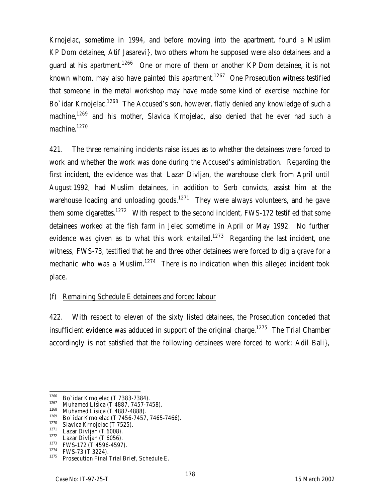Krnojelac, sometime in 1994, and before moving into the apartment, found a Muslim KP Dom detainee, Atif Jasarevi}, two others whom he supposed were also detainees and a quard at his apartment.<sup>1266</sup> One or more of them or another KP Dom detainee, it is not known whom, may also have painted this apartment.<sup>1267</sup> One Prosecution witness testified that someone in the metal workshop may have made some kind of exercise machine for Bo' idar Krnojelac.<sup>1268</sup> The Accused's son, however, flatly denied any knowledge of such a machine,<sup>1269</sup> and his mother, Slavica Krnojelac, also denied that he ever had such a machine.<sup>1270</sup>

421. The three remaining incidents raise issues as to whether the detainees were forced to work and whether the work was done during the Accused's administration. Regarding the first incident, the evidence was that Lazar Divljan, the warehouse clerk from April until August 1992, had Muslim detainees, in addition to Serb convicts, assist him at the warehouse loading and unloading goods.<sup>1271</sup> They were always volunteers, and he gave them some cigarettes.<sup>1272</sup> With respect to the second incident, FWS-172 testified that some detainees worked at the fish farm in Jelec sometime in April or May 1992. No further evidence was given as to what this work entailed.<sup>1273</sup> Regarding the last incident, one witness, FWS-73, testified that he and three other detainees were forced to dig a grave for a mechanic who was a Muslim. $1274$  There is no indication when this alleged incident took place.

# (f) Remaining Schedule E detainees and forced labour

422. With respect to eleven of the sixty listed detainees, the Prosecution conceded that insufficient evidence was adduced in support of the original charge.<sup>1275</sup> The Trial Chamber accordingly is not satisfied that the following detainees were forced to work: Adil Bali},

<sup>1273</sup> FWS-172 (T 4596-4597).

<sup>1266</sup>  $^{1266}$  Bo`idar Krnojelac (T 7383-7384).

 $^{1267}$  Muhamed Lisica (T 4887, 7457-7458).

<sup>&</sup>lt;sup>1268</sup> Muhamed Lisica (T 4887-4888).

 $1269$  Bo`idar Krnojelac (T 7456-7457, 7465-7466).

 $^{1270}$  Slavica Krnojelac (T 7525).

Lazar Divljan (T 6008).

 $1272$  Lazar Divljan (T 6056).

 $1274$  FWS-73 (T 3224).

<sup>1275</sup> Prosecution Final Trial Brief, Schedule E.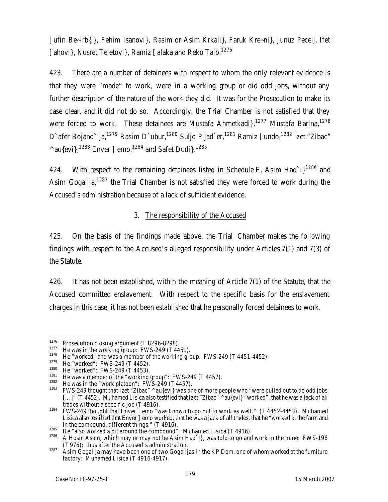[ufin Be~irb{i}, Fehim Isanovi}, Rasim or Asim Krkali}, Faruk Kre~ni}, Junuz Pecelj, Ifet [ahovi}, Nusret Teletovi}, Ramiz [alaka and Reko Taib.<sup>1276</sup>

423. There are a number of detainees with respect to whom the only relevant evidence is that they were "made" to work, were in a working group or did odd jobs, without any further description of the nature of the work they did. It was for the Prosecution to make its case clear, and it did not do so. Accordingly, the Trial Chamber is not satisfied that they were forced to work. These detainees are Mustafa Ahmetkadi},<sup>1277</sup> Mustafa Barina,<sup>1278</sup> D'afer Bojand'ija,<sup>1279</sup> Rasim D'ubur,<sup>1280</sup> Suljo Pijad'er,<sup>1281</sup> Ramiz [undo,<sup>1282</sup> Izet "Zibac"  $^{\wedge}$ au{evi},<sup>1283</sup> Enver ]emo,<sup>1284</sup> and Safet Dudi}.<sup>1285</sup>

424. With respect to the remaining detainees listed in Schedule E, Asim Had`i}<sup>1286</sup> and Asim Gogalija,<sup>1287</sup> the Trial Chamber is not satisfied they were forced to work during the Accused's administration because of a lack of sufficient evidence.

# 3. The responsibility of the Accused

425. On the basis of the findings made above, the Trial Chamber makes the following findings with respect to the Accused's alleged responsibility under Articles 7(1) and 7(3) of the Statute.

426. It has not been established, within the meaning of Article 7(1) of the Statute, that the Accused committed enslavement. With respect to the specific basis for the enslavement charges in this case, it has not been established that he personally forced detainees to work.

 $\overline{a}$  $1276$  Prosecution closing argument (T 8296-8298).

 $1277$  He was in the working group: FWS-249 (T 4451).

<sup>&</sup>lt;sup>1278</sup> He "worked" and was a member of the working group: FWS-249 (T 4451-4452).

 $1279$  He "worked": FWS-249 (T 4452).

<sup>&</sup>lt;sup>1280</sup> He "worked": FWS-249 (T 4453).

<sup>&</sup>lt;sup>1281</sup> He was a member of the "working group": FWS-249 (T 4457).

<sup>&</sup>lt;sup>1282</sup> He was in the "work platoon": FWS-249 (T 4457).

FWS-249 thought that Izet "Zibac" ^au{evi} was one of more people who "were pulled out to do odd jobs [...]" (T 4452). Muhamed Lisica also testified that Izet "Zibac" ^au{evi} "worked", that he was a jack of all trades without a specific job (T 4916).

 $1284$  FWS-249 thought that Enver ] emo "was known to go out to work as well." (T 4452-4453). Muhamed Lisica also testified that Enver ]emo worked, that he was a jack of all trades, that he "worked at the farm and in the compound, different things." (T 4916).

 $\frac{1285}{1286}$  He "also worked a bit around the compound": Muhamed Lisica (T 4916).

<sup>1286</sup> A Hosic Asam, which may or may not be Asim Had`i}, was told to go and work in the mine: FWS-198 (T 976); thus after the Accused's administration.

<sup>1287</sup> Asim Gogalija may have been one of two Gogalijas in the KP Dom, one of whom worked at the furniture factory: Muhamed Lisica (T 4916-4917).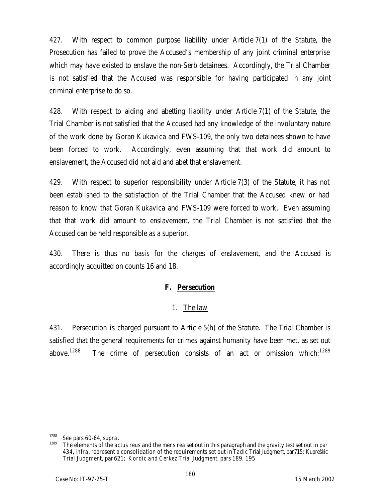427. With respect to common purpose liability under Article 7(1) of the Statute, the Prosecution has failed to prove the Accused's membership of any joint criminal enterprise which may have existed to enslave the non-Serb detainees. Accordingly, the Trial Chamber is not satisfied that the Accused was responsible for having participated in any joint criminal enterprise to do so.

428. With respect to aiding and abetting liability under Article 7(1) of the Statute, the Trial Chamber is not satisfied that the Accused had any knowledge of the involuntary nature of the work done by Goran Kukavica and FWS-109, the only two detainees shown to have been forced to work. Accordingly, even assuming that that work did amount to enslavement, the Accused did not aid and abet that enslavement.

429. With respect to superior responsibility under Article 7(3) of the Statute, it has not been established to the satisfaction of the Trial Chamber that the Accused knew or had reason to know that Goran Kukavica and FWS-109 were forced to work. Even assuming that that work did amount to enslavement, the Trial Chamber is not satisfied that the Accused can be held responsible as a superior.

430. There is thus no basis for the charges of enslavement, and the Accused is accordingly acquitted on counts 16 and 18.

# **F. Persecution**

#### 1. The law

431. Persecution is charged pursuant to Article 5(h) of the Statute. The Trial Chamber is satisfied that the general requirements for crimes against humanity have been met, as set out above.<sup>1288</sup> The crime of persecution consists of an act or omission which:<sup>1289</sup>

<sup>1288</sup> <sup>1288</sup> *See* pars 60-64, *supra*.

<sup>1289</sup> The elements of the *actus reus* and the *mens rea* set out in this paragraph and the gravity test set out in par 434, *infra,* represent a consolidation of the requirements set out in *Tadic* Trial Judgment, par715; *Kupreškic*  Trial Judgment, par 621; K*ordic and Cerkez* Trial Judgment, pars 189, 195.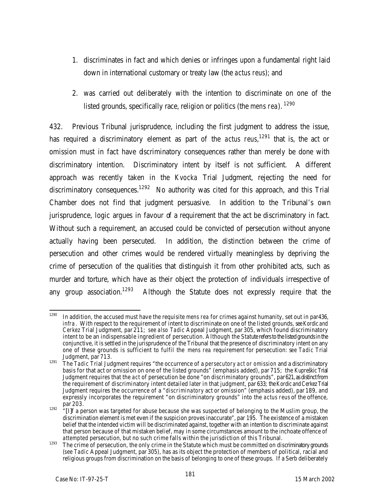- 1. discriminates in fact and which denies or infringes upon a fundamental right laid down in international customary or treaty law (the *actus reus*); and
- 2. was carried out deliberately with the intention to discriminate on one of the listed grounds, specifically race, religion or politics (the *mens rea*). <sup>1290</sup>

432. Previous Tribunal jurisprudence, including the first judgment to address the issue, has required a discriminatory element as part of the *actus reus*, <sup>1291</sup> that is, the act or omission must in fact have discriminatory consequences rather than merely be done with discriminatory intention. Discriminatory intent by itself is not sufficient. A different approach was recently taken in the *Kvocka* Trial Judgment, rejecting the need for discriminatory consequences.<sup>1292</sup> No authority was cited for this approach, and this Trial Chamber does not find that judgment persuasive. In addition to the Tribunal's own jurisprudence, logic argues in favour of a requirement that the act be discriminatory in fact. Without such a requirement, an accused could be convicted of persecution without anyone actually having been persecuted. In addition, the distinction between the crime of persecution and other crimes would be rendered virtually meaningless by depriving the crime of persecution of the qualities that distinguish it from other prohibited acts, such as murder and torture, which have as their object the protection of individuals irrespective of any group association.<sup>1293</sup> Although the Statute does not expressly require that the

<sup>1290</sup> <sup>1290</sup> In addition, the accused must have the requisite *mens rea* for crimes against humanity, set out in par436, *infra*. With respect to the requirement of intent to discriminate on one of the listed grounds, see Kordicand *Cerkez* Trial Judgment, par 211; *see also Tadic* Appeal Judgment, par 305, which found discriminatory intent to be an indispensable ingredient of persecution. Although the Statute refers to the listed grounds in the conjunctive, it is settled in the jurisprudence of the Tribunal that the presence of discriminatory intent on any one of these grounds is sufficient to fulfil the *mens rea* requirement for persecution: s*ee Tadic* Trial Judgment, par 713.

<sup>1291</sup> The *Tadic* Trial Judgment requires "the occurrence of a *persecutory act or omission* and a discriminatory basis for that act or omission on one of the listed grounds" (emphasis added), par 715; the *Kupreškic* Trial Judgment requires that the *act* of persecution be done "on discriminatory grounds", par621, as distinct from the requirement of discriminatory intent detailed later in that judgment, par 633; the *Kordicand Cerkez* Trial Judgment requires the occurrence of a "*discriminatory* act or omission" (emphasis added), par 189, and expressly incorporates the requirement "on discriminatory grounds" into the *actus reus* of the offence, par 203.

<sup>&</sup>lt;sup>1292</sup> "[I]f a person was targeted for abuse because she was suspected of belonging to the Muslim group, the discrimination element is met even if the suspicion proves inaccurate", par 195. The existence of a mistaken belief that the intended victim will be discriminated against, together with an intention to discriminate against that person because of that mistaken belief, may in some circumstances amount to the inchoate offence of *attempted* persecution, but no such crime falls within the jurisdiction of this Tribunal.

<sup>1293</sup> The crime of persecution, the only crime in the Statute which must be committed on discriminatory grounds (*see Tadic* Appeal Judgment, par 305), has as its object the protection of members of political, racial and religious groups from discrimination on the basis of belonging to one of these groups. If a Serb deliberately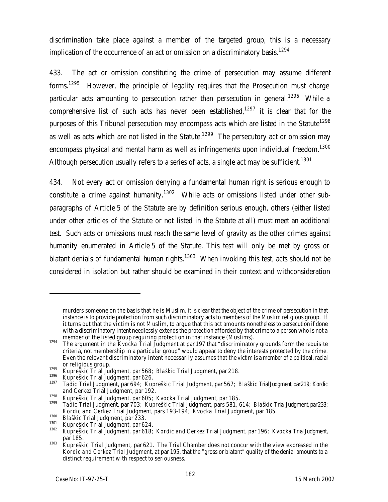discrimination take place against a member of the targeted group, this is a necessary implication of the occurrence of an act or omission on a discriminatory basis.<sup>1294</sup>

433. The act or omission constituting the crime of persecution may assume different forms.<sup>1295</sup> However, the principle of legality requires that the Prosecution must charge particular acts amounting to persecution rather than persecution in general.<sup>1296</sup> While a comprehensive list of such acts has never been established, $1297$  it is clear that for the purposes of this Tribunal persecution may encompass acts which are listed in the Statute<sup>1298</sup> as well as acts which are not listed in the Statute.<sup>1299</sup> The persecutory act or omission may encompass physical and mental harm as well as infringements upon individual freedom.<sup>1300</sup> Although persecution usually refers to a series of acts, a single act may be sufficient.<sup>1301</sup>

434. Not every act or omission denying a fundamental human right is serious enough to constitute a crime against humanity.<sup>1302</sup> While acts or omissions listed under other subparagraphs of Article 5 of the Statute are by definition serious enough, others (either listed under other articles of the Statute or not listed in the Statute at all) must meet an additional test. Such acts or omissions must reach the same level of gravity as the other crimes against humanity enumerated in Article 5 of the Statute. This test will only be met by gross or blatant denials of fundamental human rights.<sup>1303</sup> When invoking this test, acts should not be considered in isolation but rather should be examined in their context and withconsideration

 $\overline{a}$ 

murders someone on the basis that he is Muslim, it is clear that the object of the crime of persecution in that instance is to provide protection from such discriminatory acts to members of the Muslim religious group. If it turns out that the victim is not Muslim, to argue that this act amounts nonetheless to persecution if done with a discriminatory intent needlessly extends the protection afforded by that crime to a person who is not a member of the listed group requiring protection in that instance (Muslims).

<sup>1294</sup> The argument in the *Kvocka* Trial Judgment at par 197 that "discriminatory grounds form the requisite criteria, not membership in a particular group" would appear to deny the interests protected by the crime. Even the relevant discriminatory intent necessarily assumes that the victim is a member of a political, racial or religious group.

<sup>1295</sup> *Kupreškic* Trial Judgment, par 568; *Blaškic* Trial Judgment, par 218.

<sup>1296</sup> *Kupreškic* Trial Judgment, par 626.

<sup>1297</sup> *Tadic* Trial Judgment, par 694; *Kupreškic* Trial Judgment, par 567; *Blaškic* Trial Judgment, par219; *Kordic and Cerkez* Trial Judgment, par 192.

<sup>1298</sup> *Kupreškic* Trial Judgment, par 605; *Kvocka* Trial Judgment, par 185.

<sup>1299</sup> *Tadic* Trial Judgment, par 703; *Kupreškic* Trial Judgment, pars 581, 614; *Blaškic* Trial Judgment, par233; *Kordic and Cerkez* Trial Judgment, pars 193-194; *Kvocka* Trial Judgment, par 185.

<sup>1300</sup> *Blaškic* Trial Judgment, par 233.

<sup>1301</sup> *Kupreškic* Trial Judgment, par 624.

<sup>1302</sup> *Kupreškic* Trial Judgment, par 618; *Kordic and Cerkez* Trial Judgment, par 196; *Kvocka* Trial Judgment, par 185.

<sup>1303</sup> *Kupreškic* Trial Judgment, par 621. The Trial Chamber does not concur with the view expressed in the *Kordic and Cerkez* Trial Judgment, at par 195, that the "gross or blatant" quality of the denial amounts to a distinct requirement with respect to seriousness.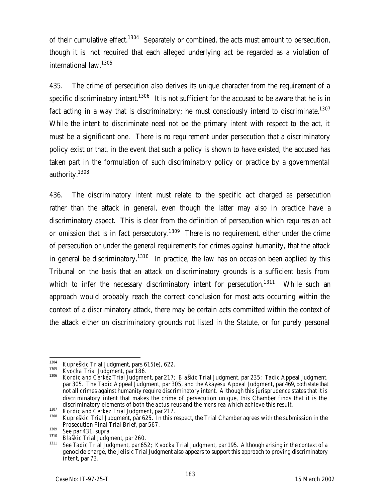of their cumulative effect.<sup>1304</sup> Separately or combined, the acts must amount to persecution, though it is not required that each alleged underlying act be regarded as a violation of international law.<sup>1305</sup>

435. The crime of persecution also derives its unique character from the requirement of a specific discriminatory intent.<sup>1306</sup> It is not sufficient for the accused to be aware that he is in fact acting in a way that is discriminatory; he must consciously intend to discriminate.<sup>1307</sup> While the intent to discriminate need not be the primary intent with respect to the act, it must be a significant one. There is no requirement under persecution that a discriminatory policy exist or that, in the event that such a policy is shown to have existed, the accused has taken part in the formulation of such discriminatory policy or practice by a governmental authority.<sup>1308</sup>

436. The discriminatory intent must relate to the specific act charged as persecution rather than the attack in general, even though the latter may also in practice have a discriminatory aspect. This is clear from the definition of persecution which requires an *act or omission* that is in fact persecutory.<sup>1309</sup> There is no requirement, either under the crime of persecution or under the general requirements for crimes against humanity, that the attack in general be discriminatory.<sup>1310</sup> In practice, the law has on occasion been applied by this Tribunal on the basis that an attack on discriminatory grounds is a sufficient basis from which to infer the necessary discriminatory intent for persecution.<sup>1311</sup> While such an approach would probably reach the correct conclusion for most acts occurring within the context of a discriminatory attack, there may be certain acts committed within the context of the attack either on discriminatory grounds not listed in the Statute, or for purely personal

<sup>1304</sup> <sup>1304</sup> *Kupreškic* Trial Judgment, pars 615(e), 622.

<sup>&</sup>lt;sup>1305</sup> *Kvocka* Trial Judgment, par 186.

<sup>1306</sup> *Kordic and Cerkez* Trial Judgment, par 217; *Blaškic* Trial Judgment, par 235; *Tadic* Appeal Judgment, par 305. The *Tadic* Appeal Judgment, par 305, and the *Akayesu* Appeal Judgment, par 469, both state that not all crimes against humanity require discriminatory intent. Although this jurisprudence states that it is discriminatory intent that makes the crime of persecution unique, this Chamber finds that it is the discriminatory elements of both the *actus reus* and the *mens rea* which achieve this result.

<sup>1307</sup> *Kordic and Cerkez* Trial Judgment, par 217.

<sup>1308</sup> *Kupreškic* Trial Judgment, par 625. In this respect, the Trial Chamber agrees with the submission in the Prosecution Final Trial Brief, par 567.

<sup>1309</sup> *See* par 431, *supra*.

<sup>1310</sup> *Blaškic* Trial Judgment, par 260.

<sup>1311</sup> *See Tadic* Trial Judgment, par 652; *Kvocka* Trial Judgment, par 195. Although arising in the context of a genocide charge, the *Jelisic* Trial Judgment also appears to support this approach to proving discriminatory intent, par 73.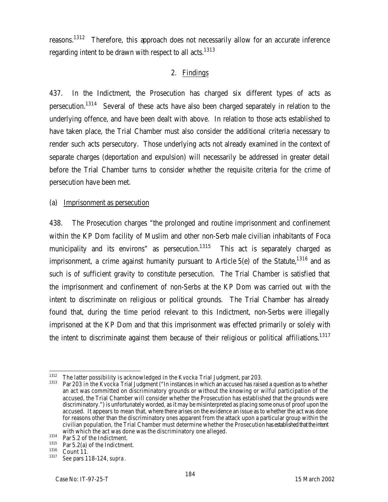reasons.<sup>1312</sup> Therefore, this approach does not necessarily allow for an accurate inference regarding intent to be drawn with respect to all acts.<sup>1313</sup>

# 2. Findings

437. In the Indictment, the Prosecution has charged six different types of acts as persecution.<sup>1314</sup> Several of these acts have also been charged separately in relation to the underlying offence, and have been dealt with above. In relation to those acts established to have taken place, the Trial Chamber must also consider the additional criteria necessary to render such acts persecutory. Those underlying acts not already examined in the context of separate charges (deportation and expulsion) will necessarily be addressed in greater detail before the Trial Chamber turns to consider whether the requisite criteria for the crime of persecution have been met.

#### (a) Imprisonment as persecution

438. The Prosecution charges "the prolonged and routine imprisonment and confinement within the KP Dom facility of Muslim and other non-Serb male civilian inhabitants of Foca municipality and its environs" as persecution.<sup>1315</sup> This act is separately charged as imprisonment, a crime against humanity pursuant to Article  $5(e)$  of the Statute,<sup>1316</sup> and as such is of sufficient gravity to constitute persecution. The Trial Chamber is satisfied that the imprisonment and confinement of non-Serbs at the KP Dom was carried out with the intent to discriminate on religious or political grounds. The Trial Chamber has already found that, during the time period relevant to this Indictment, non-Serbs were illegally imprisoned at the KP Dom and that this imprisonment was effected primarily or solely with the intent to discriminate against them because of their religious or political affiliations.<sup>1317</sup>

 $\overline{a}$ <sup>1312</sup> The latter possibility is acknowledged in the *Kvocka* Trial Judgment, par 203.

<sup>1313</sup> Par 203 in the *Kvocka* Trial Judgment ("In instances in which an accused has raised a question as to whether an act was committed on discriminatory grounds or without the knowing or wilful participation of the accused, the Trial Chamber will consider whether the Prosecution has established that the grounds were discriminatory.") is unfortunately worded, as it may be misinterpreted as placing some onus of proof upon the accused. It appears to mean that, where there arises on the evidence an issue as to whether the act was done for reasons other than the discriminatory ones apparent from the attack upon a particular group within the civilian population, the Trial Chamber must determine whether the Prosecution has established that the intent with which the act was done was the discriminatory one alleged.

<sup>1314</sup> Par 5.2 of the Indictment.

<sup>1315</sup> Par 5.2(a) of the Indictment.

 $\frac{1316}{1317}$  Count 11.

<sup>1317</sup> *See* pars 118-124, *supra*.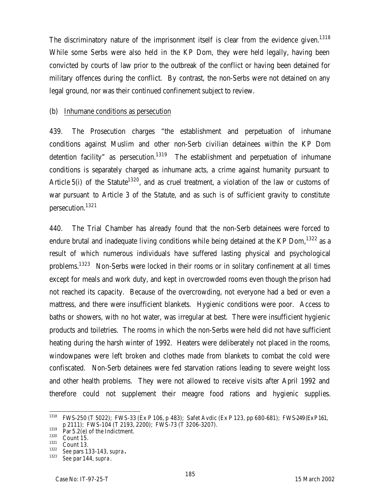The discriminatory nature of the imprisonment itself is clear from the evidence given.<sup>1318</sup> While some Serbs were also held in the KP Dom, they were held legally, having been convicted by courts of law prior to the outbreak of the conflict or having been detained for military offences during the conflict. By contrast, the non-Serbs were not detained on any legal ground, nor was their continued confinement subject to review.

#### (b) Inhumane conditions as persecution

439. The Prosecution charges "the establishment and perpetuation of inhumane conditions against Muslim and other non-Serb civilian detainees within the KP Dom detention facility" as persecution.<sup>1319</sup> The establishment and perpetuation of inhumane conditions is separately charged as inhumane acts, a crime against humanity pursuant to Article 5(i) of the Statute<sup>1320</sup>, and as cruel treatment, a violation of the law or customs of war pursuant to Article 3 of the Statute, and as such is of sufficient gravity to constitute persecution.<sup>1321</sup>

440. The Trial Chamber has already found that the non-Serb detainees were forced to endure brutal and inadequate living conditions while being detained at the KP Dom,  $1322$  as a result of which numerous individuals have suffered lasting physical and psychological problems.<sup>1323</sup> Non-Serbs were locked in their rooms or in solitary confinement at all times except for meals and work duty, and kept in overcrowded rooms even though the prison had not reached its capacity. Because of the overcrowding, not everyone had a bed or even a mattress, and there were insufficient blankets. Hygienic conditions were poor. Access to baths or showers, with no hot water, was irregular at best. There were insufficient hygienic products and toiletries. The rooms in which the non-Serbs were held did not have sufficient heating during the harsh winter of 1992. Heaters were deliberately not placed in the rooms, windowpanes were left broken and clothes made from blankets to combat the cold were confiscated. Non-Serb detainees were fed starvation rations leading to severe weight loss and other health problems. They were not allowed to receive visits after April 1992 and therefore could not supplement their meagre food rations and hygienic supplies.

<sup>1318</sup> <sup>1318</sup> FWS-250 (T 5022); FWS-33 (Ex P 106, p 483); Safet Avdic (Ex P 123, pp 680-681); FWS-249 (Ex P161, p 2111); FWS-104 (T 2193, 2200); FWS-73 (T 3206-3207).

 $1319$  Par 5.2(e) of the Indictment.

 $\frac{1320}{1321}$  Count 15.

Count 13.

<sup>1322</sup> *See* pars 133-143, *supra***.**

<sup>1323</sup> *See* par 144, *supra*.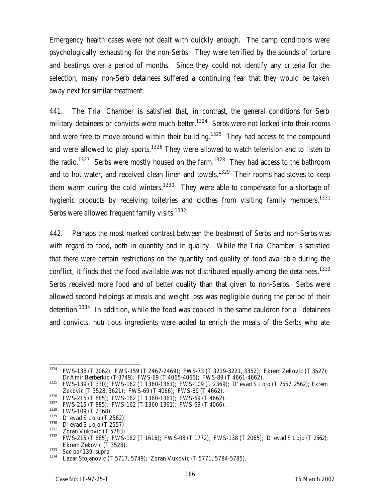Emergency health cases were not dealt with quickly enough. The camp conditions were psychologically exhausting for the non-Serbs. They were terrified by the sounds of torture and beatings over a period of months. Since they could not identify any criteria for the selection, many non-Serb detainees suffered a continuing fear that they would be taken away next for similar treatment.

441. The Trial Chamber is satisfied that, in contrast, the general conditions for Serb military detainees or convicts were much better.<sup>1324</sup> Serbs were not locked into their rooms and were free to move around within their building.<sup>1325</sup> They had access to the compound and were allowed to play sports.<sup>1326</sup> They were allowed to watch television and to listen to the radio.<sup>1327</sup> Serbs were mostly housed on the farm.<sup>1328</sup> They had access to the bathroom and to hot water, and received clean linen and towels.<sup>1329</sup> Their rooms had stoves to keep them warm during the cold winters.<sup>1330</sup> They were able to compensate for a shortage of hygienic products by receiving toiletries and clothes from visiting family members.<sup>1331</sup> Serbs were allowed frequent family visits.<sup>1332</sup>

442. Perhaps the most marked contrast between the treatment of Serbs and non-Serbs was with regard to food, both in quantity and in quality. While the Trial Chamber is satisfied that there were certain restrictions on the quantity and quality of food available during the conflict, it finds that the food available was not distributed equally among the detainees.<sup>1333</sup> Serbs received more food and of better quality than that given to non-Serbs. Serbs were allowed second helpings at meals and weight loss was negligible during the period of their detention.<sup>1334</sup> In addition, while the food was cooked in the same cauldron for all detainees and convicts, nutritious ingredients were added to enrich the meals of the Serbs who ate

<sup>1324</sup> <sup>1324</sup> FWS-138 (T 2062); FWS-159 (T 2467-2469); FWS-73 (T 3219-3221, 3352); Ekrem Zekovic (T 3527); Dr Amir Berberkic (T 3749); FWS-69 (T 4065-4066); FWS-89 (T 4661-4662).

<sup>1325</sup> FWS-139 (T 330); FWS-162 (T 1360-1361); FWS-109 (T 2369); D'evad S Lojo (T 2557, 2562); Ekrem Zekovic (T 3528, 3621); FWS-69 (T 4066); FWS-89 (T 4662).

<sup>&</sup>lt;sup>1326</sup> FWS-215 (T 885); FWS-162 (T 1360-1361); FWS-69 (T 4662).

 $1327$  FWS-215 (T 885); FWS-162 (T 1360-1361); FWS-69 (T 4066).

 $^{1328}$  FWS-109 (T 2368).

 $1329$  D'evad S Lojo (T 2562).

 $\frac{1330}{1331}$  D'evad S Lojo (T 2557).

Zoran Vukovic (T 5783).

<sup>1332</sup> FWS-215 (T 885); FWS-182 (T 1616); FWS-08 (T 1772); FWS-138 (T 2065); D'evad S Lojo (T 2562); Ekrem Zekovic (T 3528).

<sup>1333</sup> *See* par 139, *supra*.

Lazar Stojanovic (T 5717, 5749); Zoran Vukovic (T 5771, 5784-5785).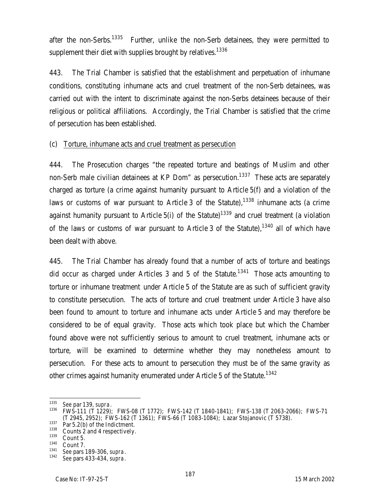after the non-Serbs.<sup>1335</sup> Further, unlike the non-Serb detainees, they were permitted to supplement their diet with supplies brought by relatives.<sup>1336</sup>

443. The Trial Chamber is satisfied that the establishment and perpetuation of inhumane conditions, constituting inhumane acts and cruel treatment of the non-Serb detainees, was carried out with the intent to discriminate against the non-Serbs detainees because of their religious or political affiliations. Accordingly, the Trial Chamber is satisfied that the crime of persecution has been established.

### (c) Torture, inhumane acts and cruel treatment as persecution

444. The Prosecution charges "the repeated torture and beatings of Muslim and other non-Serb male civilian detainees at KP Dom" as persecution.<sup>1337</sup> These acts are separately charged as torture (a crime against humanity pursuant to Article 5(f) and a violation of the laws or customs of war pursuant to Article 3 of the Statute), $1338$  inhumane acts (a crime against humanity pursuant to Article 5(i) of the Statute)<sup>1339</sup> and cruel treatment (a violation of the laws or customs of war pursuant to Article 3 of the Statute),  $1340$  all of which have been dealt with above.

445. The Trial Chamber has already found that a number of acts of torture and beatings did occur as charged under Articles 3 and 5 of the Statute.<sup>1341</sup> Those acts amounting to torture or inhumane treatment under Article 5 of the Statute are as such of sufficient gravity to constitute persecution. The acts of torture and cruel treatment under Article 3 have also been found to amount to torture and inhumane acts under Article 5 and may therefore be considered to be of equal gravity. Those acts which took place but which the Chamber found above were not sufficiently serious to amount to cruel treatment, inhumane acts or torture, will be examined to determine whether they may nonetheless amount to persecution. For these acts to amount to persecution they must be of the same gravity as other crimes against humanity enumerated under Article 5 of the Statute.<sup>1342</sup>

<sup>1335</sup> <sup>1335</sup> *See* par 139, *supra*.

<sup>1336</sup> FWS-111 (T 1229); FWS-08 (T 1772); FWS-142 (T 1840-1841); FWS-138 (T 2063-2066); FWS-71 (T 2945, 2952); FWS-162 (T 1361); FWS-66 (T 1083-1084); Lazar Stojanovic (T 5738).

 $\frac{1337}{1338}$  Par 5.2(b) of the Indictment.

 $^{1338}$  Counts 2 and 4 respectively.

Count 5.

 $\frac{1340}{1341}$  Count 7.

<sup>1341</sup> *See* pars 189-306, *supra*.

<sup>1342</sup> *See* pars 433-434, *supra*.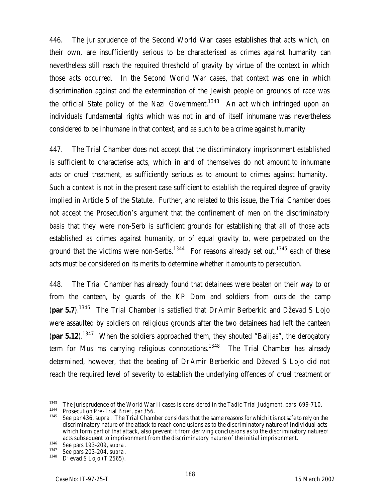446. The jurisprudence of the Second World War cases establishes that acts which, on their own, are insufficiently serious to be characterised as crimes against humanity can nevertheless still reach the required threshold of gravity by virtue of the context in which those acts occurred. In the Second World War cases, that context was one in which discrimination against and the extermination of the Jewish people on grounds of race was the official State policy of the Nazi Government.<sup>1343</sup> An act which infringed upon an individuals fundamental rights which was not in and of itself inhumane was nevertheless considered to be inhumane in that context, and as such to be a crime against humanity

447. The Trial Chamber does not accept that the discriminatory imprisonment established is sufficient to characterise acts, which in and of themselves do not amount to inhumane acts or cruel treatment, as sufficiently serious as to amount to crimes against humanity. Such a context is not in the present case sufficient to establish the required degree of gravity implied in Article 5 of the Statute. Further, and related to this issue, the Trial Chamber does not accept the Prosecution's argument that the confinement of men on the discriminatory basis that they were non-Serb is sufficient grounds for establishing that all of those acts established as crimes against humanity, or of equal gravity to, were perpetrated on the ground that the victims were non-Serbs.<sup>1344</sup> For reasons already set out,<sup>1345</sup> each of these acts must be considered on its merits to determine whether it amounts to persecution.

448. The Trial Chamber has already found that detainees were beaten on their way to or from the canteen, by guards of the KP Dom and soldiers from outside the camp (**par 5.7**).<sup>1346</sup> The Trial Chamber is satisfied that Dr Amir Berberkic and Dževad S Lojo were assaulted by soldiers on religious grounds after the two detainees had left the canteen (**par 5.12**).<sup>1347</sup> When the soldiers approached them, they shouted "Balijas", the derogatory term for Muslims carrying religious connotations.<sup>1348</sup> The Trial Chamber has already determined, however, that the beating of Dr Amir Berberkic and Dževad S Lojo did not reach the required level of severity to establish the underlying offences of cruel treatment or

<sup>1343</sup> <sup>1343</sup> The jurisprudence of the World War II cases is considered in the *Tadic* Trial Judgment, pars 699-710.<br><sup>1344</sup> Prosecution Pre Trial Priof, par 25.4.

<sup>&</sup>lt;sup>1344</sup> Prosecution Pre-Trial Brief, par 356.<br><sup>1345</sup> See par 426, supre, The Trial Chaml

<sup>1345</sup> *See* par 436, *supra*. The Trial Chamber considers that the same reasons for which it is not safe to rely on the discriminatory nature of the attack to reach conclusions as to the discriminatory nature of individual acts which form part of that attack, also prevent it from deriving conclusions as to the discriminatory nature of acts subsequent to imprisonment from the discriminatory nature of the initial imprisonment.

<sup>1346</sup> *See* pars 193-209, *supra*.

<sup>1347</sup> *See* pars 203-204, *supra*.

 $D'$  evad S Lojo (T 2565).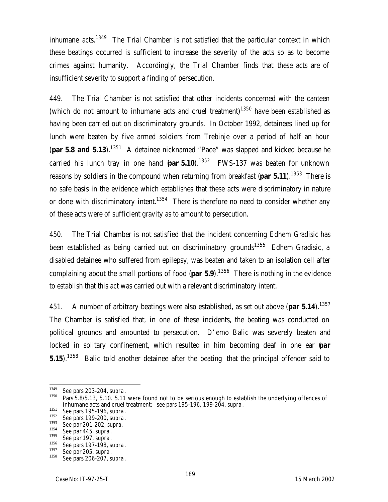inhumane acts.<sup>1349</sup> The Trial Chamber is not satisfied that the particular context in which these beatings occurred is sufficient to increase the severity of the acts so as to become crimes against humanity. Accordingly, the Trial Chamber finds that these acts are of insufficient severity to support a finding of persecution.

449. The Trial Chamber is not satisfied that other incidents concerned with the canteen (which do not amount to inhumane acts and cruel treatment)<sup>1350</sup> have been established as having been carried out on discriminatory grounds. In October 1992, detainees lined up for lunch were beaten by five armed soldiers from Trebinje over a period of half an hour (**par 5.8 and 5.13**).<sup>1351</sup> A detainee nicknamed "Pace" was slapped and kicked because he carried his lunch tray in one hand (**par 5.10**).<sup>1352</sup> FWS-137 was beaten for unknown reasons by soldiers in the compound when returning from breakfast (**par 5.11**).<sup>1353</sup> There is no safe basis in the evidence which establishes that these acts were discriminatory in nature or done with discriminatory intent.<sup>1354</sup> There is therefore no need to consider whether any of these acts were of sufficient gravity as to amount to persecution.

450. The Trial Chamber is not satisfied that the incident concerning Edhem Gradisic has been established as being carried out on discriminatory grounds<sup>1355</sup> Edhem Gradisic, a disabled detainee who suffered from epilepsy, was beaten and taken to an isolation cell after complaining about the small portions of food (**par 5.9**).<sup>1356</sup> There is nothing in the evidence to establish that this act was carried out with a relevant discriminatory intent.

451. A number of arbitrary beatings were also established, as set out above (**par 5.14**).<sup>1357</sup> The Chamber is satisfied that, in one of these incidents, the beating was conducted on political grounds and amounted to persecution. D'emo Balic was severely beaten and locked in solitary confinement, which resulted in him becoming deaf in one ear (**par 5.15**).<sup>1358</sup> Balic told another detainee after the beating that the principal offender said to

<sup>1349</sup> <sup>1349</sup> *See* pars 203-204, *supra*.

Pars 5.8/5.13, 5.10. 5.11 were found not to be serious enough to establish the underlying offences of inhumane acts and cruel treatment; *see* pars 195-196, 199-204, *supra*.

<sup>1351</sup> *See* pars 195-196, *supra*.

<sup>1352</sup> *See* pars 199-200, *supra*.

<sup>1353</sup> *See* par 201-202, *supra*.

<sup>1354</sup> *See* par 445, *supra*.

<sup>1355</sup> *See* par 197, *supra*.

<sup>1356</sup> *See* pars 197-198, *supra*.

<sup>1357</sup> *See* par 205, *supra*.

<sup>1358</sup> *See* pars 206-207, *supra*.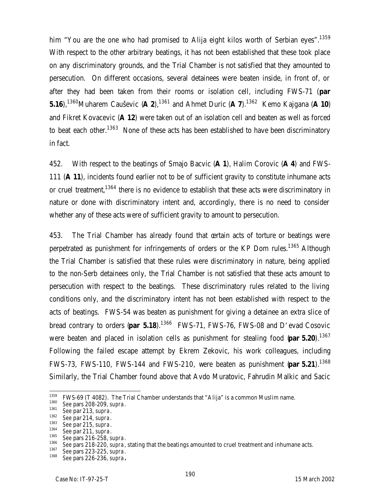him "You are the one who had promised to Alija eight kilos worth of Serbian eyes".<sup>1359</sup> With respect to the other arbitrary beatings, it has not been established that these took place on any discriminatory grounds, and the Trial Chamber is not satisfied that they amounted to persecution. On different occasions, several detainees were beaten inside, in front of, or after they had been taken from their rooms or isolation cell, including FWS-71 (**par 5.16**),<sup>1360</sup>Muharem Cauševic (**A 2**),<sup>1361</sup> and Ahmet Duric (**A 7**).<sup>1362</sup> Kemo Kajgana (**A 10**) and Fikret Kovacevic (**A 12**) were taken out of an isolation cell and beaten as well as forced to beat each other.<sup>1363</sup> None of these acts has been established to have been discriminatory in fact.

452. With respect to the beatings of Smajo Bacvic (**A 1**), Halim Corovic (**A 4**) and FWS-111 (**A 11**), incidents found earlier not to be of sufficient gravity to constitute inhumane acts or cruel treatment,<sup>1364</sup> there is no evidence to establish that these acts were discriminatory in nature or done with discriminatory intent and, accordingly, there is no need to consider whether any of these acts were of sufficient gravity to amount to persecution.

453. The Trial Chamber has already found that certain acts of torture or beatings were perpetrated as punishment for infringements of orders or the KP Dom rules.<sup>1365</sup> Although the Trial Chamber is satisfied that these rules were discriminatory in nature, being applied to the non-Serb detainees only, the Trial Chamber is not satisfied that these acts amount to persecution with respect to the beatings. These discriminatory rules related to the living conditions only, and the discriminatory intent has not been established with respect to the acts of beatings. FWS-54 was beaten as punishment for giving a detainee an extra slice of bread contrary to orders (**par 5.18**).<sup>1366</sup> FWS-71, FWS-76, FWS-08 and D'evad Cosovic were beaten and placed in isolation cells as punishment for stealing food (par 5.20).<sup>1367</sup> Following the failed escape attempt by Ekrem Zekovic, his work colleagues, including FWS-73, FWS-110, FWS-144 and FWS-210, were beaten as punishment (**par 5.21**).<sup>1368</sup> Similarly, the Trial Chamber found above that Avdo Muratovic, Fahrudin Malkic and Sacic

<sup>1362</sup> *See* par 214, *supra*.

<sup>1359</sup>  $1359$  FWS-69 (T 4082). The Trial Chamber understands that "Alija" is a common Muslim name.<br> $1360$  Coanars 200, 200, sunge

<sup>1360</sup> *See* pars 208-209, *supra*.

<sup>1361</sup> *See* par 213, *supra*.

<sup>1363</sup> *See* par 215, *supra*.

<sup>1364</sup> *See* par 211, *supra*.

<sup>1365</sup> *See* pars 216-258, *supra*.

<sup>1366</sup> *See* pars 218-220, *supra*, stating that the beatings amounted to cruel treatment and inhumane acts.

<sup>1367</sup> *See* pars 223-225, *supra*.

<sup>1368</sup> *See* pars 226-236, *supra***.**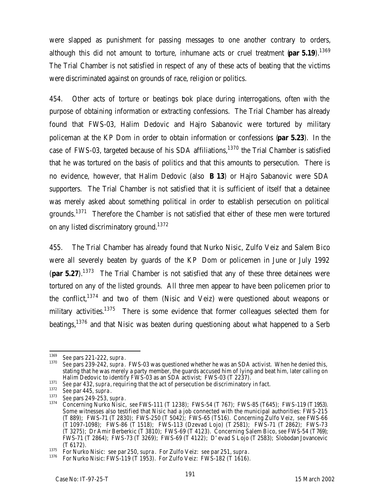were slapped as punishment for passing messages to one another contrary to orders, although this did not amount to torture, inhumane acts or cruel treatment (**par 5.19**).<sup>1369</sup> The Trial Chamber is not satisfied in respect of any of these acts of beating that the victims were discriminated against on grounds of race, religion or politics.

454. Other acts of torture or beatings took place during interrogations, often with the purpose of obtaining information or extracting confessions. The Trial Chamber has already found that FWS-03, Halim Dedovic and Hajro Sabanovic were tortured by military policeman at the KP Dom in order to obtain information or confessions (**par 5.23**). In the case of FWS-03, targeted because of his SDA affiliations.<sup>1370</sup> the Trial Chamber is satisfied that he was tortured on the basis of politics and that this amounts to persecution. There is no evidence, however, that Halim Dedovic (also **B 13**) or Hajro Sabanovic were SDA supporters. The Trial Chamber is not satisfied that it is sufficient of itself that a detainee was merely asked about something political in order to establish persecution on political arounds.<sup>1371</sup> Therefore the Chamber is not satisfied that either of these men were tortured on any listed discriminatory ground.<sup>1372</sup>

455. The Trial Chamber has already found that Nurko Nisic, Zulfo Veiz and Salem Bico were all severely beaten by guards of the KP Dom or policemen in June or July 1992 (**par 5.27**).<sup>1373</sup> The Trial Chamber is not satisfied that any of these three detainees were tortured on any of the listed grounds. All three men appear to have been policemen prior to the conflict,  $1374$  and two of them (Nisic and Veiz) were questioned about weapons or military activities.<sup>1375</sup> There is some evidence that former colleagues selected them for beatings,<sup>1376</sup> and that Nisic was beaten during questioning about what happened to a Serb

<sup>1369</sup> <sup>1369</sup> *See* pars 221-222, *supra*.

<sup>1370</sup> *See* pars 239-242, *supra*. FWS-03 was questioned whether he was an SDA activist. When he denied this, stating that he was merely a party member, the guards accused him of lying and beat him, later calling on Halim Dedovic to identify FWS-03 as an SDA activist; FWS-03 (T 2237).

<sup>1371</sup> **See par 432, supra, requiring that the act of persecution be discriminatory in fact.**<br>1372 See par 435, supra, requiring that the act of persecution be discriminatory in fact.

<sup>1372</sup> *See* par 445, *supra*.

<sup>1373</sup> *See* pars 249-253, *supra*.

<sup>1374</sup> Concerning Nurko Nisic, *see* FWS-111 (T 1238); FWS-54 (T 767); FWS-85 (T645); FWS-119 (T1953). Some witnesses also testified that Nisic had a job connected with the municipal authorities: FWS-215 (T 889); FWS-71 (T 2830); FWS-250 (T 5042); FWS-65 (T516).Concerning Zulfo Veiz, *see* FWS-66 (T 1097-1098); FWS-86 (T 1518); FWS-113 (Dzevad Lojo) (T 2581); FWS-71 (T 2862); FWS-73 (T 3275); Dr Amir Berberkic (T 3810); FWS-69 (T 4123). Concerning Salem Bico, *see* FWS-54 (T769); FWS-71 (T 2864); FWS-73 (T 3269); FWS-69 (T 4122); D'evad S Lojo (T 2583); Slobodan Jovancevic (T 6172).

<sup>1375</sup> For Nurko Nisic: s*ee* par 250, *supra*. For Zulfo Veiz: *see* par 251, *supra*.

<sup>1376</sup> For Nurko Nisic: FWS-119 (T 1953). For Zulfo Veiz: FWS-182 (T 1616).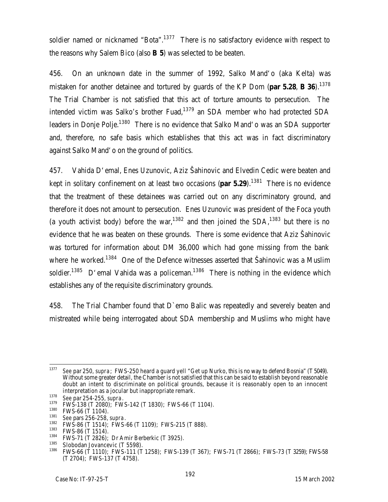soldier named or nicknamed "Bota".<sup>1377</sup> There is no satisfactory evidence with respect to the reasons why Salem Bico (also **B 5**) was selected to be beaten.

456. On an unknown date in the summer of 1992, Salko Mand'o (aka Kelta) was mistaken for another detainee and tortured by guards of the KP Dom (**par 5.28**, **B 36**).<sup>1378</sup> The Trial Chamber is not satisfied that this act of torture amounts to persecution. The intended victim was Salko's brother Fuad, $1379$  an SDA member who had protected SDA leaders in Donje Polje.<sup>1380</sup> There is no evidence that Salko Mand'o was an SDA supporter and, therefore, no safe basis which establishes that this act was in fact discriminatory against Salko Mand'o on the ground of politics.

457. Vahida D'emal, Enes Uzunovic, Aziz Šahinovic and Elvedin Cedic were beaten and kept in solitary confinement on at least two occasions (**par 5.29**).<sup>1381</sup> There is no evidence that the treatment of these detainees was carried out on any discriminatory ground, and therefore it does not amount to persecution. Enes Uzunovic was president of the Foca youth (a youth activist body) before the war,<sup>1382</sup> and then joined the  $SDA$ ,<sup>1383</sup> but there is no evidence that he was beaten on these grounds. There is some evidence that Aziz Šahinovic was tortured for information about DM 36,000 which had gone missing from the bank where he worked.<sup>1384</sup> One of the Defence witnesses asserted that Šahinovic was a Muslim soldier.<sup>1385</sup> D'emal Vahida was a policeman.<sup>1386</sup> There is nothing in the evidence which establishes any of the requisite discriminatory grounds.

458. The Trial Chamber found that D`emo Balic was repeatedly and severely beaten and mistreated while being interrogated about SDA membership and Muslims who might have

<sup>1377</sup> <sup>1377</sup> *See* par 250, *supra*; FWS-250 heard a guard yell "Get up Nurko, this is no way to defend Bosnia" (T5049). Without some greater detail, the Chamber is not satisfied that this can be said to establish beyond reasonable doubt an intent to discriminate on political grounds, because it is reasonably open to an innocent interpretation as a jocular but inappropriate remark.

<sup>1378</sup> *See* par 254-255, *supra*.

 $1379$  FWS-138 (T 2080); FWS-142 (T 1830); FWS-66 (T 1104).

 $^{1380}$  FWS-66 (T 1104).

<sup>1381</sup> *See* pars 256-258, *supra*.

 $1382$  FWS-86 (T 1514); FWS-66 (T 1109); FWS-215 (T 888).

 $^{1383}$  FWS-86 (T 1514).

<sup>&</sup>lt;sup>1384</sup> FWS-71 (T 2826); Dr Amir Berberkic (T 3925).<br><sup>1385</sup> Slobodan Javancavic (T 5509).

<sup>&</sup>lt;sup>1385</sup> Slobodan Jovancevic (T 5598).<br><sup>1386</sup> EMS *44 (T 1110)*: EMS 111 (T

<sup>1386</sup> FWS-66 (T 1110); FWS-111 (T 1258); FWS-139 (T 367); FWS-71 (T 2866); FWS-73 (T 3259); FWS-58 (T 2704); FWS-137 (T 4758).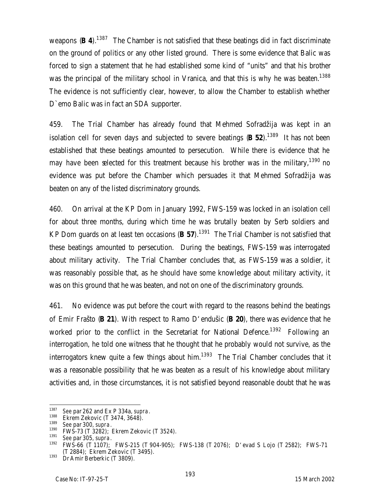weapons (**B** 4).<sup>1387</sup> The Chamber is not satisfied that these beatings did in fact discriminate on the ground of politics or any other listed ground. There is some evidence that Balic was forced to sign a statement that he had established some kind of "units" and that his brother was the principal of the military school in Vranica, and that this is why he was beaten.<sup>1388</sup> The evidence is not sufficiently clear, however, to allow the Chamber to establish whether D`emo Balic was in fact an SDA supporter.

459. The Trial Chamber has already found that Mehmed Sofradžija was kept in an isolation cell for seven days and subjected to severe beatings (**B 52**).<sup>1389</sup> It has not been established that these beatings amounted to persecution. While there is evidence that he may have been selected for this treatment because his brother was in the military, <sup>1390</sup> no evidence was put before the Chamber which persuades it that Mehmed Sofradžija was beaten on any of the listed discriminatory grounds.

460. On arrival at the KP Dom in January 1992, FWS-159 was locked in an isolation cell for about three months, during which time he was brutally beaten by Serb soldiers and KP Dom guards on at least ten occasions (**B 57**).<sup>1391</sup> The Trial Chamber is not satisfied that these beatings amounted to persecution. During the beatings, FWS-159 was interrogated about military activity. The Trial Chamber concludes that, as FWS-159 was a soldier, it was reasonably possible that, as he should have some knowledge about military activity, it was on this ground that he was beaten, and not on one of the discriminatory grounds.

461. No evidence was put before the court with regard to the reasons behind the beatings of Emir Frašto (**B 21**). With respect to Ramo D'endušic (**B 20**), there was evidence that he worked prior to the conflict in the Secretariat for National Defence.<sup>1392</sup> Following an interrogation, he told one witness that he thought that he probably would not survive, as the interrogators knew quite a few things about him. $1393$  The Trial Chamber concludes that it was a reasonable possibility that he was beaten as a result of his knowledge about military activities and, in those circumstances, it is not satisfied beyond reasonable doubt that he was

<sup>1387</sup> <sup>1387</sup> *See* par 262 and Ex P 334a, *supra*.

 $^{1388}$  Ekrem Zekovic (T 3474, 3648).

<sup>1389</sup> *See* par 300, *supra*.

 $1390$  FWS-73 (T 3282); Ekrem Zekovic (T 3524).

<sup>1391</sup> *See* par 305, *supra*.

<sup>1392</sup> FWS-66 (T 1107); FWS-215 (T 904-905); FWS-138 (T 2076); D'evad S Lojo (T 2582); FWS-71 (T 2884); Ekrem Zekovic (T 3495).

 $1393$  Dr Amir Berberkic (T 3809).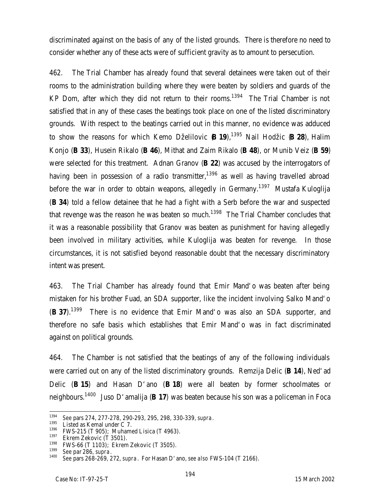discriminated against on the basis of any of the listed grounds. There is therefore no need to consider whether any of these acts were of sufficient gravity as to amount to persecution.

462. The Trial Chamber has already found that several detainees were taken out of their rooms to the administration building where they were beaten by soldiers and guards of the KP Dom, after which they did not return to their rooms.<sup>1394</sup> The Trial Chamber is not satisfied that in any of these cases the beatings took place on one of the listed discriminatory grounds. With respect to the beatings carried out in this manner, no evidence was adduced to show the reasons for which Kemo Dželilovic (**B 19**),<sup>1395</sup> Nail Hodžic (**B 28**), Halim Konjo (**B 33**), Husein Rikalo (**B 46**), Mithat and Zaim Rikalo (**B 48**), or Munib Veiz (**B 59**) were selected for this treatment. Adnan Granov (**B 22**) was accused by the interrogators of having been in possession of a radio transmitter,<sup>1396</sup> as well as having travelled abroad before the war in order to obtain weapons, allegedly in Germany.<sup>1397</sup> Mustafa Kuloglija (**B 34**) told a fellow detainee that he had a fight with a Serb before the war and suspected that revenge was the reason he was beaten so much.<sup>1398</sup> The Trial Chamber concludes that it was a reasonable possibility that Granov was beaten as punishment for having allegedly been involved in military activities, while Kuloglija was beaten for revenge. In those circumstances, it is not satisfied beyond reasonable doubt that the necessary discriminatory intent was present.

463. The Trial Chamber has already found that Emir Mand'o was beaten after being mistaken for his brother Fuad, an SDA supporter, like the incident involving Salko Mand'o (**B 37**).<sup>1399</sup> There is no evidence that Emir Mand'o was also an SDA supporter, and therefore no safe basis which establishes that Emir Mand'o was in fact discriminated against on political grounds.

464. The Chamber is not satisfied that the beatings of any of the following individuals were carried out on any of the listed discriminatory grounds. Remzija Delic (**B 14**), Ned'ad Delic (**B 15**) and Hasan D'ano (**B 18**) were all beaten by former schoolmates or neighbours.<sup>1400</sup> Juso D'amalija (**B 17**) was beaten because his son was a policeman in Foca

<sup>1394</sup> <sup>1394</sup> *See* pars 274, 277-278, 290-293, 295, 298, 330-339, *supra*.

 $^{1395}$  Listed as Kemal under C 7.

 $1396$  FWS-215 (T 905); Muhamed Lisica (T 4963).

 $^{1397}$  Ekrem Zekovic (T 3501).

 $1398$  FWS-66 (T 1103); Ekrem Zekovic (T 3505).<br> $1399$  Soopar 286 supra

<sup>1399</sup> *See* par 286, *supra*.

<sup>1400</sup> *See* pars 268-269, 272, *supra*. For Hasan D'ano, *see also* FWS-104 (T 2166).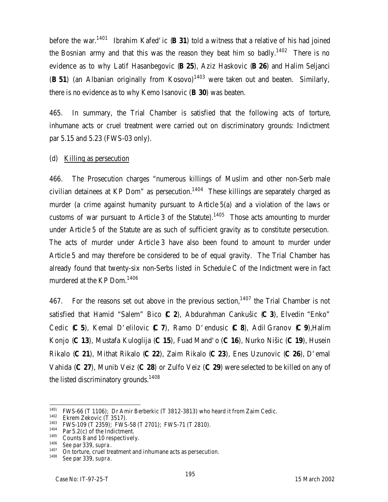before the war.<sup>1401</sup> Ibrahim Kafed'ic (**B 31**) told a witness that a relative of his had joined the Bosnian army and that this was the reason they beat him so badly.<sup>1402</sup> There is no evidence as to why Latif Hasanbegovic (**B 25**), Aziz Haskovic (**B 26**) and Halim Seljanci (**B 51**) (an Albanian originally from Kosovo)<sup>1403</sup> were taken out and beaten. Similarly, there is no evidence as to why Kemo Isanovic (**B 30**) was beaten.

465. In summary, the Trial Chamber is satisfied that the following acts of torture, inhumane acts or cruel treatment were carried out on discriminatory grounds: Indictment par 5.15 and 5.23 (FWS-03 only).

#### (d) Killing as persecution

466. The Prosecution charges "numerous killings of Muslim and other non-Serb male civilian detainees at KP Dom" as persecution.<sup>1404</sup> These killings are separately charged as murder (a crime against humanity pursuant to Article 5(a) and a violation of the laws or customs of war pursuant to Article 3 of the Statute).<sup>1405</sup> Those acts amounting to murder under Article 5 of the Statute are as such of sufficient gravity as to constitute persecution. The acts of murder under Article 3 have also been found to amount to murder under Article 5 and may therefore be considered to be of equal gravity. The Trial Chamber has already found that twenty-six non-Serbs listed in Schedule C of the Indictment were in fact murdered at the KP Dom.<sup>1406</sup>

467. For the reasons set out above in the previous section,  $1407$  the Trial Chamber is not satisfied that Hamid "Salem" Bico (**C 2**), Abdurahman Cankušic (**C 3**), Elvedin "Enko" Cedic (**C 5**), Kemal D'elilovic (**C 7**), Ramo D'endusic (**C 8**), Adil Granov (**C 9**),Halim Konjo (**C 13**), Mustafa Kuloglija (**C 15**), Fuad Mand'o (**C 16**), Nurko Nišic (**C 19**), Husein Rikalo (**C 21**), Mithat Rikalo (**C 22**), Zaim Rikalo (**C 23**), Enes Uzunovic (**C 26**), D'emal Vahida (**C 27**), Munib Veiz (**C 28**) or Zulfo Veiz (**C 29**) were selected to be killed on any of the listed discriminatory grounds.<sup>1408</sup>

<sup>1401</sup>  $1401$  FWS-66 (T 1106); Dr Amir Berberkic (T 3812-3813) who heard it from Zaim Cedic.<br> $1402$  Flerent Zalsavia (T 3517)

 $^{1402}$  Ekrem Zekovic (T 3517).

<sup>&</sup>lt;sup>1403</sup> FWS-109 (T 2359); FWS-58 (T 2701); FWS-71 (T 2810).

 $1404$  Par 5.2(c) of the Indictment.

 $^{1405}$  Counts 8 and 10 respectively.

<sup>1406</sup> *See* par 339, *supra*.

 $1407$  On torture, cruel treatment and inhumane acts as persecution.<br> $1408$  See par 3.30 supra

<sup>1408</sup> *See* par 339, *supra.*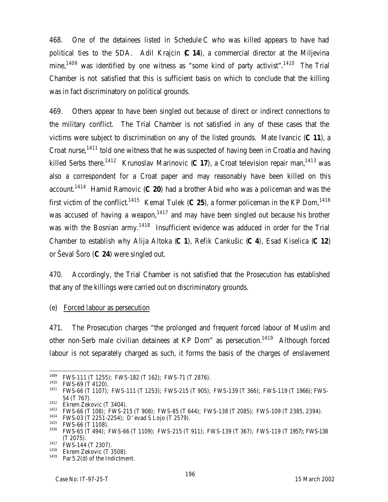468. One of the detainees listed in Schedule C who was killed appears to have had political ties to the SDA. Adil Krajcin (**C 14**), a commercial director at the Miljevina mine,<sup>1409</sup> was identified by one witness as "some kind of party activist".<sup>1410</sup> The Trial Chamber is not satisfied that this is sufficient basis on which to conclude that the killing was in fact discriminatory on political grounds.

469. Others appear to have been singled out because of direct or indirect connections to the military conflict. The Trial Chamber is not satisfied in any of these cases that the victims were subject to discrimination on any of the listed grounds. Mate Ivancic (**C 11**), a Croat nurse,<sup>1411</sup> told one witness that he was suspected of having been in Croatia and having killed Serbs there.<sup>1412</sup> Krunoslav Marinovic (**C 17**), a Croat television repair man,<sup>1413</sup> was also a correspondent for a Croat paper and may reasonably have been killed on this account.<sup>1414</sup> Hamid Ramovic (**C 20**) had a brother Abid who was a policeman and was the first victim of the conflict.<sup>1415</sup> Kemal Tulek (C 25), a former policeman in the KP Dom,<sup>1416</sup> was accused of having a weapon,<sup>1417</sup> and may have been singled out because his brother was with the Bosnian army.<sup>1418</sup> Insufficient evidence was adduced in order for the Trial Chamber to establish why Alija Altoka (**C 1**), Refik Cankušic (**C 4**), Esad Kiselica (**C 12**) or Ševal Šoro (**C 24**) were singled out.

470. Accordingly, the Trial Chamber is not satisfied that the Prosecution has established that any of the killings were carried out on discriminatory grounds.

(e) Forced labour as persecution

471. The Prosecution charges "the prolonged and frequent forced labour of Muslim and other non-Serb male civilian detainees at KP Dom" as persecution.<sup>1419</sup> Although forced labour is not separately charged as such, it forms the basis of the charges of enslavement

 $\overline{a}$ <sup>1409</sup> FWS-111 (T 1255); FWS-182 (T 162); FWS-71 (T 2876).

 $^{1410}$  FWS-69 (T 4120).

<sup>1411</sup> FWS-66 (T 1107); FWS-111 (T 1253); FWS-215 (T 905); FWS-139 (T 366); FWS-119 (T 1966); FWS-54 (T 767).

<sup>&</sup>lt;sup>1412</sup> Ekrem Zekovic (T 3404).

<sup>1413</sup> FWS-66 (T 108); FWS-215 (T 908); FWS-85 (T 644); FWS-138 (T 2085); FWS-109 (T 2385, 2394).

<sup>1414</sup> FWS-03 (T 2251-2254); D'evad S Lojo (T 2579).

<sup>1415</sup> FWS-66 (T 1108).

<sup>1416</sup> FWS-65 (T 494); FWS-66 (T 1109); FWS-215 (T 911); FWS-139 (T 367); FWS-119 (T 1957); FWS-138 (T 2075).

<sup>1417</sup> **FWS-144 (T 2307)**.

<sup>&</sup>lt;sup>1418</sup> Ekrem Zekovic (T 3508).

Par 5.2(d) of the Indictment.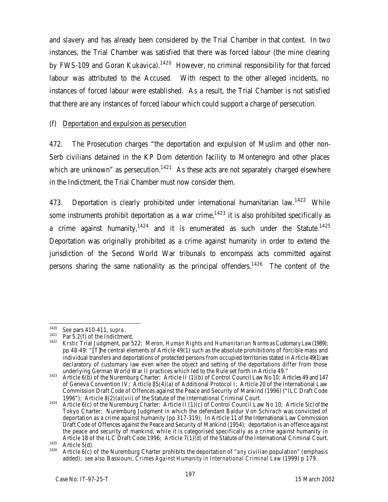and slavery and has already been considered by the Trial Chamber in that context. In two instances, the Trial Chamber was satisfied that there was forced labour (the mine clearing by FWS-109 and Goran Kukavica).<sup>1420</sup> However, no criminal responsibility for that forced labour was attributed to the Accused. With respect to the other alleged incidents, no instances of forced labour were established. As a result, the Trial Chamber is not satisfied that there are any instances of forced labour which could support a charge of persecution.

# (f) Deportation and expulsion as persecution

472. The Prosecution charges "the deportation and expulsion of Muslim and other non-Serb civilians detained in the KP Dom detention facility to Montenegro and other places which are unknown" as persecution.<sup>1421</sup> As these acts are not separately charged elsewhere in the Indictment, the Trial Chamber must now consider them.

473. Deportation is clearly prohibited under international humanitarian law.<sup>1422</sup> While some instruments prohibit deportation as a war crime,<sup>1423</sup> it is also prohibited specifically as a crime against humanity,<sup>1424</sup> and it is enumerated as such under the Statute.<sup>1425</sup> Deportation was originally prohibited as a crime against humanity in order to extend the jurisdiction of the Second World War tribunals to encompass acts committed against persons sharing the same nationality as the principal offenders.<sup>1426</sup> The content of the

<sup>1420</sup> <sup>1420</sup> *See* pars 410-411, *supra*.

<sup>&</sup>lt;sup>1421</sup> Par 5.2(f) of the Indictment.

<sup>1422</sup> *Krstic* Trial Judgment, par 522; Meron, *Human Rights and Humanitarian Norms as Customary Law* (1989); pp 48-49: "[T]he central elements of Article 49(1) such as the absolute prohibitions of forcible mass and individual transfers and deportations of protected persons from occupied territories stated in Article 49(1) are declaratory of customary law even when the object and setting of the deportations differ from those underlying German World War II practices which led to the Rule set forth in Article 49."

<sup>1423</sup> Article 6(b) of the Nuremburg Charter; Article II (1)(b) of Control Council Law No 10; Articles 49 and 147 of Geneva Convention IV; Article 85(4)(a) of Additional Protocol I; Article 20 of the International Law Commission Draft Code of Offences against the Peace and Security of Mankind (1996) ("ILC Draft Code 1996"); Article 8(2)(a)(vii) of the Statute of the International Criminal Court.

<sup>1424</sup> Article 6(c) of the Nuremburg Charter; Article II (1)(c) of Control Council Law No 10; Article 5(c) of the Tokyo Charter; Nuremburg Judgment in which the defendant Baldur Von Schirach was convicted of deportation as a crime against humanity (pp 317-319); In Article 11 of the International Law Commission Draft Code of Offences against the Peace and Security of Mankind (1954); deportation is an offence against the peace and security of mankind, while it is categorised specifically as a crime against humanity in Article 18 of the ILC Draft Code 1996; Article 7(1)(d) of the Statute of the International Criminal Court.

 $\frac{1425}{1426}$  Article 5(d).

<sup>1426</sup> Article 6(c) of the Nuremburg Charter prohibits the deportation of "*any* civilian population" (emphasis added); *see also* Bassiouni, *Crimes Against Humanity in International Criminal Law* (1999) p 179.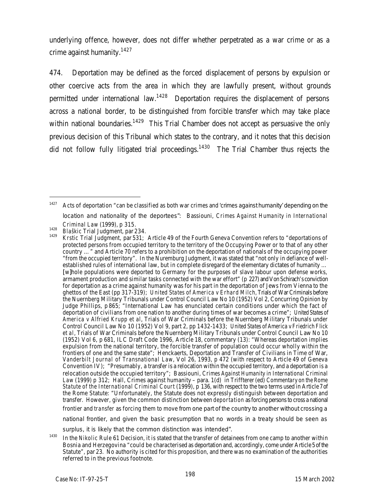underlying offence, however, does not differ whether perpetrated as a war crime or as a crime against humanity.<sup>1427</sup>

474. Deportation may be defined as the forced displacement of persons by expulsion or other coercive acts from the area in which they are lawfully present, without grounds permitted under international law.<sup>1428</sup> Deportation requires the displacement of persons across a national border, to be distinguished from forcible transfer which may take place within national boundaries.<sup>1429</sup> This Trial Chamber does not accept as persuasive the only previous decision of this Tribunal which states to the contrary, and it notes that this decision did not follow fully litigated trial proceedings.<sup>1430</sup> The Trial Chamber thus rejects the

 $\overline{a}$ 

national frontier, and given the basic presumption that no words in a treaty should be seen as

surplus, it is likely that the common distinction was intended".

 $1427$  Acts of deportation "can be classified as both war crimes and 'crimes against humanity' depending on the location and nationality of the deportees": Bassiouni, *Crimes Against Humanity in International Criminal Law* (1999), p 315.

<sup>1428</sup> *Blaškic* Trial Judgment, par 234.

<sup>1429</sup> *Krstic* Trial Judgment, par 531; Article 49 of the Fourth Geneva Convention refers to "deportations of protected persons from occupied territory to the territory of the Occupying Power or to that of any other country …" and Article 70 refers to a prohibition on the deportation of nationals of the occupying power "from the occupied territory". In the Nuremburg Judgment, it was stated that "not only in defiance of wellestablished rules of international law, but in complete disregard of the elementary dictates of humanity … [w]hole populations were deported to Germany for the purposes of slave labour upon defense works, armament production and similar tasks connected with the war effort" (p 227) and Von Schirach's conviction for deportation as a crime against humanity was for his part in the deportation of Jews from Vienna to the ghettos of the East (pp 317-319); *United States of America v Erhard Milch,* Trials of War Criminals before the Nuernberg Military Tribunals under Control Council Law No 10 (1952) Vol 2, Concurring Opinion by Judge Phillips, p 865; "International Law has enunciated certain conditions under which the fact of deportation of civilians from one nation to another during times of war becomes a crime"; *United States of America v Alfried Krupp et al*, Trials of War Criminals before the Nuernberg Military Tribunals under Control Council Law No 10 (1952) Vol 9, part 2, pp 1432-1433; *United States of America v Friedrich Flick et al*, Trials of War Criminals before the Nuernberg Military Tribunals under Control Council Law No 10 (1952) Vol 6, p 681, ILC Draft Code 1996, Article 18, commentary (13): "Whereas deportation implies expulsion from the national territory, the forcible transfer of population could occur wholly within the frontiers of one and the same state"; Henckaerts, Deportation and Transfer of Civilians in Time of War, *Vanderbilt Journal of Transnational Law*, Vol 26, 1993, p 472 (with respect to Article 49 of Geneva Convention IV); "Presumably, a transfer is a relocation within the occupied territory, and a deportation is a relocation outside the occupied territory"; Bassiouni, *Crimes Against Humanity in International Criminal Law* (1999) p 312; Hall, Crimes against humanity – para. 1(d) in Triffterer (ed) *Commentary on the Rome Statute of the International Criminal Court* (1999), p 136, with respect to the two terms used in Article 7 of the Rome Statute: "Unfortunately, the Statute does not expressly distinguish between deportation and transfer. However, given the common distinction between *deportation* as forcing persons to cross a national frontier and *transfer* as forcing them to move from one part of the country to another without crossing a

<sup>&</sup>lt;sup>1430</sup> In the *Nikolic* Rule 61 Decision, it is stated that the transfer of detainees from one camp to another within Bosnia and Herzegovina "could be characterised as deportation and, accordingly, come under Article 5 of the Statute", par 23. No authority is cited for this proposition, and there was no examination of the authorities referred to in the previous footnote.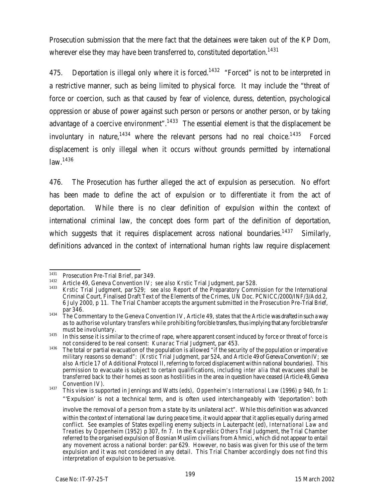Prosecution submission that the mere fact that the detainees were taken *out* of the KP Dom, wherever else they may have been transferred to, constituted deportation.<sup>1431</sup>

475. Deportation is illegal only where it is forced.<sup>1432</sup> "Forced" is not to be interpreted in a restrictive manner, such as being limited to physical force. It may include the "threat of force or coercion, such as that caused by fear of violence, duress, detention, psychological oppression or abuse of power against such person or persons or another person, or by taking advantage of a coercive environment".<sup>1433</sup> The essential element is that the displacement be involuntary in nature,<sup>1434</sup> where the relevant persons had no real choice.<sup>1435</sup> Forced displacement is only illegal when it occurs without grounds permitted by international law.<sup>1436</sup>

476. The Prosecution has further alleged the act of expulsion as persecution. No effort has been made to define the act of expulsion or to differentiate it from the act of deportation. While there is no clear definition of expulsion within the context of international criminal law, the concept does form part of the definition of deportation, which suggests that it requires displacement across national boundaries.<sup>1437</sup> Similarly, definitions advanced in the context of international human rights law require displacement

<sup>1431</sup> <sup>1431</sup> Prosecution Pre-Trial Brief, par 349.

<sup>1432</sup> Article 49, Geneva Convention IV; *see also Krstic* Trial Judgment, par 528.

<sup>1433</sup> *Krstic* Trial Judgment, par 529; *see also* Report of the Preparatory Commission for the International Criminal Court, Finalised Draft Text of the Elements of the Crimes, UN Doc. PCNICC/2000/INF/3/Add.2, 6 July 2000, p 11. The Trial Chamber accepts the argument submitted in the Prosecution Pre-Trial Brief, par 346.

<sup>1434</sup> The Commentary to the Geneva Convention IV, Article 49, states that the Article was drafted in such a way as to authorise voluntary transfers while prohibiting forcible transfers, thus implying that any forcible transfer must be involuntary.

<sup>&</sup>lt;sup>1435</sup> In this sense it is similar to the crime of rape, where apparent consent induced by force or threat of force is not considered to be real consent: *Kunarac* Trial Judgment, par 453.

<sup>1436</sup> The total or partial evacuation of the population is allowed "if the security of the population or imperative military reasons so demand": (*Krstic* Trial Judgment, par 524, and Article 49 of Geneva Convention IV; *see also* Article 17 of Additional Protocol II, referring to forced displacement within national boundaries). This permission to evacuate is subject to certain qualifications, including *inter alia* that evacuees shall be transferred back to their homes as soon as hostilities in the area in question have ceased (Article 49, Geneva Convention IV).

<sup>1437</sup> This view is supported in Jennings and Watts (eds), *Oppenheim's International Law* (1996) p 940, fn 1: "'Expulsion' is not a technical term, and is often used interchangeably with 'deportation': both

involve the removal of a person from a state by its unilateral act". While this definition was advanced within the context of international law during peace time, it would appear that it applies equally during armed conflict. *See* examples of States expelling enemy subjects in Lauterpacht (ed), *International Law and Treaties by Oppenheim* (1952) p 307, fn 7. In the *Kupreškic Others* Trial Judgment, the Trial Chamber referred to the organised expulsion of Bosnian Muslim civilians from Ahmici, which did not appear to entail any movement across a national border: par 629. However, no basis was given for this use of the term expulsion and it was not considered in any detail. This Trial Chamber accordingly does not find this interpretation of expulsion to be persuasive.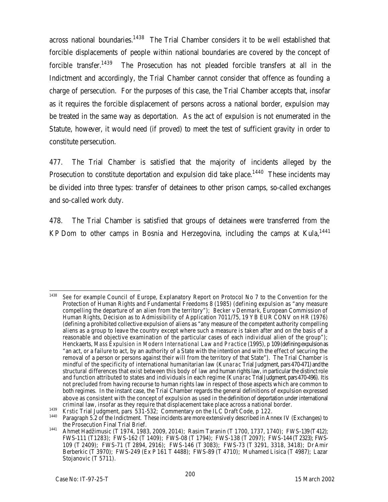across national boundaries.<sup>1438</sup> The Trial Chamber considers it to be well established that forcible displacements of people within national boundaries are covered by the concept of forcible transfer.<sup>1439</sup> The Prosecution has not pleaded forcible transfers at all in the Indictment and accordingly, the Trial Chamber cannot consider that offence as founding a charge of persecution. For the purposes of this case, the Trial Chamber accepts that, insofar as it requires the forcible displacement of persons across a national border, expulsion may be treated in the same way as deportation. As the act of expulsion is not enumerated in the Statute, however, it would need (if proved) to meet the test of sufficient gravity in order to constitute persecution.

477. The Trial Chamber is satisfied that the majority of incidents alleged by the Prosecution to constitute deportation and expulsion did take place.<sup>1440</sup> These incidents may be divided into three types: transfer of detainees to other prison camps, so-called exchanges and so-called work duty.

478. The Trial Chamber is satisfied that groups of detainees were transferred from the KP Dom to other camps in Bosnia and Herzegovina, including the camps at Kula,  $1441$ 

<sup>1438</sup> <sup>1438</sup> *See* for example Council of Europe, Explanatory Report on Protocol No 7 to the Convention for the Protection of Human Rights and Fundamental Freedoms 8 (1985) (defining expulsion as "any measure compelling the departure of an alien from the territory"); *Becker v Denmark*, European Commission of Human Rights, Decision as to Admissibility of Application 7011/75, 19 YB EUR CONV on HR (1976) (defining a prohibited collective expulsion of aliens as "any measure of the competent authority compelling aliens as a group to leave the country except where such a measure is taken after and on the basis of a reasonable and objective examination of the particular cases of each individual alien of the group"); Henckaerts, *Mass Expulsion in Modern International Law and Practice* (1995), p 109 (defining expulsion as "an act, or a failure to act, by an authority of a State with the intention and with the effect of securing the removal of a person or persons against their will from the territory of that State"). The Trial Chamber is mindful of the specificity of international humanitarian law (*Kunarac* Trial Judgment, pars 470-471) and the structural differences that exist between this body of law and human rights law, in particular the distinct role and function attributed to states and individuals in each regime (*Kunarac* Trial Judgment, pars470-496). It is not precluded from having recourse to human rights law in respect of those aspects which are common to both regimes. In the instant case, the Trial Chamber regards the general definitions of expulsion expressed above as consistent with the concept of expulsion as used in the definition of deportation under international criminal law, insofar as they require that displacement take place across a national border.

<sup>1439</sup> *Krstic* Trial Judgment, pars 531-532; Commentary on the ILC Draft Code, p 122.

<sup>1440</sup> Paragraph 5.2 of the Indictment. These incidents are more extensively described in Annex IV (Exchanges) to the Prosecution Final Trial Brief.

<sup>1441</sup> Ahmet Hadžimusic (T 1974, 1983, 2009, 2014); Rasim Taranin (T 1700, 1737, 1740); FWS-139 (T412); FWS-111 (T1283); FWS-162 (T 1409); FWS-08 (T 1794); FWS-138 (T 2097); FWS-144 (T2323); FWS-109 (T 2409); FWS-71 (T 2894, 2916); FWS-146 (T 3083); FWS-73 (T 3291, 3318, 3418); Dr Amir Berberkic (T 3970); FWS-249 (Ex P 161 T 4488); FWS-89 (T 4710); Muhamed Lisica (T 4987); Lazar Stojanovic (T 5711).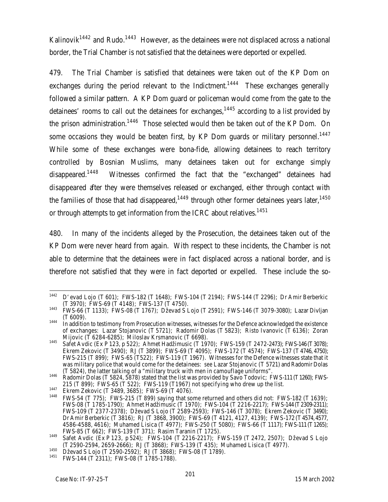Kalinovik<sup>1442</sup> and Rudo.<sup>1443</sup> However, as the detainees were not displaced across a national border, the Trial Chamber is not satisfied that the detainees were deported or expelled.

479. The Trial Chamber is satisfied that detainees were taken out of the KP Dom on exchanges during the period relevant to the Indictment.<sup>1444</sup> These exchanges generally followed a similar pattern. A KP Dom guard or policeman would come from the gate to the detainees' rooms to call out the detainees for exchanges,  $1445$  according to a list provided by the prison administration.<sup>1446</sup> Those selected would then be taken out of the KP Dom. On some occasions they would be beaten first, by KP Dom guards or military personnel.<sup>1447</sup> While some of these exchanges were bona-fide, allowing detainees to reach territory controlled by Bosnian Muslims, many detainees taken out for exchange simply disappeared.<sup>1448</sup> Witnesses confirmed the fact that the "exchanged" detainees had disappeared after they were themselves released or exchanged, either through contact with the families of those that had disappeared, $1449$  through other former detainees years later, $1450$ or through attempts to get information from the ICRC about relatives.<sup>1451</sup>

480. In many of the incidents alleged by the Prosecution, the detainees taken out of the KP Dom were never heard from again. With respect to these incidents, the Chamber is not able to determine that the detainees were in fact displaced across a national border, and is therefore not satisfied that they were in fact deported or expelled. These include the so-

<sup>1442</sup> <sup>1442</sup> D'evad Lojo (T 601); FWS-182 (T 1648); FWS-104 (T 2194); FWS-144 (T 2296); Dr Amir Berberkic (T 3970); FWS-69 (T 4148); FWS-137 (T 4750).

<sup>1443</sup> FWS-66 (T 1133); FWS-08 (T 1767); Dževad S Lojo (T 2591); FWS-146 (T 3079-3080); Lazar Divljan (T 6009).

<sup>1444</sup> In addition to testimony from Prosecution witnesses, witnesses for the Defence acknowledged the existence of exchanges: Lazar Stojanovic (T 5721); Radomir Dolas (T 5823); Risto Ivanovic (T 6136); Zoran Mijovic (T 6284-6285); Miloslav Krsmanovic (T 6698).

<sup>1445</sup> Safet Avdic (Ex P 123, p 522); Ahmet Hadžimusic (T 1970); FWS-159 (T 2472-2473); FWS-146 (T3078); Ekrem Zekovic (T 3490); RJ (T 3899); FWS-69 (T 4095); FWS-172 (T 4574); FWS-137 (T 4746, 4750); FWS-215 (T 899); FWS-65 (T522); FWS-119 (T 1967). Witnesses for the Defence witnesses state that it was military police that would come for the detainees: *see* Lazar Stojanovic (T 5721) and Radomir Dolas (T 5824), the latter talking of a "military truck with men in camouflage uniforms".

<sup>1446</sup> Radomir Dolas (T 5824, 5878) stated that the list was provided by Savo Todovic; FWS-111 (T1260); FWS-215 (T 899); FWS-65 (T 522); FWS-119 (T1967) not specifying who drew up the list.

<sup>1447</sup> Ekrem Zekovic (T 3489, 3685); FWS-69 (T 4076).

<sup>1448</sup> FWS-54 (T 775); FWS-215 (T 899) saying that some returned and others did not: FWS-182 (T 1639); FWS-08 (T 1785-1790); Ahmet Hadžimusic (T 1970); FWS-104 (T 2216-2217); FWS-144 (T2309-2311); FWS-109 (T 2377-2378); Dževad S Lojo (T 2589-2593); FWS-146 (T 3078); Ekrem Zekovic (T 3490); Dr Amir Berberkic (T 3816); RJ (T 3868, 3900); FWS-69 (T 4121, 4127, 4139); FWS-172 (T4574, 4577, 4586-4588, 4616); Muhamed Lisica (T 4977); FWS-250 (T 5080); FWS-66 (T 1117); FWS-111 (T1265); FWS-85 (T 662); FWS-139 (T 371); Rasim Taranin (T 1725).

<sup>1449</sup> Safet Avdic (Ex P 123, p 524); FWS-104 (T 2216-2217); FWS-159 (T 2472, 2507); Dževad S Lojo (T 2590-2594, 2659-2666); RJ (T 3868); FWS-139 (T 435); Muhamed Lisica (T 4977).

<sup>1450</sup> Dževad S Lojo (T 2590-2592); RJ (T 3868); FWS-08 (T 1789).<br><sup>1451</sup> EMS 144 (T 2311): EMS 08 (T 1795-1788).

FWS-144 (T 2311); FWS-08 (T 1785-1788).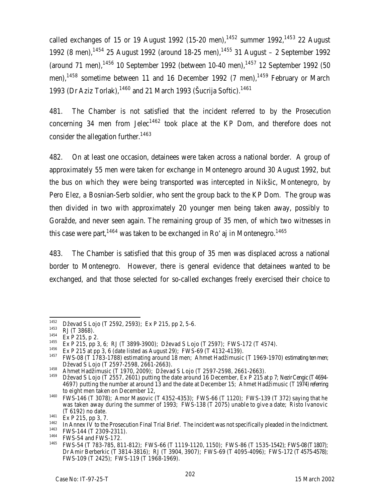called exchanges of 15 or 19 August 1992 (15-20 men),  $1452$  summer 1992,  $1453$  22 August 1992 (8 men),  $1454$  25 August 1992 (around 18-25 men),  $1455$  31 August – 2 September 1992 (around 71 men),  $1456$  10 September 1992 (between 10-40 men),  $1457$  12 September 1992 (50 men),<sup>1458</sup> sometime between 11 and 16 December 1992 (7 men),<sup>1459</sup> February or March 1993 (Dr Aziz Torlak), $1460$  and 21 March 1993 (Šucrija Softic). $1461$ 

481. The Chamber is not satisfied that the incident referred to by the Prosecution concerning 34 men from Jelec<sup>1462</sup> took place at the KP Dom, and therefore does not consider the allegation further.<sup>1463</sup>

482. On at least one occasion, detainees were taken across a national border. A group of approximately 55 men were taken for exchange in Montenegro around 30 August 1992, but the bus on which they were being transported was intercepted in Nikšic, Montenegro, by Pero Elez, a Bosnian-Serb soldier, who sent the group back to the KP Dom. The group was then divided in two with approximately 20 younger men being taken away, possibly to Goražde, and never seen again. The remaining group of 35 men, of which two witnesses in this case were part,  $1464$  was taken to be exchanged in Ro'aj in Montenegro.  $1465$ 

483. The Chamber is satisfied that this group of 35 men was displaced across a national border to Montenegro. However, there is general evidence that detainees wanted to be exchanged, and that those selected for so-called exchanges freely exercised their choice to

<sup>1452</sup> <sup>1452</sup> Dževad S Lojo (T 2592, 2593); Ex P 215, pp 2, 5-6.

 $\frac{1453}{1454}$  RJ (T 3868).

 $^{1454}_{1455}$  Ex P 215, p 2.

<sup>&</sup>lt;sup>1455</sup> Ex P 215, pp 3, 6; RJ (T 3899-3900); Dževad S Lojo (T 2597); FWS-172 (T 4574).

<sup>&</sup>lt;sup>1456</sup> Ex P 215 at pp 3, 6 (date listed as August 29); FWS-69 (T 4132-4139).

<sup>1457</sup> FWS-08 (T 1783-1788) estimating around 18 men; Ahmet Hadžimusic (T 1969-1970) estimating ten men; Dževad S Lojo (T 2597-2598, 2661-2663).

<sup>1458</sup> Ahmet Hadžimusic (T 1970, 2009); Dževad S Lojo (T 2597-2598, 2661-2663).

Dževad S Lojo (T 2557, 2601) putting the date around 16 December, Ex P 215 at p 7; Nezir Cengic (T 4694-4697) putting the number at around 13 and the date at December 15; Ahmet Hadžimusic (T 1974) referring to eight men taken on December 12,

<sup>1460</sup> FWS-146 (T 3078); Amor Masovic (T 4352-4353); FWS-66 (T 1120); FWS-139 (T 372) saying that he was taken away during the summer of 1993; FWS-138 (T 2075) unable to give a date; Risto Ivanovic (T 6192) no date.

 $1461$  Ex P 215, pp 3, 7.

 $1462$  In Annex IV to the Prosecution Final Trial Brief. The incident was not specifically pleaded in the Indictment.<br> $1463$  EMS 144 (T 2200 2211)

<sup>&</sup>lt;sup>1463</sup> FWS-144 (T 2309-2311).

<sup>&</sup>lt;sup>1464</sup> FWS-54 and FWS-172.

<sup>1465</sup> FWS-54 (T 783-785, 811-812); FWS-66 (T 1119-1120, 1150); FWS-86 (T 1535-1542); FWS-08 (T1807); Dr Amir Berberkic (T 3814-3816); RJ (T 3904, 3907); FWS-69 (T 4095-4096); FWS-172 (T4575-4578); FWS-109 (T 2425); FWS-119 (T 1968-1969).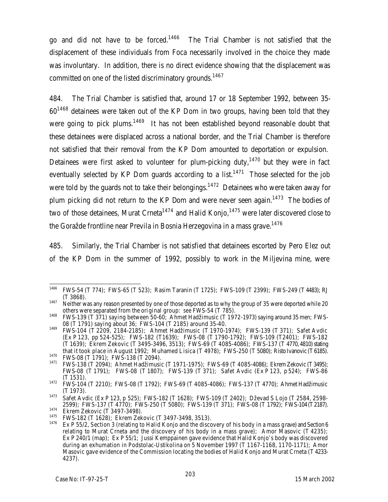go and did not have to be forced.<sup>1466</sup> The Trial Chamber is not satisfied that the displacement of these individuals from Foca necessarily involved in the choice they made was involuntary. In addition, there is no direct evidence showing that the displacement was committed on one of the listed discriminatory grounds.<sup>1467</sup>

484. The Trial Chamber is satisfied that, around 17 or 18 September 1992, between 35- 60<sup>1468</sup> detainees were taken out of the KP Dom in two groups, having been told that they were going to pick plums.<sup>1469</sup> It has not been established beyond reasonable doubt that these detainees were displaced across a national border, and the Trial Chamber is therefore not satisfied that their removal from the KP Dom amounted to deportation or expulsion. Detainees were first asked to volunteer for plum-picking duty, $1470$  but they were in fact eventually selected by KP Dom quards according to a list.<sup>1471</sup> Those selected for the job were told by the guards not to take their belongings.<sup>1472</sup> Detainees who were taken away for plum picking did not return to the KP Dom and were never seen again.<sup>1473</sup> The bodies of two of those detainees, Murat Crneta<sup>1474</sup> and Halid Konio.<sup>1475</sup> were later discovered close to the Goražde frontline near Previla in Bosnia Herzegovina in a mass grave.<sup>1476</sup>

485. Similarly, the Trial Chamber is not satisfied that detainees escorted by Pero Elez out of the KP Dom in the summer of 1992, possibly to work in the Miljevina mine, were

<sup>1466</sup> <sup>1466</sup> FWS-54 (T 774); FWS-65 (T 523); Rasim Taranin (T 1725); FWS-109 (T 2399); FWS-249 (T 4483); RJ (T 3868).

<sup>&</sup>lt;sup>1467</sup> Neither was any reason presented by one of those deported as to why the group of 35 were deported while 20 others were separated from the original group: *see* FWS-54 (T 785).

<sup>&</sup>lt;sup>1468</sup> FWS-139 (T 371) saying between 50-60; Ahmet Hadžimusic (T 1972-1973) saying around 35 men; FWS-08 (T 1791) saying about 36; FWS-104 (T 2185) around 35-40.

<sup>1469</sup> FWS-104 (T 2209, 2184-2185); Ahmet Hadžimusic (T 1970-1974); FWS-139 (T 371); Safet Avdic (Ex P 123, pp 524-525); FWS-182 (T1639); FWS-08 (T 1790-1792); FWS-109 (T2401); FWS-182 (T 1639); Ekrem Zekovic (T 3495-3496, 3513); FWS-69 (T 4085-4086); FWS-137 (T 4770, 4810) stating that it took place in August 1992; Muhamed Lisica (T 4978); FWS-250 (T 5080); Risto Ivanovic (T6185).

<sup>1470</sup> FWS-08 (T 1791); FWS-138 (T 2094).<br>1471 FWS-129 (T 2004). Abmot Hadžimusi

<sup>1471</sup> FWS-138 (T 2094); Ahmet Hadžimusic (T 1971-1975); FWS-69 (T 4085-4086); Ekrem Zekovic (T3495); FWS-08 (T 1791); FWS-08 (T 1807); FWS-139 (T 371); Safet Avdic (Ex P 123, p 524); FWS-86 (T 1531).

<sup>1472</sup> FWS-104 (T 2210); FWS-08 (T 1792); FWS-69 (T 4085-4086); FWS-137 (T 4770); Ahmet Hadžimusic (T 1973).

<sup>1473</sup> Safet Avdic (Ex P 123, p 525); FWS-182 (T 1628); FWS-109 (T 2402); Dževad S Lojo (T 2584, 2598- 2599); FWS-137 (T 4770); FWS-250 (T 5080); FWS-139 (T 371); FWS-08 (T 1792); FWS-104 (T2187).

<sup>&</sup>lt;sup>1474</sup> Ekrem Zekovic (T 3497-3498).

<sup>&</sup>lt;sup>1475</sup> FWS-182 (T 1628); Ekrem Zekovic (T 3497-3498, 3513).

Ex P 55/2, Section 3 (relating to Halid Konjo and the discovery of his body in a mass grave) and Section 6 relating to Murat Crneta and the discovery of his body in a mass grave); Amor Masovic (T 4235); Ex P 240/1 (map); Ex P 55/1; Jussi Kemppainen gave evidence that Halid Konjo's body was discovered during an exhumation in Podstolac-Ustikolina on 5 November 1997 (T 1167-1168, 1170-1171); Amor Masovic gave evidence of the Commission locating the bodies of Halid Konjo and Murat Crneta (T 4233- 4237).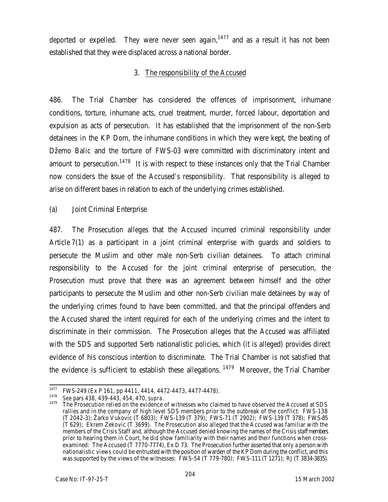deported or expelled. They were never seen again,  $1477$  and as a result it has not been established that they were displaced across a national border.

## 3. The responsibility of the Accused

486. The Trial Chamber has considered the offences of imprisonment, inhumane conditions, torture, inhumane acts, cruel treatment, murder, forced labour, deportation and expulsion as acts of persecution. It has established that the imprisonment of the non-Serb detainees in the KP Dom, the inhumane conditions in which they were kept, the beating of Džemo Balic and the torture of FWS-03 were committed with discriminatory intent and amount to persecution.<sup>1478</sup> It is with respect to these instances only that the Trial Chamber now considers the issue of the Accused's responsibility. That responsibility is alleged to arise on different bases in relation to each of the underlying crimes established.

(a) Joint Criminal Enterprise

487. The Prosecution alleges that the Accused incurred criminal responsibility under Article 7(1) as a participant in a joint criminal enterprise with guards and soldiers to persecute the Muslim and other male non-Serb civilian detainees. To attach criminal responsibility to the Accused for the joint criminal enterprise of persecution, the Prosecution must prove that there was an agreement between himself and the other participants to persecute the Muslim and other non-Serb civilian male detainees by way of the underlying crimes found to have been committed, and that the principal offenders and the Accused shared the intent required for each of the underlying crimes and the intent to discriminate in their commission. The Prosecution alleges that the Accused was affiliated with the SDS and supported Serb nationalistic policies, which (it is alleged) provides direct evidence of his conscious intention to discriminate. The Trial Chamber is not satisfied that the evidence is sufficient to establish these allegations.  $1479$  Moreover, the Trial Chamber

<sup>1477</sup> <sup>1477</sup> FWS-249 (Ex P 161, pp 4411, 4414, 4472-4473, 4477-4478).

<sup>1478</sup> *See* pars 438, 439-443, 454, 470, *supra*.

The Prosecution relied on the evidence of witnesses who claimed to have observed the Accused at SDS rallies and in the company of high level SDS members prior to the outbreak of the conflict: FWS-138 (T 2042-3); Žarko Vukovic (T 6803); FWS-139 (T 379); FWS-71 (T 2902); FWS-139 (T 378); FWS-85 (T 629); Ekrem Zekovic (T 3699). The Prosecution also alleged that the Accused was familiar with the members of the Crisis Staff and, although the Accused denied knowing the names of the Crisis staff members prior to hearing them in Court, he did show familiarity with their names and their functions when crossexamined: The Accused (T 7770-7774), Ex D 73. The Prosecution further asserted that only a person with nationalistic views could be entrusted with the position of warden of the KP Dom during the conflict, and this was supported by the views of the witnesses: FWS-54 (T 779-780); FWS-111 (T 1271); RJ (T 3834-3835).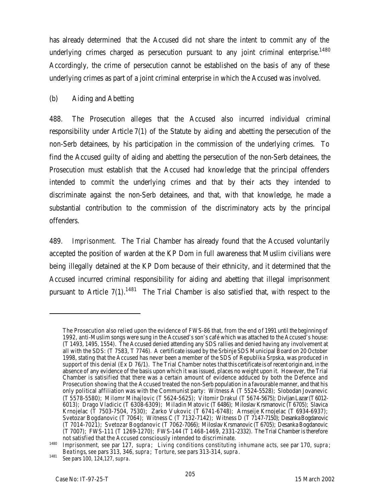has already determined that the Accused did not share the intent to commit any of the underlying crimes charged as persecution pursuant to any joint criminal enterprise.<sup>1480</sup> Accordingly, the crime of persecution cannot be established on the basis of any of these underlying crimes as part of a joint criminal enterprise in which the Accused was involved.

## (b) Aiding and Abetting

488. The Prosecution alleges that the Accused also incurred individual criminal responsibility under Article 7(1) of the Statute by aiding and abetting the persecution of the non-Serb detainees, by his participation in the commission of the underlying crimes. To find the Accused guilty of aiding and abetting the persecution of the non-Serb detainees, the Prosecution must establish that the Accused had knowledge that the principal offenders intended to commit the underlying crimes and that by their acts they intended to discriminate against the non-Serb detainees, and that, with that knowledge, he made a substantial contribution to the commission of the discriminatory acts by the principal offenders.

489. *Imprisonment.* The Trial Chamber has already found that the Accused voluntarily accepted the position of warden at the KP Dom in full awareness that Muslim civilians were being illegally detained at the KP Dom because of their ethnicity, and it determined that the Accused incurred criminal responsibility for aiding and abetting that illegal imprisonment pursuant to Article  $7(1)$ <sup>1481</sup> The Trial Chamber is also satisfied that, with respect to the

 $\overline{a}$ 

The Prosecution also relied upon the evidence of FWS-86 that, from the end of 1991 until the beginning of 1992, anti-Muslim songs were sung in the Accused's son's café which was attached to the Accused's house: (T 1493, 1495, 1554). The Accused denied attending any SDS rallies and denied having any involvement at all with the SDS: (T 7583, T 7746). A certificate issued by the Srbinje SDS Municipal Board on 20 October 1998, stating that the Accused has never been a member of the SDS of Republika Srpska, was produced in support of this denial (Ex D 76/1). The Trial Chamber notes that this certificate is of recent origin and, in the absence of any evidence of the basis upon which it was issued, places no weight upon it. However, the Trial Chamber is satisified that there was a certain amount of evidence adduced by both the Defence and Prosecution showing that the Accused treated the non-Serb population in a favourable manner, and that his only political affiliation was with the Communist party: Witness A (T 5524-5528); Slobodan Jovanevic (T 5578-5580); Milomr Mihajlovic (T 5624-5625); Vitomir Drakul (T 5674-5675); Divljan Lazar (T 6012- 6013); Drago Vladicic (T 6308-6309); Miladin Matovic (T 6486); Miloslav Krsmanovic (T 6705); Slavica Krnojelac (T 7503-7504, 7530); Zarko Vukovic (T 6741-6748); Arnseije Krnojelac (T 6934-6937); Svetozar Bogdanovic (T 7064); Witness C (T 7132-7142); Witness D (T 7147-7150); Desanka Bogdanovic (T 7014-7021); Svetozar Bogdanovic (T 7062-7066); Miloslav Krsmanovic (T 6705); Desanka Bogdanovic (T 7007); FWS-111 (T 1269-1270); FWS-144 (T 1468-1469, 2331-2332). The Trial Chamber is therefore not satisfied that the Accused consciously intended to discriminate.

<sup>1480</sup> *Imprisonment, see* par 127, *supra*; *Living conditions constituting inhumane acts, see* par 170, *supra*; *Beatings*, *see* pars 313, 346, *supra*; T*orture, see* pars 313-314, *supra*.

<sup>1481</sup> *See* pars 100, 124,127, *supra*.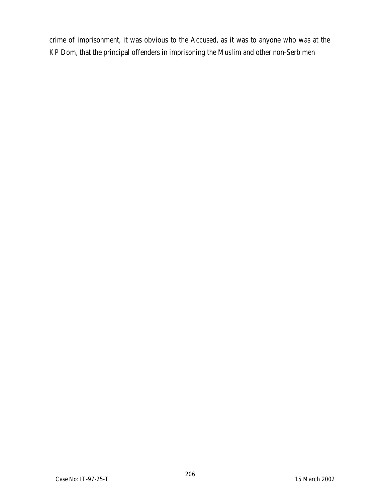crime of imprisonment, it was obvious to the Accused, as it was to anyone who was at the KP Dom, that the principal offenders in imprisoning the Muslim and other non-Serb men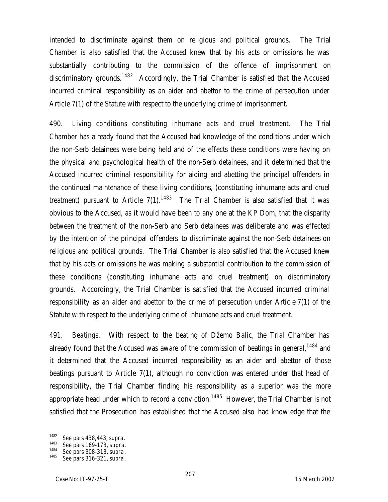intended to discriminate against them on religious and political grounds. The Trial Chamber is also satisfied that the Accused knew that by his acts or omissions he was substantially contributing to the commission of the offence of imprisonment on discriminatory grounds.<sup>1482</sup> Accordingly, the Trial Chamber is satisfied that the Accused incurred criminal responsibility as an aider and abettor to the crime of persecution under Article 7(1) of the Statute with respect to the underlying crime of imprisonment.

490. *Living conditions constituting inhumane acts and cruel treatment.* The Trial Chamber has already found that the Accused had knowledge of the conditions under which the non-Serb detainees were being held and of the effects these conditions were having on the physical and psychological health of the non-Serb detainees, and it determined that the Accused incurred criminal responsibility for aiding and abetting the principal offenders in the continued maintenance of these living conditions, (constituting inhumane acts and cruel treatment) pursuant to Article  $7(1)$ .<sup>1483</sup> The Trial Chamber is also satisfied that it was obvious to the Accused, as it would have been to any one at the KP Dom, that the disparity between the treatment of the non-Serb and Serb detainees was deliberate and was effected by the intention of the principal offenders to discriminate against the non-Serb detainees on religious and political grounds. The Trial Chamber is also satisfied that the Accused knew that by his acts or omissions he was making a substantial contribution to the commission of these conditions (constituting inhumane acts and cruel treatment) on discriminatory grounds. Accordingly, the Trial Chamber is satisfied that the Accused incurred criminal responsibility as an aider and abettor to the crime of persecution under Article 7(1) of the Statute with respect to the underlying crime of inhumane acts and cruel treatment.

491. *Beatings.* With respect to the beating of Džemo Balic, the Trial Chamber has already found that the Accused was aware of the commission of beatings in general,<sup>1484</sup> and it determined that the Accused incurred responsibility as an aider and abettor of those beatings pursuant to Article 7(1), although no conviction was entered under that head of responsibility, the Trial Chamber finding his responsibility as a superior was the more appropriate head under which to record a conviction.<sup>1485</sup> However, the Trial Chamber is not satisfied that the Prosecution has established that the Accused also had knowledge that the

<sup>1482</sup> <sup>1482</sup> *See* pars 438,443, *supra*.

<sup>1483</sup> *See* pars 169-173, *supra.*

<sup>1484</sup> *See* pars 308-313, *supra*.

<sup>1485</sup> *See* pars 316-321, *supra*.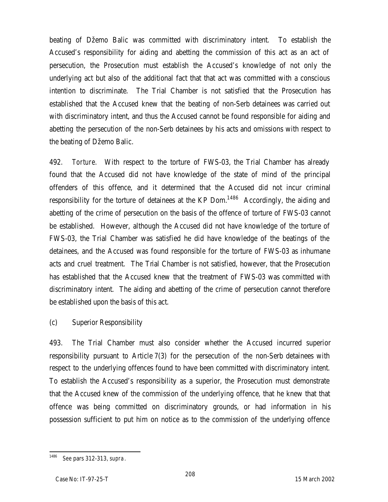beating of Džemo Balic was committed with discriminatory intent. To establish the Accused's responsibility for aiding and abetting the commission of this act as an act of persecution, the Prosecution must establish the Accused's knowledge of not only the underlying act but also of the additional fact that that act was committed with a conscious intention to discriminate. The Trial Chamber is not satisfied that the Prosecution has established that the Accused knew that the beating of non-Serb detainees was carried out with discriminatory intent, and thus the Accused cannot be found responsible for aiding and abetting the persecution of the non-Serb detainees by his acts and omissions with respect to the beating of Džemo Balic.

492. *Torture.* With respect to the torture of FWS-03, the Trial Chamber has already found that the Accused did not have knowledge of the state of mind of the principal offenders of this offence, and it determined that the Accused did not incur criminal responsibility for the torture of detainees at the KP Dom.<sup>1486</sup> Accordingly, the aiding and abetting of the crime of persecution on the basis of the offence of torture of FWS-03 cannot be established. However, although the Accused did not have knowledge of the torture of FWS-03, the Trial Chamber was satisfied he did have knowledge of the beatings of the detainees, and the Accused was found responsible for the torture of FWS-03 as inhumane acts and cruel treatment. The Trial Chamber is not satisfied, however, that the Prosecution has established that the Accused knew that the treatment of FWS-03 was committed with discriminatory intent. The aiding and abetting of the crime of persecution cannot therefore be established upon the basis of this act.

(c) Superior Responsibility

493. The Trial Chamber must also consider whether the Accused incurred superior responsibility pursuant to Article 7(3) for the persecution of the non-Serb detainees with respect to the underlying offences found to have been committed with discriminatory intent. To establish the Accused's responsibility as a superior, the Prosecution must demonstrate that the Accused knew of the commission of the underlying offence, that he knew that that offence was being committed on discriminatory grounds, or had information in his possession sufficient to put him on notice as to the commission of the underlying offence

<sup>1486</sup> <sup>1486</sup> *See* pars 312-313, *supra*.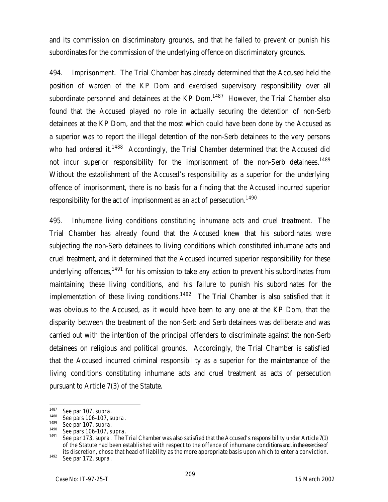and its commission on discriminatory grounds, and that he failed to prevent or punish his subordinates for the commission of the underlying offence on discriminatory grounds.

494. *Imprisonment*. The Trial Chamber has already determined that the Accused held the position of warden of the KP Dom and exercised supervisory responsibility over all subordinate personnel and detainees at the  $KP$  Dom.<sup>1487</sup> However, the Trial Chamber also found that the Accused played no role in actually securing the detention of non-Serb detainees at the KP Dom, and that the most which could have been done by the Accused as a superior was to report the illegal detention of the non-Serb detainees to the very persons who had ordered it.<sup>1488</sup> Accordingly, the Trial Chamber determined that the Accused did not incur superior responsibility for the imprisonment of the non-Serb detainees.<sup>1489</sup> Without the establishment of the Accused's responsibility as a superior for the underlying offence of imprisonment, there is no basis for a finding that the Accused incurred superior responsibility for the act of imprisonment as an act of persecution. $^{1490}$ 

495. *Inhumane living conditions constituting inhumane acts and cruel treatment*. The Trial Chamber has already found that the Accused knew that his subordinates were subjecting the non-Serb detainees to living conditions which constituted inhumane acts and cruel treatment, and it determined that the Accused incurred superior responsibility for these underlying offences,  $1491$  for his omission to take any action to prevent his subordinates from maintaining these living conditions, and his failure to punish his subordinates for the implementation of these living conditions.<sup>1492</sup> The Trial Chamber is also satisfied that it was obvious to the Accused, as it would have been to any one at the KP Dom, that the disparity between the treatment of the non-Serb and Serb detainees was deliberate and was carried out with the intention of the principal offenders to discriminate against the non-Serb detainees on religious and political grounds. Accordingly, the Trial Chamber is satisfied that the Accused incurred criminal responsibility as a superior for the maintenance of the living conditions constituting inhumane acts and cruel treatment as acts of persecution pursuant to Article 7(3) of the Statute.

<sup>1487</sup> <sup>1487</sup> *See* par 107, *supra.*

<sup>1488</sup> *See* pars 106-107, *supra*.

<sup>1489</sup> *See* par 107, *supra.*

<sup>1490</sup> *See* pars 106-107, *supra.*

<sup>1491</sup> *See* par 173, *supra*. The Trial Chamber was also satisfied that the Accused's responsibility under Article 7(1) of the Statute had been established with respect to the offence of inhumane conditions and, in the exercise of its discretion, chose that head of liability as the more appropriate basis upon which to enter a conviction.

<sup>1492</sup> *See* par 172, *supra*.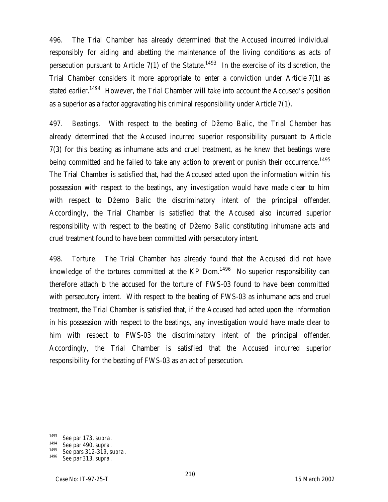496. The Trial Chamber has already determined that the Accused incurred individual responsibly for aiding and abetting the maintenance of the living conditions as acts of persecution pursuant to Article 7(1) of the Statute.<sup>1493</sup> In the exercise of its discretion, the Trial Chamber considers it more appropriate to enter a conviction under Article 7(1) as stated earlier.<sup>1494</sup> However, the Trial Chamber will take into account the Accused's position as a superior as a factor aggravating his criminal responsibility under Article 7(1).

497. *Beatings.* With respect to the beating of Džemo Balic, the Trial Chamber has already determined that the Accused incurred superior responsibility pursuant to Article 7(3) for this beating as inhumane acts and cruel treatment, as he knew that beatings were being committed and he failed to take any action to prevent or punish their occurrence.<sup>1495</sup> The Trial Chamber is satisfied that, had the Accused acted upon the information within his possession with respect to the beatings, any investigation would have made clear to him with respect to Džemo Balic the discriminatory intent of the principal offender. Accordingly, the Trial Chamber is satisfied that the Accused also incurred superior responsibility with respect to the beating of Džemo Balic constituting inhumane acts and cruel treatment found to have been committed with persecutory intent.

498. *Torture*. The Trial Chamber has already found that the Accused did not have knowledge of the tortures committed at the KP Dom. $1496$  No superior responsibility can therefore attach to the accused for the torture of FWS-03 found to have been committed with persecutory intent. With respect to the beating of FWS-03 as inhumane acts and cruel treatment, the Trial Chamber is satisfied that, if the Accused had acted upon the information in his possession with respect to the beatings, any investigation would have made clear to him with respect to FWS-03 the discriminatory intent of the principal offender. Accordingly, the Trial Chamber is satisfied that the Accused incurred superior responsibility for the beating of FWS-03 as an act of persecution.

<sup>1493</sup> <sup>1493</sup> *See* par 173, *supra.*

<sup>1494</sup> *See* par 490, *supra*.

<sup>1495</sup> *See* pars 312-319, *supra*.

See par 313, *supra*.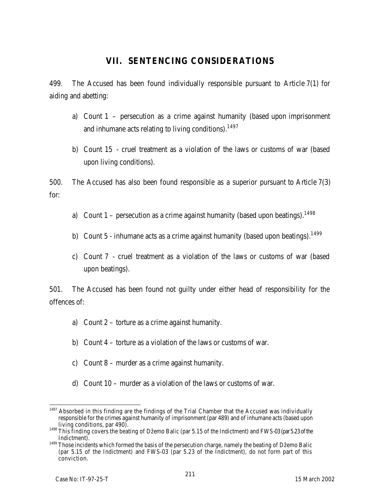# **VII. SENTENCING CONSIDERATIONS**

499. The Accused has been found individually responsible pursuant to Article 7(1) for aiding and abetting:

- a) Count 1 persecution as a crime against humanity (based upon imprisonment and inhumane acts relating to living conditions).<sup>1497</sup>
- b) Count 15 cruel treatment as a violation of the laws or customs of war (based upon living conditions).

500. The Accused has also been found responsible as a superior pursuant to Article 7(3) for:

- a) Count  $1$  persecution as a crime against humanity (based upon beatings).<sup>1498</sup>
- b) Count 5 inhumane acts as a crime against humanity (based upon beatings).<sup>1499</sup>
- c) Count 7 cruel treatment as a violation of the laws or customs of war (based upon beatings).

501. The Accused has been found not guilty under either head of responsibility for the offences of:

- a) Count 2 torture as a crime against humanity.
- b) Count 4 torture as a violation of the laws or customs of war.
- c) Count 8 murder as a crime against humanity.
- d) Count 10 murder as a violation of the laws or customs of war.

 $\overline{a}$  $1497$  Absorbed in this finding are the findings of the Trial Chamber that the Accused was individually responsible for the crimes against humanity of imprisonment (par 489) and of inhumane acts (based upon living conditions, par 490).

<sup>1498</sup> This finding covers the beating of Džemo Balic (par 5.15 of the Indictment) and FWS-03 (par 5.23 of the Indictment).

<sup>&</sup>lt;sup>1499</sup> Those incidents which formed the basis of the persecution charge, namely the beating of Džemo Balic (par 5.15 of the Indictment) and FWS-03 (par 5.23 of the Indictment), do not form part of this conviction.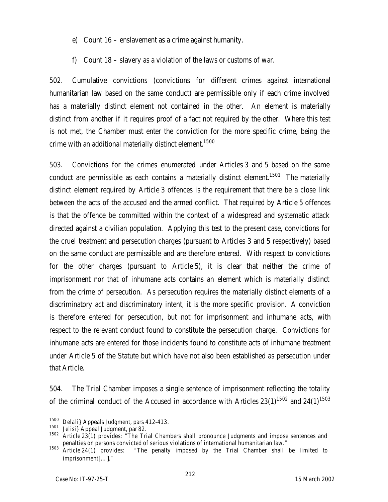- e) Count 16 enslavement as a crime against humanity.
- f) Count 18 slavery as a violation of the laws or customs of war.

502. Cumulative convictions (convictions for different crimes against international humanitarian law based on the same conduct) are permissible only if each crime involved has a materially distinct element not contained in the other. An element is materially distinct from another if it requires proof of a fact not required by the other. Where this test is not met, the Chamber must enter the conviction for the more specific crime, being the crime with an additional materially distinct element.<sup>1500</sup>

503. Convictions for the crimes enumerated under Articles 3 and 5 based on the same conduct are permissible as each contains a materially distinct element.<sup>1501</sup> The materially distinct element required by Article 3 offences is the requirement that there be a close link between the acts of the accused and the armed conflict. That required by Article 5 offences is that the offence be committed within the context of a widespread and systematic attack directed against a civilian population. Applying this test to the present case, convictions for the cruel treatment and persecution charges (pursuant to Articles 3 and 5 respectively) based on the same conduct are permissible and are therefore entered. With respect to convictions for the other charges (pursuant to Article 5), it is clear that neither the crime of imprisonment nor that of inhumane acts contains an element which is materially distinct from the crime of persecution. As persecution requires the materially distinct elements of a discriminatory act and discriminatory intent, it is the more specific provision. A conviction is therefore entered for persecution, but not for imprisonment and inhumane acts, with respect to the relevant conduct found to constitute the persecution charge. Convictions for inhumane acts are entered for those incidents found to constitute acts of inhumane treatment under Article 5 of the Statute but which have not also been established as persecution under that Article.

504. The Trial Chamber imposes a single sentence of imprisonment reflecting the totality of the criminal conduct of the Accused in accordance with Articles  $23(1)^{1502}$  and  $24(1)^{1503}$ 

 $\overline{1}$ <sup>1500</sup> *Delali}* Appeals Judgment, pars 412-413.

<sup>1501</sup> *Jelisi}* Appeal Judgment, par 82.<br><sup>1502</sup> Article 22(1) provides: "The Tri

Article 23(1) provides: "The Trial Chambers shall pronounce Judgments and impose sentences and penalties on persons convicted of serious violations of international humanitarian law."

<sup>1503</sup> Article 24(1) provides: "The penalty imposed by the Trial Chamber shall be limited to imprisonment[…]."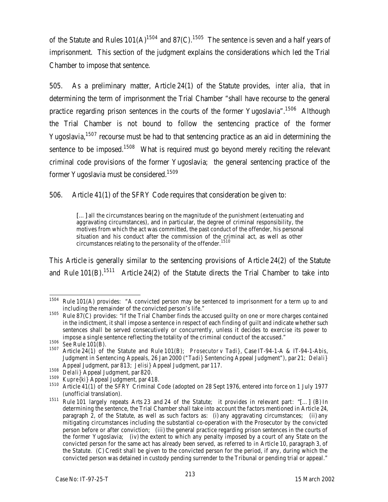of the Statute and Rules 101(A)<sup>1504</sup> and 87(C).<sup>1505</sup> The sentence is seven and a half years of imprisonment. This section of the judgment explains the considerations which led the Trial Chamber to impose that sentence.

505. As a preliminary matter, Article 24(1) of the Statute provides, *inter alia,* that in determining the term of imprisonment the Trial Chamber "shall have recourse to the general practice regarding prison sentences in the courts of the former Yugoslavia".<sup>1506</sup> Although the Trial Chamber is not bound to follow the sentencing practice of the former Yugoslavia,<sup>1507</sup> recourse must be had to that sentencing practice as an aid in determining the sentence to be imposed.<sup>1508</sup> What is required must go beyond merely reciting the relevant criminal code provisions of the former Yugoslavia; the general sentencing practice of the former Yugoslavia must be considered.<sup>1509</sup>

506. Article 41(1) of the SFRY Code requires that consideration be given to:

[...] all the circumstances bearing on the magnitude of the punishment (extenuating and aggravating circumstances), and in particular, the degree of criminal responsibility, the motives from which the act was committed, the past conduct of the offender, his personal situation and his conduct after the commission of the criminal act, as well as other circumstances relating to the personality of the offender.<sup>1510</sup>

This Article is generally similar to the sentencing provisions of Article 24(2) of the Statute and Rule 101(B).<sup>1511</sup> Article 24(2) of the Statute directs the Trial Chamber to take into

<sup>1504</sup> Rule 101(A) provides: "A convicted person may be sentenced to imprisonment for a term up to and including the remainder of the convicted person's life."

<sup>1505</sup> Rule 87(C) provides: "If the Trial Chamber finds the accused guilty on one or more charges contained in the indictment, it shall impose a sentence in respect of each finding of guilt and indicate whether such sentences shall be served consecutively or concurrently, unless it decides to exercise its power to impose a single sentence reflecting the totality of the criminal conduct of the accused."

<sup>1506</sup> *See* Rule 101(B).

<sup>1507</sup> Article 24(1) of the Statute and Rule 101(B); *Prosecutor v Tadi}*, Case IT-94-1-A & IT-94-1-A*bis*, Judgment in Sentencing Appeals, 26 Jan 2000 ("*Tadi}* Sentencing Appeal Judgment"), par 21; *Delali}*  Appeal Judgment, par 813; *Jelisi}* Appeal Judgment, par 117.

<sup>1508</sup> *Delali}* Appeal Judgment, par 820.

<sup>1509</sup> *Kupre{ki}* Appeal Judgment, par 418.

<sup>&</sup>lt;sup>1510</sup> Article 41(1) of the SFRY Criminal Code (adopted on 28 Sept 1976, entered into force on 1 July 1977 (unofficial translation).

<sup>1511</sup> Rule 101 largely repeats Arts 23 and 24 of the Statute; it provides in relevant part: "[…] (B) In determining the sentence, the Trial Chamber shall take into account the factors mentioned in Article 24, paragraph 2, of the Statute, as well as such factors as: (i) any aggravating circumstances; (ii) any mitigating circumstances including the substantial co-operation with the Prosecutor by the convicted person before or after conviction; (iii) the general practice regarding prison sentences in the courts of the former Yugoslavia; (iv) the extent to which any penalty imposed by a court of any State on the convicted person for the same act has already been served, as referred to in Article 10, paragraph 3, of the Statute. (C) Credit shall be given to the convicted person for the period, if any, during which the convicted person was detained in custody pending surrender to the Tribunal or pending trial or appeal."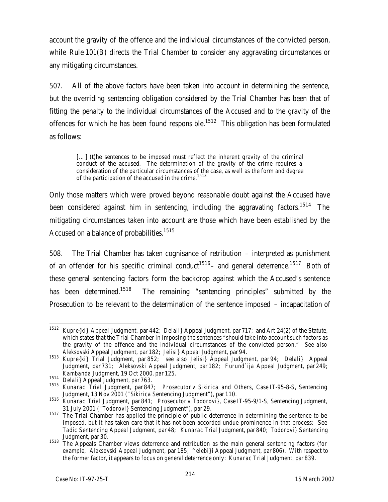account the gravity of the offence and the individual circumstances of the convicted person, while Rule 101(B) directs the Trial Chamber to consider any aggravating circumstances or any mitigating circumstances.

507. All of the above factors have been taken into account in determining the sentence, but the overriding sentencing obligation considered by the Trial Chamber has been that of fitting the penalty to the individual circumstances of the Accused and to the gravity of the offences for which he has been found responsible.<sup>1512</sup> This obligation has been formulated as follows:

[...] (t)he sentences to be imposed must reflect the inherent gravity of the criminal conduct of the accused. The determination of the gravity of the crime requires a consideration of the particular circumstances of the case, as well as the form and degree of the participation of the accused in the crime.<sup>1513</sup>

Only those matters which were proved beyond reasonable doubt against the Accused have been considered against him in sentencing, including the aggravating factors.<sup>1514</sup> The mitigating circumstances taken into account are those which have been established by the Accused on a balance of probabilities.<sup>1515</sup>

508. The Trial Chamber has taken cognisance of retribution – interpreted as punishment of an offender for his specific criminal conduct<sup>1516</sup> – and general deterrence.<sup>1517</sup> Both of these general sentencing factors form the backdrop against which the Accused's sentence has been determined.<sup>1518</sup> The remaining "sentencing principles" submitted by the Prosecution to be relevant to the determination of the sentence imposed – incapacitation of

 $\overline{1}$ <sup>1512</sup> *Kupre{ki}* Appeal Judgment, par 442; *Delali}* Appeal Judgment, par 717; and Art 24(2) of the Statute, which states that the Trial Chamber in imposing the sentences "should take into account such factors as the gravity of the offence and the individual circumstances of the convicted person." *See also Aleksovski* Appeal Judgment, par 182; *Jelisi}* Appeal Judgment, par 94.

<sup>1513</sup> *Kupre{ki}* Trial Judgment, par 852; *see* also *Jelisi}* Appeal Judgment, par 94; *Delali}* Appeal Judgment, par 731; *Aleksovski* Appeal Judgment, par 182; *Furund`ija* Appeal Judgment, par 249; *Kambanda* Judgment, 19 Oct 2000*,* par 125.

<sup>1514</sup> *Delali}* Appeal Judgment, par 763.

<sup>1515</sup> *Kunarac* Trial Judgment, par 847; *Prosecutor v Sikirica and Others*, Case IT-95-8-S, Sentencing Judgment, 13 Nov 2001 ("*Sikirica* Sentencing Judgment"), par 110.

<sup>1516</sup> *Kunarac* Trial Judgment, par 841; *Prosecutor v Todorovi}*, Case IT-95-9/1-S, Sentencing Judgment, 31 July 2001 ("*Todorovi}* Sentencing Judgment"), par 29.

<sup>1517</sup> The Trial Chamber has applied the principle of public deterrence in determining the sentence to be imposed, but it has taken care that it has not been accorded undue prominence in that process: See *Tadic* Sentencing Appeal Judgment, par 48; *Kunarac* Trial Judgment, par 840; *Todorovi}* Sentencing Judgment, par 30.

<sup>1518</sup> The Appeals Chamber views deterrence and retribution as the main general sentencing factors (for example, *Aleksovski* Appeal Judgment, par 185; *^elebi}i* Appeal Judgment, par 806). With respect to the former factor, it appears to focus on general deterrence only: *Kunarac* Trial Judgment, par 839.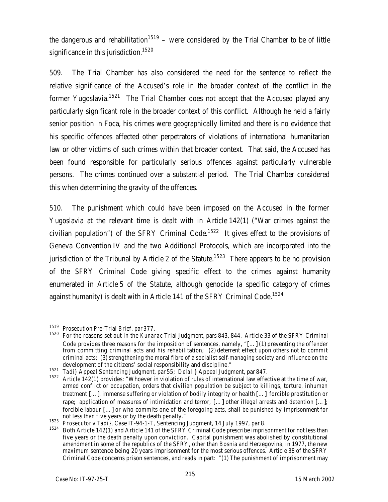the dangerous and rehabilitation<sup>1519</sup> – were considered by the Trial Chamber to be of little significance in this jurisdiction.<sup>1520</sup>

509. The Trial Chamber has also considered the need for the sentence to reflect the relative significance of the Accused's role in the broader context of the conflict in the former Yugoslavia.<sup>1521</sup> The Trial Chamber does not accept that the Accused played any particularly significant role in the broader context of this conflict. Although he held a fairly senior position in Foca, his crimes were geographically limited and there is no evidence that his specific offences affected other perpetrators of violations of international humanitarian law or other victims of such crimes within that broader context. That said, the Accused has been found responsible for particularly serious offences against particularly vulnerable persons. The crimes continued over a substantial period. The Trial Chamber considered this when determining the gravity of the offences.

510. The punishment which could have been imposed on the Accused in the former Yugoslavia at the relevant time is dealt with in Article 142(1) ("War crimes against the civilian population") of the SFRY Criminal Code.<sup>1522</sup> It gives effect to the provisions of Geneva Convention IV and the two Additional Protocols, which are incorporated into the jurisdiction of the Tribunal by Article 2 of the Statute.<sup>1523</sup> There appears to be no provision of the SFRY Criminal Code giving specific effect to the crimes against humanity enumerated in Article 5 of the Statute, although genocide (a specific category of crimes against humanity) is dealt with in Article 141 of the SFRY Criminal Code.<sup>1524</sup>

 $\overline{1}$ <sup>1519</sup> Prosecution Pre-Trial Brief, par 377.

<sup>1520</sup> For the reasons set out in the *Kunarac* Trial Judgment, pars 843, 844. Article 33 of the SFRY Criminal Code provides three reasons for the imposition of sentences, namely, "[…] (1) preventing the offender from committing criminal acts and his rehabilitation; (2) deterrent effect upon others not to commit criminal acts; (3) strengthening the moral fibre of a socialist self-managing society and influence on the development of the citizens' social responsibility and discipline."

<sup>1521</sup> *Tadi}* Appeal Sentencing Judgment, par 55; *Delali}* Appeal Judgment, par 847.

<sup>1522</sup> Article 142(1) provides: "Whoever in violation of rules of international law effective at the time of war, armed conflict or occupation, orders that civilian population be subject to killings, torture, inhuman treatment […], immense suffering or violation of bodily integrity or health […] forcible prostitution or rape; application of measures of intimidation and terror, [...] other illegal arrests and detention [...]; forcible labour […] or who commits one of the foregoing acts, shall be punished by imprisonment for not less than five years or by the death penalty."

<sup>1523</sup> *Prosecutor v Tadi},* Case IT-94-1-T, Sentencing Judgment, 14 July 1997, par 8.

<sup>1524</sup> Both Article 142(1) and Article 141 of the SFRY Criminal Code prescribe imprisonment for not less than five years or the death penalty upon conviction. Capital punishment was abolished by constitutional amendment in some of the republics of the SFRY, other than Bosnia and Herzegovina, in 1977, the new maximum sentence being 20 years imprisonment for the most serious offences. Article 38 of the SFRY Criminal Code concerns prison sentences, and reads in part: "(1) The punishment of imprisonment may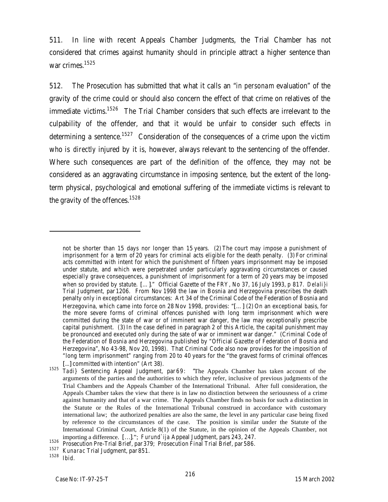511. In line with recent Appeals Chamber Judgments, the Trial Chamber has not considered that crimes against humanity should in principle attract a higher sentence than war crimes.<sup>1525</sup>

512. The Prosecution has submitted that what it calls an "*in personam* evaluation" of the gravity of the crime could or should also concern the effect of that crime on relatives of the immediate victims.<sup>1526</sup> The Trial Chamber considers that such effects are irrelevant to the culpability of the offender, and that it would be unfair to consider such effects in determining a sentence.<sup>1527</sup> Consideration of the consequences of a crime upon the victim who is *directly* injured by it is, however, always relevant to the sentencing of the offender. Where such consequences are part of the definition of the offence, they may not be considered as an aggravating circumstance in imposing sentence, but the extent of the longterm physical, psychological and emotional suffering of the immediate victims is relevant to the gravity of the offences.<sup>1528</sup>

 $\overline{a}$ 

not be shorter than 15 days nor longer than 15 years. (2) The court may impose a punishment of imprisonment for a term of 20 years for criminal acts eligible for the death penalty. (3) For criminal acts committed with intent for which the punishment of fifteen years imprisonment may be imposed under statute, and which were perpetrated under particularly aggravating circumstances or caused especially grave consequences, a punishment of imprisonment for a term of 20 years may be imposed when so provided by statute. […]." Official Gazette of the FRY, No 37, 16 July 1993, p 817. *Delali}i*  Trial Judgment, par 1206. From Nov 1998 the law in Bosnia and Herzegovina prescribes the death penalty only in exceptional circumstances: Art 34 of the Criminal Code of the Federation of Bosnia and Herzegovina, which came into force on 28 Nov 1998, provides: "[…] (2) On an exceptional basis, for the more severe forms of criminal offences punished with long term imprisonment which were committed during the state of war or of imminent war danger, the law may exceptionally prescribe capital punishment. (3) In the case defined in paragraph 2 of this Article, the capital punishment may be pronounced and executed only during the sate of war or imminent war danger." (Criminal Code of the Federation of Bosnia and Herzegovina published by "Official Gazette of Federation of Bosnia and Herzegovina", No 43-98, Nov 20, 1998). That Criminal Code also now provides for the imposition of "long term imprisonment" ranging from 20 to 40 years for the "the gravest forms of criminal offences [...] committed with intention" (Art 38).

<sup>1525</sup> *Tadi}* Sentencing Appeal Judgment, par 69: "The Appeals Chamber has taken account of the arguments of the parties and the authorities to which they refer, inclusive of previous judgments of the Trial Chambers and the Appeals Chamber of the International Tribunal. After full consideration, the Appeals Chamber takes the view that there is in law no distinction between the seriousness of a crime against humanity and that of a war crime. The Appeals Chamber finds no basis for such a distinction in the Statute or the Rules of the International Tribunal construed in accordance with customary international law; the authorized penalties are also the same, the level in any particular case being fixed by reference to the circumstances of the case. The position is similar under the Statute of the International Criminal Court, Article 8(1) of the Statute, in the opinion of the Appeals Chamber, not importing a difference. […]."; *Furund`ija* Appeal Judgment, pars 243, 247.

<sup>1526</sup> Prosecution Pre-Trial Brief, par 379; Prosecution Final Trial Brief, par 586.

<sup>1527</sup> *Kunarac* Trial Judgment, par 851.

<sup>1528</sup> *Ibid.*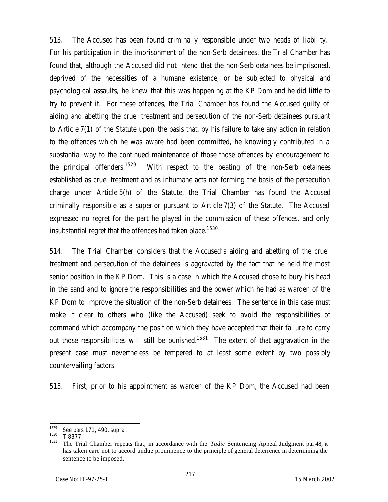513. The Accused has been found criminally responsible under two heads of liability. For his participation in the imprisonment of the non-Serb detainees, the Trial Chamber has found that, although the Accused did not intend that the non-Serb detainees be imprisoned, deprived of the necessities of a humane existence, or be subjected to physical and psychological assaults, he knew that this was happening at the KP Dom and he did little to try to prevent it. For these offences, the Trial Chamber has found the Accused guilty of aiding and abetting the cruel treatment and persecution of the non-Serb detainees pursuant to Article 7(1) of the Statute upon the basis that, by his failure to take any action in relation to the offences which he was aware had been committed, he knowingly contributed in a substantial way to the continued maintenance of those those offences by encouragement to the principal offenders.<sup>1529</sup> With respect to the beating of the non-Serb detainees established as cruel treatment and as inhumane acts not forming the basis of the persecution charge under Article 5(h) of the Statute, the Trial Chamber has found the Accused criminally responsible as a superior pursuant to Article 7(3) of the Statute. The Accused expressed no regret for the part he played in the commission of these offences, and only insubstantial regret that the offences had taken place.<sup>1530</sup>

514. The Trial Chamber considers that the Accused's aiding and abetting of the cruel treatment and persecution of the detainees is aggravated by the fact that he held the most senior position in the KP Dom. This is a case in which the Accused chose to bury his head in the sand and to ignore the responsibilities and the power which he had as warden of the KP Dom to improve the situation of the non-Serb detainees. The sentence in this case must make it clear to others who (like the Accused) seek to avoid the responsibilities of command which accompany the position which they have accepted that their failure to carry out those responsibilities will still be punished.<sup>1531</sup> The extent of that aggravation in the present case must nevertheless be tempered to at least some extent by two possibly countervailing factors.

515. First, prior to his appointment as warden of the KP Dom, the Accused had been

<sup>1529</sup> <sup>1529</sup> *See* pars 171, 490, *supra*.

 $^{1530}$  T 8377.

<sup>1531</sup> The Trial Chamber repeats that, in accordance with the *Tadic* Sentencing Appeal Judgment par 48, it has taken care not to accord undue prominence to the principle of general deterrence in determining the sentence to be imposed.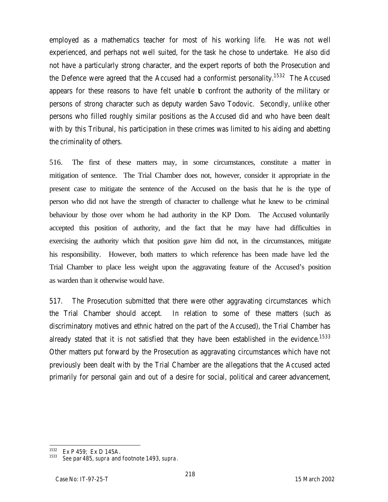employed as a mathematics teacher for most of his working life. He was not well experienced, and perhaps not well suited, for the task he chose to undertake. He also did not have a particularly strong character, and the expert reports of both the Prosecution and the Defence were agreed that the Accused had a conformist personality.<sup>1532</sup> The Accused appears for these reasons to have felt unable to confront the authority of the military or persons of strong character such as deputy warden Savo Todovic. Secondly, unlike other persons who filled roughly similar positions as the Accused did and who have been dealt with by this Tribunal, his participation in these crimes was limited to his aiding and abetting the criminality of others.

516. The first of these matters may, in some circumstances, constitute a matter in mitigation of sentence. The Trial Chamber does not, however, consider it appropriate in the present case to mitigate the sentence of the Accused on the basis that he is the type of person who did not have the strength of character to challenge what he knew to be criminal behaviour by those over whom he had authority in the KP Dom. The Accused voluntarily accepted this position of authority, and the fact that he may have had difficulties in exercising the authority which that position gave him did not, in the circumstances, mitigate his responsibility. However, both matters to which reference has been made have led the Trial Chamber to place less weight upon the aggravating feature of the Accused's position as warden than it otherwise would have.

517. The Prosecution submitted that there were other aggravating circumstances which the Trial Chamber should accept. In relation to some of these matters (such as discriminatory motives and ethnic hatred on the part of the Accused), the Trial Chamber has already stated that it is not satisfied that they have been established in the evidence.<sup>1533</sup> Other matters put forward by the Prosecution as aggravating circumstances which have not previously been dealt with by the Trial Chamber are the allegations that the Accused acted primarily for personal gain and out of a desire for social, political and career advancement,

 $\overline{a}$ 

 $1532$  Ex P 459; Ex D 145A.

<sup>1533</sup> *See* par 485, *supra* and footnote 1493, *supra*.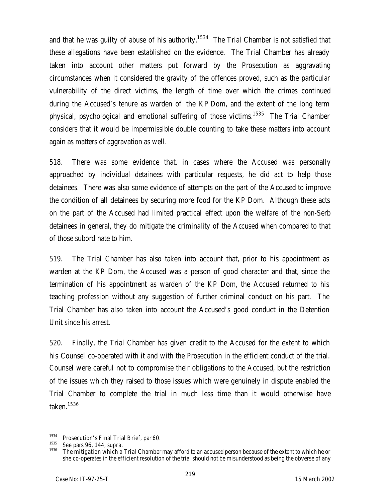and that he was guilty of abuse of his authority.<sup>1534</sup> The Trial Chamber is not satisfied that these allegations have been established on the evidence. The Trial Chamber has already taken into account other matters put forward by the Prosecution as aggravating circumstances when it considered the gravity of the offences proved, such as the particular vulnerability of the direct victims, the length of time over which the crimes continued during the Accused's tenure as warden of the KP Dom, and the extent of the long term physical, psychological and emotional suffering of those victims.<sup>1535</sup> The Trial Chamber considers that it would be impermissible double counting to take these matters into account again as matters of aggravation as well.

518. There was some evidence that, in cases where the Accused was personally approached by individual detainees with particular requests, he did act to help those detainees. There was also some evidence of attempts on the part of the Accused to improve the condition of all detainees by securing more food for the KP Dom. Although these acts on the part of the Accused had limited practical effect upon the welfare of the non-Serb detainees in general, they do mitigate the criminality of the Accused when compared to that of those subordinate to him.

519. The Trial Chamber has also taken into account that, prior to his appointment as warden at the KP Dom, the Accused was a person of good character and that, since the termination of his appointment as warden of the KP Dom, the Accused returned to his teaching profession without any suggestion of further criminal conduct on his part. The Trial Chamber has also taken into account the Accused's good conduct in the Detention Unit since his arrest.

520. Finally, the Trial Chamber has given credit to the Accused for the extent to which his Counsel co-operated with it and with the Prosecution in the efficient conduct of the trial. Counsel were careful not to compromise their obligations to the Accused, but the restriction of the issues which they raised to those issues which were genuinely in dispute enabled the Trial Chamber to complete the trial in much less time than it would otherwise have taken.<sup>1536</sup>

<sup>1534</sup> <sup>1534</sup> Prosecution's Final Trial Brief, par 60.<br><sup>1535</sup> Soo pars 06, 144 supra

<sup>&</sup>lt;sup>1535</sup> *See* pars 96, 144, *supra*.<br><sup>1536</sup> The mitigation which a

The mitigation which a Trial Chamber may afford to an accused person because of the extent to which he or she co-operates in the efficient resolution of the trial should not be misunderstood as being the obverse of any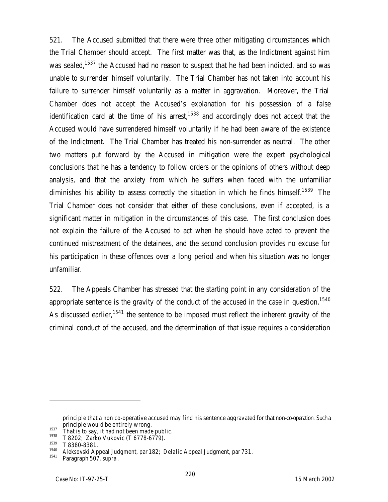521. The Accused submitted that there were three other mitigating circumstances which the Trial Chamber should accept. The first matter was that, as the Indictment against him was sealed,<sup>1537</sup> the Accused had no reason to suspect that he had been indicted, and so was unable to surrender himself voluntarily. The Trial Chamber has not taken into account his failure to surrender himself voluntarily as a matter in aggravation. Moreover, the Trial Chamber does not accept the Accused's explanation for his possession of a false identification card at the time of his arrest, $1538$  and accordingly does not accept that the Accused would have surrendered himself voluntarily if he had been aware of the existence of the Indictment. The Trial Chamber has treated his non-surrender as neutral. The other two matters put forward by the Accused in mitigation were the expert psychological conclusions that he has a tendency to follow orders or the opinions of others without deep analysis, and that the anxiety from which he suffers when faced with the unfamiliar diminishes his ability to assess correctly the situation in which he finds himself.<sup>1539</sup> The Trial Chamber does not consider that either of these conclusions, even if accepted, is a significant matter in mitigation in the circumstances of this case. The first conclusion does not explain the failure of the Accused to act when he should have acted to prevent the continued mistreatment of the detainees, and the second conclusion provides no excuse for his participation in these offences over a long period and when his situation was no longer unfamiliar.

522. The Appeals Chamber has stressed that the starting point in any consideration of the appropriate sentence is the gravity of the conduct of the accused in the case in question.<sup>1540</sup> As discussed earlier,<sup>1541</sup> the sentence to be imposed must reflect the inherent gravity of the criminal conduct of the accused, and the determination of that issue requires a consideration

 $\overline{a}$ 

principle that a non co-operative accused may find his sentence aggravated for that non-co-operation. Such a principle would be entirely wrong.

<sup>&</sup>lt;sup>1537</sup> That is to say, it had not been made public.<br><sup>1538</sup> That is to say, it had not been made public.

 $^{1538}$  T 8202; Zarko Vukovic (T 6778-6779).

 $^{1539}$  T 8380-8381.

<sup>1540</sup> *Aleksovski* Appeal Judgment, par 182; *Delalic* Appeal Judgment, par 731.

Paragraph 507, *supra*.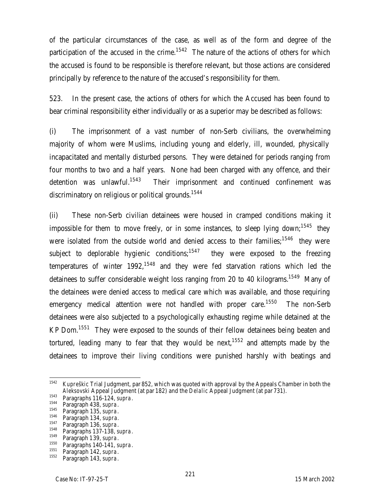of the particular circumstances of the case, as well as of the form and degree of the participation of the accused in the crime.<sup>1542</sup> The nature of the actions of others for which the accused is found to be responsible is therefore relevant, but those actions are considered principally by reference to the nature of the accused's responsibility for them.

523. In the present case, the actions of others for which the Accused has been found to bear criminal responsibility either individually or as a superior may be described as follows:

(i) The imprisonment of a vast number of non-Serb civilians, the overwhelming majority of whom were Muslims, including young and elderly, ill, wounded, physically incapacitated and mentally disturbed persons. They were detained for periods ranging from four months to two and a half years. None had been charged with any offence, and their detention was unlawful.<sup>1543</sup> Their imprisonment and continued confinement was discriminatory on religious or political grounds.<sup>1544</sup>

(ii) These non-Serb civilian detainees were housed in cramped conditions making it impossible for them to move freely, or in some instances, to sleep lying down;<sup>1545</sup> they were isolated from the outside world and denied access to their families;<sup>1546</sup> they were subject to deplorable hygienic conditions;<sup>1547</sup> they were exposed to the freezing temperatures of winter  $1992$ ,<sup>1548</sup> and they were fed starvation rations which led the detainees to suffer considerable weight loss ranging from 20 to 40 kilograms.<sup>1549</sup> Many of the detainees were denied access to medical care which was available, and those requiring emergency medical attention were not handled with proper care.<sup>1550</sup> The non-Serb detainees were also subjected to a psychologically exhausting regime while detained at the KP Dom.<sup>1551</sup> They were exposed to the sounds of their fellow detainees being beaten and tortured, leading many to fear that they would be next,  $1552$  and attempts made by the detainees to improve their living conditions were punished harshly with beatings and

<sup>1542</sup> <sup>1542</sup> *Kupreškic* Trial Judgment, par 852, which was quoted with approval by the Appeals Chamber in both the *Aleksovski* Appeal Judgment (at par 182) and the *Delalic* Appeal Judgment (at par 731).

<sup>1543</sup> Paragraphs 116-124, *supra*.

<sup>1544</sup> Paragraph 438, *supra*.

<sup>1545</sup> Paragraph 135, *supra*.

<sup>1546</sup> Paragraph 134, *supra.*

<sup>&</sup>lt;sup>1547</sup> Paragraph 136, *supra*.<br><sup>1548</sup> Paragraphs 137, 139

<sup>&</sup>lt;sup>1548</sup> Paragraphs 137-138, *supra*.

<sup>1549</sup> Paragraph 139, *supra*.

<sup>1550</sup> Paragraphs 140-141, *supra*.

<sup>&</sup>lt;sup>1551</sup> Paragraph 142, *supra*.<br><sup>1552</sup> Paragraph 143, *supra*.

Paragraph 143, *supra*.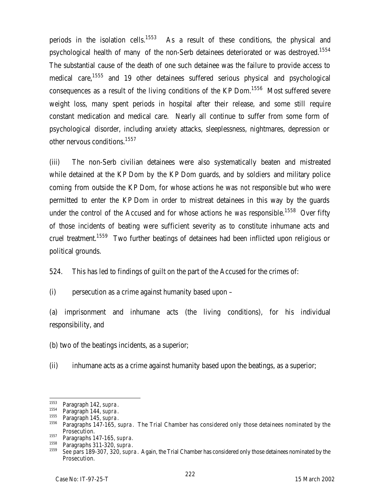periods in the isolation cells.<sup>1553</sup> As a result of these conditions, the physical and psychological health of many of the non-Serb detainees deteriorated or was destroyed.<sup>1554</sup> The substantial cause of the death of one such detainee was the failure to provide access to medical care,<sup>1555</sup> and 19 other detainees suffered serious physical and psychological consequences as a result of the living conditions of the KP Dom.<sup>1556</sup> Most suffered severe weight loss, many spent periods in hospital after their release, and some still require constant medication and medical care. Nearly all continue to suffer from some form of psychological disorder, including anxiety attacks, sleeplessness, nightmares, depression or other nervous conditions.<sup>1557</sup>

(iii) The non-Serb civilian detainees were also systematically beaten and mistreated while detained at the KP Dom by the KP Dom guards, and by soldiers and military police coming from outside the KP Dom, for whose actions he was *not* responsible but who were permitted to enter the KP Dom in order to mistreat detainees in this way by the guards under the control of the Accused and for whose actions he *was* responsible.<sup>1558</sup> Over fifty of those incidents of beating were sufficient severity as to constitute inhumane acts and cruel treatment.<sup>1559</sup> Two further beatings of detainees had been inflicted upon religious or political grounds.

524. This has led to findings of guilt on the part of the Accused for the crimes of:

(i) persecution as a crime against humanity based upon –

(a) imprisonment and inhumane acts (the living conditions), for his individual responsibility, and

(b) two of the beatings incidents, as a superior;

(ii) inhumane acts as a crime against humanity based upon the beatings, as a superior;

<sup>1553</sup> <sup>1553</sup> Paragraph 142, *supra*.

<sup>&</sup>lt;sup>1554</sup> Paragraph 144, *supra*.

<sup>&</sup>lt;sup>1555</sup> Paragraph 145, *supra*.<br><sup>1556</sup> Paragraphs 147, 145

<sup>1556</sup> Paragraphs 147-165, *supra*. The Trial Chamber has considered only those detainees nominated by the Prosecution.

<sup>1557</sup> Paragraphs 147-165, *supra.*

<sup>1558</sup> Paragraphs 311-320, *supra*.

<sup>1559</sup> *See* pars 189-307, 320, *supra*. Again, the Trial Chamber has considered only those detainees nominated by the Prosecution.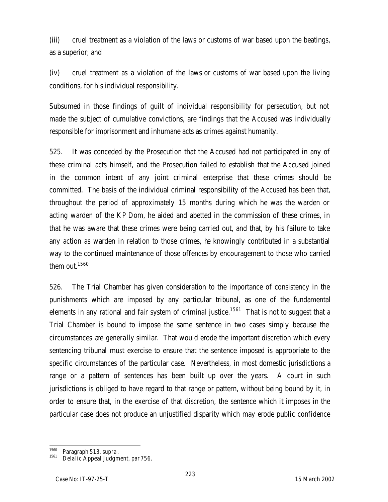(iii) cruel treatment as a violation of the laws or customs of war based upon the beatings, as a superior; and

(iv) cruel treatment as a violation of the laws or customs of war based upon the living conditions, for his individual responsibility.

Subsumed in those findings of guilt of individual responsibility for persecution, but not made the subject of cumulative convictions, are findings that the Accused was individually responsible for imprisonment and inhumane acts as crimes against humanity.

525. It was conceded by the Prosecution that the Accused had not participated in any of these criminal acts himself, and the Prosecution failed to establish that the Accused joined in the common intent of any joint criminal enterprise that these crimes should be committed. The basis of the individual criminal responsibility of the Accused has been that, throughout the period of approximately 15 months during which he was the warden or acting warden of the KP Dom, he aided and abetted in the commission of these crimes, in that he was aware that these crimes were being carried out, and that, by his failure to take any action as warden in relation to those crimes, he knowingly contributed in a substantial way to the continued maintenance of those offences by encouragement to those who carried them out.<sup>1560</sup>

526. The Trial Chamber has given consideration to the importance of consistency in the punishments which are imposed by any particular tribunal, as one of the fundamental elements in any rational and fair system of criminal justice.<sup>1561</sup> That is not to suggest that a Trial Chamber is bound to impose the same sentence in two cases simply because the circumstances are *generally* similar. That would erode the important discretion which every sentencing tribunal must exercise to ensure that the sentence imposed is appropriate to the specific circumstances of the particular case. Nevertheless, in most domestic jurisdictions a range or a pattern of sentences has been built up over the years. A court in such jurisdictions is obliged to have regard to that range or pattern, without being bound by it, in order to ensure that, in the exercise of that discretion, the sentence which it imposes in the particular case does not produce an unjustified disparity which may erode public confidence

<sup>1560</sup> Paragraph 513, *supra*.

<sup>1561</sup> *Delalic* Appeal Judgment, par 756.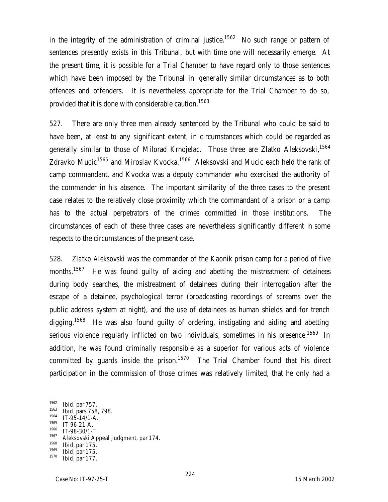in the integrity of the administration of criminal justice.<sup>1562</sup> No such range or pattern of sentences presently exists in this Tribunal, but with time one will necessarily emerge. At the present time, it is possible for a Trial Chamber to have regard only to those sentences which have been imposed by the Tribunal in *generally* similar circumstances as to both offences and offenders. It is nevertheless appropriate for the Trial Chamber to do so, provided that it is done with considerable caution.<sup>1563</sup>

527. There are only three men already sentenced by the Tribunal who could be said to have been, at least to any significant extent, in circumstances which *could* be regarded as generally similar to those of Milorad Krnojelac. Those three are Zlatko Aleksovski,<sup>1564</sup> Zdravko Mucic<sup>1565</sup> and Miroslav Kvocka.<sup>1566</sup> Aleksovski and Mucic each held the rank of camp commandant, and Kvocka was a deputy commander who exercised the authority of the commander in his absence. The important similarity of the three cases to the present case relates to the relatively close proximity which the commandant of a prison or a camp has to the actual perpetrators of the crimes committed in those institutions. The circumstances of each of these three cases are nevertheless significantly different in some respects to the circumstances of the present case.

528. *Zlatko Aleksovski* was the commander of the Kaonik prison camp for a period of five months.<sup>1567</sup> He was found guilty of aiding and abetting the mistreatment of detainees during body searches, the mistreatment of detainees during their interrogation after the escape of a detainee, psychological terror (broadcasting recordings of screams over the public address system at night), and the use of detainees as human shields and for trench digging.<sup>1568</sup> He was also found guilty of ordering, instigating and aiding and abetting serious violence regularly inflicted on two individuals, sometimes in his presence.<sup>1569</sup> In addition, he was found criminally responsible as a superior for various acts of violence committed by guards inside the prison.<sup>1570</sup> The Trial Chamber found that his direct participation in the commission of those crimes was relatively limited, that he only had a

<sup>1562</sup> <sup>1562</sup> *Ibid*, par 757.

<sup>&</sup>lt;sup>1563</sup> *Ibid*, pars 758, 798.

 $^{1564}$  IT-95-14/1-A.

 $^{1565}$  IT-96-21-A.

 $^{1566}$  IT-98-30/1-T.

<sup>1567</sup> *Aleksovski* Appeal Judgment, par 174.

<sup>1568</sup> *Ibid,* par 175.

<sup>1569</sup> *Ibid*, par 175.

*Ibid*, par 177.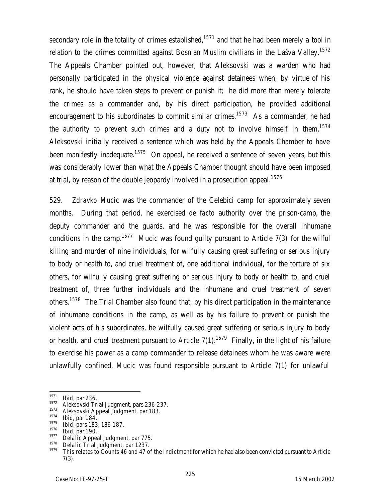secondary role in the totality of crimes established, $1571$  and that he had been merely a tool in relation to the crimes committed against Bosnian Muslim civilians in the Lašva Valley.<sup>1572</sup> The Appeals Chamber pointed out, however, that Aleksovski was a warden who had personally participated in the physical violence against detainees when, by virtue of his rank, he should have taken steps to prevent or punish it; he did more than merely tolerate the crimes as a commander and, by his direct participation, he provided additional encouragement to his subordinates to commit similar crimes.<sup>1573</sup> As a commander, he had the authority to prevent such crimes and a duty not to involve himself in them.<sup>1574</sup> Aleksovski initially received a sentence which was held by the Appeals Chamber to have been manifestly inadequate.<sup>1575</sup> On appeal, he received a sentence of seven years, but this was considerably lower than what the Appeals Chamber thought should have been imposed at trial, by reason of the double jeopardy involved in a prosecution appeal.<sup>1576</sup>

529. *Zdravko Mucic* was the commander of the Celebici camp for approximately seven months. During that period, he exercised *de facto* authority over the prison-camp, the deputy commander and the guards, and he was responsible for the overall inhumane conditions in the camp.<sup>1577</sup> Mucic was found quilty pursuant to Article 7(3) for the wilful killing and murder of nine individuals, for wilfully causing great suffering or serious injury to body or health to, and cruel treatment of, one additional individual, for the torture of six others, for wilfully causing great suffering or serious injury to body or health to, and cruel treatment of, three further individuals and the inhumane and cruel treatment of seven others.<sup>1578</sup> The Trial Chamber also found that, by his direct participation in the maintenance of inhumane conditions in the camp, as well as by his failure to prevent or punish the violent acts of his subordinates, he wilfully caused great suffering or serious injury to body or health, and cruel treatment pursuant to Article  $7(1)$ .<sup>1579</sup> Finally, in the light of his failure to exercise his power as a camp commander to release detainees whom he was aware were unlawfully confined, Mucic was found responsible pursuant to Article 7(1) for unlawful

<sup>1571</sup> <sup>1571</sup> *Ibid*, par 236.

<sup>1572</sup> *Aleksovski* Trial Judgment, pars 236-237.

<sup>1573</sup> *Aleksovski* Appeal Judgment, par 183.

<sup>1574</sup> *Ibid,* par 184.

<sup>1575</sup> *Ibid*, pars 183, 186-187.

<sup>1576</sup> *Ibid*, par 190.

<sup>1577</sup> *Delalic* Appeal Judgment, par 775.

<sup>&</sup>lt;sup>1578</sup> *Delalic* Trial Judgment, par 1237.

<sup>1579</sup> This relates to Counts 46 and 47 of the Indictment for which he had also been convicted pursuant to Article 7(3).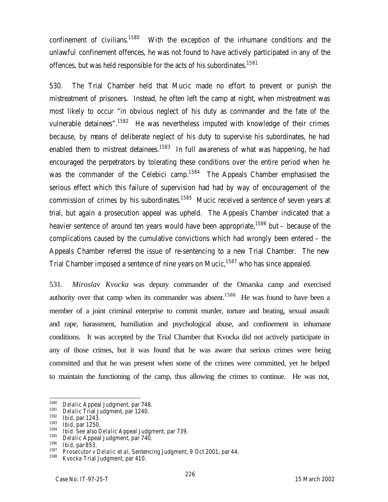confinement of civilians.<sup>1580</sup> With the exception of the inhumane conditions and the unlawful confinement offences, he was not found to have actively participated in any of the offences, but was held responsible for the acts of his subordinates.<sup>1581</sup>

530. The Trial Chamber held that Mucic made no effort to prevent or punish the mistreatment of prisoners. Instead, he often left the camp at night, when mistreatment was most likely to occur "in obvious neglect of his duty as commander and the fate of the vulnerable detainees".<sup>1582</sup> He was nevertheless imputed with knowledge of their crimes because, by means of deliberate neglect of his duty to supervise his subordinates, he had enabled them to mistreat detainees.<sup>1583</sup> In full awareness of what was happening, he had encouraged the perpetrators by tolerating these conditions over the entire period when he was the commander of the Celebici camp.<sup>1584</sup> The Appeals Chamber emphasised the serious effect which this failure of supervision had had by way of encouragement of the commission of crimes by his subordinates.<sup>1585</sup> Mucic received a sentence of seven years at trial, but again a prosecution appeal was upheld. The Appeals Chamber indicated that a heavier sentence of around ten years would have been appropriate,<sup>1586</sup> but – because of the complications caused by the cumulative convictions which had wrongly been entered – the Appeals Chamber referred the issue of re-sentencing to a new Trial Chamber. The new Trial Chamber imposed a sentence of nine years on Mucic,<sup>1587</sup> who has since appealed.

531. *Miroslav Kvocka* was deputy commander of the Omarska camp and exercised authority over that camp when its commander was absent.<sup>1588</sup> He was found to have been a member of a joint criminal enterprise to commit murder, torture and beating, sexual assault and rape, harassment, humiliation and psychological abuse, and confinement in inhumane conditions. It was accepted by the Trial Chamber that Kvocka did not actively participate in any of those crimes, but it was found that he was aware that serious crimes were being committed and that he was present when some of the crimes were committed, yet he helped to maintain the functioning of the camp, thus allowing the crimes to continue. He was not,

<sup>1580</sup> <sup>1580</sup> *Delalic* Appeal Judgment, par 748.

<sup>&</sup>lt;sup>1581</sup> *Delalic* Trial Judgment, par 1240.

<sup>1582</sup> *Ibid*, par 1243.

<sup>1583</sup> *Ibid*, par 1250.

<sup>1584</sup> *Ibid. See* also *Delalic* Appeal Judgment, par 739.

<sup>&</sup>lt;sup>1585</sup> *Delalic* Appeal Judgment, par 740.<br><sup>1586</sup> Lhid par 853

<sup>1586</sup> *Ibid*, par 853.

<sup>1587</sup> *Prosecutor v Delalic et al*, Sentencing Judgment, 9 Oct 2001, par 44.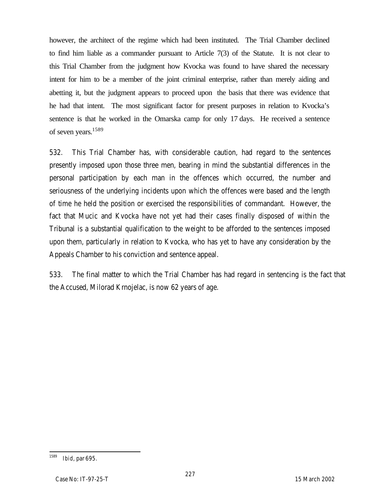however, the architect of the regime which had been instituted. The Trial Chamber declined to find him liable as a commander pursuant to Article 7(3) of the Statute. It is not clear to this Trial Chamber from the judgment how Kvocka was found to have shared the necessary intent for him to be a member of the joint criminal enterprise, rather than merely aiding and abetting it, but the judgment appears to proceed upon the basis that there was evidence that he had that intent. The most significant factor for present purposes in relation to Kvocka's sentence is that he worked in the Omarska camp for only 17 days. He received a sentence of seven years.<sup>1589</sup>

532. This Trial Chamber has, with considerable caution, had regard to the sentences presently imposed upon those three men, bearing in mind the substantial differences in the personal participation by each man in the offences which occurred, the number and seriousness of the underlying incidents upon which the offences were based and the length of time he held the position or exercised the responsibilities of commandant. However, the fact that Mucic and Kvocka have not yet had their cases finally disposed of within the Tribunal is a substantial qualification to the weight to be afforded to the sentences imposed upon them, particularly in relation to Kvocka, who has yet to have any consideration by the Appeals Chamber to his conviction and sentence appeal.

533. The final matter to which the Trial Chamber has had regard in sentencing is the fact that the Accused, Milorad Krnojelac, is now 62 years of age.

<sup>1589</sup> *Ibid*, par 695.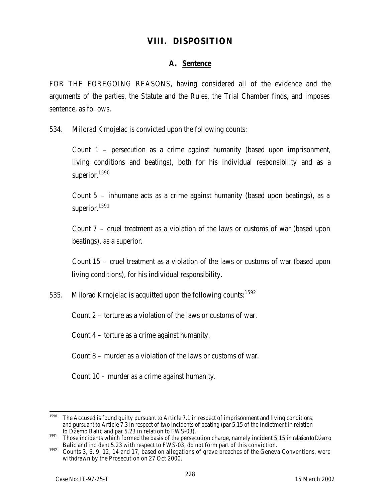# **VIII. DISPOSITION**

### **A. Sentence**

FOR THE FOREGOING REASONS, having considered all of the evidence and the arguments of the parties, the Statute and the Rules, the Trial Chamber finds, and imposes sentence, as follows.

534. Milorad Krnojelac is convicted upon the following counts:

Count 1 – persecution as a crime against humanity (based upon imprisonment, living conditions and beatings), both for his individual responsibility and as a superior.<sup>1590</sup>

Count 5 – inhumane acts as a crime against humanity (based upon beatings), as a superior.<sup>1591</sup>

Count 7 – cruel treatment as a violation of the laws or customs of war (based upon beatings), as a superior.

Count 15 – cruel treatment as a violation of the laws or customs of war (based upon living conditions), for his individual responsibility.

535. Milorad Krnojelac is acquitted upon the following counts:<sup>1592</sup>

Count 2 – torture as a violation of the laws or customs of war.

Count 4 – torture as a crime against humanity.

Count 8 – murder as a violation of the laws or customs of war.

Count 10 – murder as a crime against humanity.

<sup>1590</sup> The Accused is found guilty pursuant to Article 7.1 in respect of imprisonment and living conditions, and pursuant to Article 7.3 in respect of two incidents of beating (par 5.15 of the Indictment in relation to Džemo Balic and par 5.23 in relation to FWS-03).

<sup>&</sup>lt;sup>1591</sup> Those incidents which formed the basis of the persecution charge, namely incident 5.15 in relation to Džemo Balic and incident 5.23 with respect to FWS-03, do not form part of this conviction.

<sup>1592</sup> Counts 3, 6, 9, 12, 14 and 17, based on allegations of grave breaches of the Geneva Conventions, were withdrawn by the Prosecution on 27 Oct 2000.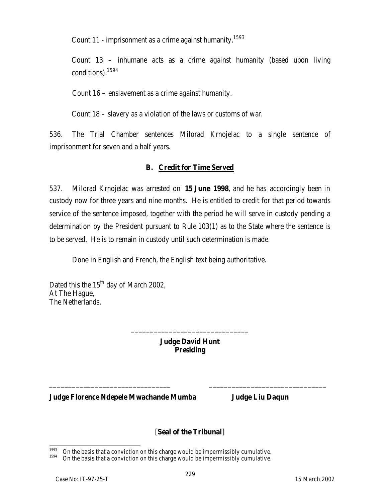Count 11 - imprisonment as a crime against humanity.<sup>1593</sup>

Count 13 – inhumane acts as a crime against humanity (based upon living conditions).<sup>1594</sup>

Count 16 – enslavement as a crime against humanity.

Count 18 – slavery as a violation of the laws or customs of war.

536. The Trial Chamber sentences Milorad Krnojelac to a single sentence of imprisonment for seven and a half years.

### **B. Credit for Time Served**

537. Milorad Krnojelac was arrested on **15 June 1998**, and he has accordingly been in custody now for three years and nine months. He is entitled to credit for that period towards service of the sentence imposed, together with the period he will serve in custody pending a determination by the President pursuant to Rule 103(1) as to the State where the sentence is to be served. He is to remain in custody until such determination is made.

Done in English and French, the English text being authoritative.

Dated this the  $15<sup>th</sup>$  day of March 2002, At The Hague, The Netherlands.

> **Judge David Hunt Presiding**

\_\_\_\_\_\_\_\_\_\_\_\_\_\_\_\_\_\_\_\_\_\_\_\_\_\_\_\_\_\_\_\_ \_\_\_\_\_\_\_\_\_\_\_\_\_\_\_\_\_\_\_\_\_\_\_\_\_\_\_\_\_\_\_

**\_\_\_\_\_\_\_\_\_\_\_\_\_\_\_\_\_\_\_\_\_\_\_\_\_\_\_\_\_\_\_**

**Judge Florence Ndepele Mwachande Mumba Judge Liu Daqun**

## **[Seal of the Tribunal]**

<sup>1593</sup>  $1593$  On the basis that a conviction on this charge would be impermissibly cumulative.

On the basis that a conviction on this charge would be impermissibly cumulative.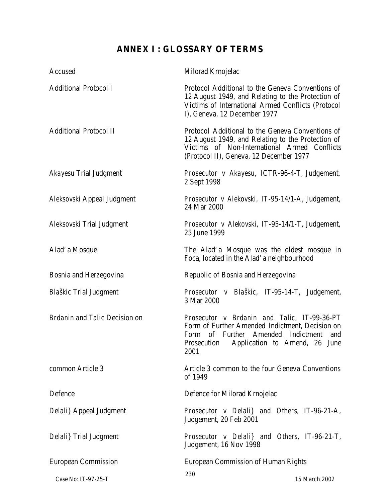# **ANNEX I : GLOSSARY OF TERMS**

| Accused                       | Milorad Krnojelac                                                                                                                                                                                   |
|-------------------------------|-----------------------------------------------------------------------------------------------------------------------------------------------------------------------------------------------------|
| <b>Additional Protocol I</b>  | Protocol Additional to the Geneva Conventions of<br>12 August 1949, and Relating to the Protection of<br>Victims of International Armed Conflicts (Protocol<br>I), Geneva, 12 December 1977         |
| <b>Additional Protocol II</b> | Protocol Additional to the Geneva Conventions of<br>12 August 1949, and Relating to the Protection of<br>Victims of Non-International Armed Conflicts<br>(Protocol II), Geneva, 12 December 1977    |
| Akayesu Trial Judgment        | Prosecutor v Akayesu, ICTR-96-4-T, Judgement,<br>2 Sept 1998                                                                                                                                        |
| Aleksovski Appeal Judgment    | Prosecutor v Alekovski, IT-95-14/1-A, Judgement,<br>24 Mar 2000                                                                                                                                     |
| Aleksovski Trial Judgment     | Prosecutor v Alekovski, IT-95-14/1-T, Judgement,<br>25 June 1999                                                                                                                                    |
| Alad' a Mosque                | The Alad'a Mosque was the oldest mosque in<br>Foca, located in the Alad' a neighbourhood                                                                                                            |
| Bosnia and Herzegovina        | Republic of Bosnia and Herzegovina                                                                                                                                                                  |
| <b>Blaškic Trial Judgment</b> | Prosecutor v Blaškic, IT-95-14-T, Judgement,<br>3 Mar 2000                                                                                                                                          |
| Brdanin and Talic Decision on | Prosecutor v Brdanin and Talic, IT-99-36-PT<br>Form of Further Amended Indictment, Decision on<br>of Further Amended Indictment<br>Form<br>and<br>Prosecution Application to Amend, 26 June<br>2001 |
| common Article 3              | Article 3 common to the four Geneva Conventions<br>of 1949                                                                                                                                          |
| Defence                       | Defence for Milorad Krnojelac                                                                                                                                                                       |
| Delali} Appeal Judgment       | Prosecutor v Delali} and Others, IT-96-21-A,<br>Judgement, 20 Feb 2001                                                                                                                              |
| Delali} Trial Judgment        | Prosecutor v Delali} and Others, IT-96-21-T,<br>Judgement, 16 Nov 1998                                                                                                                              |
| <b>European Commission</b>    | European Commission of Human Rights                                                                                                                                                                 |
| Case No: IT-97-25-T           | 230<br>15 March 2002                                                                                                                                                                                |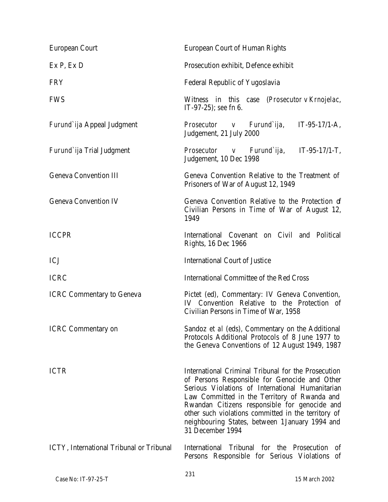| European Court                           | European Court of Human Rights                                                                                                                                                                                                                                                                                                                                                          |
|------------------------------------------|-----------------------------------------------------------------------------------------------------------------------------------------------------------------------------------------------------------------------------------------------------------------------------------------------------------------------------------------------------------------------------------------|
| Ex P, Ex D                               | Prosecution exhibit, Defence exhibit                                                                                                                                                                                                                                                                                                                                                    |
| <b>FRY</b>                               | Federal Republic of Yugoslavia                                                                                                                                                                                                                                                                                                                                                          |
| <b>FWS</b>                               | Witness in this case (Prosecutor v Krnojelac,<br>$IT-97-25$ ; see fn 6.                                                                                                                                                                                                                                                                                                                 |
| Furund`ija Appeal Judgment               | Prosecutor v Furund`ija, IT-95-17/1-A,<br>Judgement, 21 July 2000                                                                                                                                                                                                                                                                                                                       |
| Furund`ija Trial Judgment                | Prosecutor v Furund`ija, IT-95-17/1-T,<br>Judgement, 10 Dec 1998                                                                                                                                                                                                                                                                                                                        |
| <b>Geneva Convention III</b>             | Geneva Convention Relative to the Treatment of<br>Prisoners of War of August 12, 1949                                                                                                                                                                                                                                                                                                   |
| <b>Geneva Convention IV</b>              | Geneva Convention Relative to the Protection of<br>Civilian Persons in Time of War of August 12,<br>1949                                                                                                                                                                                                                                                                                |
| <b>ICCPR</b>                             | International Covenant on Civil and Political<br>Rights, 16 Dec 1966                                                                                                                                                                                                                                                                                                                    |
| C                                        | International Court of Justice                                                                                                                                                                                                                                                                                                                                                          |
| <b>ICRC</b>                              | International Committee of the Red Cross                                                                                                                                                                                                                                                                                                                                                |
| <b>ICRC Commentary to Geneva</b>         | Pictet (ed), Commentary: IV Geneva Convention,<br>IV Convention Relative to the Protection of<br>Civilian Persons in Time of War, 1958                                                                                                                                                                                                                                                  |
| <b>ICRC Commentary on</b>                | Sandoz et al (eds), Commentary on the Additional<br>Protocols Additional Protocols of 8 June 1977 to<br>the Geneva Conventions of 12 August 1949, 1987                                                                                                                                                                                                                                  |
| <b>ICTR</b>                              | International Criminal Tribunal for the Prosecution<br>of Persons Responsible for Genocide and Other<br>Serious Violations of International Humanitarian<br>Law Committed in the Territory of Rwanda and<br>Rwandan Citizens responsible for genocide and<br>other such violations committed in the territory of<br>neighbouring States, between 1 January 1994 and<br>31 December 1994 |
| ICTY, International Tribunal or Tribunal | International Tribunal for the Prosecution<br>0f.<br>Persons Responsible for Serious Violations of                                                                                                                                                                                                                                                                                      |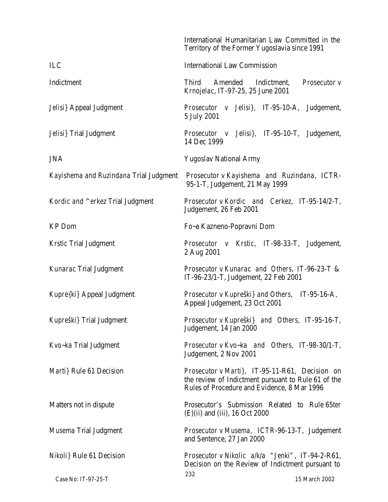|                                        | International Humanitarian Law Committed in the<br>Territory of the Former Yugoslavia since 1991                                                     |
|----------------------------------------|------------------------------------------------------------------------------------------------------------------------------------------------------|
| ILC                                    | <b>International Law Commission</b>                                                                                                                  |
| Indictment                             | Third<br>Amended<br>Indictment,<br>Prosecutor v<br>Krnojelac, IT-97-25, 25 June 2001                                                                 |
| Jelisi} Appeal Judgment                | Prosecutor v Jelisi}, IT-95-10-A, Judgement,<br>5 July 2001                                                                                          |
| Jelisi} Trial Judgment                 | Prosecutor v Jelisi}, IT-95-10-T, Judgement,<br>14 Dec 1999                                                                                          |
| <b>JNA</b>                             | Yugoslav National Army                                                                                                                               |
| Kayishema and Ruzindana Trial Judgment | Prosecutor v Kayishema and Ruzindana, ICTR-<br>95-1-T, Judgement, 21 May 1999                                                                        |
| Kordic and ^erkez Trial Judgment       | Prosecutor v Kordic and Cerkez, IT-95-14/2-T,<br>Judgement, 26 Feb 2001                                                                              |
| <b>KP</b> Dom                          | Fo~a Kazneno-Popravni Dom                                                                                                                            |
| <b>Krstic Trial Judgment</b>           | Prosecutor v Krstic, IT-98-33-T, Judgement,<br>2 Aug 2001                                                                                            |
| Kunarac Trial Judgment                 | Prosecutor v Kunarac and Others, IT-96-23-T &<br>IT-96-23/1-T, Judgement, 22 Feb 2001                                                                |
| Kupre{ki} Appeal Judgment              | Prosecutor v Kupreški} and Others, IT-95-16-A,<br>Appeal Judgement, 23 Oct 2001                                                                      |
| Kupreški} Trial Judgment               | Prosecutor v Kupreški} and Others, IT-95-16-T,<br>Judgement, 14 Jan 2000                                                                             |
| Kvo-ka Trial Judgment                  | Prosecutor v Kvo-ka and Others, IT-98-30/1-T,<br>Judgement, 2 Nov 2001                                                                               |
| Marti} Rule 61 Decision                | Prosecutor v Marti}, IT-95-11-R61, Decision on<br>the review of Indictment pursuant to Rule 61 of the<br>Rules of Procedure and Evidence, 8 Mar 1996 |
| Matters not in dispute                 | Prosecutor's Submission Related to Rule 65ter<br>(E)(ii) and (iii), 16 Oct 2000                                                                      |
| Musema Trial Judgment                  | Prosecutor v Musema, ICTR-96-13-T, Judgement<br>and Sentence, 27 Jan 2000                                                                            |
| Nikoli } Rule 61 Decision              | Prosecutor v Nikolic a/k/a "Jenki", IT-94-2-R61,<br>Decision on the Review of Indictment pursuant to                                                 |
| Case No: IT-97-25-T                    | 232<br>15 March 2002                                                                                                                                 |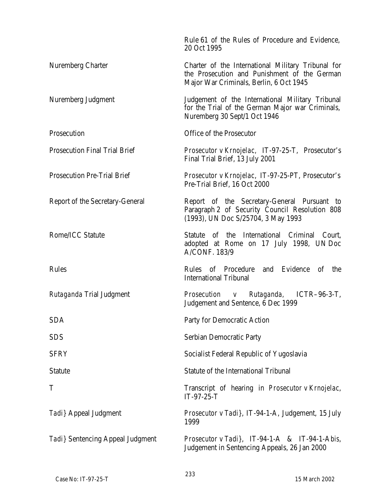|                                      | Rule 61 of the Rules of Procedure and Evidence,<br>20 Oct 1995                                                                                |
|--------------------------------------|-----------------------------------------------------------------------------------------------------------------------------------------------|
| Nuremberg Charter                    | Charter of the International Military Tribunal for<br>the Prosecution and Punishment of the German<br>Major War Criminals, Berlin, 6 Oct 1945 |
| Nuremberg Judgment                   | Judgement of the International Military Tribunal<br>for the Trial of the German Major war Criminals,<br>Nuremberg 30 Sept/1 Oct 1946          |
| Prosecution                          | Office of the Prosecutor                                                                                                                      |
| <b>Prosecution Final Trial Brief</b> | Prosecutor v Krnojelac, IT-97-25-T, Prosecutor's<br>Final Trial Brief, 13 July 2001                                                           |
| <b>Prosecution Pre-Trial Brief</b>   | Prosecutor v Krnojelac, IT-97-25-PT, Prosecutor's<br>Pre-Trial Brief, 16 Oct 2000                                                             |
| Report of the Secretary-General      | Report of the Secretary-General Pursuant to<br>Paragraph 2 of Security Council Resolution 808<br>(1993), UN Doc S/25704, 3 May 1993           |
| Rome/ICC Statute                     | Statute of the International Criminal Court,<br>adopted at Rome on 17 July 1998, UN Doc<br><b>A/CONF. 183/9</b>                               |
| Rules                                | Evidence<br>of Procedure and<br><b>Rules</b><br>Оf<br>the<br><b>International Tribunal</b>                                                    |
| Rutaganda Trial Judgment             | Prosecution v Rutaganda, ICTR-96-3-T,<br>Judgement and Sentence, 6 Dec 1999                                                                   |
| <b>SDA</b>                           | Party for Democratic Action                                                                                                                   |
| <b>SDS</b>                           | Serbian Democratic Party                                                                                                                      |
| <b>SFRY</b>                          | Socialist Federal Republic of Yugoslavia                                                                                                      |
| <b>Statute</b>                       | Statute of the International Tribunal                                                                                                         |
| Τ                                    | Transcript of hearing in Prosecutor v Krnojelac,<br>IT-97-25-T                                                                                |
| Tadi} Appeal Judgment                | Prosecutor v Tadi}, IT-94-1-A, Judgement, 15 July<br>1999                                                                                     |
| Tadi} Sentencing Appeal Judgment     | Prosecutor v Tadi}, IT-94-1-A & IT-94-1-Abis,<br>Judgement in Sentencing Appeals, 26 Jan 2000                                                 |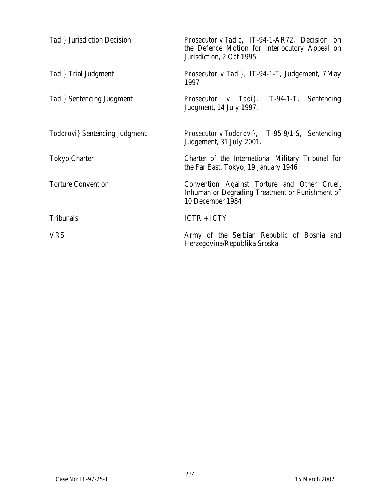| Tadi } Jurisdiction Decision  | Prosecutor v Tadic, IT-94-1-AR72, Decision on<br>the Defence Motion for Interlocutory Appeal on<br>Jurisdiction, 2 Oct 1995 |
|-------------------------------|-----------------------------------------------------------------------------------------------------------------------------|
| Tadi} Trial Judgment          | Prosecutor v Tadi}, IT-94-1-T, Judgement, 7 May<br>1997                                                                     |
| Tadi} Sentencing Judgment     | <i>Prosecutor v Tadi}</i> , IT-94-1-T, Sentencing<br>Judgment, 14 July 1997.                                                |
| Todorovi} Sentencing Judgment | Prosecutor v Todorovi}, IT-95-9/1-S, Sentencing<br>Judgement, 31 July 2001.                                                 |
| Tokyo Charter                 | Charter of the International Military Tribunal for<br>the Far East, Tokyo, 19 January 1946                                  |
| <b>Torture Convention</b>     | Convention Against Torture and Other Cruel,<br>Inhuman or Degrading Treatment or Punishment of<br>10 December 1984          |
| Tribunals                     | ICTR + ICTY                                                                                                                 |
| <b>VRS</b>                    | Army of the Serbian Republic of Bosnia and<br>Herzegovina/Republika Srpska                                                  |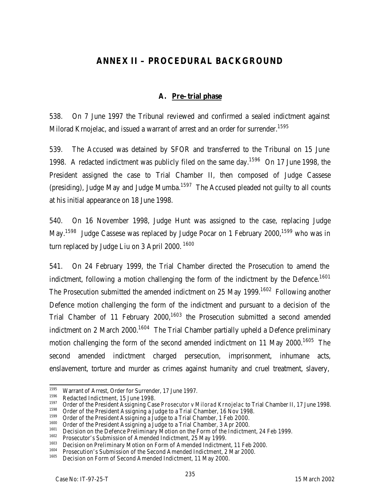# **ANNEX II – PROCEDURAL BACKGROUND**

## **A. Pre–trial phase**

538. On 7 June 1997 the Tribunal reviewed and confirmed a sealed indictment against Milorad Krnojelac, and issued a warrant of arrest and an order for surrender.<sup>1595</sup>

539. The Accused was detained by SFOR and transferred to the Tribunal on 15 June 1998. A redacted indictment was publicly filed on the same day.<sup>1596</sup> On 17 June 1998, the President assigned the case to Trial Chamber II, then composed of Judge Cassese (presiding), Judge May and Judge Mumba.<sup>1597</sup> The Accused pleaded not guilty to all counts at his initial appearance on 18 June 1998.

540. On 16 November 1998, Judge Hunt was assigned to the case, replacing Judge May.<sup>1598</sup> Judge Cassese was replaced by Judge Pocar on 1 February 2000,<sup>1599</sup> who was in turn replaced by Judge Liu on 3 April 2000.<sup>1600</sup>

541. On 24 February 1999, the Trial Chamber directed the Prosecution to amend the indictment, following a motion challenging the form of the indictment by the Defence.<sup>1601</sup> The Prosecution submitted the amended indictment on 25 May 1999.<sup>1602</sup> Following another Defence motion challenging the form of the indictment and pursuant to a decision of the Trial Chamber of 11 February 2000,<sup>1603</sup> the Prosecution submitted a second amended indictment on 2 March 2000.<sup>1604</sup> The Trial Chamber partially upheld a Defence preliminary motion challenging the form of the second amended indictment on 11 May 2000.<sup>1605</sup> The second amended indictment charged persecution, imprisonment, inhumane acts, enslavement, torture and murder as crimes against humanity and cruel treatment, slavery,

<sup>1595</sup> <sup>1595</sup> Warrant of Arrest, Order for Surrender, 17 June 1997.

<sup>&</sup>lt;sup>1596</sup> Redacted Indictment, 15 June 1998.

<sup>1597</sup> Order of the President Assigning Case *Prosecutor v Milorad Krnojelac* to Trial Chamber II, 17 June 1998.

<sup>&</sup>lt;sup>1598</sup> Order of the President Assigning a Judge to a Trial Chamber, 16 Nov 1998.<br><sup>1599</sup> Order of the President Assigning a Judge to a Trial Chamber, 1 Feb 2000.

<sup>&</sup>lt;sup>1599</sup> Order of the President Assigning a Judge to a Trial Chamber, 1 Feb 2000.<br><sup>1600</sup> Order of the President Assigning a Judge to a Trial Chamber, 2 Apr 2000.

<sup>&</sup>lt;sup>1600</sup> Order of the President Assigning a Judge to a Trial Chamber, 3 Apr 2000.

<sup>&</sup>lt;sup>1601</sup> Decision on the Defence Preliminary Motion on the Form of the Indictment, 24 Feb 1999.

<sup>&</sup>lt;sup>1602</sup> Prosecutor's Submission of Amended Indictment, 25 May 1999.

<sup>&</sup>lt;sup>1603</sup> Decision on Preliminary Motion on Form of Amended Indictment, 11 Feb 2000.<br><sup>1604</sup> Prosecution's Submission of the Second Amended Indictment, 2 Mar 2000.

<sup>&</sup>lt;sup>1604</sup> Prosecution's Submission of the Second Amended Indictment, 2 Mar 2000.<br><sup>1605</sup> Posision on Form of Second Amended Indictment, 11 May 2000.

Decision on Form of Second Amended Indictment, 11 May 2000.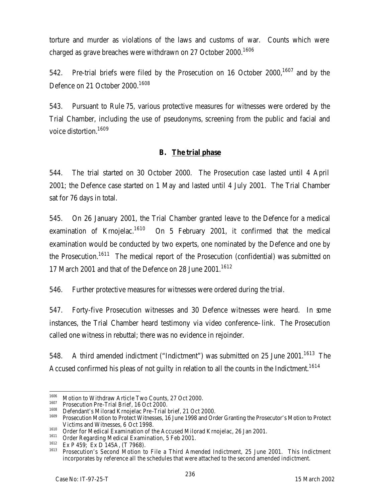torture and murder as violations of the laws and customs of war. Counts which were charged as grave breaches were withdrawn on 27 October 2000.<sup>1606</sup>

542. Pre-trial briefs were filed by the Prosecution on 16 October 2000,<sup>1607</sup> and by the Defence on 21 October 2000.<sup>1608</sup>

543. Pursuant to Rule 75, various protective measures for witnesses were ordered by the Trial Chamber, including the use of pseudonyms, screening from the public and facial and voice distortion.<sup>1609</sup>

### **B. The trial phase**

544. The trial started on 30 October 2000. The Prosecution case lasted until 4 April 2001; the Defence case started on 1 May and lasted until 4 July 2001. The Trial Chamber sat for 76 days in total.

545. On 26 January 2001, the Trial Chamber granted leave to the Defence for a medical examination of Krnojelac.<sup>1610</sup> On 5 February 2001, it confirmed that the medical examination would be conducted by two experts, one nominated by the Defence and one by the Prosecution.<sup>1611</sup> The medical report of the Prosecution (confidential) was submitted on 17 March 2001 and that of the Defence on 28 June 2001.<sup>1612</sup>

546. Further protective measures for witnesses were ordered during the trial.

547. Forty-five Prosecution witnesses and 30 Defence witnesses were heard. In some instances, the Trial Chamber heard testimony via video conference–link. The Prosecution called one witness in rebuttal; there was no evidence in rejoinder.

548. A third amended indictment ("Indictment") was submitted on 25 June 2001.<sup>1613</sup> The Accused confirmed his pleas of not guilty in relation to all the counts in the Indictment.<sup>1614</sup>

<sup>1606</sup>  $1606$  Motion to Withdraw Article Two Counts, 27 Oct 2000.

<sup>&</sup>lt;sup>1607</sup> Prosecution Pre-Trial Brief, 16 Oct 2000.<br><sup>1608</sup> Pefendant's Milored Kroaielas Pre-Trial

<sup>&</sup>lt;sup>1608</sup> Defendant's Milorad Krnojelac Pre-Trial brief, 21 Oct 2000.<br><sup>1609</sup> Presecution Mation to Protect Witnesses, 14 June 1998 and Org

<sup>1609</sup> Prosecution Motion to Protect Witnesses, 16 June 1998 and Order Granting the Prosecutor's Motion to Protect Victims and Witnesses, 6 Oct 1998.

<sup>&</sup>lt;sup>1610</sup> Order for Medical Examination of the Accused Milorad Krnojelac, 26 Jan 2001.

<sup>&</sup>lt;sup>1611</sup> Order Regarding Medical Examination, 5 Feb 2001.<br><sup>1612</sup> Ex B 450: Ex B 145A (T 7049)

 $1612$  Ex P 459; Ex D 145A, (T 7968).

<sup>1613</sup> Prosecution's Second Motion to File a Third Amended Indictment, 25 June 2001. This Indictment incorporates by reference all the schedules that were attached to the second amended indictment.